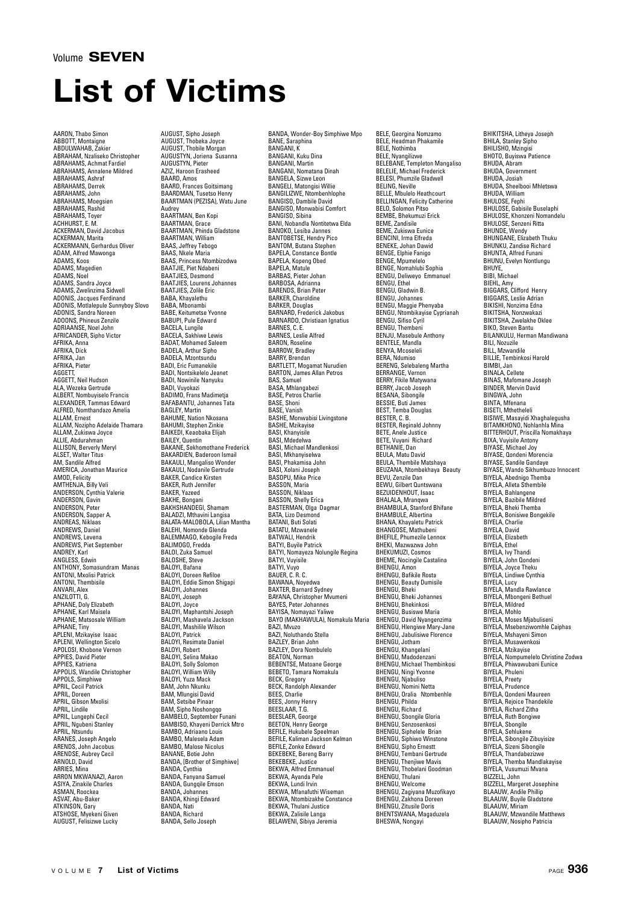## **List of Victims**

AARON, Thabo Simon ABBOTT, Montaigne ABDULWAHAB, Zakier ABRAHAM, Nzaliseko Christopher ABRAHAMS, Achmat Fardiel ABRAHAMS, Annalene Mildred ABRAHAMS, Annare<br>ABRAHAMS, Ashraf<br>ABRAHAMS, Derrek ABRAHAMS, Derrek ABRAHAMS, John ABRAHAMS, Moegsien ABRAHAMS, Rashid ABRAHAMS, Toyer ACHHURST, E. M. ACKERMAN, David Jacobus ACKERMAN, Marita ACKERMANN, Gerhardus Oliver ADAM, Alfred Mawonga ADAMS, Koos ADAMS, Magedien ADAMS, Noel ADAMS, Sandra Joyce ADAMS, Zwelinzima Sidwell ADONIS, Jacques Ferdinand ADONIS, Motlalepule Sunnyboy Slovo ADONIS, Sandra Noreen ADOONS, Phineus Zenzile ADRIAANSE, Noel John AFRICANDER, Sipho Victor AFRIKA, Anna AFRIKA, Dick AFRIKA, Jan AFRIKA, Pieter AGGETT, AGGETT, Neil Hudson ALA, Wezeka Gertrude ALBERT, Nombuyiselo Francis ALEXANDER, Tammas Edward ALFRED, Nomthandazo Amelia ALLAM, Ernest ALLAM, Nozipho Adelaide Thamara ALLAM, Zukiswa Joyce ALLAIvi, Lukiswa Ju<br>ALLIE, Abdurahman ALLISON, Berverly Meryl ALSET, Walter Titus AM, Sandile Alfred AMERICA, Jonathan Maurice AMOD, Felicity AMTHENJA, Billy Veli ANDERSON, Cynthia Valerie ANDERSON, Gavin ANDERSON, Peter ANDERSON, Sapper A. ANDREAS, Niklaas ANDREWS, Daniel ANDREWS, Levena ANDREWS, Piet September ANDREY, Karl ANGLESS, Edwin ANTHONY, Somasundram Manas ANTONI, Mxolisi Patrick ANTONI, Thembisile ANVARI, Alex ANZILOTTI, G. APHANE, Doly Elizabeth APHANE, Karl Maisela APHANE, Matsosale William APHANE, Tiny APLENI, Mzikayise Isaac APLENI, Wellington Sicelo APOLOSI, Khobone Vernon APPIES, David Pieter APPIES, Katriena APPOLIS, Wandile Christopher APPOLS, Simphiwe APRIL, Cecil Patrick APRIL, Doreen APRIL, Gibson Mxolisi APRIL, Lindile APRIL, Lungephi Cecil APRIL, Ngubeni Stanley APRIL, Ntsundu ARANES, Joseph Angelo ARENDS, John Jacobus ARENDSE, Aubrey Cecil ARNOLD, David **ARRIES**, Mina ARRON MKWANAZI, Aaron ASIYA, Zinakile Charles ASMAN, Roockea ASVAT, Abu-Baker ATKINSON, Gary ATSHOSE, Myekeni Given AUGUST, Felisizwe Lucky

AUGUST, Sipho Joseph AUGUST, Thobeka Joyce AUGUST, Thobile Morgan AUGUSTYN, Joriena Susanna AUGUSTYN, Pieter AZIZ, Haroon Erasheed BAARD, Amos<br>BAARD, Frances Goitsimano BAARD, Frances Goitsimang BAARDMAN, Tusetso Henry BAARTMAN (PEZISA), Watu June Audrey BAARTMAN, Ben Kopi BAARTMAN, Grace BAARTMAN, Phinda Gladstone BAARTMAN, William BAAS, Jeffrey Tebogo BAAS, Nkele Maria BAAS, Princess Ntombizodwa BAATJIE, Piet Ndabeni BAATJIES, Desmond BAATJIES, Lourens Johannes BAATJIES, Zolile Eric BABA, Khayalethu BABA, Mbonambi BABE, Keitumetse Yvonne BABUPI, Pule Edward BACELA, Lungile BACELA, Sakhiwe Lewis BADAT, Mohamed Saleem BADELA, Arthur Sipho BADELA, Mzontsundu BADI, Eric Fumanekile BADI, Nontsikelelo Jeanet BADI, Nowinile Nanyuku BADI, Vuyokazi BADIMO, Frans Madimetja BAFABANTU, Johannes Tata BAGLEY, Martin BAHUME, Nation Nkosana BAHUMI, Stephen Zinkie BAIKEDI, Keaobaka Elijah BAILEY, Quentin BAKANE, Sekhomothane Frederick BAKARDIEN, Baderoon Ismail BAKAULI, Mangaliso Wonder BAKAULI, Nodanile Gertrude BAKER, Candice Kirsten BAKER, Ruth Jennifer BAKER, Yazeed BAKHE, Bongani BAKHSHANDEGI, Shamam BALADZI, Mthavini Langisa BALATA-MALOBOLA, Lilian Mantha BALEHI, Nomonde Glenda BALEMMAGO, Kebogile Freda BALIMOGO, Fredda BALOI, Zuka Samuel BALOSHE, Steve BALOYI, Bafana BALOYI, Doreen Refiloe BALOYI, Eddie Simon Shigapi BALOYI, Johannes BALOYI, Joseph BALOYI, Joyce BALOYI, Maphantshi Joseph BALOYI, Mashavela Jackson BALOYI, Mashilile Wilson BALOYI, Patrick BALOYI, Resimate Daniel BALOYI, Robert BALOYI, Selina Makao BALOYI, Solly Solomon BALOYI, William Willy BALOYI, Yuza Mack BAM, John Nkunku BAM, Mlungisi David BAM, Setsibe Pinaar BAM, Sipho Noshongqo BAMBELO, September Funani BAMBISO, Khayeni Derrick Mtro BAMBO, Adriaano Louis BAMBO, Malesela Adam BAMBO, Malose Nicolus BANANE, Botie John BANDA, [Brother of Simphiwe] BANDA, Cynthia BANDA, Fanyana Samuel BANDA, Gungqile Emson BANDA, Johannes BANDA, Khingi Edward BANDA, Nati BANDA, Richard BANDA, Sello Joseph

BANDA, Wonder-Boy Simphiwe Mpo BANE, Saraphina BANGANI, K BANGANI, Kuku Dina BANGANI, Martin BANGANI, Nomatana Dinah BANGELA, Sizwe Leon BANGELI, Matongisi Willie BANGILIZWE, Ntombenhlophe BANGISO, Dambile David BANGISO, Monwabisi Comfort BANGISO, Sibina BANI, Nobandla Nontitetwa Elda BANOKO, Lesiba Jannes BANTOBETSE, Hendry Pico BANTOM, Butana Stephen BAPELA, Constance Bontle BAPELA, Kopeng Obed BAPELA, Matule BARBAS, Pieter Johan BARBOSA, Adrianna BARENDS, Brian Peter BARKER, Charoldine BARKER, Douglas BARNARD, Frederick Jakobus BARNARDO, Christiaan Ignatius BARNES, C. E. BARNES, Leslie Alfred BARON, Roseline BARROW, Bradley BARRY, Brendan BARTLETT, Mogamat Nurudien BARTON, James Allan Petros BAS, Samuel BASA, Mhlangabezi BASE, Petros Charlie BASE, Shoni BASE, Vanish BASHE, Monwabisi Livingstone BASHE, Mzikayise BASI, Khanyisile BASI, Mdedelwa BASI, Michael Mandlenkosi BASI, Mkhanyiselwa BASI, Phakamisa John BASI, Xolani Joseph BASOPU, Mike Price BASSON, Maria BASSON, Niklaas BASSON, Shelly Erica BASTERMAN, Olga Dagmar BATA, Lizo Desmond BATANI, Buti Solati BATATU, Mzwanele BATWALI, Hendrik BATYI, Buyile Patrick BATYI, Nomayeza Nolungile Regina BATYI, Vuyisile BATYI, Vuyo BAUER, C. R. C. BAWANA, Noyedwa BAXTER, Barnard Sydney BAYANA, Christopher Mvumeni BAYES, Peter Johannes BAYISA, Nomayazi Yaliwe BAYO (MAKHAWULA), Nomakula Maria BAZI, Mvuzo BAZI, Noluthando Stella BAZLEY, Brian John BAZLEY, Dora Nombulelo BEATON, Norman BEBENTSE, Matoane George BEBETO, Tamara Nomakula BECK, Gregory BECK, Randolph Alexander BEES, Charlie BEES, Jonny Henry BEESLAAR, T.G. BEESLAER, George BEETON, Henry George BEFILE, Hukubele Speelman BEFILE, Kaliman Jackson Kelman BEFILE, Zonke Edward BEKEBEKE, Bereng Barry BEKEBEKE, Justice BEKWA, Alfred Emmanuel BEKWA, Ayanda Pele BEKWA, Lundi Irvin BEKWA, Mfanafuthi Wiseman BEKWA, Ntombizakhe Constance BEKWA, Thulani Justice BEKWA, Zalisile Langa BELAWENI, Sibiya Jeremia

BELE, Georgina Nomzamo BELE, Headman Phakamile BELE, Nothimba BELE, Nyangilizwe BELEBANE, Templeton Mangaliso BELELIE, Michael Frederick BELESI, Michael Hederici<br>BELESI, Phumzile Gladwell<br>BELING, Neville BELING, Neville BELLE, Mbulelo Heathcourt BELLINGAN, Felicity Catherine BELO, Solomon Pitso BEMBE, Bhekumuzi Erick BEME, Zandisile BEME, Zukiswa Eunice BENCINI, Irma Elfreda BENEKE, Johan Dawid BENGE, Elphie Fanigo BENGE, Mpumelelo BENGE, Nomahlubi Sophia BENGU, Deliweyo Emmanuel BENGU, Ethel BENGU, Gladwin B. BENGU, Johannes BENGU, Maggie Phenyaba BENGU, Ntombikayise Cyprianah BENGU, Sifiso Cyril BENGU, Thembeni BENJU, Masebule Anthony BENTELE, Mandla BENYA, Mcoseleli BERA, Ndumiso BERENG, Selebaleng Martha BERRANGE, Vernon BERRY, Fikile Matywana BERRY, Jacob Joseph BESANA, Sibongile BESSIE, Buti James BEST, Temba Douglas BESTER, C. B. BESTER, Reginald Johnny BETE, Anele Justice BETE, Vuyani Richard BETHANIE, Dan BEULA, Matu David BEULA, Thembile Matshaya BEUZANA, Ntombekhaya Beauty BEVU, Zenzile Dan BEWU, Gilbert Quntswana BEZUIDENHOUT, Isaac BHALALA, Mranqwa BHAMBULA, Stanford Bhifane BHAMBULE, Albertina BHANA, Khayaletu Patrick BHANGOSE, Mathubeni BHEFILE, Phumezile Lennox BHEKI, Mazwazwa John BHEKUMUZI, Cosmos BHEME, Nocingile Castalina BHENGU, Amon BHENGU, Bafikile Rosta BHENGU, Beauty Dumisile BHENGU, Bheki BHENGU, Bheki Johannes BHENGU, Bhekinkosi BHENGU, Busiswe Maria BHENGU, David Nyangenzima BHENGU, Hlengiwe Mary-Jane BHENGU, Jabulisiwe Florence BHENGU, Jotham BHENGU, Khangelani BHENGU, Madodenzani BHENGU, Michael Thembinkosi BHENGU, Ningi Yvonne BHENGU, Njabuliso BHENGU, Nomini Netta BHENGU, Oralia Ntombenhle BHENGU, Philda BHENGU, Richard BHENGU, Sbongile Gloria BHENGU, Senzosenkosi BHENGU, Siphelele Brian BHENGU, Siphiwo Winstone BHENGU, Sipho Ernestt BHENGU, Tembani Gertrude BHENGU, Thenjiwe Mavis BHENGU, Thobelani Goodman BHENGU, Thulani BHENGU, Welcome BHENGU, Zagiyana Muzofikayo BHENGU, Zakhona Doreen BHENGU, Zitusile Doris BHENTSWANA, Magaduzela BHESWA, Nongayi

BHIKITSHA, Litheya Joseph BHILA, Stanley Sipho BHILISHO, Mzingisi BHOTO, Buyiswa Patience BHUDA, Abram BHUDA, Government BHUDA, Josiah BHUDA, Sheelbooi Mhletswa BHUDA, William BHULOSE, Feph BHULOSE, Gabisile Buselaphi BHULOSE, Khonzeni Nomandelu BHULOSE, Senzeni Ritta BHUNDE, Wendy BHUNGANE, Elizabeth Thuku BHUNKU, Zandise Richard BHUNTA, Alfred Funani BHUNU, Evelyn Nontlungu BHUYE,<br>BIBI, Michael BIEHL, Amy BIGGARS, Clifford Henry BIGGARS, Leslie Adrian BIKISHI, Nonzima Edna BIKITSHA, Nonzwakazi BIKITSHA, Zwelakhe Oklee BIKO, Steven Bantu BILANKULU, Herman Mandiwana BILI, Nozuzile BILL, Mzwandile BILLIE, Tembinkosi Harold BIMBI, Jan BINALA, Cellete BINAS, Mafomane Joseph BINDER, Mervin David BINGWA, John BINTA, Mfenana BISETI, Mthetheleli BISIWE, Masayidi Xhaghalegusha BITAMKHONO, Nohlanhla Mina BITTERHOUT, Priscilla Nomakhaya BIXA, Vuyisile Antony BIYASE, Michael Joy BIYASE, Qondeni Morencia BIYASE, Sandile Gandaye BIYASE, Wando Sikhumbuzo Innocent BIYELA, Abednigo Themba BIYELA, Alleta Sthembile BIYELA, Bahlangene BIYELA, Bazibile Mildred BIYELA, Bheki Themba BIYELA, Bonisiwe Bongekile BIYELA, Charlie BIYELA, David BIYELA, Elizabeth BIYELA, Ethel BIYELA, Ivy Thandi BIYELA, John Qondeni BIYELA, Joyce Theku BIYELA, Lindiwe Cynthia BIYELA, Lucy BIYELA, Mandla Rawlance BIYELA, Mbongeni Bethuel BIYELA, Mildred BIYELA, Minited BIYELA, Moses Mjabuliseni BIYELA, Msebenziwomhle Caiphas BIYELA, Mshayeni Simon BIYELA, Musawenkosi BIYELA, Mzikayise BIYELA, Nompumelelo Christine Zodwa BIYELA, Phiwawubani Eunice BIYELA, Phuleni BIYELA, Preety BIYELA, Prudence BIYELA, Qondeni Maureen BIYELA, Gondom musik BIYELA, Richard Zitha BIYELA, Ruth Bongiw BIYELA, Sbongile BIYELA, Sehlukene BIYELA, Sibongile Zibuyisize BIYELA, Sizeni Sibongile BIYELA, Thandabezizwe BIYELA, Themba Mandlakayise BIYELA, Vusumuzi Mvana BIZZELL, John BIZZELL, Margeret Josephine BLAAUW, Andile Phillip BLAAUW, Buyile Gladstone BLAAUW, Miriam BLAAUW, Mzwandile Matthews BLAAUW, Nosipho Patricia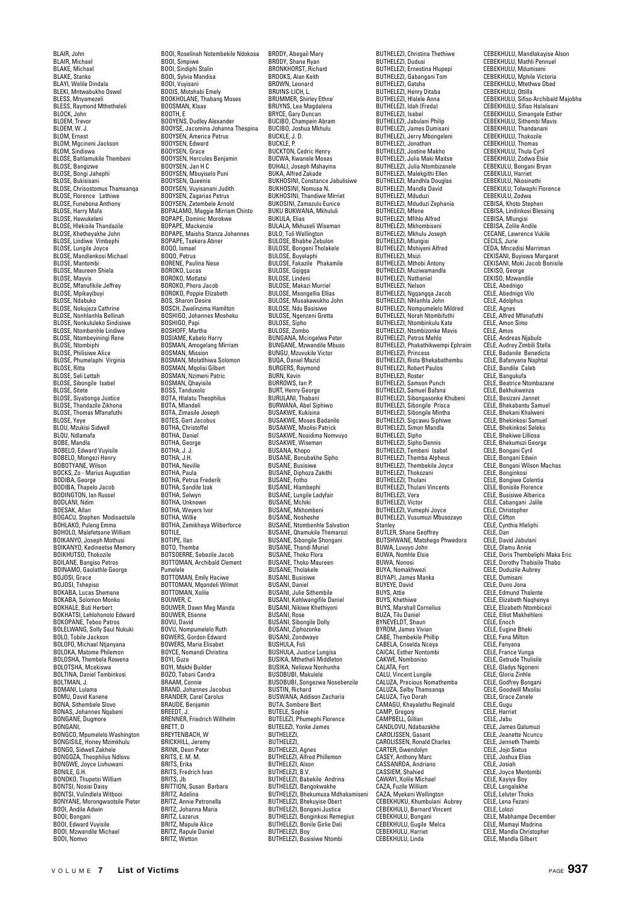BLAIR, John BLAIR, Michael BLAKE, Michael BLAKE, Stanko BLAYI, Welile Dindala BLEKI, Mntwabukho Oswel BLESS, Mnyamezeli BLESS, Raymond Mthetheleli BLOCK, John BLOEM, Trevor BLOEM, W. J. BLOM, Ernest BLOM, Mgcineni Jackson BLOM, Sindiswa BLOSE, Bahlamukile Thembeni BLOSE, Bangizwe BLOSE, Bongi Jahephi BLOSE, Bukisisani BLOSE, Chrisostomus Thamsanqa BLOSE, Christischmus Than BLOSE, Funebona Anthony BLOSE, Harry Mafa BLOSE, Hawukeleni BLOSE, Hlekisile Thandazile BLOSE, Khetheyakhe John BLOSE, Lindiwe Vimbephi BLOSE, Lungile Joyce BLOSE, Mandlenkosi Michael BLOSE, Mantombi<br>BLOSE, Mantombi BLOSE, Maureen Shiela BLOSE, Mayvis BLOSE, Mfanufikile Jeffrey BLOSE, Mpikayibuyi BLOSE, Ndabuko BLOSE, Nokujeza Cathrine BLOSE, Nonhlanhla Bellinah BLOSE, Nonkululeko Sindisiwe BLOSE, Ntombenhle Lindiwe BLOSE, Ntombeyiningi Rene BLOSE, Ntombiphi BLOSE, Philisiwe Alice BLOSE, Phumelaphi Virginia BLOSE, Ritta BLOSE, Seli Lettah BLOSE, Sibongile Isabel BLOSE, Sitete BLOSE, Siyabonga Justice BLOSE, Thandazile Zikhona BLOSE, Thomas Mfanafuthi BLOSE, Yeye BLOU, Mzukisi Sidwell BLOU, Ndlamafa BOBE, Mandla BOBELO, Edward Vuyisile BOBELO, Mongezi Henry BOBOTYANE, Wilson BOCKS, Zo - Marius Augustian BODIBA, George BODIBA, Thapelo Jacob BODINGTON, Ian Russel BODLANI, Ndim BOESAK, Allan BOGACU, Stephen Modisaotsile BOHLAKO, Puleng Emma BOHOLO, Malefetsane William BOIKANYO, Joseph Mothusi BOIKANYO, Kedineetse Memory BOIKHUTSO, Thokozile BOILANE, Bangiso Petros BOINAMO, Gaolathle George BOJOSI, Grace BOJOSI, Tshepiso BOKABA, Lucas Shemane BOKABA, Solomon Monko BOKHALE, Buti Herbert BOKHATSI, Lehlohonolo Edward BOKOPANE, Teboo Patros BOLELWANG, Solly Saul Nukuki BOLO, Tobile Jackson BOLOFO, Michael Ntjanyana BOLOKA, Matome Philemon BOLOSHA, Thembela Rowena BOLOTSHA, Mcekiswa BOLTINA, Daniel Tembinkosi BOLTMAN, J. BOMANI, Lulama BOMU, David Kanene BONA, Sithembele Slovo BONAS, Johannes Nqabeni BONGANE, Dugmore BONGANI, BONGCO, Mpumelelo Washington BONGISILE, Honey Mzimkhulu BONGO, Sidwell Zakhele BONGOZA, Theophilus Ndlovu BONGWE, Joyce Livhuwani BONILE, G.H. BONOKO, Thupetsi William BONTSI, Nosisi Daisy BONTSI, Vulindlela Witbooi BONYANE, Morongwaotsile Pieter BOOI, Andile Adwin BOOI, Bongani BOOI, Edward Vuyisile BOOI, Mzwandile Michael BOOI, Nomvo

BOOI, Roselinah Notembekile Ndokosa BOOI, Simpiwe BOOI, Sindiphi Stalin BOOI, Sylvia Mandisa BOOI, Vuyisani BOOIS, Motshabi Emely BOOKHOLANE, Thabang Moses BOOKHOLANE, IN BOOTH, E BOOYENS, Dudley Alexander BOOYSE, Jacomina Johanna Thespina BOOYSEN, America Petrus BOOYSEN, Edward BOOYSEN, Grace BOOYSEN, Hercules Benjamin BOOYSEN, Jan H C BOOYSEN, Mbuyiselo Puni BOOYSEN, Mudyisch BOOYSEN, Vuyisanani Judith BOOYSEN, Zagarias Petrus BOOYSEN, Zetembele Arnold BOPALAMO, Maggie Mirriam Chinto BOPAPE, Dominic Morokwe BOPAPE, Mackenzie BOPAPE, Maisha Stanza Johannes BOPAPE, Tsekera Abne BOQO, Ismael BOQO, Petrus BORENE, Paulina Nese BOROKO, Lucas BOROKO, Motlatsi BOROKO, Phora Jacob BOROKO, Poppie Elizabeth BOS, Sharon Desire BOSCH, Zwelinzima Hamilton BOSHIGO, Johannes Mosheku BOSHIGO, Papi BOSHOFF, Martha BOSIAME, Kabelo Harry BOSMAN, Amogelang Mirriam BOSMAN, Amogera BOSMAN, Molatlhiwa Solomon BOSMAN, Mgolisi Gilbert BOSMAN, Nzimeni Patric BOSMAN, Qhayisile BOSS, Tanduxolo BOTA, Hlalatu Theophilus BOTA, Mlandeli BOTA, Zimasile Joseph BOTES, Gert Jacobus BOTHA, Christoffel BOTHA, Daniel BOTHA, George BOTHA, J. J. BOTHA, J.H. BOTHA, Neville BOTHA, Paula BOTHA, Petrus Frederik BOTHA, Sandile Izak BOTHA, Selwyn BOTHA, Unkno BOTHA, Weyers Ivor BOTHA, Willie BOTHA, Zamikhaya Wilberforce BOTILE, BOTIPE, Ilan BOTO, Themba BOTSOERRE, Sebezile Jacob BOTTOMAN, Archibald Clement Pumelele BOTTOMAN, Emily Haciwe BOTTOMAN, Mqondeli Wilmot BOTTOMAN, Xolile BOUWER, C. BOUWER, Dawn Meg Manda BOUWER, Etienne BOVU, David BOVU, Nompumelelo Ruth BOWERS, Gordon Edward BOWERS, Maria Elisabet BOYCE, Nomandi Christina BOYI, Guza BOYI, Makhi Builder BOZO, Tabani Candra BRAAM, Connie BRAND, Johannes Jacobus BRANDER, Carel Carolus BRAUDE, Benjamin BREEDT, J. BRENNER, Friedrich Willhelm BRETT, D BREYTENBACH, W BRICKHILL, Jeremy BRINK, Deon Peter BRITS, E. M. M. BRITS, Erika BRITS, Fredrich Ivan BRITS, Jb BRITTION, Susan Barbara BRITZ, Adelina BRITZ, Annie Petronella BRITZ, Johanna Maria BRITZ, Lazarus BRITZ, Mapule Alice BRITZ, Rapule Daniel BRITZ, Wetton

BRODY, Abegail Mary BRODY, Shane Ryan BRONKHORST, Richard BROOKS, Alan Keith BROWN, Leonard BRUINS-LICH, L. BRUMMER, Shirley Ethne' BRUYNS, Lea Magdalena BRYCE, Gary Duncan BUCIBO, Champein Abram BUCIBO, Joshua Mkhulu BUCKLE, J. D. BUCKLE, P. BUCKTON, Cedric Henry BUCWA, Kwanele Moses BUHALI, Joseph Mshayina BUKA, Alfred Zakade BUKHOSINI, Constance Jabulisiwe BUKHOSINI, Nomusa N. BUKHOSINI, Thandiwe Mirriet BUKOSINI, Zamazulu Eunice BUKU BUKWANA, Mkhululi BUKULA, Elias BULALA, Mkhuseli Wiseman BULO, Tuli Wellington BULOSE, Bhabhe Zebulon BULOSE, Bongeni Tholakele BULOSE, Buyelaphi BULOSE, Fakazile Phakamile BULOSE, Gqigqa BULOSE, Lindeni BULOSE, Makazi Murriel BULOSE, Msongellia Ellias BULOSE, Musakawukho John BULOSE, Musukuwukin BULOSE, Ngenzeni Gretta BULOSE, Sipho BULOSE, Zombo BUNGANA, Mcingelwa Peter BUNGANE, Mzwandile Mbuso BUNGU, Mzuvukile Victor BUQA, Daniel Mazizi BURGERS, Raymond BURN, Kevin BURROWS, Ian P. BURT, Henry George BURULANI, Thabani BURWANA, Abel Siphiwo BUSAKWE, Kukisina BUSAKWE, Moses Badanile BUSAKWE, MUSES Bauarilli BUSAKWE, Nosidima Nomvuyo BUSAKWE, Wiseman BUSANA, Khopo BUSANE, Bonubakhe Sipho BUSANE, Busisiwe BUSANE, Diphoza Zakithi BUSANE, Fotho BUSANE, Hlambephi BUSANE, Lungile Ladyfair BUSANE, Mchiki BUSANE, Mkhomben BUSANE, Nosheshe BUSANE, Ntombenhle Salvation BUSANE, Qhamukile Themarozi BUSANE, Sibongile Shongani BUSANE, Thandi Muriel BUSANE, Thoko Flora BUSANE, Thoko Maureer BUSANE, Tholakele BUSANI, Busisiwe BUSANI, Daniel BUSANI, Julie Sithembile BUSANI, Kohlwangifile Daniel BUSANI, Nikiwe Khethiyoni BUSANI, Rose BUSANI, Sibongile Dolly BUSANI, Ziphozonke BUSANI, Zondwayo BUSHULA, Foli BUSHULA, Justice Lungisa BUSIKA, Mthetheli Middleton BUSIKA, Neliswa Nonhunha BUSOBUBI, Makulele BUSOBUBI, Songezwa Nosebenzile BUSTIN, Richard BUSWANA, Addison Zacharia BUTA, Sombere Bert BUTELE, Sophie BUTELEZI, Phumephi Florence BUTELEZI, Yonke James BUTHELEZI, BUTHELEZI, BUTHELEZI, Agnes BUTHELEZI, Alfred Phillemon BUTHELEZI, Alson BUTHELEZI, B.V. BUTHELEZI, Babekile Andrina BUTHELEZI, Bangokwakhe BUTHELEZI, Bhekumusa Mdhakamiseni BUTHELEZI, Bhekuyise Obert BUTHELEZI, Bongani Justice BUTHELEZI, Bonginkosi Remegius BUTHELEZI, Bonile Girlie Deli BUTHELEZI, Boy BUTHELEZI, Busisiwe Ntombi

BUTHELEZI, Christina Thethiwe BUTHELEZI, Dudusi BUTHELEZI, Ernestina Hlupepi BUTHELEZI, Gabangani Tom BUTHELEZI, Gatsha BUTHELEZI, Henry Ditaba BUTHELEZI, Hlalele Anna BUTHELEZI, Idah (Freda) BUTHELEZI, Isabel BUTHELEZI, Jabulani Philip BUTHELEZI, James Dumisani BUTHELEZI, Jerry Mbongeleni BUTHELEZI, Jonathan BUTHELEZI, Jostine Makho BUTHELEZI, Julia Maki Maitse BUTHELEZI, Julia Ntombizanele BUTHELEZI, Malekgithi Ellen BUTHELEZI, Mandhla Douglas BUTHELEZI, Mandla David BUTHELEZI, Mduduzi BUTHELEZI, Mduduzi Zephania BUTHELEZI, Mfene BUTHELEZI, Mfihlo Alfred BUTHELEZI, Mkhombiseni BUTHELEZI, Mkhulu Joseph BUTHELEZI, Mlungisi BUTHELEZI, Mshiyeni Alfred BUTHELEZI, Msizi BUTHELEZI, Mthobi Antony BUTHELEZI, Muziwamandla BUTHELEZI, Nathaniel BUTHELEZI, Nelson<br>BUTHELEZI, Ngqangqa Jacob<br>BUTHELEZI, Nhlanhla John<br>BUTHELEZI, Nompumelelo Mildred<br>BUTHELEZI, Norah Ntombifuthi BUTHELEZI, Ntombinkulu Kate BUTHELEZI, Ntombizonke Mavis BUTHELEZI, Petros Mehlo BUTHELEZI, Phakathikwempi Ephraim BUTHELEZI, Princess BUTHELEZI, Rista Bhekabathembu BUTHELEZI, Nista Driekapa BUTHELEZI, Roster BUTHELEZI, Samson Punch BUTHELEZI, Samuel Bafana BUTHELEZI, Sibongasonke Khubeni BUTHELEZI, Sibongile Prisca BUTHELEZI, Sibongile Mintha BUTHELEZI, Sigcawu Siphiwe BUTHELEZI, Simon Mandla BUTHELEZI, Sipho BUTHELEZI, Sipho Dennis BUTHELEZI, Tembeni Isabel BUTHELEZI, Themba Alpheus BUTHELEZI, Thembekile Joyce BUTHELEZI, Thokozani BUTHELEZI, Thulani BUTHELEZI, Thulani Vincents BUTHELEZI, Vera BUTHELEZI, Victor BUTHELEZI, Vumephi Joyce BUTHELEZI, Vusumuzi Mbusozayo Stanley BUTLER, Shane Geoffrey BUTSHWANE, Matshego Phwedora BUWA, Luvuyo John BUWA, Nomhle Elsie BUWA, Nonosi BUYA, Nomakhwezi BUYAPI, James Manka BUYEYE, David BUYS, Attie BUYS, Khethiwe BUYS, Marshall Cornelius BUZA, Tilu Daniel BYNEVELDT, Shaun BYROM, James Vivian CABE, Thembekile Phillip CABELA, Criselda Nceya CAICAI, Esther Nontombi CAKWE, Nomboniso CALATA, Fort CALU, Vincent Lungile CALUZA, Precious Nomathemba CALUZA, Selby Thamsanqa CALUZA, Tiyo Dorah CAMAGU, Khayalethu Reginald CAMP, Gregory CAMPBELL, Gillian CANDLOVU, Ndabazakhe CAROLISSEN, Gasant CAROLISSEN, Ronald Charles CARTER, Gwendolyn CASEY, Anthony Marc CASSANRDA, Andriano CASSIEM, Shahied CAWAYI, Xolile Michael CAZA, Fuzile William CAZA, Myekeni Wellington CEBEKHUKU, Khumbulani Aubrey CEBEKHULU, Bernard Vincent CEBEKHULU, Bongani CEBEKHULU, Gugile Melca CEBEKHULU, Harriet CEBERHULU, Linda

CEBEKHULU, Mandlakayise Alson CEBEKHULU, Mathli Pennuel CEBEKHULU, Mdumiseni CEBEKHULU, Mphile Victoria CEBEKHULU, Mtethwa Obed CEBEKHULU, Ottilla CEBEKHULU, Sifiso Archibald Majobha CEBEKHULU, Sifiso Halalisani CEBEKHULU, Simangele Esther CEBEKHULU, Sithembi Mavis CEBEKHULU, Thandanani CEBEKHULU, Thokozile CEBEKHULU, Thomas CEBEKHULU, Thula Cyril CEBEKHULU, Zodwa Elsie CEBEKULU, Bongani Bryan CEBEKULU, Harriet CEBEKULU, Nkosinathi CEBEKULU, Tolwaphi Florence CEBEKULU, Zodwa CEBISA, Khoto Stephen CEBISA, Lindinkosi Blessing CEBISA, Mlungisi CEBISA, Zolile Andile CECANE, Lawrence Vukile CECILS, Jurie CEDA, Mncedisi Merriman CEKISANI, Buyiswa Margaret CEKISANI, Moki Jacob Bonisile CEKISO, George CEKISO, Mzwandile CELE, Abednigo CELE, Abednigo Vilo<br>CELE, Abednigo Vilo CELE, Adolphus CELE, Agnes CELE, Alfred Mfanafuthi CELE, Amon Simo CELE, Amos CELE, Andreas Njabulo CELE, Audrey Zimbili Stella CELE, Badanile Benedicta CELE, Bafanyana Naphtal CELE, Bandile Caleb CELE, Bangukufa CELE, Beatrice Ntombazane CELE, Bekhukwenza CELE, Besizani Jannet CELE, Bhekabantu Samuel CELE, Bhekani Khalweni CELE, Bhekinkosi Samuel CELE, Bhekinkosi Seleku CELE, Bhekiwe Lilliosa CELE, Bhekumuzi George CELE, Bongani Cyril CELE, Bongani Edwin CELE, Bongani Wilson Machas CELE, Bonginkosi CELE, Bongiwe Colentia CELE, Bonisile Florence CELE, Busisiwe Alberica CELE, Cabangani Jalile CELE, Christopher CELE, Clifton CELE, Cynthia Hleliphi CELE, Dan CELE, David Jabulani CELE, Dlamu Annie CELE, Doris Thembeliphi Maka Eric CELE, Dorothy Thabisile Thabo CELE, Duduzile Aubrey CELE, Dumisani CELE, Duno Jona CELE, Edmund Thalente CELE, Elizabeth Naqhenya CELE, Elizabeth Ntombicezi CELE, Elliot Makhehleni CELE, Enoch CELE, Eugine Bheki CELE, Fana Milton CELE, Fanyana CELE, France Vunga CELE, Getrude Thulisile CELE, Gladys Ngoneni CELE, Gloria Zinhle CELE, Godfrey Bongani CELE, Goodwill Mxolisi CELE, Grace Zanele CELE, Gugu CELE, Harriet CELE, Jabu CELE, James Qalumuzi CELE, Jeanette Ncuncu CELE, Jenneth Thembi CELE, Jojo Sixt CELE, Joshua Elias CELE, Josiah CELE, Joyce Mentombi CELE, Kayiya Boy CELE, Langalakhe CELE, Leluter Thoko CELE, Lena Fezani CELE, Lolozi CELE, Mabhampe December CELE, Mamayi Madrina CELE, Mandla Christopher CELE, Mandla Gilbert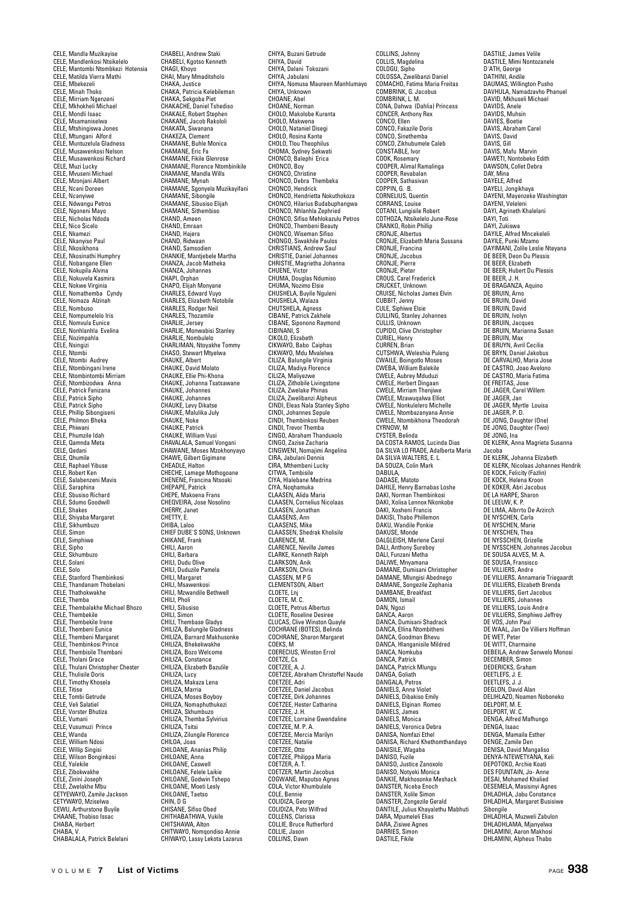CELE, Mandla Muzikayise CELE, Mandlenkosi Ntsikelelo CELE, Mantombi Ntombkezi Hotensia CELE, Matilda Vierra Mathi CELE, Mbekezeli CELE, Minah Thoko CELE, Mirriam Ngenzeni CELE, Mkhokheli Michael CELE, Mondli Isaac CELE, Msamaniselwa CELE, Mtshingiswa Jones CELE, Mtungani Alford CELE, Muntuzelula Gladness CELE, Musawenkosi Nelson CELE, Musawenkosi Richard CELE, Muzi Lucky CELE, Mvuseni Michael CELE, Mzonjani Albert CELE, Ncani Doreen CELE, Ncam Dor<br>CELE, Ncanyiwe CELE, Ndwangu Petros CELE, Ngoneni Mayo CELE, Nicholas Ndoda CELE, Nico Sicel CELE, Nkamezi CELE, Nkanyiso Paul CELE, Nkosikhona CELE, Nkosinathi Humphry CELE, Nobangane Ellen CELE, Nokupila Alvina CELE, Nokuvela Kasmira CELE, Nokwe Virginia CELE, Nomathemba Cyndy CELE, Nomaza Alzinah CELE, Nombuso CELE, Nompumelelo Iris CELE, Nomvula Eunice CELE, Nonhlanhla Evelina CELE, Nozimpahla CELE, Nsingizi CELE, Ntombi CELE, Ntombi Audrey CELE, Ntombingani Irene CELE, Ntombintombi Mirriam CELE, Ntombizodwa Anna CELE, Patrick Fanizana CELE, Patrick Sipho CELE, Patrick Sipho CELE, Phillip Sibongiseni CELE, Philmon Bheka CELE, Phiwani CELE, Phumzile Idah CELE, I numzhe luar<br>CELE, Qamnda Meta CELE, Qedani CELE, Qhumile CELE, Raphael Yibuse CELE, Robert Ken CELE, Salabenzeni Mavis CELE, Saraphina CELE, Sbusiso Richard CELE, Sdumo Goodwill CELE, Shakes CELE, Shiyaba Margaret CELE, Sikhumbuzo CELE, Simon CELE, Simphiwe CELE, Sipho CELE, Skhumbuzo CELE, Solani CELE, Solo CELE, Stanford Thembinkosi CELE, Thandanam Thobelani CELE, Thathokwakhe CELE, Themba CELE, Thembalakhe Michael Bhozo CELE, Thembekile CELE, Thembekile Irene CELE, Thembeni Eunice CELE, Thembeni Margaret CELE, Thembinkosi Prince CELE, Thembisile Thembani CELE, Tholani Grace CELE, Thulani Christopher Chester CELE, Thulisile Doris CELE, Timothy Khosela CELE, Titise CELE, Tombi Getrude CELE, Veli Salatiel CELE, Vorster Bhutiza CELE, Vumani CELE, Vusumuzi Prince CELE, Wanda CELE, William Ndosi CELE, Willip Singis CELE, Wilson Bonginkosi -----, -------- ----,<br>CELE, Yalekile<br>CELE. Zibokwakhe CELE, Zibokwakhe CELE, Zinini Joseph CELE, Zwelakhe Mbu CETYEWAYO, Zamile Jackson CETYWAYO, Mziselwa CEWU, Arthurstone Buyile CHAANE, Thabiso Issac CHABA, Herbert CHABA, V. CHABALALA, Patrick Belelani

CHABELI, Andrew Staki CHABELI, Kgotso Kenneth CHAGI, Khoyo CHAI, Mary Mmaditsholo CHAKA, Justice CHAKA, Patricia Kelebileman CHAKA, Sekgoba Piet CHAKACHE, Daniel Tshediso CHAKALE, Robert Stephen CHAKANE, Jacob Rakololi CHAKATA, Siwanana CHAKEZA, Clement CHAMANE, Buhle Monica CHAMANE, Eric Fa CHAMANE, Fikile Glenrose CHAMANE, Florence Ntombinikile CHAMANE, Mandla Wills CHAMANE, Mynah CHAMANE, Sgonyela Muzikayifani CHAMANE, Sibongile CHAMANE, Sibusiso Elijah CHAMANE, Sithembiso CHAND, Ameen CHAND, Emraan CHAND, Hajera CHAND, Ridwaan CHAND, Samsodien CHANKIE, Mantjebele Martha CHANZA, Jacob Matheka CHANZA, Johannes CHAPI, Orphan CHAPO, Elijah Monyane CHARLES, Edward Vuyo CHARLES, Elizabeth Notobile CHARLES, Rodger Neil CHARLES, Thozamile CHARLIE, Jersey CHARLIE, Monwabisi Stanley CHARLIE, Nombulelo CHARLIMAN, Ntoyakhe Tommy CHASO, Stewart Mtyelwa CHAUKE, Albert CHAUKE, David Molato CHAUKE, Ellie Phi-Khona CHAUKE, Johanna Tsatsawane CHAUKE, Johannes CHAUKE, Johannes CHAUKE, Levy Dikatse CHAUKE, Malulika July CHAUKE, Noke CHAUKE, Patrick CHAUKE, William Vusi CHAVALALA, Samuel Vongani CHAWANE, Moses Mzokhonyayo CHAWE, Gilbert Gigimane CHEADLE, Halton CHECHE, Lamege Mothogoane CHENENE, Francina Ntsoaki CHEPAPE, Patrick CHEPE, Makoena Frans CHEQVEIRA, Jose Nosolino CHERRY, Janet CHETTY, E. CHIBA, Laloo CHIEF DUBE'S SONS, Unknown CHIKANE, Frank CHILL Aaron CHILI, Barbara CHILI, Dudu Olive CHILI, Duduzile Pamela CHILI, Margaret CHILI, Msawenkosi CHILI, Mzwandile Bethwell CHILI, Pholi CHILI, Sibusiso CHILI, Simon CHILI, Thembase Gladys CHILIZA, Balungile Gladness CHILIZA, Barnard Makhusonke CHILIZA, Bhekekwakhe CHILIZA, Bozo Welcome CHILIZA, Constance CHILIZA, Elizabeth Bazulile CHILIZA, Lucy CHILIZA, Makaza Lena CHILIZA, Marria CHILIZA, Moses Boyboy CHILIZA, Nomaphuthukezi CHILIZA, Skhumbuzo CHILIZA, Themba Sylvirius CHILIZA, Tsitsi CHILIZA, Zilungile Florence CHILOA, Joas CHILOANE, Ananias Philip CHILOANE, Anna CHILOANE, Caswell CHILOANE, Felele Laikie CHILOANE, Godwin Tshepo CHILOANE, Moeti Lesly CHILOANE, Taetsc CHIN, D G CHISANE, Sifiso Obed CHITHABATHWA, Vukile CHITSHAWA, Alton CHITWAYO, Nomqondiso Annie CHIWAYO, Lassy Lekota Lazarus

CHIYA, Buzani Getrude CHIYA, David CHIYA, Delani Tokozani CHIYA, Jabulani CHIYA, Nomusa Maureen Manhlumayo CHIYA, Unknown CHOANE, Abel CHOANE, Norman CHOLO, Makolobe Kuranta CHOLO, Makwena CHOLO, Nataniel Disegi CHOLO, Rosina Kante CHOLO, Tlou Theophilus CHOMA, Sydney Sekwati CHONCO, Balephi Erica CHONCO, Boy CHONCO, Christine CHONCO, Debra Thembeka CHONCO, Hendrick CHONCO, Hendrietta Nokuthokoza CHONCO, Hilarius Budabuphangwa CHONCO, Nhlanhla Zephried CHONCO, Sifiso Mehlokazulu Petros CHONCO, Thembeni Beauty<br>CHONCO, Thembeni Beauty CHONCO, Wiseman Sifiso CHONGO, Siwakhile Paulos CHRISTIANS, Andrew Saul CHRISTIE, Daniel Johannes CHRISTIE, Magrietha Johanna CHUENE, Victor CHUMA, Douglas Ndumiso CHUMA, Nozimo Elsie CHUSHELA, Buyile Nguleni CHUSHELA, Walaza CHUTSHELA, Agness CIBANE, Patrick Zakhele CIBANE, Siponono Raymond CIRINANI, S CIKOLO, Elizabeth CIKWAYO, Babo Caiphas CIKWAYO, Mdu Mvalelwa CILIZA, Balungile Virginia CILIZA, Madiya Florence CILIZA, Maliyezwe CILIZA, Zithobile Livingstone CILIZA, Zwelake Phinas CILIZA, Zwelibanzi Alpheus CINDI, Eleas Nala Stanley Sipho CINDI, Johannes Sepule CINDI, Thembinkosi Reuben CINDI, Trevor Themba CINGO, Abraham Thanduxolo CINGO, Zazise Zacharia CINGWENI, Nomajimi Angelina CIRA, Jabulani Dennis CIRA, Mthembeni Lucky CITWA, Tembisile CIYA, Hlalebane Medrina CIYA, Noqhamuka CLAASEN, Alida Maria CLAASEN, Cornelius Nicolaas CLAASEN, Jonathan CLAASENS, Ann CLAASENS, Mike CLAASSEN, Shedrak Kholisile CLARENCE, M. CLARENCE, Neville James CLARKE, Kenneth Ralph CLARKSON, Anik CLARKSON, Chris CLASSEN, M P G CLEMENTSON, Albert CLOETE, Lnj CLOETE, M. C. CLOETE, Petrus Albertus CLOETE, Roseline Desiree CLUCAS, Clive Winston Quayle COCHRANE (BOTES), Belinda COCHRANE, Sharon Margaret COEKS, M COERECIUS, Winston Errol COETZE, Cs COETZEE, A. J. COETZEE, Abraham Christoffel Naude COETZEE, Adri COETZEE, Daniel Jacobus COETZEE, Dirk Johannes COETZEE, Hester Catharina COETZEE, J. H. COETZEE, Lorraine Gwendaline COETZEE, M. P. A. COETZEE, Mercia Marilyn COETZEE, Natalie COETZEE, Otto COETZEE, Philippa Maria COETZER, A. T. COETZER, Martin Jacobus COGWANE, Maputso Agnes COLA, Victor Khumbulele COLE, Bennie COLIDIZA, George COLIDIZA, Poto Wilfred COLLENS, Clarissa COLLIE, Bruce Rutherford COLLIE, Jason COLLINS, Dawn

COLLINS, Johnny COLLIS, Magdelina COLOGU, Sipho COLOSSA, Zwelibanzi Daniel COMACHO, Fatima Maria Freitas COMBRINK, G. Jacobus COMBRINK, L. M. CONA, Dahwa (Dahlia) Princess CONCER, Anthony Rex CONCO, Ellen CONCO, Fakazile Doris CONCO, Sinethemba CONCO, Zikhubumele Caleb CONSTABLE, Ivor COOK, Rosemary COOPER, Alimal Ramalinga COOPER, Revabalan COOPER, Sathasivan COPPIN, G. B. CORNELIUS, Quentin CORRANS, Louise COTANI, Lungisile Robert COTHOZA, Ntsikelelo June-Rose CRANKO, Robin Phillip CRONJE, Albertus CRONJE, Elizabeth Maria Sussana CRONJE, Francina CRONJE, Jacobus CRONJE, Pierre CRONJE, Pieter CROUS, Carel Frederick CRUCKET, Unknown CRUISE, Nicholas James Elvin CUBBIT, Jenny CULE, Siphiwe Elsie CULLING, Stanley Johannes CULLIS, Unknown CUPIDO, Clive Christopher CURIEL, Henry CURREN, Brian CUTSHWA, Weleshia Puleng CWAILE, Boingotlo Moses CWEBA, William Balekile CWELE, Aubrey Mduduzi CWELE, Herbert Dingaan CWELE, Mirriam Thenjiwe CWELE, Mzawuqalwa Elliot CWELE, Nonkulelero Michelle CWELE, Ntombazanyana Annie CWELE, Ntombikhona Theodorah CYRNOW, M CYSTER, Belinda DA COSTA RAMOS, Lucinda Dias DA SILVA LO FRADE, Adalberta Maria DA SILVA WALTERS, E. L. DA SOUZA, Colin Mark DABULA,<br>DADASE, Matoto DAHILE, Henry Barnabas Loshe DAKI, Norman Thembinkosi DAKI, Xolisa Lennox Nkonkobe DAKI, Xosheni Francis DAKISI, Thabo Phillemon DAKU, Wandile Ponkie DAKUSE, Monde DALGLEISH, Merlene Carol DALI, Anthony Sureboy DALI, Funzani Metha DALIWE, Mnyamana DAMANE, Dumisani Christopher DAMANE, Mlungisi Abednego DAMANE, Songezile Zephania DAMBANE, Breakfast DAMON, L. DAN, Ngozi DANCA, Aaron DANCA, Dumisani Shadrack DANCA, Ellina Ntombitheni DANCA, Goodman Bhevu DANCA, Hlanganisile Mildred DANCA, Nomkuba DANCA, Patrick DANCA, Patrick Mlungu DANGA, Goliath DANGALA, Petros DANIELS, Anne Violet DANIELS, Dibakiso Emily DANIELS, Elginan Romeo DANIELS, James DANIELS, Monica DANIELS, Veronica Debra DANISA, Nomfazi Ethel DANISA, Richard Khethomthandayo DANISILE, Wagaba DANISO, Fuzile DANISO, Justice Zanoxolo DANISO, Notyeki Monica DANKIE, Makhosonke Meshack DANSTER, Nceba Enoch DANSTER, Xolile Simon DANSTER, Zongezile Gerald DANTILE, Julius Khayalethu Mabhuti DARA, Mpumeleli Elias DARA, Zisiwe Agnes DARRIES, Simon DASTILE, Fikile

DASTILE, James Velile DASTILE, Mimi Nontozanele D'ATH, George DATHINI, Andile DAUMAS, Willington Pusho DAVHULA, Namadzavho Phanuel DAVID, Mkhuseli Michael DAVIDS, Anele DAVIDS, Muhsin DAVIES, Boetie DAVIS, Abraham Carel DAVIS, David DAVIS, Gill DAVIS, Mafu Marvin DAWETI, Nontobeko Edith DAWSON, Collet Debra DAY, Mina DAYELE, Alfred DAYELI, Jongikhaya DAYENI, Mayenzeke Washington DAYENI, Veleleni DAYI, Agrineth Khalelani DAYI, Toti DAYI, Zukiswa DAYILE, Alfred Mncekeleli DAYILE, Punki Mzamo DAYIMANI, Zolile Leslie Nteyana DE BEER, Deon Du Plessis DE BEER, Elizabeth DE BEER, Hubert Du Plessis DE BEER, J. H. DE BRAGANZA, Aquino DE BRUIN, Arno DE BRUIN, David DE BRUIN, David DE BRUIN, Ivolyn DE BRUIN, Jacques DE BRUIN, Marianna Susan DE BRUIN, Max DE BRUYN, Avril Cecilia DE BRYN, Daniel Jakobus DE CARVALHO, Maria Jose DE CANVALHO, Walla Jose DE CASTRO, Maria Fatima DE FREITAS, Jose DE JAGER, Carel Willem DE JAGER, Jan DE JAGER, Myrtle Louisa DE JAGER, P. D. DE JONG, Daughter (One) DE JONG, Daughter (Two) DE JONG, Ina DE KLERK, Anna Magrieta Susanna Jacoba DE KLERK, Johanna Elizabeth DE KLERK, Nicolaas Johannes Hendrik DE KOCK, Felicity (Fazlin) DE KOCK, Helena Kroon DE KOKER, Abri Jacobus DE LA HARPE, Sharon DE LEEUW, K. P. DE LIMA, Albrrto De Arzirch DE NYSCHEN, Carla DE NYSCHEN, Marie DE NYSCHEN, Thea DE NYSSCHEN, Grizelle DE NYSSCHEN, Johannes Jacobus DE SOUSA ALVES, M. A. DE SOUSA, Fransisco DE VILLIERS, Andre DE VILLIERS, Annamarie Triegaardt DE VILLIERS, Elizabeth Brenda DE VILLIERS, Gert Jacobus DE VILLIERS, Johannes DE VILLIERS, Louis Andre DE VILLIERS, Simphiwo Jeffrey DE VOS, John Paul DE WAAL, Jan De Villiers Hoffman DE WET, Peter DE WITT, Charmaine DEBEILA, Andrew Senwelo Monosi DECEMBER, Simon DEDERICKS, Graham DEETLEFS, J. E. DEETLEFS, J. J. DEGLON, David Alan DELIHLAZO, Noamen Noboneko DELITIERZO, NO DELPORT W. C. DENGA, Alfred Mafhungo DENGA, Isaac DENGA, Mamaila Esther DENGE, Zamile Den DENISA, David Mangaliso DENYA-NTEWETYANA, Keli DEPOTOKO, Archie Koati DES FOUNTAIN, Jo- Anne DESAI, Mohamed Khalied DESEMELA, Masisinyi Agnes DHLADHLA, Jabu Constance DHLADHLA, Margaret Busisiwe Sibongile DHLADHLA, Muzweli Zabulon DHLADHLAMA, Mjanyelwa DHLADHLAMIA, Mjanyewa<br>DHLAMINI, Aaron Makhosi

DHLAMINI, Alpheus Thabo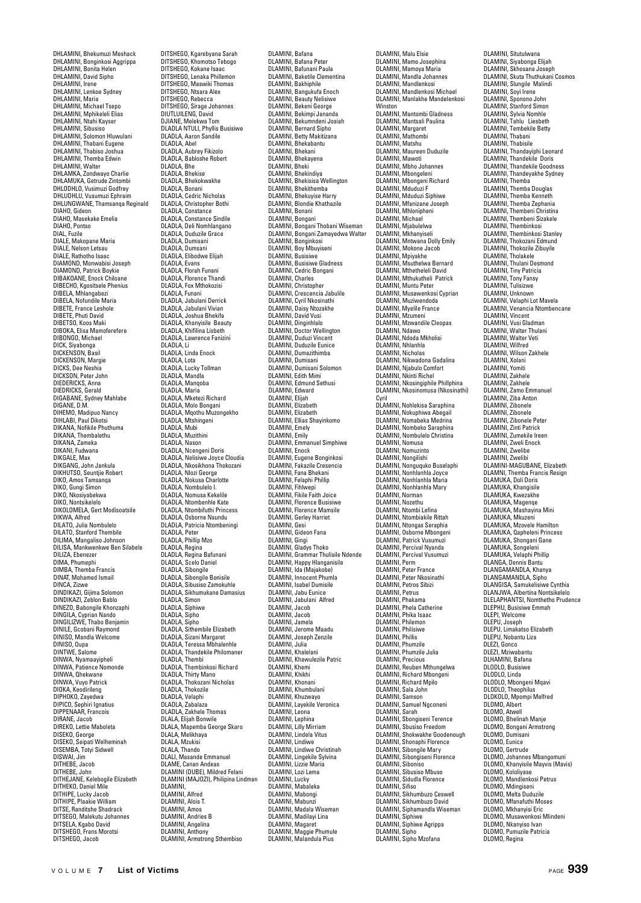DHLAMINI, Bhekumuzi Meshack DHLAMINI, Bonginkosi Aggrippa DHLAMINI, Bonita Helen DHLAMINI, David Sipho DHLAMINI, Irene DHLAMINI, Lenkoe Sydney DHLAMINI, Maria DHLAMINI, Michael Tsepo DHLAMINI, Mphikeleli Elias DHLAMINI, Ntahi Kayser DHLAMINI, Sibusiso DHLAMINI, Solomon Hluwulani DHLAMINI, Thabani Eugene DHLAMINI, Thabiso Joshua DHLAMINI, Themba Edwin DHLAMINI, Walter DHLAMKA, Zondwayo Charlie DHLAMUKA, Getrude Zintombi DHLODHLO, Vusimuzi Godfrey DHLUDHLU, Vusumuzi Ephraim DHLUNGWANE, Thamsanqa Reginald DIAHO, Gideon DIAHO, Masekake Emelia DIAHO, Pontso DIAL, Fuzile DIALE, Makopane Maria DIALE, Nelson Letsau DIALE, Rathotho Isaac DIAMOND, Monwabisi Joseph DIAMOND, Patrick Boykie DIBAKOANE, Enock Chiloane DIBECHO, Kgositsele Phenius DIBELA, Mhlangabezi DIBELA, Nofundile Maria DIBETE, France Leshole DIBETE, Phuti David DIBETSO, Koos Maki DIBOKA, Elisa Mamoferefere DIBONGO, Michael DICK, Siyabonga DICKENSON, Basil DICKENSON, Margie DICKS, Dee Neshia DICKSON, Peter John DIEDERICKS, Anna DIEDRICKS, Gerald DIGABANE, Sydney Mahlabe DIGANE, D.M. DIHEMO, Madipuo Nancy DIHLABI, Paul Dikotsi DIKANA, Nofikile Phuthuma DIKANA, Thembalethu DIKANA, Zameka DIKANI, Fudwana DIKGALE, Max DIKGANG, John Jankula DIKHUTSO, Seuntjie Robert DIKO, Amos Tamsanqa DIKO, Gungi Simon DIKO, Nkosiyabekwa DIKO, Nontsikelelo DIKOLOMELA, Gert Modisoatsile DIKWA, Alfred DILATO, Julia Nombulelo DILATO, Stanford Thembile DILIMA, Mangaliso Johnson DILISA, Mankwenkwe Ben Silabele DILIZA, Ebenezer DIMA, Phumephi DIMBA, Themba Francis DINAT, Mohamed Ismail DINCA, Zizwe DINDIKAZI, Gijima Solomon DINDIKAZI, Zeblon Bablo DINEZO, Babongile Khonzaphi DINGILA, Cyprian Nando DINGILIZWE, Thabo Benjamin DINILE, Gcobani Raymond DINISO, Mandla Welcome DINISO, Oupa DINTWE, Salome DINWA, Nyamaayipheli DINWA, Patience Nomonde DINWA, Qhekwane DINWA, Vuyo Patrick DIOKA, Keodirileng DIPHOKO, Zayedwa DIPICO, Sephiri Ignatius DIPPENAAR, Francois DIRANE, Jacob DIREKO, Lettie Maboleta DISEKO, George DISEKO, Seipati Welheminah DISEMBA, Totyi Sidwell DISWAI, Jim DITHEBE, Jacob DITHEBE, John DITHEJANE, Kelebogile Elizabeth DITHEKO, Daniel Mile DITHIPE, Lucky Jacob DITHIPE, Plaakie William DITSE, Randitshe Shadrack DITSE, Nationsite Stiaurack<br>DITSEGO, Malekutu Johannes DITSELA, Kgabo David DITSHEGO, Frans Morotsi DITSHEGO, Jacob

DITSHEGO, Kgarebyana Sarah DITSHEGO, Khomotso Tebogo DITSHEGO, Kokane Isaac DITSHEGO, Lenaka Phillemon DITSHEGO, Maswiki Thomas DITSHEGO, Ntsara Alex DITSHEGO, Rebecca DITSHEGO, Sirage Johannes DIUTLUILENG, David DJIANE, Melekwa Tom DLADLA NTULI, Phyllis Busisiwe DLADLA, Aaron Sandile DLADLA, Abel DLADLA, Aubrey Fikizolo DLADLA, Babloshe Robert DLADLA, Bhe DLADLA, Bhekise DLADLA, Bhekokwakhe<br>DLADLA, Bhekokwakhe DLADLA, Bonani DLADLA, Cedric Nicholas DLADLA, Christopher Bothi DLADLA, Constance DLADLA, Constance Sindile DLADLA, Deli Nomhlangano DLADLA, Duduzile Grace DLADLA, Dumisa DLADLA, Dumsani DLADLA, Elibodwe Elijah DLADLA, Evans DLADLA, Florah Funani DLADLA, Florence Thandi DLADLA, Fox Mthokozisi DLADLA, Funani DLADLA, Jabulani Derrick DLADLA, Jabulani Derric<br>DLADLA, Jabulani Vivian<br>DLADLA - Joshua Bhekifa DLADLA, Joshua Bhekifa DLADLA, Khanyisile Beauty DLADLA, Khifilina Lisbeth DLADLA, Lawrence Fanizini DLADLA, Li DLADLA, Linda Enock DLADLA, Lota DLADLA, Lucky Tollman DLADLA, Mandla DLADLA, Manqoba DLADLA, Maria DLADLA, Mketezi Richard DLADLA, Molo Bongani DLADLA, Mqothu Muzongekho DLADLA, Mtshingeni DLADLA, Mubi DLADLA, Muzithin DLADLA, Nason DLADLA, Ncengeni Doris DLADLA, Nelisiwe Joyce Cloudia DLADLA, Nkosikhona Thokozani DLADLA, Nlozi George DLADLA, Nokusa Charlotte DLADLA, Nombulelo I. DLADLA, Nomusa Kekelile DLADLA, Ntombenhle Kate DLADLA, Ntombifuthi Princess DLADLA, Osborne Nsundu DLADLA, Patricia Ntombeningi DLADLA, Peter DLADLA, Phillip Mzo DLADLA, Regina DLADLA, Regina Bafunani DLADLA, Scelo Daniel DLADLA, Sibongile DLADLA, Sibongile Bonisile DLADLA, Sibusiso Zamokuhle DLADLA, Sikhumukane Damasius DLADLA, Simon DLADLA, Siphiwe DLADLA, Sipho DLADLA, Sipho DLADLA, Sithembile Elizabeth DLADLA, Sizani Margaret DLADLA, Teressa Mbhalenhle DLADLA, Thandekile Philomaner DLADLA, Thembi DLADLA, Thembinkosi Richard DLADLA, Thirty Mano DLADLA, Thokozani Nicholas DLADLA, Thokozile DLADLA, Velaphi DLADLA, Zabalaza DLADLA, Zakhele Thomas DLALA, Elijah Bonwile DLALA, Mapemba George Skaro DLALA, Melikhaya DLALA, Mzukisi DLALA, Thando DLALI, Masande Emmanuel DLAME, Canan Andeas DLAMINI (DUBE), Mildred Felani DLAMINI (MAJOZI), Philipina Lindman DLAMINI, DLAMINI, Alfred DLAMINI, Alois T. DLAMINI, Amos DLAMINI, Andries B DLAMINI, Angelina DLAMINI, Anthony DLAMINI, Armstrong Sthembiso

DLAMINI, Bafana DLAMINI, Bafana Peter DLAMINI, Bafunani Paula DLAMINI, Baketile Clementina DLAMINI, Bakhiphile DLAMINI, Bangukufa Enoch DLAMINI, Beauty Nelisiwe DLAMINI, Bekeni George DLAMINI, Bekimpi Jananda DLAMINI, Bekumndeni Josiah DLAMINI, Bernard Sipho DLAMINI, Betty Makitizana DLAMINI, Bhekabantu DLAMINI, Bhekani DLAMINI, Bhekayena DLAMINI, Bheki DLAMINI, Bhekindiya DLAMINI, Bhekisisa Wellington DLAMINI, Bhekithemba DLAMINI, Bhekuyise Harry DLAMINI, Blondie Khathazile DLAMINI, Bonan DLAMINI, Bongani DLAMINI, Bongani Thobani Wiseman DLAMINI, Bongani Zamayedwa Walter DLAMINI, Bonginkosi DLAMINI, Boy Mbuyiseni DLAMINI, Busisiwe DLAMINI, Busisiwe Gladness DLAMINI, Cedric Bongani DLAMINI, Charles DLAMINI, Christopher DLAMINI, Crescencia Jabulile DLAMINI, Cyril Nkosinathi DLAMINI, Daisy Ntozakhe DLAMINI, David Vusi DLAMINI, Duvid Vasi DLAMINI, Doctor Wellington DLAMINI, Duduzi Vincent DLAMINI, Duduzile Eunice DLAMINI, Dumazithimba DLAMINI, Dumisani DLAWINI, Dumisani<br>DLAMINI, Dumisani Solomon DLAMINI, Edith Mimi DLAMINI, Edmund Sethusi DLAMINI, Edward DLAMINI, Elijah DLAMINI, Elizabeth DLAMINI, Elizabeth DLAMINI, Ellias Shayinkomo DLAMINI, Emely DLAMINI, Emily DLAMINI, Emmanuel Simphiwe DLAMINI, Enock DLAMINI, Eugene Bonginkosi DLAMINI, Fakazile Cresencia DLAMINI, Fana Bhekani DLAMINI, Felaphi Phillip DLAMINI, Fihlwepi DLAMINI, Fikile Faith Joice DLAMINI, Florence Busis DLAMINI, Florence Mamsile DLAMINI, Gerley Harrie DLAMINI, Gesi DLAMINI, Gideon Fana DLAMINI, Gingi DLAMINI, Gladys Thoko DLAMINI, Grammar Thulisile Ndende DLAMINI, Happy Hlanganisile DLAMINI, Ida (Majakobe) DLAMINI, Innocent Phumla DLAMINI, Isabel Dumisile DLAMINI, Jabu Eunice DLAMINI, Jabulani Alfred DLAMINI, Jacob DLAMINI, Jacob DLAMINI, Jamela DLAMINI, Jerome Maadu DLAMINI, Joseph Zenzile DLAMINI, Julia DLAMINI, Khalelani DLAMINI, Khawulezile Patric DLAMINI, Khemi DLAMINI, Khikhi DLAMINI, Khonani DLAMINI, Khumbulani DLAMINI, Khuzwayo DLAMINI, Layekile Veronica DLAMINI, Leona DLAMINI, Lephi DLAMINI, Lilly Mirriam DLAMINI, Lindela Vitus DLAMINI, Lindiwe DLAMINI, Lindiwe Christinah DLAMINI, Lingekile Sylvina DLAMINI, Lizzie Maria DLAMINI, Lozi Lema DLAMINI, Lucky DLAMINI, Mabaleka DLAMINI, Mabongi DLAMINI, Mabunzi DLAMINI, Madala Wiseman DLAMINI, Madilayi Lina DLAMINI, Magaret DLAMINI, Maggie Phumule DLAMINI, Malandula Pius

DLAMINI, Malu Elsie DLAMINI, Mamo Josephina DLAMINI, Mamoya Maria DLAMINI, Mandla Johannes DLAMINI, Mandlenkosi DLAMINI, Mandlenkosi Michael DLAMINI, Manlakhe Mandelenkosi Winston DLAMINI, Mantombi Gladness DLAMINI, Mantsali Paulina DLAMINI, Margaret DLAMINI, Mathombi DLAMINI, Matshu DLAMINI, Maureen Duduzile DLAMINI, Mawoti DLAMINI, Mbho Johannes DLAMINI, Mbongeleni DLAMINI, Mbongeni Richard DLAMINI, Mduduzi F DLAMINI, Mduduzi Siphiwe DLAMINI, Mfanizane Joseph DLAMINI, Mhlonipheni DLAMINI, Michael DLAMINI, Mjabulelwa DLAMINI, Mkhanyiseli DLAMINI, Mntwana Dolly Emily DEAMINI, MINWONG DONY DLAMINI, Mpiyakhe DLAMINI, Msuthelwa Bernard DLAMINI, Mthetheleli David DLAMINI, Mthukutheli Patrick DLAMINI, Muntu Peter DLAMINI, Musawenkosi Cyprian DLAMINI, Muziwendoda DLAMINI, Muzivendou DLAMINI, Mzumeni DLAMINI, Mzwandile Cleopas DLAMINI, Ndawo DLAMINI, Ndoda Mkholisi DLAMINI, Nhlanhla DLAMINI, Nicholas DLAMINI, Nikwadona Gadalina DLAMINI, Nikwauona daua DLAMINI, Nkinti Richel DLAMINI, Nkosingiphile Phillphina DLAMINI, Nkosinomusa (Nkosinathi) Cyril DLAMINI, Nohlekisa Saraphina DLAMINI, Nokuphiwa Abegail DLAMINI, Nomabeka Medrina DLAMINI, Nombeko Saraphina DLAMINI, Nombulelo Christina DLAMINI, Nomusa DLAMINI, Nomuzinto DLAMINI, Nongilishi DLAMINI, Nonguquko Buselaphi DLAMINI, Nonhlanhla Joyce DLAMINI, Nonhlanhla Maria DLAMINI, Nonhlanhla Mary DLAMINI, Norman DLAMINI, Nozethu DLAMINI, Ntombi Lefina DLAMINI, Ntombiakile Rittah DLAMINI, Ntongas Seraphia DLAMINI, Osborne Mbongeni DLAMINI, Patrick Vusumuzi DLAMINI, Percival Nyanda DLAMINI, Percival Vusumuzi DLAMINI, Perm DLAMINI, Peter France DLAMINI, Peter Nkosinathi DLAMINI, Petros Sibizi DLAMINI, Petrus DLAMINI, Phakama DLAMINI, Phela Catherine DLAMINI, Phika Isaac DLAMINI, Philemon DLAMINI, Philisiwe DLAMINI, Phillis DLAMINI, Phumzile DLAMINI, Phumzile Julia DLAMINI, Precious DLAMINI, Reuben Mthungelwa DLAMINI, Richard Mbongeni DLAMINI, Richard Mpilo DLAMINI, Sala John DLAMINI, Samson DLAMINI, Samuel Ngconeni DLAMINI, Sarah DLAMINI, Sbongiseni Terence DLAMINI, Sbusiso Freedom DLAMINI, Shokwakhe Goodenough DLAMINI, Shonaphi Florence DLAMINI, Sibongile Mary DLAMINI, Sibongiseni Florence DLAMINI, Siboniso DLAMINI, Sibusiso Mbuso DLAMINI, Sidudla Florence DLAMINI, Sifiso DLAMINI, Sikhumbuzo Ceswell DLAMINI, Sikhumbuzo David DLAMINI, Siphamandla Wiseman DLAMINI, Siphiwe DLAMINI, Siphiwe Agrippa DLAMINI, Sipho DLAMINI, Sipho Mzofana

DLAMINI, Situtulwana DLAMINI, Siyabonga Elijah DLAMINI, Skhosana Joseph DLAMINI, Skuta Thuthukani Cosmos DLAMINI, Slungile Malindi DLAMINI, Soyi Irene DLAMINI, Sponono John DLAMINI, Stanford Simon DLAMINI, Sylvia Nomhle DLAMINI, Tahlu Liesbeth DLAMINI, Tembekile Betty DLAMINI, Thabani DLAMINI, Thabisile DLAMINI, Thandayiphi Leonard DLAMINI, Thandekile Doris DLAMINI, Thandekile Goodness DLAMINI, Thandeyakhe Sydney DLAMINI, Themba DLAMINI, Themba Douglas DLAMINI, Themba Kenneth DLAMINI, Themba Zephania DLAMINI, Thembeni Christina DLAMINI, Thembeni Sizakele DLAMINI, Thembinkosi DLAMINI, Thembinkosi Stanley DLAMINI, Thokozani Edmu DLAMINI, Thokozile Zibuyile DLAMINI, Tholakele DLAMINI, Thulani Desmond DLAMINI, Tiny Patricia DLAMINI, Tony Fansy DLAMINI, Tulisizwe DLAMINI, Unknown DLAMINI, Velaphi Lot Mavela DLAMINI, Venancia Ntombencane DLAMINI, Vincent DLAMINI, Vusi Gladman DLAMINI, Walter Thulani DLAMINI, Walter Veti DLAMINI, Wilfred DLAMINI, William Zakhele DLAMINI, Xolani DLAMINI, Yomiti DLAMINI, Zakhele DLAMINI, Zakhele DLAMINI, Zamo Emmanuel DLAMINI, Ziba Anton DLAMINI, Zibonele DLAMINI, Zibonele DLAMINI, Zibonele Peter DLAMINI, Zinti Patrick DLAMINI, Zumekile Ireen DLAMINI, Zweli Enock DLAMINI, Zwelibe DLAMINI, Zwelibi DLAMINI-MAGUBANE, Elizabeth DLAMNI, Themba Francis Resign DLAMUKA, Doli Doris DLAMUKA, Khangisile DLAMUKA, Kwezakhe DLAMUKA, Magenqe DLAMUKA, Mashayina Mini DLAMUKA, Mkuzeni DLAMUKA, Mzovele Hamilton DLAMUKA, Qapheleni Princess DLAMUKA, Shongani Gane DLAMUKA, Songeleni DLAMUKA, Velaphi Phillip DLANGA, Dennis Bantu DLANGAMANDLA, Khanya DLANGAMANDLA, Sipho DLANGISA, Samukelisiwe Cynthia DLANJWA, Albertina Nontsikelelo DLELAPHANTSI, Nomthetho Prudence DLEPHU, Busisiwe Emmah DLEPI, Welcome DLEPU, Joseph DLEPU, Limakatso Elizabeth DLEPU, Nobantu Liza DLEZI, Gonco DLEZI, Mziwabantu DLHAMINI, Bafana DLODLO, Busisiwe DLODLO, Linda DLODLO, Mbongeni Mqavi DLODLO, Theophilus DLOKOLO, Mpompi Melfred DLOMO, Albert DLOMO<sub>Atwell</sub> DLOMO, Bhelinah Manje DLOMO, Bongani Armstrong DLOMO, Dumisani DLOMO, Eunice DLOMO, Gertrude DLOMO, Johannes Mbangomuni DLOMO, Khanyisile Mayvis (Mavis) DLOMO, Kololiyase DLOMO, Mandlenkosi Petrus DLOMO, Mdingiseni DLOMO, Melta Duduzile DLOMO, Mfanafuthi Moses DLOMO, Mkhanyisi Eric DLOMO, Musawenkosi Mlindeni DLOMO, Nkanyiso Ivan DLOMO, Pumuzile Patricia DLOMO, Regina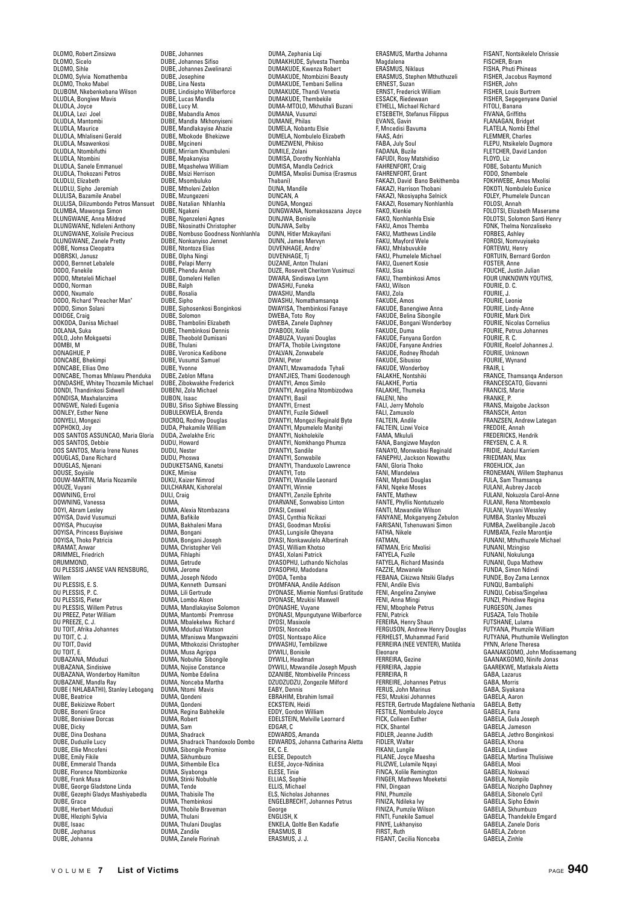DLOMO, Robert Zinsizwa DLOMO, Sicelo DLOMO, Sihle DLOMO, Sylvia Nomathemba DLOMO, Thoko Mabel DLUBOM, Nkebenkebana Wilson DLUDLA, Bongiwe Mavis DLUDLA, Joyce DLUDLA, Lezi Joel DLUDLA, Mantombi DLUDLA, Maurice DLUDLA, Mhlaliseni Gerald DLUDLA, Msawenkosi DLUDLA, Ntombifuthi DLUDLA, Ntombini DLUDLA, Sanele Emmanuel DLUDLA, Thokozani Petros DLUDLU, Elizabeth DLUDLU, Sipho Jeremiah DLULISA, Bazamile Anabel DLULISA, Dilizumbondo Petros Mansuet DLUMBA, Mawonga Simon DLUNGWANE, Anna Mildred DLUNGWANE, Ndleleni Anthony DLUNGWANE, Xolisile Precious DLUNGWANE, Zanele Pretty DOBE, Nomsa Cleopatra DOBRSKI, Janusz DODO, Bernnet Lebalele DODO, Fanekile DODO, Mteteleli Michael DODO, Norman DODO, Nxumalo DODO, Richard "Preacher Man" DODO, Simon Solani DOIDGE, Craig DOKODA, Danisa Michael<br>DOKODA, Danisa Michael<br>DOLANA, Suka DOLANA, Suka DOLO, John Mokgaetsi DOMBI, M DONAGHUE, P DONCABE, Bhekimpi DONCABE, Ellias Omo DONCABE, Thomas Mhlawu Phenduka DONDASHE, Whitey Thozamile Michael DONDI, Thandinkosi Sidwell DONDISA, Maxhalanzima DONGWE, Naledi Eugenia DONLEY, Esther Nene DONYELI, Mongezi DOPHOKO, Joy DOS SANTOS ASSUNCAO, Maria Gloria DOS SANTOS, Debbie DOS SANTOS, Maria Irene Nunes DOUGLAS, Dane Richard DOUGLAS, Njenani DOUSE, Soyisile DOUW-MARTIN, Maria Nozamile DOUZE, Vuyani DOWNING, Errol DOWNING, Vanessa DOYI, Abram Lesley DOYISA, David Vusumuzi DOYISA, Phucuyise DOYISA, Princess Buyisiwe DOYISA, Thoko Patricia DRAMAT, Anwar DRIMMEL, Friedrich DRUMMOND,<br>DU PLESSIS JANSE VAN RENSBURG, Willem DU PLESSIS, E. S. DU PLESSIS, P. C. DU PLESSIS, Pieter DU PLESSIS, Willem Petrus DU PREEZ, Peter William DU PREEZE, C. J. DU TOIT, Afrika Johannes DU TOIT, C. J. DU TOIT, David DU TOIT, E. DUBAZANA, Mduduzi DUBAZANA, Sindisiwe DUBAZANA, Wonderboy Hamilton DUBAZANE, Mandla Ray DUBE ( NHLABATHI), Stanley Lebogang DUBE, Beatrice DUBE, Bekizizwe Robert DUBE, Boneni Grace DUBE, Bonisiwe Dorcas DUBE, Dicky DUBE, Dina Doshana DUBE, Duduzile Lucy DUBE, Ellie Mncofeni DUBE, Emily Fikile DUBE, Emmerald Thanda DUBE, Florence Ntombizonke DUBE, Frank Musa DUBE, George Gladstone Linda DUBE, Gezephi Gladys Mashiyabedla DUBE, Grace DUBE, Herbert Mduduzi DUBE, Hleziphi Sylvia DUBE, Isaac DUBE, Jephanus DUBE, Johanna

DUBE, Johannes DUBE, Johannes Sifiso DUBE, Johannes Zwelinanzi DUBE, Josephine DUBE, Lina Nesta DUBE, Lindisipho Wilberforce DUBE, Lucas Mandla DUBE, Lucy M. DUBE, Mabandla Amos DUBE, Mandla Mkhonyiseni DUBE, Mandlakayise Ahazie DUBE, Mbokode Bhekizwe DUBE, Mgcineni DUBE, Mirriam Khumbuleni DUBE, Mpakanyisa DUBE, Mqashelwa William DUBE, Msizi Herrison DUBE, Msombuluko DUBE, Mtholeni Zeblon DUBE, Mzungezeni DUBE, Natalian Nhlanhla DUBE, Ngakeni DUBE, Ngenzeleni Agnes DUBE, Nkosinathi Christopher DUBE, Nombuso Goodness Nonhlanhla DUBE, Nonkanyiso Jennet DUBE, Ntontoza Elias DUBE, Olpha Ningi DUBE, Pelapi Merry DUBE, Phendu Ann DUBE, Qomeleni Hellen DUBE, Ralph DUBE, Rosalia DUBE, Sipho DUBE, Siphosenkosi Bonginkosi DUBE, Solomon DUBE, Thambolini Elizabeth DUBE, Thembinkosi Dennis DUBE, Theobold Dumisani DUBE, Thulani DUBE, Veronica Kedibone DUBE, Vusumzi Samuel DUBE, Yvonne DUBE, Zeblon Mfana DUBE, Zibokwakhe Frederick DUBENI, Zola Michael DUBON, Isaac DUBU, Sifiso Siphiwe Blessing DUBULEKWELA, Brenda DUCROQ, Rodney Douglas DUDA, Phakamile William DUDA, Zwelakhe Eric DUDU, Howard DUDU, Nester DUDU, Phoswa DUDUKETSANG, Kanetsi DUKE, Mimise DUKU, Kaizer Nimrod DULCHARAN, Kishorelal DULI, Craig DUMA, DUMA, Alexia Ntombazana DUMA, Bafikile DUMA, Bakhaleni Mana DUMA, Bongani DUMA, Bongani Joseph DUMA, Christopher Veli DUMA, Fihlaphi DUMA, Getrude DUMA, Jerome DUMA, Joseph Ndodo DUMA, Kenneth Dumsani DUMA, Lili Gertrude DUMA, Lombo Alson DUMA, Mandlakayise Solomon DUMA, Mantombi Premrose DUMA, Mbalekelwa Richard DUMA, Mduduzi Watson DUMA, Mfaniswa Mangwazini DUMA, Mthokozisi Christopher DUMA, Musa Agrippa DUMA, Nobuhle Sibongile DUMA, Nojise Constance DUMA, Nombe Edelina DUMA, Nonceba Martha DUMA, Ntomi Mavis DUMA, Qondeni DUMA, Qondeni DUMA, Regina Babhekile DUMA, Robert DUMA, Sam DUMA, Shadrack DUMA, Shadrack Thandoxolo Dombo DUMA, Sibongile Promise DUMA, Sikhumbuzo DUMA, Sithembile Elca DUMA, Siyabonga DUMA, Stinki Nobuhle DUMA, Tende DUMA, Thabisile The DUMA, Thembinkosi DUMA, Thobile Braveman DUMA, Thulani DUMA, Thulani Douglas DUMA, Zandile DUMA, Zanele Florinah

DUMA, Zephania Liqi DUMAKHUDE, Sylvesta Themba DUMAKUDE, Kwenza Robert DUMAKUDE, Ntombizini Beauty DUMAKUDE, Tembani Sellina DUMAKUDE, Thandi Venetia DUMAKUDE, Thembekile DUMA-MTOLO, Mkhuthali Buzani DUMANA, Vusumzi DUMANE, Philas DUMELA, Nobantu Elsie DUMELA, Nombulelo Elizabeth DUMEZWENI, Phikiso DUMILE, Zolani DUMISA, Dorothy Nonhlahla DUMISA, Mandla Cedrick DUMISA, Mxolisi Dumisa (Erasmus Thabani) DUNA, Mandile DUNA, Mant DUNGA, Mongezi DUNGWANA, Nomakosazana Joyce DUNJWA, Bonisile DUNJWA, Selby DUNN, Hitler Mzikayifani DUNN, James Mervyn DUVENHAGE Andre DUVENHAGE, Tj DUZANE, Anton Thulani DUZE, Rosevelt Cheritom Vusimuzi DWARA, Sindiswa Lynn DWASHU, Funeka DWASHU, Mandla DWASHU, Nomathamsanqa DWAYISA, Thembinkosi Fanaye DWEBA, Toto Roy DWEBA, Zanele Daphney DYABOOI, Xolile DYABUZA, Vuyani Douglas DYAFTA, Thobile Livingstone DYALVAN, Zonwabele DYANI, Peter DYANTI, Mzwamadoda Tyhali DYANTJIES, Thami Goodenough DYANTYI, Amos Similo DYANTYI, Angelina Ntombizodwa DYANTYI, Basil DYANTYI, Ernest DYANTYI, Fuzile Sidwell DYANTYI, Mongezi Reginald Byte DYANTYI, Mpumelelo Manityi DYANTYI, Nokholekile DYANTYI, Nomkhango Phumza DYANTYI, Sandile DYANTYI, Sonwabile DYANTYI, Thanduxolo Lawrence DYANTYI, Toto DYANTYI, Wandile Leonard DYANTYI, Winnie DYANTYI, Zenzile Ephrite DYARVANE, Sonwabiso Lintor DYASI, Ceswel DYASI, Cynthia Ncikazi DYASI, Goodman Mzolisi DYASI, Lungisile Qheyana DYASI, Nonkawulelo Albertinah DYASI, William Khotso DYASI, Xolani Patrick DYASOPHU, Luthando Nicholas DYASOPHU, Madodana DYODA, Temba DYOMFANA, Andile Addison DYONASE, Miemie Nomfusi Gratitude DYONASE, Mzukisi Maxwell DYONASHE, Vuyane DYONASI, Mpungutyane Wilberforce DYOSI, Masixole DYOSI, Nonceba DYOSI, Nontsapo Alice DYWASHU, Tembilizwe DYWILI, Bonisile DYWILI, Headman DYWILI, Mzwandile Joseph Mpush DZANIBE, Ntombivelile Princess DZUDZUDZU, Zongezile Milford EABY, Dennis EBRAHIM, Ebrahim Ismail ECKSTEIN, Heidi EDDY, Gordon William EDELSTEIN, Melville Leornard EDGAR, C EDWARDS, Amanda EDWARDS, Johanna Catharina Aletta EK, C. E. ELESE, Depoutch ELESE, Joyce-Ndinisa ELESE, Tinie ELLIAS, Sophie ELLIS, Michael ELS, Nicholas Johannes ENGELBRECHT, Johannes Petrus George ENGLISH, K ENKELA, Qoltle Ben Kadafie ERASMUS, B ERASMUS, J. J.

ERASMUS, Martha Johanna Magdalena ERASMUS, Niklaus ERASMUS, Stephen Mthuthuzeli ERNEST, Suzan ERNST, Frederick William ESSACK, Riedewaan ETHELL, Michael Richard ETSEBETH, Stefanus Filippus EVANS, Gavin F, Mncedisi Bavuma FAAS, Adri FABA, July Soul FADANA, Buzile FAFUDI, Rosy Matshidiso FAHRENFORT, Craig FAHRENFORT, Grant FAKAZI, David Bano Bekithemba FAKAZI, Harrison Thobani FAKAZI, Nkosiyapha Selnick FAKAZI, Rosemary Nonhlanhla FAKO, Klenkie FAKO, Nonhlanhla Elsie FAKU, Amos Themba FAKU, Matthews Lindile FAKU, Mayford Wele FAKU, Mhlabuvukile FAKU, Phumelele Michael FAKU, Quenert Kosie FAKU, Sisa FAKU, Thembinkosi Amos FAKU, Wilson FAKU, Zola<br>FAKU, Zola FAKUDE, Amos FAKUDE, Banengiwe Anna FAKUDE, Belina Sibongile FAKUDE, Bongani Wonderboy FAKUDE, Duma FAKUDE, Fanyana Gordon FAKUDE, Fanyane Andries FAKUDE, Rodney Rhodah EAKUDE, Sibusien FAKUDE, Wonderboy FALAKHE, Nontshiki FALAKHE, Portia FALAKHE, Thumeka FALENI, Nho FALI, Jerry Moholo FALI, Zamuxolo FALTEIN, Andile FALTEIN, Lizwi Voice FAMA, Mkululi FANA, Bangizwe Maydon FANAYO, Monwabisi Reginald FANEPHU, Jackson Nowathu FANI, Gloria Thoko FANI, Mlandelwa FANI, Mphati Douglas FANI, Nqeke Moses FANTE, Mathew FANTE, Phyllis Nontutuzelo FANTI, Mzwandile Wilson FANYANE, Mokganyeng Zebulon FARISANI, Tshenuwani Simon FATHA, Nikele FATMAN, FATMAN, Eric Mxolisi FATYELA, Fuzile FATYELA, Richard Masinda FAZZIE, Mzwanele FEBANA, Cikizwa Ntsiki Gladys FENI, Andile Elvis FENI, Angelina Zanyiwe FENI, Anna Mingi FENI, Mbophele Petrus FENI, Patrick FEREIRA, Henry Shaun FERGUSON, Andrew Henry Douglas FERHELST, Muhammad Farid FERREIRA (NEE VENTER), Matilda Eleonare FERREIRA, Gezine FERREIRA, Jappie FERREIRA, R FERREIRE, Johannes Petrus FERUS, John Marinus FESI, Mzukisi Johannes FESTER, Gertrude Magdalene Nethania FESTILE, Nombulelo Joyce FICK, Colleen Esther FICK, Shantel FIDLER, Jeanne Judith FIDLER, Walter FIKANI, Lungile FILANE, Joyce Maesha FILIZWE, Lulamile Nqayi FINCA, Xolile Remington FINGER, Mathews Moeketsi FINI, Dingaan FINI, Phumzile FINIZA, Ndileka Ivy FINIZA, Pumzile Wilson FINTI, Funekile Samuel FINYE, Lukhanyiso FIRST, Ruth FISANT, Cecilia Nonceba

FISANT, Nontsikelelo Chrissie FISCHER, Bram FISHA, Phuti Phineas FISHER, Jacobus Raymond FISHER, John FISHER, Louis Burtrem FISHER, Segegenyane Daniel FITOLI, Banana FIVANA, Griffiths FLANAGAN, Bridget FLATELA, Nombi Ethel FLEMMER, Charles FLEPU, Ntsikelelo Dugmore FLETCHER, David Landon FLOYD, Liz FOBE, Sobantu Munich FODO, Sthembele FOKHWEBE, Amos Mxolisi FOKOTI, Nombulelo Eunice FOLEY, Phumelele Duncan FOLOSI, Annah FOLOTSI, Elizabeth Maserame FOLOTSI, Solomon Santi Henry FONK, Thelma Nonzaliseko FORBES, Ashley FOROSI, Nomvuyiseko FORTEWU, Henry FORTUIN, Bernard Gordon FOSTER, Anne FOUCHE, Justin Julian FOUR UNKNOWN YOUTHS, FOURIE, D. C. FOURIE, J. FOURIE, Leonie FOURIE, Lindy-Anne FOURIE, Mark Dirk FOURIE, Nicolas Cornelius FOURIE, Petrus Johannes FOURIE, R. C. FOURIE, Roelof Johannes J. FOURIE, Unknown FOURIE, Wynand FRAIR, L FRANCE, Thamsanqa Anderson FRANCESCATO, Giovanni FRANCIS, Marie FRANKE, P. FRANS, Maigobe Jackson FRANSCH, Anton FRANZSEN, Andrew Lategan FREDDIE, Annah FREDERICKS, Hendrik FREYSEN, C. A. R. FRIDIE, Abdul Karriem FRIEDMAN, Max FROEHLICK, Jan FRONEMAN, Willem Stephanus FULA, Sam Thamsanqa FULANI, Aubrey Jacob FULANI, Nokuzola Carol-Anne FULANI, Rena Ntombexolo FULANI, Vuyani Wessley FUMBA, Stanley Mbuzeli FUMBA, Zwelibangile Jacob FUMBATA, Fezile Marontjie FUNANI, Mthuthuzele Michael FUNANI, Mzingiso FUNANI, Nokulunga FUNANI, Oupa Mathew FUNDA, Simon Ndindi FUNDE, Boy Zama Lennox FUNQU, Bambaliphi FUNQU, Cebisa/Singe FUNZI, Phindiwe Regina FURGESON, James FUSAZA, Tolo Thobile FUTSHANE, Lulama FUTYANA, Phumzile William FUTYANA, Phuthumile Wellington FYNN, Arlene Theresa GAANAKGOMO, John Modisaemang GAANAKGOMO, Ninife Jonas GAAREKWE, Matlakala Aletta GABA, Lazarus GABA, Morris GABA, Siyakana GABELA, Aaron GABELA, Betty GABELA, Fana GABELA, Gula Joseph GABELA, Jameson GABELA, Jethro Bonginkosi GABELA, Khona GABELA, Lindiwe GABELA, Martina Thulisiwe GABELA, Mooi GABELA, Nokwazi GABELA, Nompilo GABELA, Nozipho Daphney GABELA, Sibonelo Cyril GABELA, Sipho Edwin GABELA, Skhumbuzo GABELA, Thandekile Emgard GABELA, Zanele Doris GABELA, Zebron

GABELA, Zinhle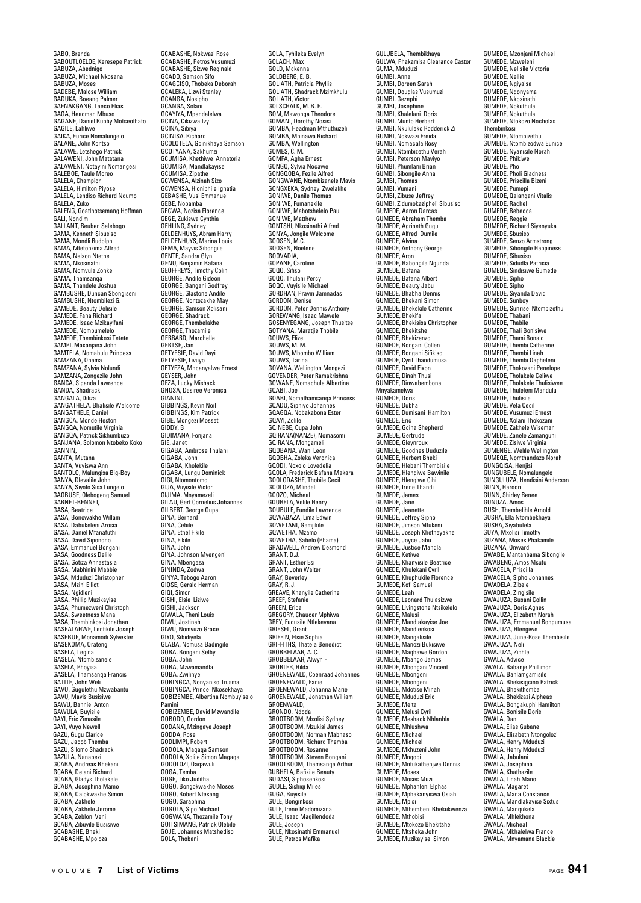GABO, Brenda GABOUTLOELOE, Keresepe Patrick GABUZA, Abednigo GABUZA, Michael Nkosana GABUZA, Moses GADEBE, Malose William GADUKA, Boeang Palmer GAENAKGANG, Taeco Elias GAGA, Headman Mbuso GAGANE, Daniel Rubby Motseothato GAGILE, Lahliwe GAIKA, Eurice Nomalungelo GALANE, John Kontso GALAWE, Letshego Patrick GALAWENI, John Matatana GALAWENI, Notayini Nomangesi GALEBOE, Taule Moreo GALELOC, radic MC GALELA, Himilton Piyose GALELA, Lendiso Richard Ndumo GALELA, Zuko GALENG, Goatlhotsemang Hoffman GALI, Nondim GALLANT, Reuben Selebogo GAMA, Kenneth Sibusiso GAMA, Mondli Rudolph GAMA, Mtetonzima Alfred GAMA, Nelson Ntethe GAMA, Nkosinathi GAMA, Nomvula Zonke GAMA, Thamsanqa GAMA, Thandele Joshua GAMBUSHE, Duncan Sbongiseni GAMBUSHE, Ntombilezi G. GAMEDE, Beauty Delisile<br>GAMEDE, Beauty Delisile GAMEDE, Fana Richard GAMEDE, Isaac Mzikayifani GAMEDE, Nompumelelo GAMEDE, Thembinkosi Tetete GAMPI, Maxanjana John GAMTELA, Nomabulu Princess GAMZANA, Qhama GAMZANA, Sylvia Nolundi GAMZANA, Zongezile John GANCA, Siganda Lawrence GANDA, Shadrack GANGALA, Diliza GANGATHELA, Bhalisile Welcome GANGATHELE, Daniel GANGCA, Monde Heston GANGQA, Nomutile Virginia GANGQA, Patrick Sikhumbuzo GANJANA, Solomon Ntobeko Koko GANNIN,<br>GANTA, Mutana GANTA, Vuyiswa Ann GANTOLO, Malungisa Big-Boy GANYA, Dlevalile John GANYA, Siyolo Sisa Lungelo GAOBUSE, Olebogeng Samuel GARNET-BENNET, GASA, Beatrice GASA, Bonowakhe Willam GASA, Dabukeleni Arosia GASA, Daniel Mfanafuthi GASA, David Siponono GASA, Emmanuel Bongani GASA, Goodness Delile GASA, Gotiza Annastasia GASA, Mabhinini Mabbie GASA, Mduduzi Christopher GASA, Mzini Elliot GASA, Ngidleni GASA, Phillip Muzikayise GASA, Phumezweni Christoph GASA, Sweetness Mana GASA, Thembinkosi Jonathan GASEALAHWE, Lentikile Joseph GASEBUE, Monamodi Sylvester GASEKOMA, Orateng GASELA, Legina GASELA, Ntombizanele GASELA, Phoyisa GASELA, Thamsanqa Francis GATITE, John Weli GAVU, Gugulethu Mzwabantu GAVU, Mavis Busisiwe GAWU, Bannie Anton GAWULA, Buyisile GAYI, Eric Zimasile GAYI, Vuyo Newell GAZU, Gugu Clarice GAZU, Jacob Themba GAZU, Silomo Shadrack GAZULA, Nanabezi GCABA, Andreas Bhekani GCABA, Delani Richard GCABA, Gladys Tholakele GCABA, Josephina Mamo GCABA, Qalokwakhe Simon GCABA, Zakhele GCABA, Zakhele Jerome GCABA, Zeblon Veni GCABA, Zibuyile Busisiwe GCABASHE, Bheki GCABASHE, Mpoloza

GCABASHE, Nokwazi Rose GCABASHE, Petros Vusumuzi GCABASHE, Sizwe Reginald GCADO, Samson Sifo GCAGCISO, Thobeka Deborah GCALEKA, Lizwi Stanley GCANGA, Nosipho GCANGA, Solani GCAYIYA, Mpendalelwa GCINA, Cikizwa Ivy GCINA, Sibiya GCINISA, Richard GCOLOTELA, Gcinikhaya Samson GCOTYANA, Sakhumzi GCUMISA, Khethiwe Annatoria GCUMISA, Mandlakayise GCUMISA, Zipathe GCWENSA, Alzinah Sizo GCWENSA, Hloniphile Ignatia GEBASHE, Vusi Emmanuel GEBE, Nobamba GECWA, Nozisa Florence GEGE, Zukiswa Cynthia **GEHLING, Sydney** GELDENHUYS, Abram Harry GELDENHUYS, Marina Loui GEMA, Mayvis Sibongile GENTE, Sandra Glyn GENU, Benjamin Bafana GEOFFREYS, Timothy Colin GEORGE, Andile Gideon GEORGE, Bangani Godfrey GEORGE, Glastone Andile GEORGE, Nontozakhe May GEORGE, Samson Xolisani GEORGE, Shadrack GEORGE, Thembelakhe GEORGE, Thozamile GERRARD, Marchelle GERTSE, Jan. GETYESIE, David Dayi GETYESIE, Livuyo GETYEZA, Mncanyalwa Ernest GEYSER, John GEZA, Lucky Mishack GHOSA, Desiree Veronica GIANINI, GIBBINGS, Kevin Noil GIBBINGS, Kevin Non GIBE, Mongezi Mosset GIDDY, B GIDIMANA, Fonjana GIE, Janet GIGABA, Ambrose Thulani GIGABA, John GIGABA, Kholekile GIGABA, Lungu Dominick GIGI, Ntomontomo GIJA, Vuyisile Victor GIJIMA, Mnyamezeli GILAU, Gert Cornelius Johannes GILBERT, George Oupa GINA, Bernard GINA, Cebile GINA, Ethel Fikile GINA, Fikile GINA, John GINA, Johnson Myengeni GINA, Mbengeza GININDA, Zodwa GINYA, Tebogo Aaron GIOSE, Gerald Herman GIQI, Simon GISHI, Elsie Liziwe GISHI, Jackson GIWALA, Theni Louis GIWU, Jostinah GIWU, Nomvuzo Grace GIYO, Sibidiyela GLABA, Nomusa Badingile GOBA, Bongani Selby GOBA, John GOBA, Mzwamandla GOBA, Zwilinye GOBINGCA, Nonyaniso Trusma GOBINGCA, Prince Nkosekhaya GOBIZEMBE, Albertina Nombuyiselo Pamini GOBIZEMBE, David Mzwandile GOBODO, Gordon GODANA, Mzingaye Joseph GODDA, Rose GODLIMPI, Robert GODOLA, Maqaqa Samson GODOLA, Xolile Simon Magaqa GODOLOZI, Qaqawuli GOGA, Temba GOGE, Tiko Juditha GOGO, Bongokwakhe Moses GOGO, Robert Ntesang GOGO, Saraphina GOGOLA, Sipo Michael GOGWANA, Thozamile Tony GOITSIMANG, Patrick Olebile GOJE, Johannes Matshediso GOLA, Thobani

GOLA, Tyhileka Evelyn GOLACH, Max GOLD, Mckenna GOLDBERG, E. B. GOLIATH, Patricia Phyllis GOLIATH, Shadrack Mzimkhulu GOLIATH, Victor GOLSCHALK, M. B. E. GOM, Mawonga Theodore GOMANI, Dorothy Nosisi GOMBA, Headman Mthuthuzeli GOMBA, Mninawa Richard GOMBA, Wellington GOMES, C. M. GOMFA, Agha Ernest GONGO, Sylvia Nocawe GONGQOBA, Fezile Alfred GONGWANE, Ntombizanele Mavis GONGXEKA, Sydney Zwelakhe GONIWE, Danile Thomas GONIWE, Fumanekile GONIWE, Mabotshelelo Paul GONIWE, Matthew GONTSHI, Nkosinathi Alfred GONYA, Jongile Welcome GOOSEN, M.C. GOOSEN, Noelene GOOVADIA,<br>GOOVADIA,<br>GOPANE Caroline GOPANE, Caroline GOQO, Sifiso GOQO, Thulani Percy GOQO, Vuyisile Michael GORDHAN, Pravin Jamnadas GORDON, Denise GORDON, Peter Dennis Anthony GOREWANG, Isaac Mawele GOSENYEGANG, Joseph Thusitse GOTYANA, Maratjie Thobile GOUWS, Elize GOUWS, M. M. GOUWS, Mbombo William GOUWS, Tarina GOVANA, Wellington Mongezi GOVENDER, Peter Ramakrishna GOWANE, Nomachule Albertina GQABI, Joe GQABI, Nomathamsanqa Princess GQADU, Siphiyo Johannes GQAGQA, Nobakabona Ester GQAYI, Zolile GQINEBE, Oupa John GQIRANA(NANZE), Nomasomi GQIRANA, Mongameli GQOBANA, Wani Leon GQOBHA, Zoleka Veronica GQODI, Noxolo Lovedelia GQOLA, Frederick Bafana Makara GOOLODASHE, Thobile Cecil GQOLOZA, Mlindeli GQOZO, Micheal GQUBELA, Velile Henry GQUBULE, Fundile Lawrence GQWABAZA, Lima Edwin GQWETANI, Gemjikile GQWETHA, Mzamo GQWETHA, Sabelo (Phama) GRADWELL, Andrew Desmond GRANT, D.J. GRANT, Esther Esi GRANT, John Walter GRAY, Beverley GRAY, R. J. GREAVE, Khanyile Catherine GREEF, Stefanie GREEN, Erica GREGORY, Chaucer Mphiwa GREY, Fudusile Ntlekevana GRIESEL, Grant GRIFFIN, Elsie Sophia GRIFFITHS, Thatela Benedict GROBBELAAR, A. C. GROBBELAAR, Alwyn F GROBLER, Hilda GROENEWALD, Coenraad Johannes GROENEWALD, Fanie GROENEWALD, Johanna Marie GROENEWALD, Jonathan William GROENWALD, GRONDO, Ndoda GROOTBOOM, Mxolisi Sydney GROOTBOOM, Mzukisi James GROOTBOOM, Norman Mabhaso GROOTBOOM, Richard Themba GROOTBOOM, Rosanne GROOTBOOM, Steven Bongani GROOTBOOM, Thamsanqa Arthur GUBHELA, Bafikile Beauty GUDASI, Siphosenkosi GUDLE, Sishiqi Miles GUGA, Buyisile GULE, Bonginkosi GULE, Irene Madomizana GULE, Isaac Maqillendoda GULE, Joseph GULE, Nkosinathi Emmanuel GULE, Petros Mafika

GULUBELA, Thembikhaya GULWA, Phakamisa Clearance Castor GUMA, Mduduzi GUMBI, Anna GUMBI, Doreen Sarah GUMBI, Douglas Vusumuzi GUMBI, Gezephi GUMBI, Josephine GUMBI, Khalelani Doris GUMBI, Munto Herbert GUMBI, Nkululeko Rodderick Zi GUMBI, Nokwazi Freida GUMBI, Nomacala Rosy GUMBI, Ntombizethu Verah GUMBI, Peterson Maviyo GUMBI, Phumlani Brian GUMBI, Sibongile Anna GUMBI, Thomas GUMBI, Vumani GUMBI, Zibuse Jeffrey GUMBI, Zidumokazipheli Sibusiso GUMEDE, Aaron Darcas GUMEDE, Abraham Themba GUMEDE, Agrineth Gugu GUMEDE, Alfred Dumile GUMEDE, Alvina GUMEDE, Anthony George GUMEDE, Aron GUMEDE, Babongile Ngunda GUMEDE, Bafana GUMEDE, Bafana Albert GUMEDE, Beauty Jabu GUMEDE, Bhabha Dennis GUMEDE, Bhekani Simon GUMEDE, Bhekekile Catherine GUMEDE, Bhekifa GUMEDE, Bhekisisa Christopher GUMEDE, Bhekitshe GUMEDE, Bhekizenzo GUMEDE, Bongani Collen GUMEDE, Bongani Sifikiso GUMEDE, Cyril Thandumusa GUMEDE, David Fixon GUMEDE, Dinah Thusi GUMEDE, Dinwabembona Mnyakamelwa GUMEDE, Doris GUMEDE, Dubha GUMEDE, Dumisani Hamilton GUMEDE, Eric GUMEDE, Gcina Shepherd GUMEDE, Gertrude GUMEDE, Gleynroux GUMEDE, Goodnes Duduzile GUMEDE, Herbert Bheki GUMEDE, Hlebani Thembisile GUMEDE, Hlengiwe Bawi GUMEDE, Hlengiwe Cihi GUMEDE, Irene Thandi GUMEDE, James GUMEDE, Jane GUMEDE, Jeanette GUMEDE, Jeffrey Sipho GUMEDE, Jimson Mfukeni GUMEDE, Joseph Khetheyakhe GUMEDE, Joyce Jabu GUMEDE, Justice Mandla GUMEDE, Ketiwe GUMEDE, Khanyisile Beatrice GUMEDE, Khulekani Cyril GUMEDE, Khuphukile Florence GUMEDE, Kofi Samuel GUMEDE, Leah GUMEDE, Leonard Thulasizwe GUMEDE, Livingstone Ntsikelelo GUMEDE, Malusi GUMEDE, Mandlakayise Joe GUMEDE, Mandlenkosi GUMEDE, Mangalisile GUMEDE, Manozi Bukisiwe GUMEDE, Maqhawe Gordon GUMEDE, Mbango James GUMEDE, Mbongani Vincent GUMEDE, Mbongen GUMEDE, Mbongeni GUMEDE, Mdotise Minah GUMEDE, Mduduzi Eric GUMEDE, Melta GUMEDE, Melusi Cyril GUMEDE, Meshack Nhlanhla GUMEDE, Mhlushwa GUMEDE, Michael GUMEDE, Michael GUMEDE, Mkhuzeni John GUMEDE, Mnaobi GUMEDE, Mntukathenjwa Dennis GUMEDE, Moses GUMEDE, Moses Muzi GUMEDE, Mphahleni Elphas GUMEDE, Mphakanyiswa Osiah GUMEDE, Mpisi GUMEDE, Mthembeni Bhekukwenza GUMEDE, Mthobisi GUMEDE, Mtokozo Bhekitshe GUMEDE, Mtsheka John GUMEDE, Muzikayise Simon

GUMEDE, Mzonjani Michael GUMEDE, Mzweleni GUMEDE, Nelisile Victoria GUMEDE, Nellie GUMEDE, Ngiyaisa GUMEDE, Ngonyama GUMEDE, Nkosinathi GUMEDE, Nokuthula GUMEDE, Nokuthula GUMEDE, Ntokozo Nocholas Thembinkosi GUMEDE, Ntombizethu GUMEDE, Ntombizodwa Eunice GUMEDE, Nyanisile Norah GUMEDE, Phikiwe GUMEDE, Pho GUMEDE, Pholi Gladness GUMEDE, Priscilla Bizer GUMEDE, Pumepi GUMEDE, Qalangani Vitalis GUMEDE, Rachel GUMEDE, Rebecca GUMEDE, Reggie GUMEDE, Richard Siyenyuka GUMEDE, Shusiso GUMEDE, Senzo Armstrong GUMEDE, Sibongile Happiness GUMEDE, Sibusiso GUMEDE, Sidudla Patricia GUMEDE, Sindisiwe Gumede GUMEDE, Sinho GUMEDE, Sipho GUMEDE, Siyanda David GUMEDE, Sunboy GUMEDE, Sunrise Ntombizethu GUMEDE, Thabani GUMEDE, Thabile GUMEDE, Thali Bonisiwe GUMEDE, Thami Ronald GUMEDE, Thembi Catherine GUMEDE, Thembi Linah GUMEDE, Thembi Qapheleni GUMEDE, Thokozani Penelope GUMEDE, Tholakele Celiwe GUMEDE, Tholakele Thulisiwee GUMEDE, Thuleleni Mandulu GUMEDE, Thulisile GUMEDE, Vela Cecil GUMEDE, Vusumuzi Ernest GUMEDE, Xolani Thokozani GUMEDE, Zakhele Wiseman GUMEDE, Zanele Zamanguni GUMEDE, Zisiwe Virginia GUMENGE, Welile Wellington GUMEQE, Nomthandazo N GUNGQISA, Henjisi GUNGUBELE, Nomalungelo GUNGULUZA, Hendisini Anderson GUNN, Haroon GUNN, Shirley Renee GUNUZA, Amos GUSH, Thembelihle Arnold GUSHA, Ella Ntombekhaya GUSHA, Siyabulela GUYA, Mxolisi Timothy GUZANA, Moses Phakamile GUZANA, Onward GWABE, Mantanbama Sibongile GWABENG, Amos Msutu GWACELA, Priscilla GWACELA, Sipho Johannes GWADELA, Zibele GWADELA, Zingisile GWAJUZA, Busani Collin GWAJUZA, Doris Agnes GWAJUZA, Elizabeth Norah GWAJUZA, Emmanuel Bongumusa GWAJUZA, Hlengiwe GWAJUZA, June-Rose Thembisile GWAJUZA, Neli GWAJUZA, Zinhle GWALA, Advice GWALA, Babanje Phillimon GWALA, Bahlamgamisile GWALA, Bhekisigcino Patrick GWALA, Bhekithemba GWALA, Bhekizazi Alpheas GWALA, Bongakuphi Hamilton GWALA, Bonisile Doris GWALA, Dan GWALA, Elias Gubane GWALA, Elizabeth Ntongolozi GWALA, Henry Mduduzi GWALA, Henry Mduduzi GWALA, Jabulani GWALA, Josephina GWALA, Khathazile GWALA, Linah Mano GWALA, Magaret GWALA, Mana Constance GWALA, Mandlakayise Sixtus GWALA, Manqukela GWALA, Mhlekhona GWALA, Micheal GWALA, Mkhalelwa France

GWALA, Mnyamana Blackie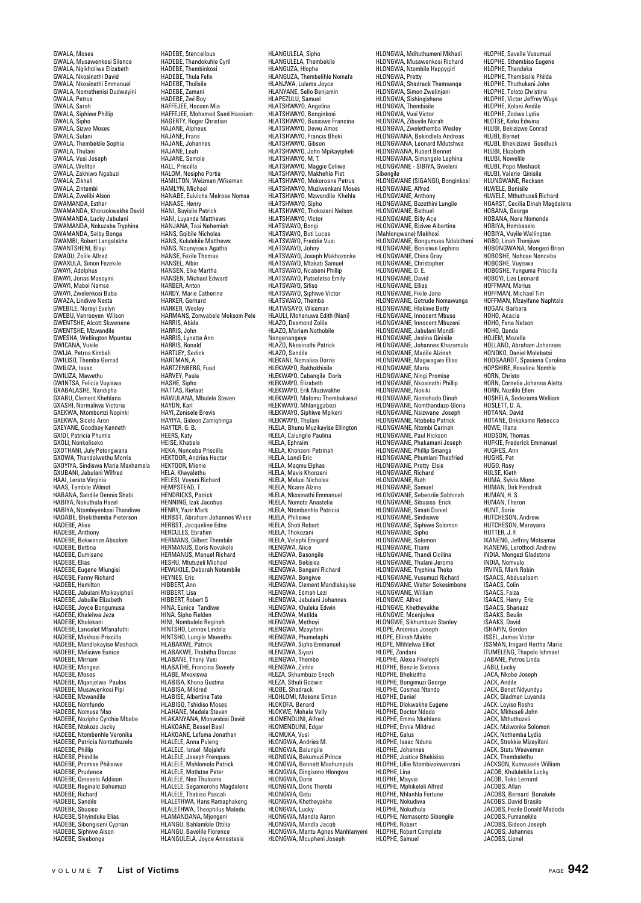GWALA, Moses GWALA, Musawenkosi Silence GWALA, Ngikholiwe Elizabeth GWALA, Nkosinathi David GWALA, Nkosinathi Emmanuel GWALA, Nomathenisi Dudweyini GWALA, Petrus GWALA, Sarah GWALA, Siphiwe Phillip GWALA, Sipho GWALA, Sizwe Moses GWALA, Sulani GWALA, Thembekile Sophia GWALA, Thulani GWALA, Vusi Joseph GWALA, Wellton GWALA, Zakhiwo Ngabuzi GWALA, Zikhali GWALA, Zintembi GWALA, Zwelibi Alson GWAMANDA, Esther GWAMANDA, Khonzokwakhe David GWAMANDA, Lucky Jabulani GWAMANDA, Nokuzaba Tryphina GWAMANDA, Selby Bonga GWAMBI, Robert Langalakhe GWANDI, HODCH COL GWAQU, Zolile Alfred GWAXULA, Simon Fezekile GWAYI, Adolphus GWAYI, Jonas Masoyini GWAH, Gonda Wassey GWAYI, Zwelenkosi Baba GWAZA, Lindiwe Nesta GWEBILE, Noreyi Evelyn GWEBU, Vanrooyen Wilson GWENTSHE, Alcott Skwenene GWENTSHE, Mzwandile GWESHA, Wellington Mpuntsu GWICANA, Vukile GWIJA, Petros Kimbali GWILISO, Themba Gerrad GWILIZA, Isaac GWILIZA, Mawethu GWINTSA, Felicia Vuyiswa GXABALASHE, Nandipha GXABU, Clement Khehlana GXASHI, Normaliwa Victoria GXEKWA, Ntombomzi Nopinki GXEKWA, Sicelo Aron GXEYANE, Goodboy Kenneth GXIDI, Patricia Phumla GXOLI, Nonkoliseko GXOTHANI, July Potongwana GXOWA, Thandolwethu Morris GXOYIYA, Sindiswa Maria Maxhamela GXUBANI, Jabulani Wilfred HAAI, Lerato Virginia HAAS, Tembile Wilmot HABANA, Sandile Dennis Shabi HABIYA, Nokuthula Hazel HABIYA, Ntombiyenkosi Thandiwe HADABE, Bhekithemba Pieterson HADERE, Alias HADEBE, Anthony HADEBE, Bekwenze Absolom HADEBE, Bettina HADEBE, Dumisane HADEBE, Elias HADEBE, Eugene Mlungisi HADEBE, Fanny Richard HADEBE, Hamilton HADEBE, Jabulani Mpikayipheli HADEBE, Jabulile Elizabeth HADEBE, Joyce Bongumusa HADEBE, Khalelwa Jeza HADEBE, Khulekani HADEBE, Lancelot Mfanafuthi HADEBE, Makhosi Priscilla HADEBE, Mandlakayise Meshack HADEBE, Melisiwe Eunice HADEBE, Mirriam HADEBE, Mongezi HADEBE, Moses HADEBE, Mqanjelwa Paulos HADEBE, Musawenkosi Pipi HADEBE, Mzwandile HADEBE, Nomfundo HADEBE, Nomusa Mso HADEBE, Nozipho Cynthia Mbabe HADEBE, Ntokozo Jacky HADEBE, Ntombenhle Veronika HADEBE, Patricia Nontuthuzelo HADEBE, Phillip HADEBE, Phindile HADEBE, Promise Philisiwe HADEBE, Prudence HADEBE, Qinesela Addison HADEBE, Reginald Behumuzi HADEBE, Richard HADEBE, Sandile HADERE, Shueiso HADEBE, Shiyinduku Elias HADEBE, Sibongiseni Cyprian HADEBE, Siphiwe Alson HADEBE, Siyabonga

HADEBE, Stencellous HADEBE, Thandokuhle Cyril HADEBE, Thembinkosi HADEBE, Thula Felix HADEBE, Thulisile HADEBE, Zamani HADEBE, Zwi Boy HAFFEJEE, Hoosen Mia HAFFEJEE, Mohamed Saed Hassiam HAGERTY, Roger Christian HAJANE, Alpheus HAJANE, Frans HAJANE, Johannes HAJANE, Leah HAJANE, Semole HALL, Priscilla HALOM, Nosipho Portia HAMILTON, Weizman /Wiseman HAMLYN, Michael HANABE, Euivicha Melrose Nomsa HANASE, Henry HANI, Buyisile Patrick HANI, Luyanda Matthews HANJANA, Tasi Nehemiah HANS, Gqibile Nicholas HANS, Kululekile Matthews HANS, Ncunyiswa Agatha HANSE, Fezile Thomas HANSEL, Albin HANSEN, Elke Martha HANSEN, Michael Edward HARBER, Anton HARDY, Marie Catherine HARKER, Gerhard HARKER, Wesley HARMANS, Zonwabele Moksom Pele HARRIS, Abida HARRIS, John HARRIS, Lynette Ann HARRIS, Ronald HARTLEY, Sedick HARTMAN, A. HARTZENBERG, Fuad HARVEY, Paula HASHE, Sipho HATTAS, Riefaat HAWULANA, Mbulelo Steven HAYDN, Karl HAYI, Zonisele Brevis HAYIYA, Gideon Zamiqhinga HAYTER, G. B. HEERS, Katy HEISE, Khabele HEKA, Nonceba Priscilla HEKTOOR, Andries Hector HEKTOOR, Mienie HELA, Khayalethu HELESI, Vuyani Richard HEMPSTEAD, T HENDRICKS, Patrick HENNING, Izak Jacobus HENRY, Yazir Mark HERBST, Abraham Johannes Wiese HERBST, Jacqueline Edna HERCULES, Ebrahim HERMANS, Gilbert Thembile HERMANUS, Doris Novakele HERMANUS, Manuel Richard HESHU, Mtutuzeli Michael HEWUKILE, Deborah Notembile HEYNES, Eric HIBBERT, Ann HIBBERT, Lisa HIBBERT, Robert G HINA, Eunice Tandiwe HINA, Sipho Fielden HINI, Nombulelo Reginah HINTSHO, Lennox Lindela HINTSHO, Lungile Mawethu HLABAKWE, Patrick HLABAKWE, Thabitha Dorcas HLABANE, Thenji Vusi HLABATHE, Francina Sweety HLABE, Mxoxiswa HLABISA, Khona Gustina HLABISA, Mildred HLABISE, Albertina Tate HLABISO, Tshidiso Moses HLAHANE, Madala Steven HLAKANYANA, Monwabisi David HLAKOANE, Bessel Basil HLAKOANE, Lefuma Jonathan HLALELE, Anna Puleng HLALELE, Israel Mojalefa HLALELE, Joseph Frenques HLALELE, Mahlomolo Patrick HLALELE, Motlatse Peter HLALELE, Neo Thuloana HLALELE, Segamoroho Magdalene HLALELE, Thabiso Pascali HLALETHWA, Hans Ramaphakeng HLALETHWA, Theophilus Maledu HLAMANDANA, Mjongeni HLANGU, Bahlamkile Ottilia HLANGU, Bavelile Florence HLANGULELA, Joyce Annastasia

HLANGULELA, Sipho HLANGULELA, Thembekile HLANGUZA, Hlophe HLANGUZA, Thembelihle Nomafa HLANJWA, Lulama Joyce HLANYANE, Sello Benjamin HLAPEZULU, Samuel HLATSHWAYO, Angelina HLATSHWAYO, Bonginkosi HLATSHWAYO, Busisiwe Francina HLATSHWAYO, Dewu Amos HLATSHWAYO, Francis Bheki HLATSHWAYO, Gibson HLATSHWAYO, John Mpikayipheli HLATSHWAYO, M. T. HLATSHWAYO, Maggie Celiwe HLATSHWAYO, Makhehla Piet HLATSHWAYO, Mokoroane Petrus HLATSHWAYO, Muziwenkani Moses HLATSHWAYO, Mzwandile Khehla HLATSHWAYO, Sipho HLATSHWAYO, Thokozani Nelson HLATSHWAYO, Victor HLATSWAYO, VISIC.<br>HLATSWAYO, Bongi<br>HLATSWAYO, Buti Lucas HLATSWAYO, Buti Lucas<br>HLATSWAYO, Freddie Vusi<br>HLATSWAYO, Johny<br>HLATSWAYO, Joseph Makhozonke<br>HLATSWAYO, Mtakati Samuel HLATSWAYO, Ncabeni Phillip HLATSWAYO, Putseletso Emily HLATSWAYO, Sifiso HLATSWAYO, Siphiwe Victor HLATSWAYO, Themba HLATSWATO, Thempa<br>HLATWSAYO, Wiseman HLAULI, Mohanuwa Edith (Nani) HLAZO, Desmond Zolile HLAZO, Mariam Nothobile Nongenangaye HLAZO, Nkosinathi Patrick HLAZO, Sandile HLEKANI, Nomalisa Dorris HLEKWAYO, Bakhokhisile HLEKWAYO, Cabangile Doris HLEKWAYO, Elizabeth HLEKWAYO, Erik Muziwakhe HLEKWAYO, Mafomu Thembukwazi HLEKWAYO, Mhlanggabezi HLEKWAYO, Siphiwe Mpikeni HLEKWAYO, Thulani HLELA, Bhunu Muzikayise Ellington HLELA, Calungile Paulina HLELA, Ephraim HLELA, Khonzeni Petrinah HLELA, Londi Eric HLELA, Maqmu Elphas HLELA, Mavis Khonzeni HLELA, Melusi Nicholas HLELA, Ncane Alzina HLELA, Nkosinathi Emmanuel HLELA, Nomoto Anastelia HLELA, Ntombenhle Patricia HLELA, Philisiwe HLELA, Shoti Robert HLELA, Thokozani HLELA, Velephi Emigard HLENGWA, Alice HLENGWA, Basongile HLENGWA, Bekisisa HLENGWA, Bongani Richard HLENGWA, Bongiwe HLENGWA, Clement Mandlakayise HLENGWA, Edmah Lezi HLENGWA, Jabulani Johannes HLENGWA, Khuleka Edwin HLENGWA, Matilda HLENGWA, Methoyi HLENGWA, Mzayifani HLENGWA, Phumelaphi HLENGWA, Sipho Emmanuel HLENGWA, Siyazi HLENGWA, Thembo HLENGWA, Zinhle HLEZA, Skhumbuzo Enoch HLEZA, Sthuli Godwin HLOBE, Shadrack HLOHLOMI, Mokone Simon HLOKOFA, Benard HLOKWE, Mohale Velly HLOMENDLINI, Alfred HLOMENDLINI, Edgar HLOMUKA, Vusi HLONGWA, Andries M. HLONGWA, Balungile HLONGWA, Bekumuzi Prince HLONGWA, Bennett Mashumpula HLONGWA, Dingisono Hlongwa HLONGWA, Doris HLONGWA, Doris Thembi HLONGWA, Gatu HLONGWA, Khetheyakhe HLONGWA, Lucky HLONGWA, Mandla Aaron HLONGWA, Mandla Jacob HLONGWA, Mantu Agnes Manhlanyeni HLONGWA, Mcupheni Joseph

HLONGWA, Mdituthumeni Mkhadi HLONGWA, Musawenkosi Richard HLONGWA, Ntombile Happygirl<br>HLONGWA, Ntombile Happygirl HLONGWA, Pretty HLONGWA, Shadrack Thamsanqa HLONGWA, Simon Zwelinjani HLONGWA, Sishingishane HLONGWA, Thembisile HLONGWA, Vusi Victor HLONGWA, Zibuyile Norah HLONGWA, Zwelethemba Wesley HLONGWANA, Bekindlela Andreas HLONGWANA, Leonard Mdutshwa HLONGWANA, Rubert Bennet HLONGWANA, Simangele Lephina HLONGWANE - SIBIYA, Sweleni Sibengile HLONGWANE (SIGANGI), Bonginkosi HLONGWANE, Alfred HLONGWANE, Anthony HLONGWANE, Bazothini Lungile HLONGWANE, Bethuel HLONGWANE, Billy Ace HLONGWANE, Biziwe Albertina (Mahlongwane) Makhosi HLONGWANE, Bongumusa Ndabitheni HLONGWANE, Bonisiwe Lephina HLONGWANE, China Gray HLONGWANE, Christopher HLONGWANE, D. E. HLONGWANE, David HLONGWANE, SUM<br>HLONGWANE, Filias HLONGWANE, Fikile Jane HLONGWANE, Getrude Nomawunga HLONGWANE, Hlekiwe Betty HLONGWANE, Innocent Mbuso HLONGWANE, Innocent Mbuzen HLONGWANE, Jabulani Mondli HLONGWANE, Jeslina Qinisile HLONGWANE, Johannes Khazamula HLONGWANE, Madile Alzinah HLONGWANE, Magwagwa Elias HLONGWANE, Mayw HLONGWANE, Ningi Promise HLONGWANE, Nkosinathi Phillip HLONGWANE, Nokiki HLONGWANE, Nomshado Dinah HLONGWANE, Nomthandazo Gloria HLONGWANE, Nsizwane Joseph HLONGWANE, Ntobeko Patrick HLONGWANE, Ntombi Carinah HLONGWANE, Paul Hickson HLONGWANE, Phakamani Joseph HLONGWANE, Phillip Smanga HLONGWANE, Phumlani Theofried HLONGWANE, Pretty Elsie HLONGWANE, Richard HLONGWANE, Ruth HLONGWANE, Samuel HLONGWANE, Sebenzile Sabhinah HLONGWANE, Sibusiso Erick<br>HLONGWANE, Sibusiso Erick HLONGWANE, Simati Daniel HLONGWANE, Sindisiwe HLONGWANE, Siphiwe Solomon HLONGWANE, Sipho HLONGWANE, Solomon HLONGWANE, Thami HLONGWANE, Thandi Cicilina HLONGWANE, Thulani Jerome HLONGWANE, Tryphina Thoko HLONGWANE, Vusumuzi Richard HLONGWANE, Walter Sokesimbone HLONGWANE, William HLONGWE, Alfred HLONGWE, Khetheyakhe HLONGWE, Mcenjulwa HLONGWE, Sikhumbuzo Stanley HLOPE, Arsenius Joseph HLOPE, Ellinah Makho HLOPE, Mfihlelwa Elliot HLOPE, Zondani HLOPHE, Alexia Fikelephi HLOPHE, Benzile Sixtonia HLOPHE, Bhekizitha HLOPHE, Bongimuzi George HLOPHE, Cosmas Ntando HLOPHE, Daniel HLOPHE, Dlokwakhe Eugene HLOPHE, Doctor Ndodo HLOPHE, Emma Nkehlana HLOPHE, Ennie Mildred HLOPHE, Galus HLOPHE, Isaac Nduna HLOPHE, Johannes HLOPHE, Justice Bhekisisa HLOPHE, Lillie Ntombizokwenzani HLOPHE, Lina HLOPHE, Mayvis HLOPHE, Mphikeleli Alfred HLOPHE, Nhlanhla Fortune HLOPHE, Nokudiwa HLOPHE, Nokuthula HLOPHE, Nomasonto Sibongile HLOPHE, Robert HLOPHE, Robert Complete HLOPHE, Samuel

HLOPHE, Savelle Vusumuzi HLOPHE, Sthembiso Eugene HLOPHE, Thandeka HLOPHE, Thembisile Philda HLOPHE, Thuthukani John HLOPHE, Toloto Christina HLOPHE, Victor Jeffrey Wuya HLOPHE, Xolani Andile HLOPHE, Zodwa Lydia HLOTSE, Keku Edwina HLUBI, Bekizizwe Conrad HLUBI, Bernet HLUBI, Bhekizizwe Goodluck HLUBI, Elizabeth HLUBI, Nowelile HLUBI, Popo Meshack HLUBI, Valerie Qinisile HLUNGWANE, Reckson HLWELE, Bonisile HLWELE, Mthuthuzeli Richard HOARST, Cecilia Dinah Magdalena HOBANA, George HOBANA, Nora Nomonde HOBIYA, Hombaselo HOBIYA, Vuyile Wellington HOBO, Linah Thenjiwe HOBONGWANA, Mongezi Brian HOBOSHE, Nohose Nonceba HOBOSHE, Vuyiswa HOBOSHE, Yunguma Priscilla HOBOYI, Lizo Leonard HOFFMAN, Marius HOFFMAN, Michael Tim HOFFMAN, Mzayifane Naphtale HOGAN, Barbara HOHO, Acacia HOHO, Fana Nelson HOHO, Qonda HOJEM, Mozelle<br>HOJEM, Mozelle<br>HOLLAND, Abraham, Johannes HOLLAND, Abraham Johannes HONOKO, Daniel Molebatsi HOOGAARDT, Spasiena Carolina HOPSHIRE, Roseline Nomhle HORN, Christo HORN, Cornelia Johanna Aletta HORN, Nozililo Ellen HOSHELA, Sedezama Welliam HOSLETT, D. A. HOTANA, David HOTANE, Onkokame Rebecca HOWE, Illana HUDSON, Thomas HUFKIE, Frederick Emmanuel HUGHES, Ann HUGHS, Pat HUGO, Rosy HULSE, Kieth HUMA, Sylvia Mono HUMAN, Dirk Hendrick HUMAN, H. S. HUMAN, Theron HUNT, Sarie HUTCHESON, Andrew HUTCHESON, Marayana HUTTER, J. F. IKANENG, Jeffrey Motsamai IKANENG, Lerothodi Andrew INDIA, Mongezi Gladstone INDIA, Nomvulo IRVING, Mark Robin ISAACS, Abdusalaam ISAACS, Colin ISAACS, Faiza ISAACS, Henry Eric ISAACS, Shanaaz ISAAKS, Beulin ISAAKS, David ISHAPIN, Gordon ISSEL, James Victor ISSMAN, Irngard Hertha Maria ITUMELENG, Thapelo Ishmael JABANE, Petros Linda JABU, Lucky JACA, Nkobe Joseph JACK, Andile JACK, Benet Ndyundyu JACK, Gladman Luyanda JACK, Loyiso Rosho JACK, Mkhuseli John JACK, Mthuthuzeli JACK, Mziwonke Solomon JACK, Nothemba Lydia JACK, Strekkie Mizayifani JACK, Stutu Weaveman JACK, Thembalethu JACKSON, Kumvusele William JACOB, Khululekile Lucky JACOB, Toko Lernard JACOBS, Allan JACOBS, Bernard Bonakele JACOBS, David Brasilo JACOBS, Fezile Donald Madoda JACOBS, Fumanekile JACOBS, Gideon Joseph JACOBS, Johannes

JACOBS, Lionel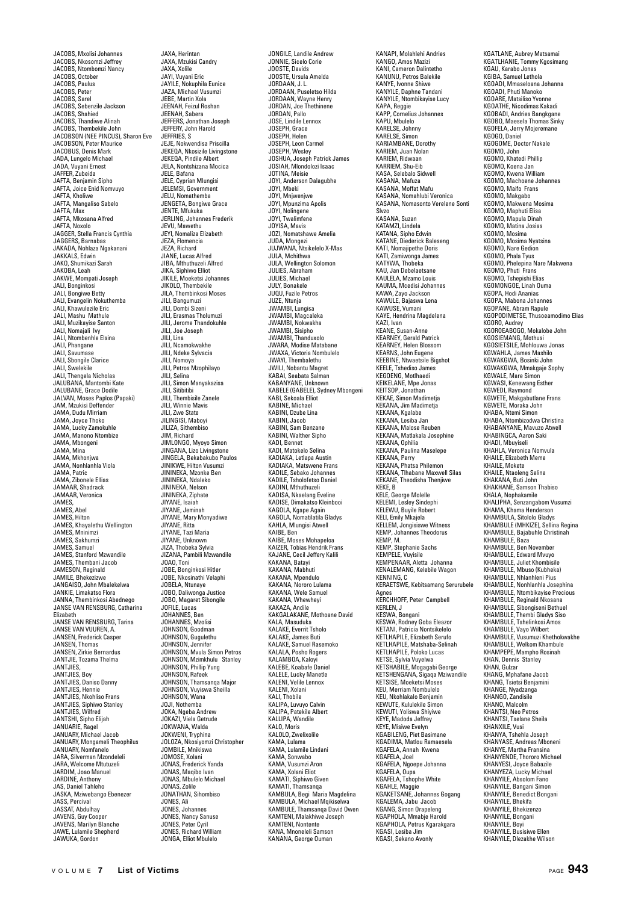JACOBS, Mxolisi Johannes JACOBS, Nkosomzi Jeffrey JACOBS, Ntombomzi Nancy JACOBS, October JACOBS, Paulus JACOBS, Peter JACOBS, Sarel JACOBS, Sebenzile Jackson JACOBS, Shahied JACOBS, Thandiwe Alinah JACOBS, Thembekile John JACOBSON (NEE PINCUS), Sharon Eve JACOBSON, Peter Maurice JACOBUS, Denis Mark JADA, Lungelo Michael JADA, Vuyani Ernest JAFFER, Zubeida JAFTA, Benjamin Sipho JAFTA, Joice Enid Nomvuyo JAFTA, Kholiwe JAFTA, Mangaliso Sabelo JAFTA, Max JAFTA, Mkosana Alfred JAFTA, Noxolo JAGGER, Stella Francis Cynthia JAGGERS, Barnabas JAKADA, Nohlaza Ngakanani JAKKALS, Edwin JAKO, Shumikazi Sarah JAKOBA, Leah JAKWE, Mompati Joseph JALI, Bonginkosi JALI, Bongiwe Betty JALI, Evangelin Nokuthemba JALI, Khawulezile Eric JALI, Mashu Mathule JALI, Muzikayise Santon JALI, Nomajali Ivy JALI, Ntombenhle Elsina JALI, Phangane JALI, Savumase JALI, Sbongile Clarice JALI, Swelekile JALI, Thengela Nicholas JALUBANA, Mantombi Kate JALUBANE, Grace Dodile JALVAN, Moses Paplos (Papaki) JAM, Mzukisi Deffender JAMA, Dudu Mirriam JAMA, Joyce Thoko JAMA, Lucky Zamokuhle JAMA, Manono Ntombize JAMA, Mbongeni JAMA, Mina JAMA, Mkhonjwa JAMA, Nonhlanhla Viola JAMA, Patric JAMA, Zibonele Ellias JAMAAR, Shadrack JAMAAR, Veronica JAMES, JAMES, Abel JAMES, Hilton JAMES, Khayalethu Wellington JAMES, Mninimzi JAMES, Sakhumzi JAMES, Samuel JAMES, Stanford Mzwandile JAMES, Thembani Jacob JAMESON, Reginald JAMILE, Bhekezizwe JANGAISO, John Mbalekelwa JANKIE, Limakatso Flora JANNA, Thembinkosi Abednego JANSE VAN RENSBURG, Catharina Elizabeth JANSE VAN RENSBURG, Tarina JANSE VAN VUUREN, A. JANSEN, Frederick Casper JANSEN, Thomas JANSEN, Zirkie Bernardus JANTJIE, Tozama Thelma JANTJIES, JANTJIES, Boy JANTJIES, Daniso Danny JANTJIES, Hennie JANTJIES, Nkohliso Frans JANTJIES, Siphiwo Stanley JANTJIES, Wilfred JANTSHI, Sipho Elijah JANUARIE, Ragel JANUARY, Michael Jacob JANUARY, Mongameli Theophilus JANUARY, Nomfanelo JARA, Silverman Mzondeleli JARA, Welcome Mtutuzeli JARDIM, Joao Manuel JARDINE, Anthony JAS, Daniel Tahleho JASKA, Mziwebango Ebenezer JASS, Percival JASSAT, Abdulhay JAVENS, Guy Cooper JAVENS, Marilyn Blanche JAWE, Lulamile Shepherd JAWUKA, Gordon

JAXA, Herintan JAXA, Mzukisi Candry JAXA, Xolile JAYI, Vuyani Eric JAYILE, Nokuphila Eunice JAZA, Michael Vusumzi JEBE, Martin Xola JEENAH, Feizul Roshan JEENAH, Sabera JEFFERS, Jonathan Joseph JEFFERY, John Harold JEFFRIES, S JEJE, Nokwendisa Priscilla JEKEQA, Nkosizile Livingstone JEKEQA, Pindile Albert JELA, Nontshizana Mocica JELE, Bafana JELE, Cyprian Mlungisi JELEMSI, Government JELU, Nomathemba JENGETA, Bongiwe Grace JENTE, Mfukuka JERLING, Johannes Frederik JEVU, Mawethu JEYI, Nomaliza Elizabeth JEZA, Flomencia JEZA, Richard JIANE, Lucas Alfred JIBA, Mthuthuzeli Alfred JIKA, Siphiwo Elliot JIKILE, Moeketsi Johannes JIKOLO, Thembekile JILA, Thembinkosi Moses JILI, Bangumuzi JILI, Dombi Sizeni JILI, Erasmas Tholumuzi JILI, Jerome Thandokuhle JILI, Joe Joseph JILI, Lina JILI, Ncamokwakhe JILI, Ndeke Sylvacia JILI, Nomoya JILI, Petros Mzophilayo JILI, Selina JILI, Simon Manyakazisa JILI, Sitibitibi JILI, Thembisile Zanele JILI, Winnie Mavis JILI, Zwe State JILINGISI, Maboyi JILIZA, Sithembiso JIM, Richard JIMLONGO, Myoyo Simon JINGANA, Lizo Livingstone JINGELA, Bekabakubo Paulos JINIKWE, Hilton Vusumzi JININEKA, Mzonke Ben JININEKA, Ndaleko JININEKA, Nelson JININEKA, Ziphate JIYANE, Isaiah JIYANE, Jeminah JIYANE, Mary Monyadiwe JIYANE, Ritta JIYANE, Tazi Maria JIYANE, Unknown JIZA, Thobeka Sylvia JIZANA, Pambili Mzwandile JOAO, Toni JOBE, Bonginkosi Hitler JOBE, Nkosinathi Velaphi JOBELA, Ntunaye JOBO, Daliwonga Justice JOBO, Magaret Sibongile JOFILE, Lucas JOHANNES, Ben JOHANNES, Mzolisi JOHNSON, Goodman JOHNSON, Gugulethu JOHNSON, Jennifer JOHNSON, Mvula Simon Petros JOHNSON, Mzimkhulu Stanley JOHNSON, Phillip Yung JOHNSON, Rafeek JOHNSON, Thamsanqa Major JOHNSON, Vuyiswa Sheilla JOHNSON, Wana JOJI, Nothemba JOKA, Ngeba Andrew JOKAZI, Viela Getrude JOKWANA, Walda JOKWENI, Tryphina JOLOZA, Nkosiyomzi Christopher JOMBILE, Mnikiswa JOMOSE, Xolani JONAS, Frederick Yanda JONAS, Maqibo Ivan JONAS, Mbulelo Michael JONAS, Zolile JONATHAN, Sihombiso JONES, Ali JONES, Johannes JONES, Nancy Sanuse JONES, Peter Cyril JONES, Richard William JONGA, Elliot Mbulelo

JONGILE, Landile Andrew JONNIE, Sicelo Corie JOOSTE, Davids JOOSTE, Ursula Amelda JORDAAN, J. L. JORDAAN, Puseletso Hilda JORDAAN, Wayne Henry JORDAN, Joe Thethinene JORDAN, Pallo JOSE, Lindile Lennox JOSEPH, Grace JOSEPH, Helen JOSEPH, Leon Carmel JOSEPH, Wesley JOSHUA, Joseph Patrick James JOSIAH, Mlondolozi Isaac JOTINA, Meisie JOYI, Anderson Dalagubhe JOYI, Mbeki JOYI, Mnjwenjwe JOYI, Mpunzima Apolis JOYI, Nolingene JOYI, Twalimfene JOYISA, Mavis JOZI, Nomatshawe Amelia JUDA, Mongezi JUJWANA, Ntsikelelo X-Mas JULA, Mchithwa JULA, Wellington Solomon JULIES, Abraham JULIES, Michael JULY, Bonakele JUQU, Fuzile Petros JUZE, Ntunja JWAMBI, Lungisa JWAMBI, Magcaleka JWAMBI, Nokwakha JWAMBI, Sisipho JWAMBI, Thanduxolo JWARA, Modise Matabane JWAXA, Victoria Nombulelo JWAYI, Thembalethu JWILI, Nobantu Magret KABAI, Seabata Salman KABANYANE, Unknown KABELE (GABELE), Sydney Mbongeni KABI, Sekoala Elliot KABINE, Michael KABINI, Dzube Lina KABINI, Jacob KABINI, Sam Benzane KABINI, Walther Sinho KADI, Bennet KADI, Matokelo Selina KADIAKA, Letlapa Austin KADIAKA, Matswene Frans KADILE, Sebako Johannes KADILE, Tsholofetso Daniel KADINI, Mthuthuzeli KADISA, Nkaelang Eveline KADISE, Dimakatso Kleinboo KAGOLA, Kgape Again KAGOLA, Nomatilatila Gladys KAHLA, Mlungisi Atwell KAIBE, Ben KAIBE, Moses Mohapeloa KAIZER, Tobias Hendrik Frans KAJANE, Cecil Jeffery Kalili KAKANA, Batayi KAKANA, Mabhuti KAKANA, Mpendulo KAKANA, Nororo Lulama KAKANA, Wele Samuel KAKANA, Whewheyi KAKAZA, Andile KAKGALAKANE, Mothoane David KALA, Masuduka KALAKE, Everrit Tsholo KALAKE, James Buti KALAKE, Samuel Rasemoko KALALA, Posho Rogers KALAMBOA, Kaloyi KALEBE, Koabafe Daniel KALELE, Lucky Manetle KALENI, Velile Lennox KALENI, Xolani KALI, Thobile KALIPA, Luvuyo Calvin KALIPA, Patekile Albert KALLIPA, Wandile KALO, Moris KALOLO, Zwelixolile KAMA, Lulama KAMA, Lulamile Lindani KAMA, Sonwabo KAMA, Vusumzi Aron KAMA, Xolani Eliot KAMATI, Siphiwo Given KAMATI, Thamsanqa KAMBULA, Begi Maria Magdelina KAMBULA, Michael Mqikiselwa KAMBULE, Thamsanqa David Owen KAMTENI, Malakhiwe Joseph KAMTENI, Nontente KANA, Mnoneleli Samson KANANA, George Ouman

KANAPI, Molahlehi Andries KANGO, Amos Mazizi KANI, Cameron Dalintetho KANUNU, Petros Balekile KANYE, Ivonne Shiwe KANYILE, Daphne Tandani KANYILE, Ntombikayise Lucy KAPA, Reggie KAPP, Cornelius Johannes KAPU, Mbulelo KARELSE, Johnny KARELSE, Simon KARIAMBANE, Dorothy KARIEM, Juan Nolan KARIEM, Ridwaan KARRIEM, Shu-Eib KASA, Selebalo Sidwell KASANA, Mafuza KASANA, Moffat Mafu KASANA, Nomahlubi Veronica KASANA, Nomasonto Verelene Sonti Slvzo KASANA, Suzan KATAMZI, Lindela KATANA, Sipho Edwin KATANE, Diederick Baleseng KATI, Nomajipethe Doris KATI, Zamiwonga James KATYWA, Thobeka KAU, Jan Debelaetsane KAULELA, Mzamo Louis KAUMA, Mcedisi Johannes KAWA, Zayo Jackson KAWULE, Bajaswa Lena KAWUSE, Vumani KAYE, Hendrina Magdelena KAZI, Ivan KEANE, Susan-Anne KEARNEY, Gerald Patrick KEARNEY, Helen Blossom KEARNS, John Eugene KEEBINE, Ntwaetsile Bigshot KEELE, Tshediso James KEGOENG, Motlhaedi KEIKELANE, Mpe Jonas KEITSOP, Jonathan KEKAE, Simon Madimetja KEKANA, Jim Madimetja KEKANA, Kgalabe KEKANA, Lesiba Jan KEKANA, Malose Reuben KEKANA, Matlakala Josephine KEKANA, Ophilia KEKANA, Paulina Maselepe KEKANA, Perry KEKANA, Phatsa Philemon KEKANA, Tlhabane Maxwell Silas KEKANE, Theodisha Thenjiwe KEKE, B KELE, George Molelle KELE, George Molene<br>KELEMI, Lesley Sindephi<br>KELEWU, Buvile Robert KELEWU, Buyile Robert<br>KELI, Emily Mkajela<br>KELI, Emily Mkajela<br>KEMP, Johannes Theodorus<br>KEMP, M.<br>KEMP, Stephanie Sachs<br>KEMPELE, Vuyisile KEMPENAAR, Aletta Johanna KENALEMANG, Kelebile Wagon KENNING, C KERAETSWE, Kebitsamang Serurubele Agnes KERCHHOFF, Peter Campbell KERLEN, J KESWA, Bongani KESWA, Rodney Goba Eleazor KETANI, Patricia Nontsikelelo KETLHAPILE, Elizabeth Serufo KETLHAPILE, Matshaba-Selinah KETLHAPILE, Poloko Lucas KETSE, Sylvia Vuyelwa KETSHABILE, Mogagabi George KETSHENGANA, Sigaqa Mziwandile KETSISE, Moeketsi Moses KEU, Merriam Nombulelo KEU, Nkohlakalo Benjamin KEWUTE, Kululekile Simon KEWUTI, Yoliswa Shiyiwe KEYE, Madoda Jeffrey KEYE, Misiwe Evelyn KGABILENG, Piet Basimane KGADIMA, Matlou Ramaesela KGAFELA, Annah Kwena KGAFELA, Joel KGAFELA, Ngoepe Johanna KGAFELA, Oupa KGAFELA, Tshophe White KGAHLE, Maggie KGAKETSANE, Johannes Gogang KGALEMA, Jabu Jacob KGANG, Simon Orapeleng KGAPHOLA, Mmabje Harold KGAPHOLA, Petrus Kgarakgara KGASI, Lesiba Jim KGASI, Sekano Avonly

KGATLANE, Aubrey Matsamai KGATLHANIE, Tommy Kgosimang KGAU, Karabo Jonas KGIBA, Samuel Lethola KGOADI, Mmaseloana Johanna KGOADI, Phuti Manoko KGOARE, Matsiliso Yvonne KGOATHE, Nicodimas Kakadi KGOBADI, Andries Bangkgane KGOBO, Maesela Thomas Sinky KGOFELA, Jerry Mojeremane KGOGO, Daniel KGOGOME, Doctor Nakale KGOMO, John KGOMO, Khatedi Phillip KGOMO, Koena Jan KGOMO, Kwena William KGOMO, Machoene Johannes KGOMO, Maifo Frans KGOMO, Makgabo KGOMO, Makwena Mosima KGOMO, Maphuti Elisa KGOMO, Mapula Dinah KGOMO, Matina Josias KGOMO, Mosima KGOMO, Mosima Nyatsina KGOMO, Nare Gedion KGOMO, Phala Tyus KGOMO, Phelepina Nare Makwena KGOMO, Phuti Frans KGOMO, Tshepishi Elias KGOMONGOE, Linah Ouma KGOPA, Hodi Ananias KGOPA, Mabona Johannes KGOPANE, Abram Rapule KGOPODIMETSE, Thusoeamodimo Elias KGORO, Audrey KGOROEABOGO, Mokalobe John KGOSIEMANG, Mothusi KGOSIETSILE, Mohlouwa Jonas KGWAHLA, James Mashilo KGWAKGWA, Bosinki John KGWAKGWA, Mmakgaje Sophy KGWALE, Mare Simon KGWASI, Kenewang Esther KGWEDI, Raymond KGWETE, Makgabutlane Frans KGWETE, Moraka John KHABA, Ntemi Simon KHABA, Ntombizodwa Christina KHABANYANE, Mavuzo Atwell KHABINGCA, Aaron Saki KHADI, Mbuyiseli KHAHLA, Veronica Nomvula KHAILE, Elizabeth Meme KHAILE, Mokete KHAILE, Ntaoleng Selina KHAKANA, Buti John KHAKHANE, Samson Thabiso KHALA, Nophakamile KHALIPHA, Senzangabom Vusumzi KHAMA, Khama Henderson KHAMBULA, Sitololo Gladys KHAMBULE (MHKIZE), Sellina Regina KHAMBULE, Bajabuhle Christinal KHAMBULE, Baza KHAMBULE, Ben November KHAMBULE, Edward Mvuyo KHAMBULE, Juliet Khombisile KHAMBULE, Mbuso (Kubheka) KHAMBULE, Nhlanhleni Pius KHAMBULE, Nonhlanhla Josephina KHAMBULE, Ntombikayise Precious KHAMBULE, Reginald Nkosana KHAMBULE, Sibongiseni Bethuel KHAMBULE, Thembi Gladys Siso KHAMBULE, Tshelinkosi Amos KHAMBULE, Vayo Wilbert KHAMBULE, Vusumuzi Khethokwakhe KHAMBULE, Welkom Khambule KHAMPEPE, Mampho Rosinah KHAN, Dennis Stanley KHAN, Gulzar KHAN, Guizai<br>KHANG, Mphafane Jacob KHANG, Tsietsi Benjamini KHANGE, Nyadzanga KHANGO, Zandisile KHANO, Malcolm KHANTSI, Neo Petros KHANTSI, Tselane Sheila KHANXILE, Vusi KHANYA, Tshehla Joseph KHANYASE, Andreas Mboneni KHANYE, Martha Fransina KHANYENDE, Thororo Michael KHANYESI, Joyce Babazi KHANYEZA, Lucky Michael KHANYILE, Absolom Fano KHANYILE, Bangani Simon KHANYILE, Benedict Bongani KHANYILE, Bhekifa KHANYILE, Bhekizenzo KHANYILE, Bongani KHANYILE, Boyi KHANYILE, Busisiwe Ellen

KHANYILE, Dlezakhe Wilson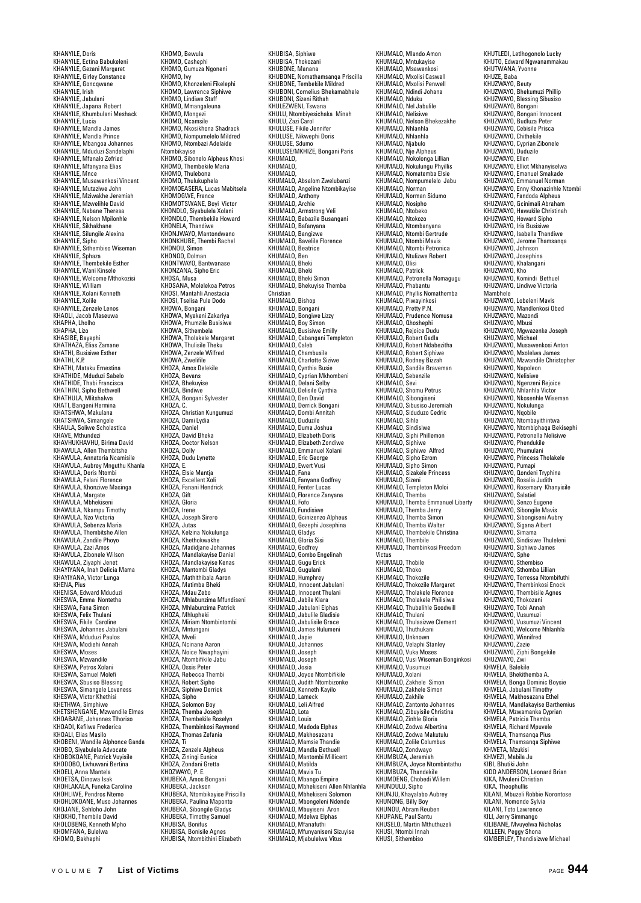KHANYILE, Doris KHANYILE, Ectina Babukeleni KHANYILE, Gezani Margaret KHANYILE, Girley Constance KHANYILE, Goncqwane KHANYILE, Irish KHANYILE, Jabulani KHANYILE, Japana Robert KHANYILE, Khumbulani Meshack KHANYILE, Lucia KHANYILE, Mandla James KHANYILE, Mandla Prince KHANYILE, Mbangoa Johannes KHANYILE, Mduduzi Sandelaphi KHANYILE, Mfanalo Zefried KHANYILE, Mfanyana Elias KHANYILE, Mnce KHANYILE, Musawenkosi Vincent KHANYILE, Mutaziwe John KHANYILE, Mziwakhe Jeremiah KHANYILE, Mzwelihle David KHANYILE, Nabane Theresa KHANYILE, Nelson Mpilonhle KHANYILE, Sikhakhane KHANYILE, Silungile Alexina KHANYILE, Sipho KHANYILE, Sithembiso Wiseman KHANYILE, Sphaza KHANYILE, Thembekile Esther KHANYILE, Wani Kinsele KHANYILE, Welcome Mthokozisi KHANYILE, William KHANYILE, Xolani Kenneth KHANYILE, Xolile KHANYILE, Zenzele Lenos KHAOLI, Jacob Maseuwa KHAPHA, Lholho KHAPHA, Lizo KHASIBE, Bayephi KHATHAZA, Elias Zamane KHATHI, Busisiwe Esther KHATHI K.P. KHATHI, Mataku Ernestina KHATHIDE, Mduduzi Sabelo KHATHIDE, Thabi Francisca KHATHINI, Sipho Bethwell KHATHULA, Mlitshalwa KHATI, Bangeni Hermina KHATSHWA, Makulana KHATSHWA, Simangele KHAULA, Soliwe Scholastica KHAVE, Mthundezi KHAVE, Mululluezi<br>KHAVHUKHAVHU, Birima David KHAWULA, Allen Thembitshe KHAWULA, Annatoria Ncamisile KHAWULA, Aubrey Mnguthu Khanla KHAWULA, Doris Ntombi KHAWULA, Felani Florence KHAWULA, Khonziwe Masinga KHAWULA, Margate KHAWULA, Mbhekiseni KHAWULA, Nkampu Timothy KHAWULA, Nzo Victoria KHAWULA, Sebenza Maria KHAWULA, Thembitshe Allen KHAWULA, Zandile Phoyo KHAWULA, Zazi Amos KHAWULA, Zibonele Wilson KHAWULA, Ziyaphi Jenet KHAYIYANA, Inah Delicia Mama KHAYIYANA, Victor Lunga KHENA, Pius KHENISA, Edward Mduduzi KHESWA, Emma Nontetha KHESWA, Fana Simon KHESWA, Felix Thulani KHESWA, Fikile Caroline KHESWA, Johannes Jabulani KHESWA, Mduduzi Paulos KHESWA, Modiehi Annah KHESWA, Moses KHESWA, Mzwandile KHESWA, Petros Xolani KHESWA, Samuel Molefi KHESWA, Sbusiso Blessing KHESWA, Simangele Loveness KHESWA, Victor Khethisi KHETHWA, Simphiwe KHETSHENGANE, Mzwandile Elmas KHOABANE, Johannes Tlhoriso KHOADI, Kefilwe Frederica OAD., ................ KHOBENI, Wandile Alphonce Ganda KHOBO, Siyabulela Advocate KHOBOKOANE, Patrick Vuyisile KHODOBO, Livhuwani Bertina KHOELI, Anna Mantela KHOETSA, Dinowa Isak KHOHLAKALA, Funeka Caroline KHOHLIWE, Pendros Ntemo KHOHLOKOANE, Muso Johannes KHOJANE, Sehloho John KHOKHO, Thembile David KHOLOBENG, Kenneth Mpho KHOMFANA, Bulelwa KHOMO, Bakhephi

KHOMO, Bewula KHOMO, Casheph KHOMO, Gumuza Ngoneni KHOMO, Ivy KHOMO, Khonzeleni Fikelephi KHOMO, Lawrence Siphiwe KHOMO, Lindiwe Staff KHOMO, Mmangaleuna KHOMO, Mongezi KHOMO, Ncamsile KHOMO, Nkosikhona Shadrack KHOMO, Nompumelelo Mildred KHOMO, Ntombazi Adelaide **Ntombikayise** KHOMO, Sibonelo Alpheus Khosi KHOMO, Thembekile Maria KHOMO, Thulebona KHOMO, Thulukuphela KHOMOEASERA, Lucas Mabitsela KHOMOGWE, France KHOMOTSWANE, Boyi Victor KHONDLO, Siyabulela Xolani KHONDLO, Thembekile Howard KHONELA, Thandiwe KHONJWAYO, Mantondwano KHONKHUBE, Thembi Rache KHONOU, Simon KHONOO, Dolman KHONTWAYO, Bantwanase KHONZANA, Sipho Eric KHOSA, Musa KHOSANA, Molelekoa Petros KHOSI, Mantahli Anestacia<br>KHOSI, Tsalisa Pula Dodo KHOSI, Tselisa Pule Dodo KHOWA, Bongani KHOWA, Myekeni Zakariya KHOWA, Phumzile Busisiwe KHOWA, Sithembela KHOWA, Tholakele Margaret KHOWA, Thulisile Theku KHOWA, Thanshe Theka<br>KHOWA, Zenzele Wilfred KHOWA, Zwelifile KHOZA, Amos Delekile KHOZA, Bevans KHOZA, Bhekuyise KHOZA, Bindiwe KHOZA, Bongani Sylvester KHOZA, C. KHOZA, Christian Kungumuzi KHOZA, Dami Lydia KHOZA, Daniel KHOZA, David Bheka KHOZA, Doctor Nelson KHOZA, Dolly KHOZA, Dudu Lynette KHOZA, E. KHOZA, Elsie Mantja KHOZA, Excellent Xoli KHOZA, Fanani Hendrick KHOZA, Gift KHOZA, Gloria KHOZA, Irene KHOZA, Joseph Sirero KHOZA, Jutas KHOZA, Kelzina Nokulunga KHOZA, Khethokwakhe KHOZA, Madidjane Johannes KHOZA, Mandlakayise Daniel KHOZA, Mandlakayise Kenas KHOZA, Mantombi Gladys KHOZA, Mathithibala Aaron KHOZA, Matimba Bheki KHOZA, Mdau Zebo KHOZA, Mhlabunzima Mfundiseni KHOZA, Mhlabunzima Patrick KHOZA, Mhlupheki KHOZA, Miriam Ntombintombi KHOZA, Mntungani KHOZA, Mveli KHOZA, Ncinane Aaron KHOZA, Noice Nwaphayini KHOZA, Ntombifikile Jabu KHOZA, Ossis Peter KHOZA, Rebecca Thembi KHOZA, Robert Sipho KHOZA, Siphiwe Derrick KHOZA, Sipho KHOZA, Solomon Boy KHOZA, Themba Joseph KHOZA, Thembekile Roselyn KHOZA, Thembinkosi Raymond KHOZA, Thomas Zefa KHOZA, Ti KHOZA, Zenzele Alpheus KHOZA, Ziningi Eunice KHOZA, Zondani Gretta KHOZWAYO, P. E. KHUBEKA, Amos Bongani<br>KHUBEKA, Jackson<br>KHUBEKA, Ntombikayise Priscilla<br>KHUBEKA, Paulina Maponto<br>KHUBEKA, Sibongile Gladys KHUBEKA, Timothy Samuel KHUBISA, Bonifus KHUBISA, Bonisile Agnes KHUBISA, Ntombithini Elizabeth

KHUBISA, Siphiwe KHUBISA, Thokozani KHUBONE, Manana KHUBONE, Nomathamsanqa Priscilla KHUBONE, Tembekile Mildred KHUBONI, Cornelius Bhekamabhele KHUBONI, Sizeni Rithah KHULEZWENI, Tswana KHULU, Ntombiyesichaka Minah KHULU, Zazi Carol KHULUSE, Fikile Jennifer KHULUSE, Nikwephi Doris KHULUSE, Sdumo KHULUSE/MKHIZE, Bongani Paris KHUMALO, KHUMALO, KHUMALO, KHUMALO, Absalom Zwelubanzi KHUMALO, Angeline Ntombikayise KHUMALO, Anthony KHUMALO, Archie KHUMALO, Armstrong Veli KHUMALO, Babazile Busangani KHUMALO, Bafanyana KHUMALO, Bangizwe KHUMALO, Bavelile Florence KHUMALO, Beatrice KHUMALO, Ben KHUMALO, Bheki KHUMALO, Bhek KHUMALO, Bheki Simon KHUMALO, Bhekuyise Themba Christian<br>KHUMALO Bishon KHUMALO, Bishop KHUMALO, Bongani KHUMALO, Bongiwe Lizzy KHUMALO, Boy Simon KHUMALO, Busisiwe Emilly KHUMALO, Cabangani Templeton KHUMALO, Caleb KHUMALO, Chambusile KHUMALO, Charlotte Siziwe KHUMALO, Charlotte Siziv KHUMALO, Cyprian Mkhombeni KHUMALO, Delani Selby KHUMALO, Delisile Cynthia KHUMALO, Den David KHUMALO, Derrick Bongani KHUMALO, Dombi Annitah KHUMALO, Duduzile KHUMALO, Duma Joshua KHUMALO, Elizabeth Doris KHUMALO, Elizabeth Zondiwe KHUMALO, Emmanuel Xolani KHUMALO, Eric George KHUMALO, Ewert Vusi KHUMALO, Fana KHUMALO, Fanyana Godfrey KHUMALO, Fenter Lucas KHUMALO, Fundi Lucus<br>KHUMALO, Florence Zanyana KHUMALO, Fofo KHUMALO, Fundisiwe KHUMALO, Gcinizenzo Alpheus KHUMALO, Gezephi Josephina KHUMALO, Gladys KHUMALO, Gloria Sisi KHUMALO, Godfrey KHUMALO, Gombo Engelinah KHUMALO, Gugu Erick KHUMALO, Gugulani KHUMALO, Humphrey KHUMALO, Innocent Jabulani KHUMALO, Innocent Thulani KHUMALO, Jabile Klara KHUMALO, Jabulani Elphas KHUMALO, Jabulile Gladisie KHUMALO, Jabulisile Grace KHUMALO, James Hulumeni KHUMALO, Japie KHUMALO, Johannes KHUMALO, Joseph KHUMALO, Joseph KHUMALO, Josia KHUMALO, Joyce Ntombifikile KHUMALO, Judith Ntombizonke KHUMALO, Kenneth Kayilo KHUMALO, Lameck KHUMALO, Leli Alfred KHUMALO, Lota KHUMALO, Louis KHUMALO, Madoda Elphas KHUMALO, Makhosazana KHUMALO, Mamsie Thandie KHUMALO, Mandla Bethuell KHUMALO, Mantombi Millicent KHUMALO, Matilda KHUMALO, Mavis Tu KHUMALO, Mbango Empire KHUMALO, Mbhekiseni Allen Nhlanhla KHUMALO, Mbhekiseni Solomon KHUMALO, Mbongeleni Ndende KHUMALO, Mbuyiseni Aron KHUMALO, Mbayischi Arol KHUMALO, Mfanafuthi KHUMALO, Mfunyaniseni Sizuyise KHUMALO, Mjabulelwa Vitus

KHUMALO, Mlando Amon KHUMALO, Mntukayise KHUMALO, Msawenkosi KHUMALO, Mxolisi Caswell KHUMALO, Mxolisi Penwell KHUMALO, Ndindi Johana KHUMALO, Nduku KHUMALO, Nel Jabulile KHUMALO, Nelisiwe KHUMALO, Nelson Bhekezakhe KHUMALO, Nhlanhla KHUMALO, Nhlanhla KHUMALO, Njabulo KHUMALO, Nje Alpheus KHUMALO, Nokolonga Lillian KHUMALO, Nokulungu Phyillis KHUMALO, Nomatemba Elsie KHUMALO, Nompumelelo Jabu KHUMALO, Norman KHUMALO, Norman Sidumo KHUMALO, Nosipho KHUMALO, Ntobeko KHUMALO, Ntokozo KHUMALO, Ntombanyana KHUMALO, Ntombi Gertrude KHUMALO, Ntombi Mavis KHUMALO, Ntombi Petronica KHUMALO, Ntulizwe Robert KHUMALO, Olisi KHUMALO, Patrick KHUMALO, Petronella Nomagugu KHUMALO, Phabantu KHUMALO, Phyllis Nomathemba KHUMALO, Piwayinkosi KHUMALO, Pretty P.N. KHUMALO, Prudence Nomusa KHUMALO, Qhoshephi KHUMALO, Rejoice Dudu KHUMALO, Robert Gadla KHUMALO, Robert Ndabezitha KHUMALO, Robert Siphiwe KHUMALO, Rodney Bizzah KHUMALO, Nouney Bizzan KHUMALO, Sebenzile KHUMALO, Sevi KHUMALO, Shomu Petrus KHUMALO, Sibongiseni KHUMALO, Sibusiso Jeremiah KHUMALO, Siduduzo Cedric KHUMALO, Sihle KHUMALO, Sindisiwe KHUMALO, Siphi Phillemon KHUMALO, Siphiwe KHUMALO, Siphiwe Alfred KHUMALO, Sipho Ezrom KHUMALO, Sipho Simon KHUMALO, Sizakele Princess KHUMALO, Sizeni KHUMALO, Templeton Moloi KHUMALO, Themba KHUMALO, Themba Emmanuel Liberty KHUMALO, Themba Jerry KHUMALO, Themba Son KHUMALO, Themba Walter KHUMALO, Thembekile Christina KHUMALO, Thembile KHUMALO, Thembinkosi Freedom Victus KHUMALO, Thobile KHUMALO, Thoko KHUMALO, Thokozile KHUMALO, Thokozile Margaret KHUMALO, Tholakele Florence KHUMALO, Tholakele Philisiwe KHUMALO, Thubelihle Goodwill KHUMALO, Thulani KHUMALO, Thulasizwe Clement KHUMALO, Thuthukani KHUMALO, Unknown KHUMALO, Velaphi Stanley KHUMALO, Vuka Moses KHUMALO, Vusi Wiseman Bonginkosi KHUMALO, Vusumuzi KHUMALO, Xolani KHUMALO, Zakhele Simon KHUMALO, Zakhele Simon KHUMALO, Zakhile KHUMALO, Zantonto Johannes KHUMALO, Zibuyisile Christina KHUMALO, Zinhle Gloria KHUMALO, Zodwa Albertina KHUMALO, Zodwa Makutulu KHUMALO, Zolile Columbus KHUMALO, Zondway KHUMBUZA, Jeremiah KHUMBUZA, Joyce Ntombintathu KHUMBUZA, Thandekile KHUMOENG, Chobedi Willem KHUNDULU, Sipho KHUNJU, Khayalabo Aubrey KHUNONG, Billy Boy KHUNOU, Abram Reuben KHUPANE, Paul Santu KHUSELO, Martin Mthuthuzeli KHUSI, Ntombi Innah KHUSI, Sithembiso

KHUTLEDI, Letlhogonolo Lucky KHUTO, Edward Ngwanammakau KHUTWANA, Yvonne KHUZE, Baba KHUZWAYO, Beuty KHUZWAYO, Bhekumuzi Phillip KHUZWAYO, Blessing Sibusiso KHUZWAYO, Bongani KHUZWAYO, Bongani Innocent KHUZWAYO, Budluza Peter KHUZWAYO, Cebisile Prisca KHUZWAYO, Chithekile KHUZWAYO, Cyprian Zibonele KHUZWAYO, Duduzile KHUZWAYO, Ellen KHUZWAYO, Elliot Mkhanyiselwa KHUZWAYO, Emanuel Smakade KHUZWAYO, Emmanuel Norman KHUZWAYO, Enny Khonazinhle Ntombi KHUZWAYO, Fandoda Alpheus KHUZWAYO, Gcinimali Abraham KHUZWAYO, Hawukile Christi KHUZWAYO, Howard Sipho KHUZWAYO, Iris Busisiwe KHUZWAYO, Isabella Thandiwe KHUZWAYO, Jerome Thamsanqa KHUZWAYO, Johnson KHUZWAYO, Josephina KHUZWAYO, Khalangani KHUZWAYO, Kho KHUZWAYO, Komindi Bethuel KHUZWAYO, Lindiwe Victoria Mambhele<br>KHIJ7WAYO Loheleni Mavis KHUZWAYO, Lobeleni Mavis KHUZWAYO, Mandlenkosi Obed KHUZWAYO, Mazondi KHUZWAYO, Mazonar<br>KHUZWAYO, Mbusi<br>KHUZWAYO, Mawazenke Josenh KHUZWAYO, Mgwazenke Joseph KHUZWAYO, Michael KHUZWAYO, Musawenkosi Anton KHUZWAYO, Mxolelwa James KHUZWAYO, Mzwandile Christopher KHUZWAYO, Napoleon KHUZWAYO, Nelisiwe KHUZWAYO, Ngenzeni Rejoice KHUZWAYO, Nhlanhla Victor KHUZWAYO, Nkosenhle Wiseman KHUZWAYO, Nokulunga KHUZWAYO, Nqobile KHUZWAYO, Ntombayithintwa KHUZWAYO, Ntombiphaqa Bekisephi KHUZWAYO, Petronella Nelisiwe KHUZWAYO, Phendukile KHUZWAYO, Phumulani KHUZWAYO, Princess Tholakele KHUZWAYO, Pumapi KHUZWAYO, Qondeni Tryphina KHUZWAYO, Rosalia Judith KHUZWAYO, Rosemary Khanyisile KHUZWAYO, Salatiel KHUZWAYO, Senzo Eugene KHUZWAYO, Sibongile Mavis KHUZWAYO, Sibongiseni Aubry KHUZWAYO, Sigana Albert KHUZWAYO, Simama KHUZWAYO, Sindisiwe Thuleleni KHUZWAYO, Siphiwo James KHUZWAYO, Sphe KHUZWAYO, Sthembiso KHUZWAYO, Sthomba Lillian KHUZWAYO, Terressa Ntombifuthi KHUZWAYO, Thembinkosi Enock KHUZWAYO, Thembisile Agnes KHUZWAYO, Thokozani KHUZWAYO, Tobi Annah KHUZWAYO, Vusumuzi KHUZWAYO, Vusumuzi Vincent KHUZWAYO, Welcome Nhlanhla KHUZWAYO, Winnifred KHUZWAYO, Zazie KHUZWAYO, Ziphi Bongekile KHUZWAYO, Zwi KHWELA, Balekile KHWELA, Bhekithemba A. KHWELA, Bonga Dominic Boysie KHWELA, Jabulani Timothy KHWELA, Makhosazana Ethel KHWELA, Makhusazana Euler KHWELA, Mzwamanka Cyprian KHWELA, Patricia Themba KHWELA, Richard Mpuvele KHWELA, Thamsanqa P KHWELA, Thamsanqa Siphiwe KHWETA, Mzukisi KHWEZI, Mabila Ju KIBI, Bhutiki John KIDD ANDERSON, Leonard Brian KIKA, Mvuleni Christian KIKA, Theophullis KILANI, Mbuzeli Robbie Norontose KILANI, Nomonde Sylvia KILANI, Toto Lawrence KILI, Jerry Simmango KILIBANE, Mvuyelwa Nicholas KILLEEN, Peggy Shona KIMBERLEY, Thandisizwe Michael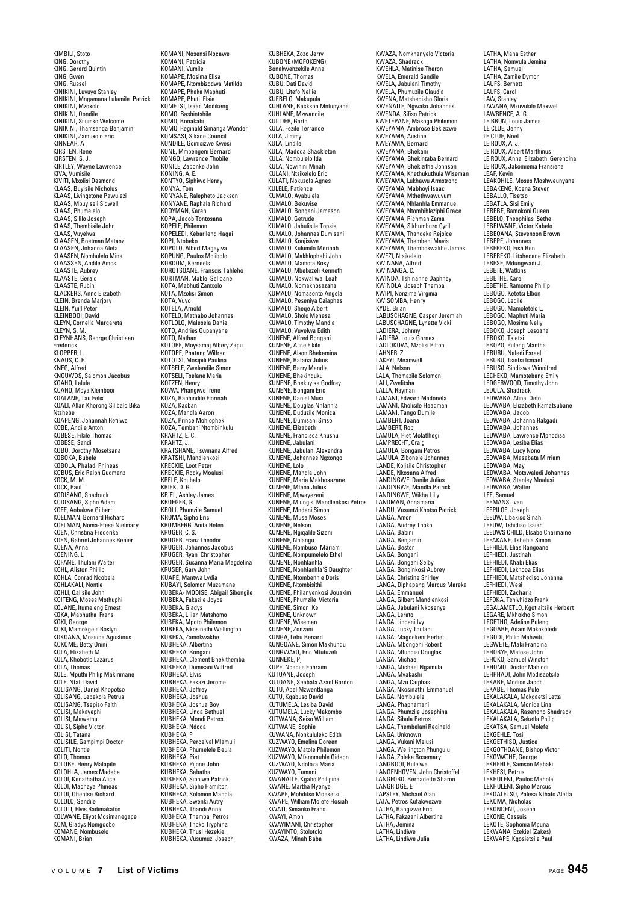KIMBILI, Stoto KING, Dorothy KING, Gerard Quintin KING, Gwen KING, Russel KINIKINI, Luvuyo Stanley KINIKINI, Mngamana Lulamile Patrick KINIKINI, Mzoxolo KINIKINI, Qondile KINIKINI, Silumko Welcome KINIKINI, Thamsanqa Benjamin KINIKINI, Zamuxolo Eric KINNEAR, A KIRSTEN, Rene KIRSTEN, S. J. KIRTLEY, Wayne Lawrence KIVA, Vumisile KIVITI, Mxolisi Desmond KLAAS, Buyisile Nicholus KLAAS, Livingstone Pawulezi KLAAS, Mbuyiseli Sidwell KLAAS, Phumelelo KLAAS, Sililo Joseph KLAAS, Thembisile John KLAAS, Vuyelwa KLAASEN, Boetman Matanzi KLAASEN, Johanna Aleta KLAASEN, Nombulelo Mina KLAASSEN, Andile Amos KLAASTE, Aubrey KLAASTE, Gerald KLAASTE, Rubin KLACKERS, Anne Elizabeth KLEIN, Brenda Marjory KLEIN, Yuill Peter KLEINROOI, David KLEYN, Cornelia Margareta KLEYN S. M. KLEYNHANS, George Christiaan Frederick KLOPPER, L. KNAUS, C. E. KNAOJ, C. L.<br>KNEG, Alfred KNOUWDS, Salomon Jacobus KOAHO, Lalula KOAHO, Moya Kleinbooi KOALANE, Tau Felix KOALI, Allan Khorong Silibalo Bika Ntshebe KOAPENG, Johannah Refilwe KOBE, Andile Anton KOBESE, Fikile Thomas KOBESE, Sandi KOBO, Dorothy Mosetsana KOBOKA, Bubele KOBOLA, Phaladi Phineas KOBUS, Eric Ralph Gudmanz KOCK, M. M. KOCK, Paul KODISANG, Shadrack KODISANG, Sipho Adam KOEE, Aobakwe Gilbert KOELMAN, Bernard Richard KOELMAN, Noma-Efese Nielmary KOEN, Christina Frederika KOEN, Gabriel Johannes Renier KOENA, Anna KOENING, L KOFANE, Thulani Walter KOHL, Aliston Phillip KOHLA, Conrad Ncobela KOHLAKALI, Nontle KOHLI, Qalisile John KOITENG, Moses Mothuphi KOJANE, Itumeleng Ernest KOKA, Maphutha Frans KOKI, George KOKI, Mamokgele Roslyn KOKOANA, Mosiuoa Agustinus KOKOME, Betty Onini KOLA, Elizabeth M KOLA, Khobotlo Lazarus KOLA, Thomas KOLE, Mputhi Philip Makirimane KOLE, Ntafi David KOLISANG, Daniel Khopotso KOLISANG, Lepekola Petrus KOLISANG, Tsepiso Faith KOLISI, Makayephi KOLISI, Mawethu KOLISI, Sipho Victor KOLISI, Tatana KOLISILE, Gampimpi Doctor KOLITI, Nontle KOLO, Thomas KOLOBE, Henry Malapile KOLOHLA, James Madebe KOLOI, Kenathatha Alice KOLOI, Machaya Phineas KOLOI, Ohentse Richard KOLOLO, Sandile KOLOTI, Elvis Radimakatso KOLWANE, Eliyot Mosimanegape KOM, Gladys Nomgcobo KOMANE, Nombuselo KOMANI, Rrian

KOMANI, Nosensi Nocawe KOMANI, Patricia KOMANI, Vumile KOMAPE, Mosima Elisa KOMAPE, Ntombizodwa Matilda KOMAPE, Phaka Maphuti KOMAPE, Phuti Elsie KOMETSI, Isaac Modikeng KOMO, Bashintshile KOMO, Bonakabi KOMO, Reginald Simanga Wonder KOMSASI, Sikade Council KONDILE, Gcinisizwe Kwesi KONE, Mmbengeni Bernard KONGO, Lawrence Thobile KONILE, Zabonke John KONING, A. E. KONTYO, Siphiwo Henry KONYA, Tom KONYANE, Ralepheto Jackson KONYANE, Raphala Richard KOOYMAN, Karen KOPA, Jacob Tontosana KOPELE, Philemon KOPELEDI, Kebarileng Hagai KOPI, Ntobeko KOPOLO, Albert Magayiva KOPUNG, Paulos Mo KORDOM, Kerneels KOROTSOANE, Franscis Tahleho KORTMAN, Mable Selloane KOTA, Mabhuti Zamxolo KOTA, Mzolisi Simon KOTA, Vuyo KOTELA, Arnold KOTELO, Mathabo Johannes KOTLOLO, Malesela Daniel KOTO, Andries Oupanyane KOTO, Nathan KOTOPE, Moysamaj Albery Zapu KOTOPE, Moysamar Albert,<br>KOTOPE, Phatang Wilfred<br>KOTOTSI. Mosinili Paulina KOTOTSI, Mosipili Paulina KOTSELE, Zwelandile Simon KOTSELI, Tselane Maria KOTZEN, Henry KOWA, Phangiwe Irene KOZA, Baphindile Florinah KOZA, Kasban KOZA, Mandla Aaron KOZA, Prince Mohlopheki KOZA, Tembani Ntombinkulu KRAHTZ, E. C. KRAHTZ, J. KRATSHANE, Tswinana Alfred KRATSHI, Mandlenkosi KRECKIE, Loot Peter KRECKIE, Rocky Moalus KRELE, Khubalo KRIEK, D. G. KRIEL, Ashley James KROEGER, G. KROLI, Phumzile Samuel KROMA, Sipho Eric KROMBERG, Anita Helen KRUGER, C. S. KRUGER, Franz Theodor KRUGER, Johannes Jacobus KRUGER, Ryan Christopher KRUGER, Susanna Maria Magdelina KRUSER, Gary John KUAPE, Mantwa Lydia KUBAYI, Solomon Muzamane KUBEKA- MODISE, Abigail Sibongile KUBEKA, Fakazile Joyce KUBEKA, Gladys KUBEKA, Lilian Matshomo KUBEKA, Mpoto Philemon KUBEKA, Nkosinathi Wellington KUBEKA, Zamokwakhe KUBHEKA, Albertina KUBHEKA, Bongani KUBHEKA, Clement Bhekithemba KUBHEKA, Dumisani Wilfred KUBHEKA, Elvis KUBHEKA, Fakazi Jerome KUBHEKA, Jeffrey KUBHEKA, Joshua KUBHEKA, Joshua Boy KUBHEKA, Linda Bethuel KUBHEKA, Mondi Petros KUBHEKA, Ndoda KUBHEKA, P KUBHEKA, Perceival Mlamuli KUBHEKA, Phumelele Beula KUBHEKA, Piet KUBHEKA, Pijone John KUBHEKA, Sabatha KUBHEKA, Siphiwe Patrick KUBHEKA, Sipho Hamilton KUBHEKA, Solomon Mandla KUBHEKA, Swenki Autry KUBHEKA, Thandi Anna KUBHEKA, Themba Petros KUBHEKA, Thoko Tryphina KUBHEKA, Thusi Hezekiel KUBHEKA, Vusumuzi Joseph

KUBHEKA, Zozo Jerry KUBONE (MOFOKENG), Bonakwenzekile Anna KUBONE, Thomas KUBU, Dati David KUBU, Litefo Nellie KUEBELO, Makupula KUHLANE, Backson Mntunyane KUHLANE, Mzwandile KUILDER, Garth KULA, Fezile Terrance KULA, Jimmy KULA, Lindile KULA, Madoda Shackleton KULA, Nombulelo Ida KULA, Nowinini Minah KULANI, Ntsikelelo Eric KULATI, Nokuzola Agnes KULELE, Patience KUMALO, Ayabulela KUMALO, Bekuyise KUMALO, Bongani Jameson KUMALO, Getrude KUMALO, Jabulisile Topsie KUMALO, Johannes Dumisani<br>KUMALO, Konjisiwe<br>KUMALO, Kulumilo Merinah<br>KUMALO, Makhlophehi John<br>KUMALO, Mamota Rosy<br>KUMALO, Mbekezeli Kenneth KUMALO, Nokwaliwa Leah KUMALO, Nomakhosazana KUMALO, Nomakhosazana KUMALO, Peseniya Caiaphas KUMALO, Sheqe Albert KUMALO, Sholo Menesa KUMALO, Timothy Mandla KUMALO, Vuyelwa Edith KUNENE, Alfred Bongani KUNENE, Alice Fikile KUNENE, Alson Bhekamina KUNENE, Bafana Julius KUNENE, Barry Mandla KUNENE, Bhekinduku KUNENE, Bhekuyise Godfrey KUNENE, Bongani Eric KUNENE, Daniel Musi KUNENE, Douglas Nhlanhla KUNENE, Duduzile Monica KUNENE, Dumisani Sifiso KUNENE, Dunnsan KUNENE, Francisca Khushu KUNENE, Jabulani KUNENE, Jabulani Alexendra KUNENE, Johannes Ngxongo KUNENE, Lolo KUNENE, Mandla John KUNENE, Maria Makhosazane KUNENE, Mfana Julius KUNENE, Mjwayezeni KUNENE, Mlungisi Mandlenkosi Petros KUNENE, Mndeni Simon KUNENE, Musa Moses KUNENE, Nelson KUNENE, Ngiqalile Sizeni KUNENE, Nhlangu KUNENE, Nombuso Mariam KUNENE, Nompumelelo Ethel KUNENE, Nonhlanhla KUNENE, Nonhlanhla'S Daughter KUNENE, Ntombenhle Doris KUNENE, Ntombisithi KUNENE, Philanyenkosi Jouakim KUNENE, Phumzile Victoria KUNENE, Simon Ke KUNENE, Unknown KUNENE, Wiseman KUNENE, Zonzani KUNGA, Lebu Benard KUNGOANE, Simon Makhundu KUNGWAYO, Eric Mtutuzeli KUNNEKE, Pj KUPE, Ncedile Ephraim KUTOANE, Joseph KUTOANE, Seabata Azael Gordon KUTU, Abel Mzwentlanga KUTU, Kgabuso David KUTUMELA, Lesiba David KUTUMELA, Lucky Makombo KUTWANA, Seiso William KUTWANE, Sophie KUWANA, Nonkululeko Edith KUZWAYO, Emelina Doreen KUZWAYO, Matole Philemon KUZWAYO, Mfanomuhle Gideon KUZWAYO, Ndoloza Ma KUZWAYO, Tumani KWANAITE, Kgabo Philipina KWANE, Martha Nyenye KWAPE, Mohditso Moeketsi KWAPE, William Molefe Hosiah KWATI, Simanko Frans KWAYI, Amon KWAYIMANI, Christopher KWAYINTO, Stolotolo KWAZA, Minah Baba

KWAZA, Nomkhanyelo Victoria KWAZA, Shadrack way, Shan ack<br>KWEHLA, Matinise Theron<br>KWELA, Emerald Sandile KWELA, Emerald Sandile KWELA, Jabulani Timothy KWELA, Phumuzile Claudia KWENA, Matshedisho Gloria KWENAITE, Ngwako Johannes KWENDA, Sifiso Patrick KWETEPANE, Masoga Philemon KWEYAMA, Ambrose Bekizizwe KWEYAMA, Austine KWEYAMA, Bernard KWEYAMA, Bhekani KWEYAMA, Bhekintaba Bernard KWEYAMA, Bhekizitha Johnson KWEYAMA, Khethukuthula Wiseman KWEYAMA, Lukhawu Armstrong KWEYAMA, Mabhoyi Isaac KWEYAMA, Mthethwawuvumi KWEYAMA, Nhlanhla Emmanuel KWEYAMA, Ntombihleziphi Grace KWEYAMA, Richman Zama KWEYAMA, Sikhumbuzo Cyril KWEYAMA, Thandeka Rejoice KWEYAMA, Thembeni Mavis KWEYAMA, Thembokwakhe James KWEZI, Ntsikelelo KWINANA, Alfred KWINANGA, C. KWINDA, Tshinanne Daphney KWINDLA, Joseph Themba KWIPI, Nonzima Virginia KWISOMBA, Henry KYDE, Brian LABUSCHAGNE, Casper Jeremiah LABUSCHAGNE, Lynette Vicki LADIERA, Johnny LADIERA, Louis Gornes LADLOKOVA, Mzolisi Pilton LAHNER, Z LAKEYI, Meanwell LALA, Nelson LALA, Thomazile Solomon LALI, Zwelitsha LALLA, Rayman LAMANI, Edward Madonela LAMANI, Kholisile Headman LAMANI, Tango Dumile LAMBERT, Joana LAMBERT, Rob LAMOLA, Piet Molatlhegi LAMPRECHT, Craig LAMULA, Bongani Petros LAMULA, Zibonele Johannes LANDE, Kolisile Christopher LANDE, Nkosana Alfred LANDINGWE, Danile Julius LANDINGWE, Mandla Patrick LANDINGWE, Wikha Lilly LANDMAN, Annama LANDU, Vusumzi Khotso Patrick LANGA, Amon LANGA, Audrey Thoko LANGA, Babini LANGA, Benjamin LANGA, Bester LANGA, Bongani LANGA, Bongani Selby LANGA, Bonginkosi Aubrey LANGA, Christine Shirley LANGA, Diphapang Marcus Mareka LANGA, Emmanuel LANGA, Gilbert Mandlenkosi LANGA, Jabulani Nkosenye LANGA, Lerato LANGA, Lindeni Ivy LANGA, Lucky Thulani LANGA, Magcekeni Herbet LANGA, Mbongeni Robert LANGA, Mfundisi Douglas LANGA, Michael LANGA, Michael Ngamula LANGA, Mvakashi LANGA, Mzu Caiphas LANGA, Nkosinathi Emmanuel LANGA, Nombulele LANGA, Phaphamani LANGA, Phumzile Josephina LANGA, Sibula Petros LANGA, Thembelani Reginald LANGA, Unknown LANGA, Vukani Melusi LANGA, Wellington Phungulu LANGA, Zoleka Rosemary LANGBOOI, Bulelwa LANGENHOVEN, John Christoffel LANGFORD, Bernadette Sharon LANGRIDGE, F LAPSLEY, Michael Alan LATA, Petros Kufakwezwe LATHA, Bangizwe Eric LATHA, Fakazani Albertina LATHA, Jemina LATHA, Lindiwe LATHA, Lindiwe Julia

LATHA, Mana Esther LATHA, Nomvula Jemina LATHA, Samuel LATHA, Zamile Dymon LAUFS, Bernett LAUFS, Carol LAW, Stanley LAWANA, Mzuvukile Maxwell LAWRENCE, A. G. LE BRUN, Louis James LE CLUE, Jenny LE CLUE, Noel LE ROUX, A. J. LE ROUX, Albert Marthinus LE ROUX, Anna Elizabeth Gerendina LE ROUX, Jakomiema Fransiena LEAF, Kevin LEAKOHILE, Moses Moshweunyane LEBAKENG, Koena Steven LEBALLO, Tisetso LEBATLA, Sisi Emily LEBEBE, Ramokoni Queen LEBELO, Theophilas Sethe LEBELWANE, Victor Kabelo LEBEOANA, Stevenson Brown LEBEPE, Johannes LEBEREKO, Fish Ben LEBEREKO, Litsheoane Elizabeth LEBESE, Mdungwadi J. LEBETE, Watkins LEBETHE, Karel LEBETHE, Ramonne Phillip LEBOGO, Ketetsi Elbon LEBOGO, Ledile LEBOGO, Mamoletelo L. LEBOGO, Maphuti Maria LEBOGO, Maphua Mana<br>LEBOGO, Mosima Nelly LEBOKO, Joseph Lesoana LEBOKO, Tsietsi LEBOPO, Puleng Mantha LEBURU, Naledi Esrael LEBURU, Tsietsi Ismael LEBUSO, Sindiswa Winnifred LECHEKO, Mamotebang Emily LEDGERWOOD, Timothy John LEDULA, Shadrack LEDWABA, Alina Qeto LEDWABA, Elizabeth Ramatsubane LEDWABA, Jacob LEDWABA, Johanna Rakgadi LEDWABA, Johannes LEDWABA, Lawrence Mphodisa LEDWABA, Lesiba Elias LEDWABA, Lucy Nono LEDWABA, Masabata Mirriam LEDWABA, May LEDWABA, Motswaledi Johannes LEDWABA, Stanley Moalusi LEDWABA, Walt LEE, Samuel LEEMANS, Ivan LEEPILOE, Joseph LEEUW, Libakiso Sinah LEEUW, Tshidiso Isaiah LEEUWS CHILD, Fisabe Charmaine LEFAKANE, Tshehla Simor LEFHIEDI, Elias Rangoane LEFHIEDI, Justinah LEFHIEDI, Khabi Elias LEFHIEDI, Lekhooa Elias LEFHIEDI, Matshediso Johanna LEFHIEDI, Wesi LEFHIEDI, Zacharia LEFOKA, Tshivhidzo Frank LEGALAMETLO, Kgotlaitsile Herbert LEGARE, Mkhokho Simon LEGETHO, Adeline Puleng LEGOABE, Adam Mokokotedi LEGODI, Philip Mahwiti LEGWETE, Maki Francina LEHOBYE, Malose John LEHOKO, Samuel Winston LEHOMO, Doctor Mahlodi LEHPHADI, John Modisaotsile LEKABE, Modise Jacob LEKABE, Thomas Pule LEKALAKALA, Mokgaetsi Letta LEKALAKALA, Monica Lina LEKALAKALA, Rasenono Shadrack LEKALAKALA, Seketla Philip LEKATSA, Samuel Molefe LEKGEHLE, Tosi LEKGETHISO, Justice LEKGOTHOANE, Bishop Victor LEKGWATHE, George LEKHEHLE, Samson Mabaki LEKHESI, Petrus LEKHULENI, Paulos Mahola LEKHULENI, Sipho Marcus LEKOALETSO, Palesa Nthato Aletta LEKOMLETSO, Pale: LEKONDENI, Joseph LEKONE, Cassuis LEKOTE, Sophonia Mpuna LEKWANA, Ezekiel (Zakes) LEKWAPE, Kgosietsile Paul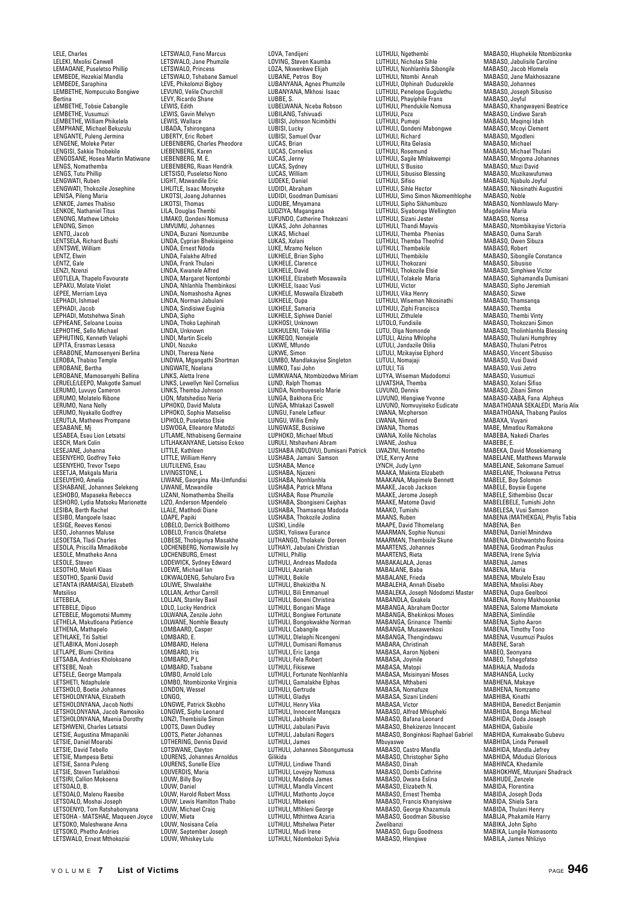LELE, Charles LELEKI, Mxolisi Canwell LEMAOANE, Puseletso Phillip LEMBEDE, Hezekial Mandla LEMBEDE, Saraphina LEMBETHE, Nompucuko Bongiwe Bertina LEMBETHE, Tobsie Cabangile LEMBETHE, Vusumuzi LEMBETHE, William Phikelela LEMPHANE, Michael Bekuzulu LENGANTE, Puleng Jermina LENGENE, Moleke Peter LENGISI, Sakkie Thobekile LENGOSANE, Hosea Martin Matiwane LENGS, Nomathemba LENGS, Tutu Phillip LENGWATI, Ruben LENGWATI, Thokozile Josephine LENISA, Pileng Maria LENKOE, James Thabiso LENKOE, Nathaniel Titus LENONG, Mathew Lithoko LENONG, Simon LENTO, Jacob LENTSELA, Richard Bushi LENTSWE, William LENTZ, Elwin<br>LENTZ, Elwin LENTZ, Gale LENZI, Nzenzi LEOTLELA, Thapelo Favourate LEPAKU, Molate Violet LEPANO, Molate viole<br>LEPEE, Merriam Leya<br>LEPHANL Ishmael LEPHADI, Ishmael LEPHADI, Jacob LEPHADI, Motshehwa Sinah LEPHEANE, Seloane Louisa LEPHOTHE, Sello Michael LEPHUTING, Kenneth Velaphi LEPITA, Erasmas Lesasa LERABONE, Mamosenyeni Berlina LEROBA, Thabiso Temple LEROBANE, Bertha LEROBANE, Mamosenyehi Bellina LERUELE/LEEPO, Makgotle Samuel LERUMO, Luvuyo Cameron LERUMO, Molatelo Ribone LERUMO, Nana Nelly LERUMO, Nyakallo Godfrey LERUTLA, Mathews Prompane LENOTLA, Malii<br>LESABANE, Mj LESABEA, Esau Lion Letsatsi LESCH, Mark Colin LESEJANE, Johanna LESENYEHO, Godfrey Teko LESENYEHO, Trevor Tsepo LESETJA, Makgala Maria LESEUYEHO, Amelia LESHABANE, Johannes Selekeng LESHOBO, Mapaseka Rebecca LESHORO, Lydia Matsoku Marionette LESIBA, Berth Rachel LESIBO, Mangoele Isaac LESIGE, Reeves Kenosi LESO, Johannes Maluse LESOETSA, Tladi Charles LESOLA, Priscilla Mmadikobe LESOLE, Mmatheko Anna LESOLE, Steven LESOTHO, Molefi Klaas LESOTHO, Spanki David LETANTA (RAMAISA), Elizabeth Matsiliso LETEBELA, LETEBELE, Dipuo LETEBELE, Mogomotsi Mummy LETHELA, Makutloana Patience LETHENA, Mathapelo LETHLAKE, Titi Saltiel LETLABIKA, Moni Joseph LETLAPE, Blumi Chritina LETSABA, Andries Kholokoane LETSEBE, Noah LETSELE, George Mampala LETSHETI, Ndaphulele LETSHOLO, Boetie Johannes LETSHOLONYANA, Elizabeth LETSHOLONYANA, Jacob Nothi LETSHOLONYANA, Jacob Ramosiko LETSHOLONYANA, Maenia Dorothy LETSHWENI, Charles Letsatsi LETSIE, Augustina Mmapaniki LETSIE, Daniel Moarabi LETSIE, David Tebello LETSIE, Mampesa Betsi LETSIE, Sanna Puleng LETSIE, Steven Tselakhosi LETSIRI, Callion Mokoena LETSOALO, B. LETSOALO, Malenu Raesibe LETSOALO, Moshai Joseph LETSOENYO, Tom Ratshabonyana LETSOHA - MATSHAE, Maqueen Joyce LETSOKO, Maleshwane Anna LETSOKO, Phetho Andries LETSWALO, Ernest Mthokozisi

LETSWALO, Fano Marcus LETSWALO, Jane Phumzile LETSWALO, Princess LETSWALO, Tshabane Samuel LEVE, Phikolomzi Bigboy LEVUNO, Velile Churchill LEVY, Ricardo Shane LEWIS, Edith LEWIS, Gavin Melvyn LEWIS, Wallace LIBADA, Tshirongana LIBERTY, Eric Robert LIEBENBERG, Charles Pheodore LIEBENBERG, Karen LIEBENBERG, M. E. LIEBENBERG, Riaan Hendrik LIETSISO, Puseletso Nono LIGHT, Mzwandile Eric LIHLITLE, Isaac Monyeke LIKOTSI, Joang Johannes LIKOTSI, Thomas LILA, Douglas Thembi LIMAKO, Qondeni Nomusa LIMVUMU, Johannes<br>LIMVUMU, Johannes<br>LINDA Buzani Nomzumbe LINDA, Buzani Nomzumbe LINDA, Cyprian Bhekisigeino LINDA, Ernest Ndoda LINDA, Falakhe Alfred LINDA, Frank Thulani LINDA, Kwanele Alfred LINDA, Margaret Nontombi LINDA, Nhlanhla Thembinkosi LINDA, Nomashosha Agnes LINDA, Norman Jabula LINDA, Sindisiwe Euginia LINDA, Sipho LINDA, Thoko Lephinah LINDA, Unknown LINDI, Martin Sicelo LINDI, Nozuko LINDI, Theresa Nene LINDWA, Mgangathi Shortman LINGWATE, Noelana LINKS, Aletta Irene LINKS, Lewellyn Neil Cornelius LINKS, Themba Johnson LION, Matshediso Neria LIPHOKO, David Maluta LIPHOKO, Sophia Matseliso LIPHOLO, Puseletso Elsie LISWOGA, Elleanore Matodzi LITLAME, Nthabiseng Germaine LITLHAKANYANE, Lietsiso Eckoo LITTLE, Kathleen LITTLE, William Henry LIUTLILENG, Esau LIVINGSTONE, L LIWANE, Georgina Ma-Umfundisi LIWANE, Mzwandile LIZANI, Nomathemba Sheilla LIZO, Anderson Mpendelo LLALE, Matlhodi Diane LOAPE, Papiki LOBELO, Derrick Boitlhomo LOBELO, Francis Ohaletse LOBESE, Thobigunya Masakhe LOCHENBERG, Nomawisile Ivy LOCHENBURG, Ernest LODEWICK, Sydney Edward LOEWE, Michael Ian LOKWALOENG, Sehularo Eva LOLIWE, Shwalakhe LOLLAN, Arthur Carroll LOLLAN, Stanley Basil LOLO, Lucky Hendrick LOLWANA, Zenzile John LOLWANE, Nomhle Beauty LOMBAARD, Casper LOMBARD, E. LOMBARD, Helena LOMBARD, Iris LOMBARD, P L LOMBARD, Tsabane LOMBO, Arnold Lolo LOMBO, Ntombizonke Virginia LONDON, Wessel LONGO, LONGWE, Patrick Skobho LONGWE, Sipho Leonard LONZI, Thembisile Simon LOOTS, Dawn Dudley LOOTS, Pieter Johann LOTHERING, Dennis David LOTSWANE, Cleyton LOURENS, Johannes Arnoldus LOURENS, Sunelle Elize LOUVERDIS, Maria LOUW, Billy Boy LOUW, Daniel LOUW, Harold Robert Moss LOUW, Lewis Hamilton Thabo LOUW, Michael Craig LOUW, Mieta LOUW, Nosisana Celia LOUW, September Joseph LOUW, Whiskey Lulu

LOVA, Tendijeni LOVING, Steven Kaumba LOZA, Nkwenkwe Elijah LUBANE, Petros Boy LUBANYANA, Agnes Phumzile LUBANYANA, Mkhosi Isaac LUBBE, S. LUBELWANA, Nceba Robson LUBILANG, Tshivuadi LUBISI, Johnson Ncimbithi LUBISI, Lucky LUBISI, Samuel Ovar LUCAS, Brian LUCAS, Cornelius LUCAS, Jenny LUCAS, Sydney LUCAS, William LUDEKE, Daniel LUDIDI, Abraham LUDIDI, Goodman Dumisani LUDUBE, Mnyamana LUDZIYA, Magangana LUFUNDO, Catherine Thokozani LUKAS, John Johannes LUKAS, Michael LUKAS, Xolani LUKE, Mzamo Nelson LUKHELE, Brian Sipho LUKHELE, Clarence LUKHELE, David LUKHELE, Elizabeth Mosawaila LUKHELE, Isaac Vusi LUKHELE, Moswaila Elizabeth LUKHELE, Oupa LUKHELE, Samaria LUKHELE, Siphiwe Daniel LUKHOSI, Unknown LUKHULENI, Tokie Willie LUKREQO, Nonejele LUKWE, Mfundo LUKWE, Simon LUMBO, Mandlakayise Singleton LUMKO, Tasi John LUMKWANA, Ntombizodwa Miriam LUND, Ralph Thomas LUNDA, Nombuyeselo Marie LUNGA, Bakhona Eric LUNGA, Mhlakazi Caswell LUNGU, Fanele Lefleur LUNGU, Willis Emily LUNGWASE, Busisiwe LUPHOKO, Michael Mbuti LURULI, Ntshavheni Abram LUSHABA (NDLOVU), Dumisani Patrick LUSHABA, Jamani Samson LUSHABA, Mence LUSHABA, Njezen LUSHABA, Nonhlanhla LUSHABA, Patrick Mfana LUSHABA, Rose Phumzile LUSHABA, Sbongiseni Caiphas LUSHABA, Thamsanqa Madoda LUSHABA, Thokozile Joslina LUSIKI, Lindile LUSIKI, Yoliswa Eurance LUTHANGO, Tholakele Doreen LUTHAYI, Jabulani Christian LUTHILI, Phillip LUTHULI, Andreas Madoda LUTHULI, Azariah LUTHULI, Bekile LUTHULI, Bhekizitha N. LUTHULI, Bili Emmanuel LUTHULI, Boneni Christina LUTHULI, Bongani Mage LUTHULI, Bongiwe Fortunate LUTHULI, Bongokwakhe Norman LUTHULI, Cabangile LUTHULI, Dlelaphi Ncengeni LUTHULI, Dumisani Romanus LUTHULI, Eric Langa LUTHULI, Fela Robert LUTHULI, Fikisewe LUTHULI, Fortunate Nonhlanhla LUTHULI, Gamalakhe Elphas LUTHULI, Gertrude LUTHULI, Gladys LUTHULI, Henry Vika LUTHULI, Innocent Manqaza LUTHULI, Jabhisile LUTHULI, Jabulani Pavis LUTHULI, Jabulani Rogers LUTHULI, James LUTHULI, Johannes Sibongumusa Gilikida LUTHULI, Lindiwe Thandi LUTHULI, Lovejoy Nomusa LUTHULI, Madoda James LUTHULI, Mandla Vincent LUTHULI, Mathonto Joyce LUTHULI, Mbekeni LUTHULI, Mfihleni George LUTHULI, Mthintwa Azaria LUTHULI, Mtshelwa Pieter LUTHULI, Mudi Irene LUTHULI, Ndombolozi Sylvia

LUTHULI, Ngethembi LUTHULI, Nicholas Sihle LUTHULI, Nonhlanhla Sibongile LUTHULI, Ntombi Annah LUTHULI, Olphinah Duduzekile LUTHULI, Penelope Gugulethu LUTHULI, Phayiphile Frans LUTHULI, Phendukile Nomusa LUTHULI, Poza LUTHULI, Pumepi LUTHULI, Qondeni Mabongwe LUTHULI, Richard LUTHULI, Rita Gelasia LUTHULI, Rosemund LUTHULI, Sagile Mhlakwempi LUTHULI, S'Busiso LUTHULI, Sibusiso Blessing LUTHULI, Sifiso LUTHULI, Sihle Hector LUTHULI, Simo Simon Nkomemhlophe LUTHULI, Sipho Sikhumbuzo LUTHULI, Siyabonga Wellington LUTHULI, Sizani Jester LUTHULI, Thandi Mayvis LUTHULI, Themba Phenias LUTHULI, Themba Theofrid LUTHULI, Thembekile LUTHULI, Thembikile LUTHULI, Thokozani LUTHULI, Thokozile Elsie LUTHULI, Tolakele Maria LUTHULI, Victor<br>LUTHULI, Victor<br>LUTHULI, Vika Henry LUTHULI, Vika Henry LUTHULI, Wiseman Nkosinathi LUTHULI, Ziphi Francisca LUTHULI, Zithulele LUTOLO, Fundisile LUTU, Olga Nomonde LUTULI, Alzina Mhlophe LUTULI, Jandazile Otilia LUTULI, Mzikayise Elphord LUTULI, Nomajaji LUTULI, Tili LUTYA, Wiseman Madodomzi LUVATSHA, Themba LUVUNO, Dennis LUVUNO, Hlengiwe Yvonne LUVUNO, Nomvuyiseko Eudicate LWANA, Mcpherson LWANA, Nimrod LWANA, Thomas LWANA, Xolile Nicholas LWANE, Joshua LWAZINI, Nontetho LYLE, Kerry Anne LYNCH, Judy Lynn MAAKA, Makinta Elizabeth MAAKANA, Mapimele Bennett MAAKE, Jacob Jackson MAAKE, Jerome Joseph MAAKE, Matome David MAAKO, Tumishi MAANS, Ruben MAAPE, David Tihomelang MAARMAN, Sophie Nunu MAARMAN, Thembisile Skune MAARTENS, Johannes MAARTENS, Rieta MABAKALALA, Jonas MABALANE, Baba MABALANE, Frieda MABALEHA, Annah Disebo MABALEKA, Joseph Ndodomzi Master MABANDLA, Gxakela MABANGA, Abraham Doctor MABANGA, Bhekinkosi Moses MABANGA, Grinance Thembi MABANGA, Musawenkosi MABANGA, Thengindawu MABARA, Christinah MABASA, Aaron Njobeni MABASA, Joyinile MABASA, Matopi MABASA, Msisinyani Moses MABASA, Mthabeni MABASA, Nomafuze MABASA, Sizani Lindeni MABASA, Victor MABASO, Alfred Mhlupheki MABASO, Bafana Leonard MABASO, Bhekizenzo Innocent MABASO, Bonginkosi Raphael Gabriel Mbuyaswe MABASO, Castro Mandla MABASO, Christopher Sipho MABASO, Dinah MABASO, Dombi Cathrine MABASO, Dwana Eslina MABASO, Flizabeth N. MABASO, Ernest Themba MABASO, Francis Khanyisiwe MABASO, George Khazamula MABASO, Goodman Sibusiso Zwelibanzi MABASO, Gugu Goodness MABASO, Hlengiwe

MABASO, Hluphekile Ntombizonke MABASO, Jabulisile Caroline MABASO, Jacob Hlomela MABASO, Jane Makhosazane MABASO, Johannes MABASO, Joseph Sibusiso MABASO, Joyful MABASO, Khangwayeni Beatrice MABASO, Lindiwe Sarah MABASO, Maqinqi Idah MABASO, Mcoyi Clement MABASO, Mgodleni MABASO, Michael MABASO, Michael Thulani MABASO, Mngoma Johannes MABASO, Muzi David MABASO, Muzikawufunwa MABASO, Njabulo Joyful MABASO, Nkosinathi Augustini MABASO, Noble MABASO, Nomhlawulo Mary-Magdeline Maria MABASO, Nomsa MABASO, Ntombikayise Victoria MABASO, Ouma Sarah MABASO, Owen Sibuza MABASO, Robert MABASO, Sibongile Constance MABASO, Sibusiso MABASO, Simphiwe Victor MABASO, Siphamandla Dumisani MABASO, Sipho Jeremiah MABASO, Signo Octor<br>MABASO, Sizwe MABASO, Thamsanqa MABASO, Themba MABASO, Thembi Vinty MABASO, Thokozani Simon MARASO, Tholinhlanhla Blassing MABASO, Thulani Humphrey MABASO, Thulani Petros MABASO, Vincent Sibusiso MABASO, Vusi David MABASO, Vusi Jetro MABASO, Vusumuzi MABASO, Xolani Sifiso MABASO, Zibani Simon MABASO-XABA, Fana Alpheus MABATHOANA SEKALEDI, Maria Alix MABATHOANA, Thabang Paulos MABAXA, Vuyani MABE, Mmatlou Ramakone MABEBA, Nakedi Charles MABEBE, E. MABEKA, David Mosekiemang MABELANE, Matthews Marwale MABELANE, Sekomane Samuel MABELANE, Thokwana Petrus MABELE, Boy Solomon MABELE, Boysie Eugene MABELE, Sithembiso Oscar MABELEBELE, Tumishi John MABELESA, Vusi Samson MABENA (MATHEKGA), Phylis Tabia MABENA, Ben MABENA, Daniel Mnindwa MABENA, Ditshwantsho Rosina MABENA, Goodman Paulus MABENA, Irene Sylvia MABENA, James MABENA, Maria MABENA, Mbulelo Esau MABENA, Mxolisi Abey MABENA, Oupa Geelbooi MABENA, Ronny Makhosonke MABENA, Salome Mamokete MABENA, Simlindile MABENA, Sipho Aaron MABENA, Timothy Tono MABENA, Vusumuzi Paulos MABENE, Sarah MABEO, Seonyana MABEO, Tshegofatso MABHALA, Madoda MABHANGA, Lucky MABHENA, Makaye MABHENA, Nomzamo MABHIBA, Kinathi MABHIDA, Benedict Benjamin MABHIDA, Bonga Micheal MABHIDA, Doda Joseph MABHIDA, Gabisile MABHIDA, Kumakwabo Gubevu MABHIDA, Linda Penwell MABHIDA, Mandla Jefrey MABHIDA, Mduduzi Glorious MABHINCA, Khedamile MABHOKHWE, Mzunjani Shadrack MABHUDE, Zenzele MABIDA, Florentina MABIDA, Joseph Doda MABIDA, Shiela Sara MABIDA, Thulani Henry MABIJA, Phakamile Harry MABIKA, John Sipho MABIKA, Lungile Nomasonto MABILA, James Nhliziyo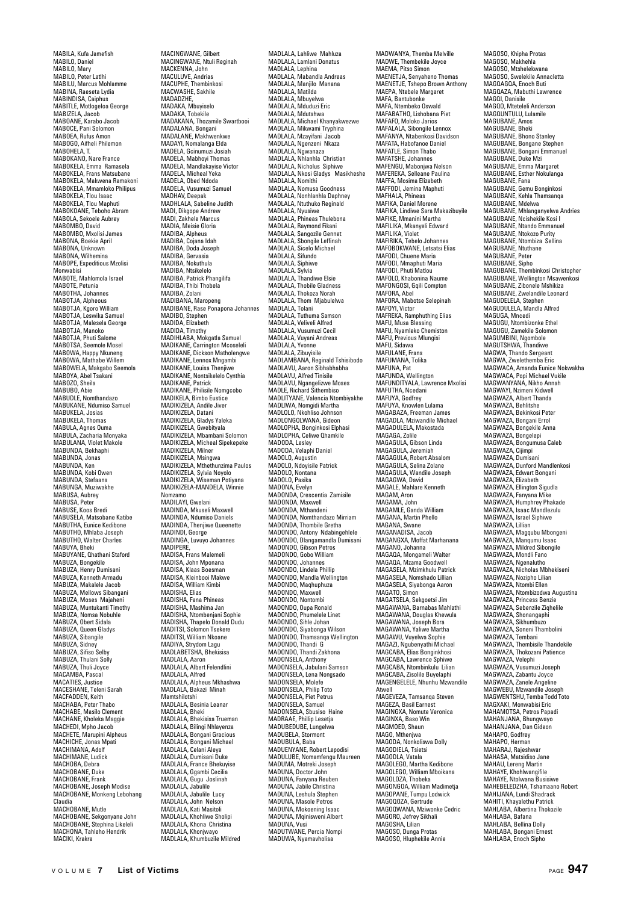MABILA, Kufa Jamefish MABILO, Daniel MABILO, Mary MABILO, Peter Latlhi MABILU, Marcus Mohlamme MABINA, Raeseta Lydia MABINDISA, Caiphus MABITLE, Motlogeloa George MABIZELA, Jacob MABOANE, Karabo Jacob MABOCE, Pani Solomon MABOEA, Rufus Amon MABOGO, Aifheli Philemon MABOHELA, T. MABOKANO, Nare France MABOKELA, Emma Ramasela MABOKELA, Frans Matsubane MABOKELA, Makwena Ramakoni MABOKELA, Mmamloko Philipus MABOKELA, Tlou Isaac MAROKELA, Tlou Maphuti MABOKOANE, Teboho Abram MABOLA, Sekoele Aubrey MABOMBO, David MABOMBO, Mxolisi James MABONA, Boekie April MABONA, Unknown MABONA, Wilhemina MABOPE, Expeditious Mzolisi Monwabisi MABOTE, Mahlomola Israel MABOTE, Petunia MABOTHA, Johannes MABOTJA, Alpheous MABOTJA, Kgoro William MABOTJA, Leswika Samuel MABOTJA, Malesela George MABOTJA, Manoko MABOTJA, Phuti Salome MABOTSA, Seemole Mosel MABOWA, Happy Nkuneng MABOWA, Mathabe Willem MABOWELA, Makgabo Seemola MABOYA, Abel Tsakani MABOZO, Sheila MABUBO, Abie MABUDLE, Nomthandazo MABUKANE, Ndumiso Samuel MABUKELA, Josias MARUKELA, Thomas MABULA, Agnes Ouma MABULA, Zacharia Monyaka MABULANA, Violet Makole MABUNDA, Bekhaphi MABUNDA, Jonas MABUNDA, Ken MABUNDA, Kobi Owen MARUNDA, Stefaans MABUNGA, Muziwakhe MARUSA, Aubrey MABUSA, Peter MABUSE, Koos Bredi MABUSELA, Matsobane Katibe MABUTHA, Eunice Kedibone MABUTHO, Mhlaba Joseph MABUTHO, Walter Charles MARIIYA, Bheki MABUYANE, Qhathani Staford MABUZA, Bongekile MABUZA, Henry Dumisani MABUZA, Kenneth Armadu MABUZA, Makalele Jacob MABUZA, Mellows Sibangani MABUZA, Moses Majaheni MABUZA, Muntukanti Timothy MABUZA, Nomsa Nobuhle MABUZA, Obert Sidala MABUZA, Queen Gladys MABUZA, Sibangile MABUZA, Sidney MABUZA, Sifiso Selby MABUZA, Thulani Solly MABUZA, Thuli Joyce MACAMBA, Pascal MACATIES, Justice MACESHANE, Teleni Sarah MACFADDEN, Keith MACHABA, Peter Thabo MACHABE, Masilo Clement MACHANE, Kholeka Maggie MACHEDI, Mpho Jacob MACHETE, Marupini Alpheus MACHICHE, Jonas Mpati MACHIMANA, Adolf MACHIMANE, Ludick MACHOBA, Debra MACHOBANE, Duke MACHOBANE, Frank MACHOBANE, Joseph Modise MACHOBANE, Monkeng Lebohang Claudia<br>MACHORANE Mutle MACHOBANE, Mutle MACHOBANE, Sekgonyane John MACHOBANE, Stephina Likeleli MACHONA, Tahleho Hendrik MACIKI, Krakra

MACINGWANE, Gilbert MACINGWANE, Ntuli Reginah MACKENNA, John MACULUVE, Andrias MACUPHE, Thembinkosi MACWASHE, Sakhile MADADZHE,<br>MADAKA, Mbuyiselo MADAKA, Tobekile MADAKANA, Thozamile Swartbooi MADALANA, Bongani MADALANE, Makhwenkwe MADAYI, Nomalanga Elda MADELA, Gcinumuzi Josiah MADELA, Mabhoyi Thomas MADELA, Mandlakayise Victor MADELA, Micheal Yeka MADELA, Micheal Tek MADELA, Vusumuzi Samuel MADHAV, Deepak MADHLALA, Sabeline Judith MADI, Dikgope Andrew MADI, Zakhele Marcus MADIA, Meisie Gloria MADIRA Alpheus MADIBA, Cojana Idah MADIRA, Doda Joseph MADIBA, Gervasia MADIRA, Nokuthula MADIBA, Ntsikelelo MADIBA, Patrick Phangilifa MADIBA, Thibi Thobela MADIBA, Zolani MADIBANA, Maropeng MADIBANE, Rase Ponapona Johannes MADIBO, Stephen MADIDA, Elizabeth MADIDA, Timothy MADIHLABA, Mokgatla Samuel MADIKANE, Carrington Mcoseleli MADIKANE, Dickson Matholengwe MADIKANE, Lennox Mngambi MADIKANE, Louisa Thenjiwe MADIKANE, Nontsikelelo Cynthia MADIKANE, Patrick MADIKANE, Philisile Nomgcobo MADIKELA, Bimbo Eustice MADIKIZELA, Andile Jiver MADIKIZELA, Datani MADIKIZELA, Gladys Yaleka MADIKIZELA, Gwebityala MADIKIZELA, Mbambani Solomon MADIKIZELA, Micheal Sipekepeke MADIKIZELA, Milner MADIKIZELA, Msingwa MADIKIZELA, Mthethunzima Paulos MADIKIZELA, Sylvia Noyolo MADIKIZELA, Wiseman Potiyana MADIKIZELA-MANDELA, Winnie Nomzamo MADILAYI, Gwelani MADINDA, Mkuseli Maxwell MADINDA, Ndumiso Daniels MADINDA, Thenjiwe Queenette MADINDI, George MADINGA, Luvuyo Johannes MADIPERE,<br>MADISA, Frans Malemeli MADISA, John Mponana MADISA, Klaas Boesman MADISA, Kleinbooi Makwe MADISA, William Kimbi MADISHA, Elias MADISHA, Fana Phineas MADISHA, Mashima Jan MADISHA, Ntombenjani Sophie MADISHA, Thapelo Donald Dudu MADITSI, Solomon Tsekere MADITSI, William Nkoane MADIYA, Strydom Lagu MADLABETSHA, Bhekisisa MADLADE TOTAL, MADLALA, Albert Felendlini MADLALA, Alfred MADLALA, Alpheus Mkhashwa MADLALA, Bakazi Minah Mamtshilotshi MADLALA, Besinia Leanar MADLALA, Bheki MADLALA, Bhekisisa Trueman MADLALA, Bilingi Nhlayenza MADLALA, Bongani Graciou MADLALA, Bongani Michael MADLALA, Celani Aleya MADLALA, Dumisani Duke MADLALA, France Bhekuyise MADLALA, Ggambi Cecilia MADLALA, Gugu Joslinah MADLALA, Jabulile MADLALA, Jabulile Lucy MADLALA, John Nelson MADLALA, Kati Masitoli MADLALA, Khohliwe Sholip MADLALA, Khona Christina MADLALA, Khonjwayo MADLALA, Khumbuzile Mildred

MADLALA, Lahliwe Mahluza MADLALA, Lamlani Donatus MADLALA, Lephina MADLALA, Mabandla Andreas MADLALA, Manjilo Manana MADLALA, Matilda MADLALA, Mbuyelwa MADLALA, Mduduzi Eric MADLALA, Mdutshwa MADLALA, Michael Khanyakwezwe MADLALA, Mikwami Tryphina MADLALA, Mzayifani Jacob MADLALA, Ngenzeni Nkaza MADLALA, Ngwanaza MADLALA, Nhlanhla Christian MADLALA, Nicholus Siphiwe MADLALA, Nkosi Gladys Masikheshe MADLALA, Nomithi MADLALA, Nomusa Goodness MADLALA, Nonhlanhla Daphney MADLALA, Ntuthuko Reginald MADLALA, Nyusiwe MADLALA, Phineas Thulebona MADLALA, Raymond Fikani MADLALA, Sangozile Gennet MADLALA, Sbongile Leffinah MADLALA, Sicelo Michael MADLALA, Sifundo<br>MADLALA, Sifundo MADLALA, Siphiwe MADLALA, Sylvia MADLALA, Thandiwe Elsie MADLALA, Thobile Gladness MADLALA, Thokoza Norah MADLALA, Thom Mjabulelwa MADLALA, Tolani MADLALA, Tuthuma Samson MADLALA, Veliveli Alfred MADLALA, Vusumuzi Cecil MADLALA, Vuyani Andreas MADLALA, Yvonne MADLALA, Zibuyisile MADLAMBANA, Reginald Tshisibodo MADLAVU, Aaron Sibhabhabha MADLAVU, Alfred Tinisile MADLAVU, Ngangelizwe Moses MADLE, Richard Sithembiso MADLITYANE, Valencia Ntombiyakhe MADLIWA, Nomgidi Martha MADLOLO, Nkohliso Johnson MADLONGOLWANA, Gideon MADLOPHA, Bonginkosi Elphasi MADI OPHA, Celiwe Ohamkile MADODA, Lesley MADODA, Velaphi Daniel MADOLO, Augustin MADOLO, Ndoyisile Patrick MADOLO, Nontana MADOLO, Pasika MADONA, Evelyn MADONDA, Crescentia Zamisile MADONDA, Maxwell MADONDA, Mthandeni MADONDA, Nomthandazo Mirriam MADONDA, Thombile Gretha MADONDO, Antony Ndabingehlele MADONDO, Dlangamandla Dumisani MADONDO, Gibson Petros MADONDO, Gobo William MADONDO, Johannes MADONDO, Lindela Phillip MADONDO, Mandla Wellington MADONDO, Maqhuphuza MADONDO, Maxwell MADONDO, Nontombi MADONDO, Oupa Ronald MADONDO, Phumelele Linet MADONDO, Sihle Johan MADONDO, Siyabonga Wilson MADONDO, Thamsanqa Wellington MADONDO, Thandi G MADONDO, Thandi Zakhona MADONSELA, Anthony MADONSELA, Jabulani Samson MADONSELA, Lena Nongsado MADONSELA, Molefe MADONSELA, Philip Toto MADONSELA, Piet Petrus MADONSELA, Samuel MADONSELA, Sbusiso Haine MADRAAE, Phillip Lesetja MADUBEDUBE, Lungelwa MADUBELA, Stormon MADUBULA, Baba MADUENYANE, Robert Lepodisi MADULUBE, Nomamfengu Maureen MADUMA, Motreki Joseph MADUNA, Doctor John MADUNA, Fanyana Reuben MADUNA, Jabile Christina MADUNA, Leshula Stephen MADUNA, Masole Petros MADUNA, Mokoening Isaac MADUNA, Mqinisweni Albert MADUNA, Vusi MADUTWANE, Percia Nompi MADUWA, Nyamavholisa

MADWANYA, Themba Melville MADWE, Thembekile Joyce MAEMA, Pitso Simon MAENETJA, Senyaheno Thomas MAENETJE, Tshepo Brown Anthony MAEPA, Ntebele Margaret MAFA, Bantubonke MAFA, Ntembeko Oswald MAFABATHO, Lishobana Piet MAFAFO, Moloko Jarios MAFALALA, Sibongile Lennox MAFANYA, Ntabenkosi Davidson MAFATA, Habofanoe Daniel MAFATLE, Simon Thabo MAFATSHE, Johannes MAFENGU, Mabonjwa Nelson MAFEREKA, Selleane Paulina MAFFA, Mosima Elizabeth MAFFODI, Jemina Manhuti MAFHALA, Phineas MAFIKA, Daniel Morene MAFIKA, Lindiwe Sara Makazibuyile MAFIKE, Mmanini Martha MAFILIKA, Mkanyeli Edward MAFILIKA, Violet MAFIRIKA, Tebelo Johannes MAFOBOKWANE, Letsatsi Elias MAFODI, Chuene Maria MAFODI, Mmaphuti Maria MAFODI, Phuti Matlou MAFOLO, Khabonina Naume MAFONGOSI, Gqili Compton MAFORA, Abel MAFORA, Mabotse Selepinah MAFOYI, Victor MAFREKA, Ramphuthing Elias MAFU, Musa Blessing MAFU, Nyamleko Chemiston MAFU, Previous Mlungisi MAFU, Sidawa MAFULANE, Frans MAFUMANA, Tolika MAFUNA, Pat MAFUNDA, Wellington MAFUNDITYALA, Lawrence Mxolisi MAFUTHA, Ncedani MAFUYA, Godfrey MAFUYA, Knowlen Lulama MAGABAZA, Freeman James MAGADLA, Mziwandile Michael MAGADULELA, Makostada MAGAGA, Zolile MAGAGULA, Gibson Linda MAGAGULA, Jeremiah MAGAGULA, Robert Absalom MAGAGULA, Selina Zolane MAGAGULA, Wandile Joseph MAGAGWA, David MAGALE, Mahlare Kenneth MAGAM<sub>Aron</sub> MAGAMA, John MAGAMLE, Ganda William MAGANA, Martin Phello MAGANA, Swane MAGANADISA, Jacob MAGANGXA, Moffat Marhanana MAGANO, Johanna MAGAQA, Mongameli Walter MAGAQA, Mzama Goodwell MAGASELA, Mzimkhulu Patrick MAGASELA, Nomshado Lillian MAGASELA, Siyabonga Aaron MAGATO, Simon MAGATSELA, Sekgoetsi Jim MAGAWANA, Barnabas Mahlathi MAGAWANA, Douglas Khewula MAGAWANA, Joseph Bora MAGAWANA, Yaliwe Martha MAGAWU, Vuyelwa Sophie MAGAZI, Ngubenyathi Michael MAGCABA, Elias Bonginkhosi MAGCABA, Lawrence Sphiwe MAGCABA, Ntombinkulu Lilian MAGCABA, Zisolile Buyelaphi MAGENGELELE, Nhunhu Mzwandile .<br>Atwell MAGEVEZA, Tamsanqa Steven MAGEZA, Basil Earnest MAGINGXA, Nomute Veronica MAGINXA, Baso Win MAGMOED, Shaun MAGO, Mthenjwa MAGODA, Nonkoliswa Dolly MAGODIELA, Tsietsi MAGODLA, Vatala MAGOLEGO, Martha Kedibone MAGOLEGO, William Mboikana MAGOLOZA, Thobeka MAGONGOA, William Madimetja MAGOPANE, Tumpu Lodwick MAGOOOZA, Gertrude MAGOQWANA, Mziwonke Cedric MAGORO, Jefrey Sikhali MAGOSHA, Lilian MAGOSO, Dunga Protas MAGOSO, Hluphekile Annie

MAGOSO, Khipha Protas MAGOSO, Makhehla MAGOSO, Mtshelekwana MAGOSO, Swelekile Annacletta MAGQAGQA, Enoch Buti MAGQAZA, Mabuthi Lawrence MAGQI, Danisile MAGQO, Mteteleli Anderson MAGQUNTULU, Lulamile MAGUBANE, Amos MAGUBANE, Bheki MAGUBANE, Bhono Stanley MAGUBANE, Bongane Stephen MAGUBANE, Bongani Emmanuel MAGUBANE, Duke Mzi MAGUBANE, Emma Margaret MAGUBANE, Esther Nokulanga MAGUBANE, Fana MAGUBANE, Gemu Bonginkosi MAGUBANE, Kehla Thamsanqa MAGURANE, Mdelwa MAGUBANE, Mhlanganyelwa Andries MAGUBANE, Ncishekile Kosi I MAGUBANE, Ntando Emmanuel MAGURANE, Ntokozo Purity MAGUBANE, Ntombiza Sellina MAGUBANE, Ntuthane MAGUBANE, Peter MAGUBANE, Sipho MAGUBANE, Thembinkosi Christopher MAGUBANE, Wellington Msawenkosi MAGUBANE, Zibonele Mshikiza MAGUBANE, Zwelandile Leonard MAGUDELELA, Stephen MAGUDULELA, Mandla Alfred MAGUGA, Mncedi MAGUGU, Ntombizonke Ethel<br>MAGUGU, Ntombizonke Ethel MAGUGU, Zamekile Solomon<br>MAGUMBINI, Ngombole<br>MAGUTSHWA, Thandiwe<br>MAGWA, Thando Sergeant MAGWA, Zwelethemba Eric MAGWACA, Amanda Eunice Nokwakha MAGWACA, Popi Michael Vukile MAGWANYANA, Nikho Annah MAGWAYI, Nzimeni Kidwell MAGWAZA, Albert Thanda MAGWAZA, Behlitshe MAGWAZA, Bekinkosi Peter MAGWAZA, Bongani Errol MAGWAZA, Bongekile Anna MAGWAZA, Bongelepi MAGWAZA, Bongumusa Caleb MAGWAZA, Cijimpi MAGWAZA, Dumisani MAGWAZA, Dunford Mandlenkosi MAGWAZA, Edwart Bongani MAGWAZA, Elizabeth MAGWAZA, Ellington Sigudla MAGWAZA, Fanyana Mike MAGWAZA, Humphrey Phakade MAGWAZA, Isaac Mandlezulu MAGWAZA, Israel Siphiw MAGWAZA, Lillian MAGWAZA, Magqubu Mbongeni MAGWAZA, Manqumu Isaac MAGWAZA, Mildred Sibongile MAGWAZA, Mondli Fano MAGWAZA, Ngenalutho MAGWAZA, Nicholas Mbhekiseni MAGWAZA, Nozipho Lilian MAGWAZA, Ntombi Ellen MAGWAZA, Ntombizodwa Augustina MAGWAZA, Princess Benzie MAGWAZA, Sebenzile Ziqhelile MAGWAZA, Shonangaphi MAGWAZA, Sikhumbuzo MAGWAZA, Soneni Thambolini MAGWAZA, Tembani MAGWAZA, Thembisile Thandekile MAGWAZA, Thokozani Patience MAGWAZA, Velephi MAGWAZA, Vusumuzi Joseph MAGWAZA, Zabantu Joyce MAGWAZA, Zanele Angeline MAGWEBU, Mzwandile Joseph MAGWENTSHU, Temba Todd Toto MAGXAKI, Monwabisi Eric MAHAMOTSA, Petros Papadi MAHANJANA, Bhungwayo MAHANJANA, Dan Gideon MAHAPO, Godfrey MAHAPO, Herman MAHARAJ, Rajeshwar MAHASA, Matsidiso Jane MAHAU, Lereng Marti MAHAYE, Khohlwangifile MAHAYE, Ntolwana Busisiwe MAHEBELEDZHA, Tshamaano Robert MAHIJANA, Lundi Shadrack MAHITI, Khayalethu Patrick MAHLABA, Albertina Thokozile MAHLABA, Albertin MAHLABA, Bellina Dolly MAHLABA, Bongani Ernest MAHLABA, Enoch Sipho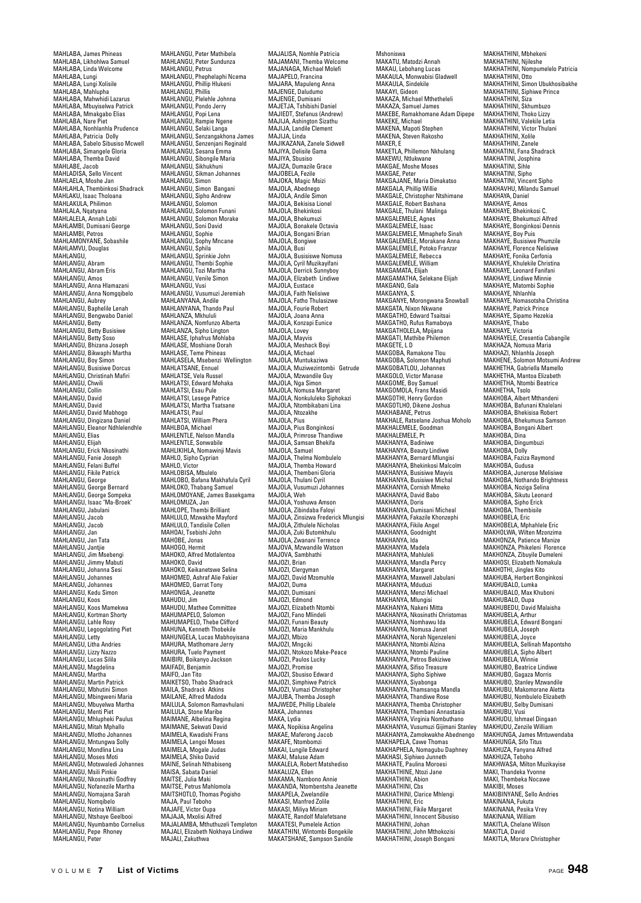MAHLABA, James Phineas MAHLABA, Likhohlwa Samuel MAHLABA, Linda Welcome MAHLABA, Lungi MAHLABA, Lungi Xolisile MAHLABA, Mahlupha MAHLABA, Mahwhidi Lazarus MAHLABA, Mbuyiselwa Patrick MAHLABA, Mmakgabo Elias MAHLABA, Nare Piet MAHLABA, Nonhlanhla Prudence MAHLABA, Patricia Dolly MAHLABA, Sabelo Sibusiso Mcwell MAHLABA, Simangele Gloria MAHLABA, Themba David MAHLABE, Jacob MAHLADISA, Sello Vincent MAHLAELA, Moshe Jan MAHLAHLA, Thembinkosi Shadrack MAHLAKU, Isaac Tholoana MAHLAKULA, Philimon MAHLALA, Nqatyana MAHLALELA, Annah Lobi MAHLAMBI, Dumisani George MAHLAMBI, Petros MAHLAMONYANE, Sobashile MAHLAMVU, Douglas MAHLANGU,<br>MAHLANGU, MAHLANGU, Abram MAHLANGU, Abram Eris MAHLANGU, Abram MAHLANGU, Anna Hlamazani MAHLANGU, Anna Nomgqibelo MAHLANGU, Aubrey MAHLANGU, Baphelile Lenah MAHLANGU, Bengwabo Daniel MAHLANGU, Betty MAHLANGU, Betty Busisiwe MAHLANGU, Betty Basis MAHLANGU, Bhizana Joseph MAHLANGU, Bikwaphi Martha MAHLANGU, Boy Simon MAHLANGU, Busisiwe Dorcus MAHLANGU, Christinah Mafiri MAHLANGU, Chwili MAHLANGU, Collin MAHLANGU, David MAHLANGU, David MAHLANGU, David Mabhogo MAHLANGU, Dingizana Daniel MAHLANGU, Eleanor Ndhlelendhle MAHLANGU, Elias MAHLANGU, Elijah MAHLANGU, Erick Nkosinathi MAHLANGU, Fanie Joseph MAHLANGU, Felani Buffel MAHLANGU, Fikile Patrick MAHLANGU, George MAHLANGU, George Bernard MAHLANGU, George Sompeka MAHLANGU, Isaac "Ma-Broek" MAHLANGU, Jabulani MAHLANGU, Jacob MAHLANGU, Jacob MAHLANGU, UGU<br>MAHI ANGU, Jan MAHLANGU, Jan Tata MAHLANGU, Jantjie MAHLANGU, Jim Msebengi MAHLANGU, Jimmy Mabuti MAHLANGU, Johanna Sesi MAHLANGU, Johannes MAHLANGU, Johannes MAHLANGU, Kedu Simon MAHLANGU, Koos MAHLANGU, Koos Mamekwa MAHLANGU, Kortman Shorty MAHLANGU, Lahle Rosy MAHLANGU, Legogolating Piet MAHLANGU, Letty MAHLANGU, Litha Andries MAHLANGU, Lizzy Nazzo MAHLANGU, Lucas Silila MAHLANGU, Magdelina MAHLANGU, Martha MAHLANGU, Martin Patrick MAHLANGU, Mbhutini Simon MAHLANGU, Mbingweni Maria MAHLANGU, Mbuyelwa Martha MAHLANGU, Menti Piet MAHLANGU, Mhlupheki Paulus MAHLANGU, Mitah Mphallo MAHLANGU, Mlotho Johannes MAHLANGU, Mntungwa Solly MAHLANGU, Mondlina Lina MAHLANGU, Moses Moti MAHLANGU, Motswaledi Johannes MAHLANGU, Msili Pinkie MAHLANGU, Nkosinathi Godfrey MAHLANGU, Nofanezile Martha MAHLANGU, Nomajana Sarah MAHLANGU, Nomqibelo MAHLANGU, Notina William MAHLANGU, Ntshaye Geelbooi MAHLANGU, Nyumbambo Cornelius MAHLANGU, Pepe Rhoney MAHLANGU, Peter

MAHLANGU, Peter Mathibela MAHLANGU, Peter Sundunza MAHLANGU, Petrus MAHLANGU, Phephelaphi Ncema MAHLANGU, Phillip Hlukeni MAHLANGU, Phillis MAHLANGU, Plelehle Johnna MAHLANGU, Pondo Jerry MAHLANGU, Popi Lena MAHLANGU, Rampie Ngene MAHLANGU, Selaki Langa MAHLANGU, Senzangakhona James MAHLANGU, Senzenjani Reginald MAHLANGU, Sesana Emma MAHLANGU, Sibongile Maria MAHLANGU, Sikhukhuni MAHLANGU, Sikman Johannes MAHLANGU, Simon MAHLANGU, Simon Bangani MAHLANGU, Sipho Andrew MAHLANGU, Solomon MAHLANGU, Solomon Funani MAHLANGU, Solomon Morake MAHLANGU, Soni David MAHLANGU, Sophie MAHLANGU, Sophy Mncane MAHLANGU, Sphila MAHLANGU, Sprinkie John MAHLANGU, Thembi Sophie MAHLANGU, Tozi Martha MAHLANGU, Venile Simon MAHLANGU, Vusi MAHLANGU, Vusumuzi Jeremiah MAHLANYANA, Andile MAHLANYANA, Thando Paul MAHLANZA, Mkhululi MAHLANZA, Nomfunzo Alberta MAHLANZA, Sipho Lington MAHLASE, Iphafrus Mohlaba MAHLASE, Moshiane Dorah MAHLASE, Teme Phineas MAHLASELA, Msebenzi Wellington MAHLATSANE, Ennuel MAHLATSE, Vela Russel MAHLATSI, Edward Mohaka MAHLATSI, Esau Pule MAHLATSI, Lesege Patrice MAHLATSI, Martha Tsatsane MAHLATSI, Paul MAHLATSI, William Phera MAHLBOA, Michael MAHLENTLE, Nelson Mandla MAHLENTLE, Sonwabile MAHLIKIHLA, Nomawinji Mavis MAHLO, Sipho Cyprian MAHLO, Victor MAHLOBISA, Mbulelo MAHLOBO, Bafana Makhafula Cyril MAHLOKO, Thabang Samuel MAHLOMOYANE, James Basekgama MAHLOMUZA, Jan MAHLOPE, Thembi Brilliant MAHLULO, Mzwakhe Mayford MAHLULO, Tandisile Collen MAHOAI, Tsehishi John MAHORE, Jonas MAHOGO, Hermit MAHOKO, Alfred Motlalentoa MAHOKO, David MAHOKO, Keikanetswe Selina MAHOMED, Ashraf Alie Fakier MAHOMED, Garrat Tony MAHONGA, Jeanette MAHUDU, Jim MAHUDU, Mathee Committee MAHUMAPELO, Solomon MAHUMAPELO, Thebe Clifford MAHUNA, Kenneth Thobekile MAHUNGELA, Lucas Mabhoyisana MAHURA, Matlhomare Jerry MAHURA, Tuelo Payment MAIBIRI, Boikanyo Jackson MAIFADI, Benjamin MAIFO, Jan Tito MAIKETSO, Thabo Shadrack MAILA, Shadrack Atkins<br>MAILA, Shadrack Atkins<br>MAILANE, Alfred Madoda MAILANE, Alfred Madoda MAILULA, Solomon Ramavhulani MAILULA, Stone Maribe MAIMANE, Albelina Regina MAIMANE, Sekwati David MAIMELA, Kwadishi Frans MAIMELA, Lengoi Moses MAIMELA, Mogale Judas MAIMELA, Shiko David MAINE, Selinah Nthabiseng MAISA, Sabata Daniel MAITSE, Julia Maki MAITSE, Petrus Mahlomola MAITSHOTLO, Thomas Pogisho MAJA, Paul Teboho MAJAFE, Victor Oupa MAJAJA, Mxolisi Alfred MAJALAMBA, Mthuthuzeli Templeton MAJALI, Elizabeth Nokhaya Lindiwe MAJALI, Zakuthwa

MAJALISA, Nomhle Patricia MAJAMANI, Themba Welcome MAJANAGA, Michael Molefi MAJAPELO, Francina MAJARA, Mapuleng Anna MAJENGE, Daludumo MAJENGE, Dumisani MAJETJA, Tshibishi Daniel MAJIEDT, Stefanus (Andrew) MAJIJA, Ashington Sizathu MAJIJA, Landile Clement MAJIJA, Linda MAJIKAZANA, Zanele Sidwell MAJIYA, Delisile Gama MAJIYA, Sbusiso MAJIZA, Dumazile Grace MAJOBELA, Fezile MAJOKA, Magic Msizi MAJOLA, Abednego MAJOLA, Andile Simon MAJOLA, Bekisisa Lionel MAJOLA, Bhekinkosi MAJOLA, Bhekumuzi MAJOLA, Bonakele Octavia MAJOLA, Bongani Brian MAJOLA, Bongiwe MAJOLA, Busi MAJOLA, Busisiswe Nomusa MAJOLA, Cyril Muzikayifani MAJOLA, Derrick Sunnyboy MAJOLA, Elizabeth Lindiwe MAJOLA, Eustace MAJOLA, Faith Nelisiwe MAJOLA, Fatho Thulasizwe MAJOLA, Fourie Robert MAJOLA, Joana Anna MAJOLA, Konzapi Eunice MAJOLA, Lovey MAJOLA, Mayvis MAJOLA, Meshack Boyi MAJOLA, Michael MAJOLA, Muntukaziwa MAJOLA, Muziwezintombi Getrude MAJOLA, Mzwandile Guy MAJOLA, Nga Simon MAJOLA, Nomusa Margaret MAJOLA, Nonkululeko Siphokazi MAJOLA, Ntombikabani Lina MAJOLA, Ntozakhe MAJOLA, Pius MAJOLA, Pius Bonginkosi MAJOLA, Primrose Thandiwe MAJOLA, Samsan Bhekifa MAJOLA, Samuel MAJOLA, Thelma Nombulelo MAJOLA, Themba Howard MAJOLA, Thembeni Gloria MAJOLA, Thulani Cyril MAJOLA, Vusumuzi Johannes MAJOLA, Weh MAJOLA, Yoshuwa Amson MAJOLA, Zibindaba Faloyi MAJOLA, Zinsizwa Frederick Mlungisi MAJOLA, Zithulele Nicholas MAJOLA, Zuki Butomkhulu MAJOLA, Zwanani Terrence MAJOVA, Mzwandile Watson MAJOVA, Sambhathi MAJOZI, Brian MAJOZI, Clergyman MAJOZI, David Mzomuhle MAJOZI, Duma MAJOZI, Dumisani MAJOZI, Edmond MAJOZI, Elizabeth Ntombi MAJOZI, Fano Mlindeli MAJOZI, Funani Beauty MAJOZI, Maria Mankhulu MAJOZI, Mbizo MAJOZI, Mngciki MAJOZI, Ntokozo Make-Peace MAJOZI, Paulos Lucky MAJOZI, Promise MAJOZI, Sbusiso Edward MAJOZI, Simphiwe Patrick MAJOZI, Vumazi Christopher MAJUBA, Themba Joseph MAJWEDE, Phillip Libalele MAKA, Johannes MAKA, Lydia MAKA, Nopikisa Angelina MAKAE, Maferong Jacob MAKAFE, Ntombomzi MAKAI, Lungile Edward MAKAI, Maluse Adam MAKALELA, Robert Matshediso MAKALUZA, Ellen MAKAMA, Nambono Annie MAKANDA, Ntombentsha Jeanette MAKAPELA, Zwelandile MAKASI, Manfred Zolile MAKASI, Miliya Miriam MAKATE, Randolf Malefetsane MAKATESI, Pumelele Action MAKATHINI, Wintombi Bongekile MAKATSHANE, Sampson Sandile

Mshoniswa MAKATU, Matodzi Annah MAKAU, Lebohang Lucas MAKAULA, Monwabisi Gladwell MAKAULA, Sindekile MAKAYI, Gideon MAKAZA, Michael Mthetheleli MAKAZA, Samuel James MAKEBE, Ramakhomane Adam Dipepe MAKEKE, Michael MAKENA, Mapoti Stephen MAKENA, Steven Rakosho MAKER, E MAKETLA, Phillemon Nkhulang MAKEWU, Ntlukwane MAKGAE, Moshe Moses MAKGAE, Peter MAKGAJANE, Maria Dimakatso MAKGALA, Phillip Willie MAKGALE, Christopher Ntshimane MAKGALE, Robert Bashana MAKGALE, Thulani Malinga MAKGALEMELE, Agnes MAKGALEMELE, Isaac MAKGALEMELE, Mmaphefo Sinah MAKGALEMELE, Morakane Anna MAKGALEMELE, Potoko Franzar MAKGALEMELE, Rebecca MAKGALEMELE, NEBECC MAKGAMATA, Elijah MAKGAMATHA, Selekane Elijah MAKGANO, Gala MAKGANYA, S. MAKGANYE, Morongwana Snowball MAKGATA, Nixon Nkwane MAKGATHO, Edward Tsaitsai MAKGATHO, Rufus Ramaboya MAKGATHOLELA, Mpijana MAKGATI, Mathibe Philemon<br>MAKGATI, Mathibe Philemon MAKGETE, L D MAKGOBA, Ramakone Tlou MAKGOBA, Solomon Maphuti MAKGOBATLOU, Johannes MAKGOLO, Victor Manase MAKGOME, Boy Samuel MAKGOMOLA, Frans Masidi MAKGOTHI, Henry Gordon MAKGOTLHO, Dikene Joshua MAKHABANE, Petrus MAKHALE, Ratselane Joshua Moholo MAKHALEMELE, Goodman MAKHALEMELE, Pt MAKHANYA, Badiniwe MAKHANYA, Beauty Lindiwe MAKHANYA, Bernard Mlungisi MAKHANYA, Bhekinkosi Malcolm MAKHANYA, Busisiwe Mayvis MAKHANYA, Busisiwe Michal MAKHANYA, Cornish Mmeko MAKHANYA, David Babo MAKHANYA, Doris MAKHANYA, Dumisani Micheal MAKHANYA, Fakazile Khonzephi MAKHANYA, Fikile Angel MAKHANYA, Goodnight MAKHANYA, Ida MAKHANYA, Madela MAKHANYA, Mahluleli MAKHANYA, Mandla Percy MAKHANYA, Margaret MAKHANYA, Maxwell Jabulani MAKHANYA, Mduduzi MAKHANYA, Menzi Michael MAKHANYA, Mlungisi MAKHANYA, Nakeni Mitta MAKHANYA, Nkosinathi Christomas MAKHANYA, Nomhawu Ida MAKHANYA, Nomusa Janet MAKHANYA, Norah Ngenzeleni MAKHANYA, Ntombi Alzina MAKHANYA, Ntombi Pauline MAKHANYA, Petros Bekiziwe MAKHANYA, Sifiso Treasure MAKHANYA, Sipho Siphiwe MAKHANYA, Siyabonga MAKHANYA, Thamsanqa Mandla MAKHANYA, Thandiwe Rose MAKHANYA, Themba Christopher MAKHANYA, Thembani Annastasia MAKHANYA, Virginia Nombuthano MAKHANYA, Vusumuzi Gijimani Stanley MAKHANYA, Zamokwakhe Abednengo MAKHAPELA, Cawe Thomas MAKHAPHELA, Nomagubu Daphney MAKHASI, Siphiwo Junneth MAKHATE, Paulina Moroesi MAKHATHINE, Ntozi Jane MAKHATHINI, Abion MAKHATHINI, Chs. MAKHATHINI, Clarice Mhlengi MAKHATHINI, Eric MAKHATHINI, Fikile Margaret MAKHATHINI, Innocent Sibusiso MAKHATHINI, Johan MAKHATHINI, John Mthokozisi MAKHATHINI, Joseph Bongani

MAKHATHINI, Mbhekeni MAKHATHINI, Njileshe MAKHATHINI, Nompumelelo Patricia MAKHATHINI, Otto MAKHATHINI, Simon Ubukhosibakhe MAKHATHINI, Siphiwe Prince MAKHATHINI, Siza MAKHATHINI, Skhumbuzo MAKHATHINI, Thoko Lizzy MAKHATHINI, Valekile Letia MAKHATHINI, Victor Thulani MAKHATHINI, Xolile MAKHATHINI, Zanele MAKHATINI, Fana Shadrack MAKHATINI, Josphina MAKHATINI, Sihle MAKHATINI, Sipho MAKHATINI, Vincent Sipho MAKHAVHU, Milandu Samuel MAKHAYA, Daniel MAKHAYE, Amos MAKHAYE, Bhekinkosi C. MAKHAYE, Bhekumuzi Alfred MAKHAYE, Bonginkosi Dennis MAKHAYE, Boy Puis MAKHAYE, Busisiwe Phumzile MAKHAYE, Florence Nelisiwe MAKHAYE, Fonika Cerfonia MAKHAYE, Khulekile Christina MAKHAYE, Leonard Fanifani MAKHAYE, Lindiwe Minnie MAKHAYE, Matombi Sophie MAKHAYE, Mutombre MAKHAYE, Nomasotsha Christina MAKHAYE, Patrick Prince MAKHAYE, Sipamo Hezekia MAKHAYE, Thabo MAKHAVE, Victoria MAKHAYELE, Cresentia Cabangile MAKHAZA, Nomusa Maria MAKHAZI, Nhlanhla Joseph MAKHENE, Solomon Motsumi Andrew MAKHETHA, Gabriella Mamello MAKHETHA, Mantoa Elizabeth MAKHETHA, Ntombi Beatrice MAKHETHA, Tsolo MAKHOBA, Albert Mthandeni MAKHOBA, Bafunani Khalelani MAKHOBA, Bhekisisa Robert MAKHOBA, Bhekumusa Samson MAKHOBA, Bongani Albert MAKHOBA, Dina MAKHOBA, Dingumbuzi MAKHOBA, Dolly MAKHOBA, Faziza Raymond MAKHOBA, Gudusa MAKHOBA, Junerose Melisiwe MAKHOBA, Nothando Brightness MAKHOBA, Noziga Selina MAKHOBA, Sikutu Leonard MAKHOBA, Sipho Erick MAKHOBA, Thembisile MAKHOBELA, Eric MAKHOBELA, Mphahlele Eric MAKHOLWA, Wilten Mzonzima MAKHONZA, Patience Manize MAKHONZA, Phikeleni Florence MAKHONZA, Zibuyile Dumeleni MAKHOSI, Elizabeth Nomakula MAKHOTHI, Jingles Kito MAKHUBA, Herbert Bonginkosi MAKHUBALO, Lumka MAKHUBALO, Max Khuboni MAKHUBALO, Oupa MAKHUBEDU, David Malaisha MAKHUBELA, Arthur MAKHUBELA, Edward Bongani MAKHUBELA, Joseph MAKHUBELA, Joyce MAKHUBELA, Sellinah Mapontsho MAKHUBELA, Sipho Albert MAKHUBELA, Winnie MAKHUBO, Beatrice Lindiwe MAKHUBO, Gagaza Morris MAKHUBO, Stanley Mzwandile MAKHUBU, Makomorane Aletta MAKHUBU, Nombulelo Elizabeth MAKHUBU, Nombuleio Ena MAKHUBU, Vusi MAKHUDU, Ishmael Dingaan MAKHUDU, Zenzile William MAKHUNGA, James Mntuwendaba MAKHUNGA, Sifo Titus MAKHUZA, Fanyana Alfred MAKHUZA, Teboho MAKHWASA, Milton Muzikayise MAKI, Thandeka Yvonne MAKI, Thembeka Nocawe MAKIBI, Moses MAKIBINYANE, Sello Andries MAKINANA, Fukuta MAKINANA, Pesika Vrey MAKINANA, LESIKA MAKITLA, Chelane Wilson MAKITLA, David MAKITLA, Morare Christopher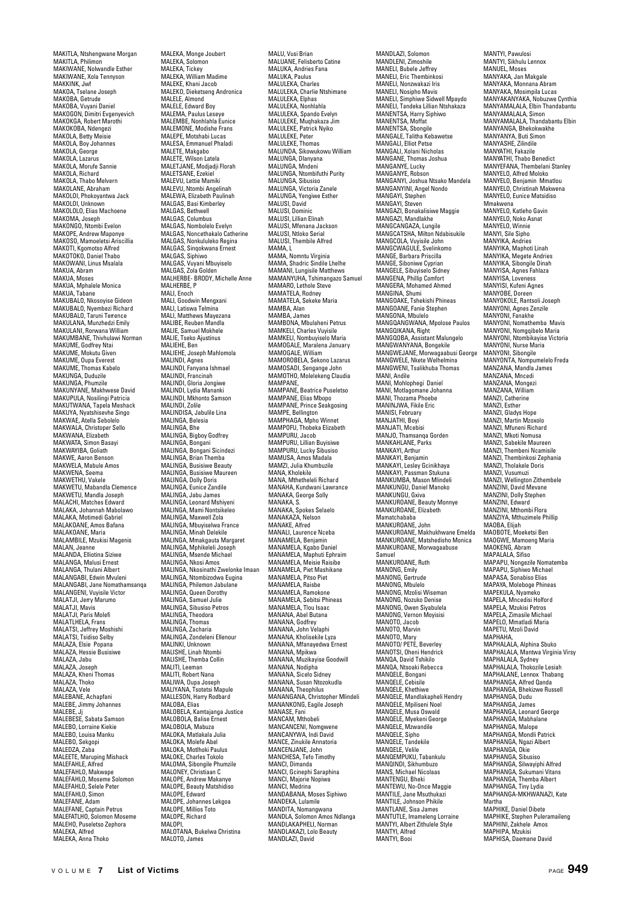MAKITLA, Ntshengwane Morgan MAKITLA, Philimon MAKIWANE, Nolwandle Esther MAKIWANE, Xola Tennyson MAKKINK, Jwf MAKOA, Tselane Joseph MAKOBA, Getrude MAKOBA, Vuyani Daniel MAKOGON, Dimitri Evgenyevich MAKOKGA, Robert Marothi MAKOKOBA, Ndengezi MAKOLA, Betty Meisie MAKOLA, Boy Johannes MAKOLA, George MAKOLA, Lazarus MAKOLA, Morufe Sannie MAKOLA, Richard MAKOLA, Thabo Melvern MAKOLANE, Abraham MAKOLOI, Phokoyantwa Jack MAKOLOI, Unknown MAKOLOLO, Elias Machoene MAKOMA, Joseph MAKONGO, Ntombi Evelon MAKOPE, Andrew Maponye MAKOSO, Mamoeletsi Ariscillia MAKOTI, Kgomotso Alfred MAKOTOKO, Daniel Thabo MAKOWANI, Linus Msalala MANU \*\*\* \*\*\*\*,<br>MAKUA, Abram MAKUA, Moses MAKUA, Mphalele Monica MAKUA, Tabane MAKUBALO, Nkosoyise Gideon MAKUBALO, Nyembezi Richard MAKUBALO, Taruni Terrence MAKULANA, Munzhedzi Emily MAKULANI, Rorwana William MAKUMBANE, Thivhulawi Norman MAKUME, Godfrey Ntai MAKUME, Mokutu Given MAKUME, Oupa Everest MAKUME, Thomas Kabelo MAKUNGA, Duduzile MAKUNGA, Phumzile MAKUNYANE, Makhwese David MAKUPULA, Nosilingi Patricia MAKUTWANA, Tapela Meshack MAKUYA, Nyatshisevhe Singo MAKWAE, Atella Sebolelo MAKWALA, Christoper Sello MAKWANA, Elizabeth MAKWATA, Simon Basayi MAKWAYIBA, Goliath MAKWE, Aaron Benson MAKWELA, Mabule Amos MAKWENA, Seema MAKWETHU, Vakele MAKWETU, Mabandla Clemence MAKWETU, Mandla Joseph MALACHI, Matches Edward MALAKA, Johannah Mabolawo MALAKA, Motimedi Gabriel MALAKOANE, Amos Bafana MALAKOANE, Maria MALAMBILE, Mzukisi Magenis MALAN, Jeanne MALANDA, Elliotina Siziwe MALANGA, Malusi Ernest MALANGA, Thulani Albert MALANGABI, Edwin Mvuleni MALANGABI, Jane Nomathamsanqa MALANGENI, Vuyisile Victor MALATJI, Jerry Marumo MALATJI, Mavis MALATJI, Paris Molefi MALATLHELA, Frans MALATSI, Jeffrey Moshishi MALATSI, Tsidiso Selby MALAZA, Elsie Popana MALAZA, Hessie Busisiwe MALAZA, Jabu MALAZA, Joseph MALAZA, Kheni Thomas MALAZA, Thoko MALAZA, Vele MALEBANE, Achapfani MALEBE, Jimmy Johannes MALEBE, Jj MALEBESE, Sabata Samson MALEBO, Lorraine Kiekie MALEBO, Louisa Manku MALEBO, Sekgopi MALEDZA, Zaba MALEETE, Maruping Mishack MALEFAHLE, Alfred MALEFAHLO, Makwape MALEFAHLO, Moseme Solomon MALEFAHLO, Selele Peter MALEFAHLO, Simon MALEFANE, Adam MALEFANE, Captain Petrus MALEFATLHO, Solomon Moseme MALEHO, Puseletso Zephora MALEKA, Alfred MALEKA, Anna Thoko

MALEKA, Monge Joubert MALEKA, Solomon MALEKA, Tickey MALEKA, William Madime MALEKE, Khani Jacob MALEKO, Dieketseng Andronica MALELE, Almond MALELE, Edward Boy MALEMA, Paulus Leseye MALEMBE, Nonhlahla Eunice MALEMONE, Modishe Frans MALEPE, Motshabi Lucas MALESA, Emmanuel Phaladi MALETE, Makgabo MALETE, Wilson Latela MALETJANE, Modjadji Florah MALETSANE, Ezekiel MALEVU, Lettie Mamiki MALEVU, Ntombi Angelinah MALEWA, Elizabeth Paulinah MALGAS, Basi Kimberley MALGAS, Bethwell MALGAS, Columbus MALGAS, Nombolelo Evelyn MALGAS, Noncethakalo Catherine MALGAS, Nonkululeko Regina<br>MALGAS, Nonkululeko Regina MALGAS, Sinqokwana Ernest MALGAS, Siphiwo MALGAS, Vuyani Mbuyiselo MALGAS, Zola Golden MALHERBE- BRODY, Michelle Anne MALHERRE, P MALI, Enoch MALI, Goodwin Mengxani MALI, Latiswa Telmina MALI, Matthews Mayezana MALIBE, Reuben Mandla MALIE, Samuel Mokhele MALIE, Tseko Ajustinus MALIEHE, Ben MALIEHE, Joseph Mahlomola MALINDI, Agnes MALINDI, Fanyana Ishmael MALINDI, Francinah MALINDI, Gloria Jongiwe MALINDI, Lydia Mananki MALINDI, Mkhonto Samson MALINDI, Zolile MALINDISA, Jabulile Lina MALINGA, Belesia MALINGA, Bhe MALINGA, Bigboy Godfrey MALINGA, Bongani MALINGA, Bongani Sicindezi MALINGA, Brian Themba MALINGA, Busisiwe Beauty MALINGA, Busisiwe Maureen MALINGA, Dolly Doris MALINGA, Eunice Zandile MALINGA, Jabu James MALINGA, Leonard Mshiyeni MALINGA, Mami Nontsikeleo MALINGA, Maxwell Zola MALINGA, Mbuyiselwa France<br>MALINGA, Minah Delekile<br>MALINGA, Mmakgauta Margaret<br>MALINGA, Mphikeleli Joseph<br>MALINGA, Msende Michael MALINGA, Nkosi Amos MALINGA, Nkosinathi Zwelonke Imaan MALINGA, Ntombizodwa Eugina MALINGA, Philemon Jabulane MALINGA, Queen Dorothy MALINGA, Samuel Julie MALINGA, Sibusiso Petros MALINGA, Theodora MALINGA, Thomas MALINGA, Zacharia MALINGA, Zondeleni Ellenour MALINKI, Unknown MALISHE, Linah Ntombi MALISHE, Themba Collin MALITI, Leeman MALITI, Robert Nana MALIWA, Oupa Joseph MALIYANA, Tsotetsi Mapule MALLESON, Harry Rodbard MALLLOUN, Ha MALOBELA, Kamtajanga Justice MALOBOLA, Balise Ernest MALOBOLA, Mabuza MALOKA, Matlakala Julia MALOKA, Molefe Abel MALOKA, Motlhoki Paulus MALOKE, Charles Tokolo MALOMA, Sibongile Phumzile MALONEY, Christiaan C MALOPE, Andrew Makanye MALOPE, Beauty Matshidiso MALOPE, Edward MALOPE, Johannes Lekgoa MALOPE, Millios Toto MALOPE, Richard<br>MALOPE, Richard MALOPI,<br>MALOTANA, Bukelwa Christina MALOTO, James

MALU, Vusi Brian MALUANE, Felisberto Catine MALUKA, Andries Fana MALUKA, Paulus MALULEKA, Charles MALULEKA, Charlie Ntshimane MALULEKA, Elphas MALULEKA, Nonhlahla MALULEKA, Spando Evelyn MALULEKE, Muqhakaza Jim MALULEKE, Patrick Nyiko MALULEKE, Peter MALULEKE, Thomas MALUNDA, Sikowukowu William MALUNGA, Dlanyana MALUNGA, Mndeni MALUNGA, Ntombifuthi Purity MALUNGA, Sibusiso MALUNGA, Victoria Zanele MALUNGA, Yengiwe Esther MALUSI, David MALUSI, Dominic MALUSI, Lillian Elinah MALUSI, Mfenana Jackson MALUSI, Ntloko Serial MALUSI, Thembile Alfred MAMA, L MAMA, Nomntu Virginia MAMA, Shadric Sindile Lhelhe MAMANI, Lungisile Matthews MAMANYUHA, Tshimangazo Samuel MAMARO, Lethole Steve MAMATELA, Rodney MAMATELA, Sekeke Maria MAMATELA, OCH MAMBA, James MAMBONA, Mbulaheni Petrus MAMKELI, Charles Vuyisile MAMKELI, Nombuyiselo Maria MAMOGALE, Maralena January MAMOGALE, William MAMOROBELA, Sekono Lazarus MAMOSADI, Sengange John MAMOTHO, Molelekeng Claudia MAMPANE, MAMPANE, Beatrice Puseletso MAMPANE, Elias Mbopo MAMPANE, Prince Seakgosing MAMPE, Bellington MAMPHAGA, Mpho Winnet MAMPOFU, Thobeka Elizabeth MAMPURU, Jacob MAMPURU, Lillian Buyisi MAMPURU, Lucky Sibusiso MAMUSA, Amos Madala MAMZI, Julia Khumbuzile MANA, Kholekile<br>MANA, Kholekile<br>MANA, Mthetheleli Richard MANA, Mthetheleli Richard MANAHA, Kundwani Lawrance MANAKA, George Solly MANAKA, S. MANAKA, Spokes Selaelo MANAKAZA, Nelson MANAKE, Alfred MANALI, Laurence Nceba MANAMELA, Benjamin MANAMELA, Kgabo Daniel MANAMELA, Maphuti Ephraim MANAMELA, Meisie Raisibe MANAMELA, Piet Mashikane MANAMELA, Pitso Piet MANAMELA, Raisbe MANAMELA, Ramokone MANAMELA, Sebitsi Phineas MANAMELA, Tlou Isaac MANANA, Abel Butana MANANA, Godfrey MANANA, John Velaphi MANANA, Kholisekile Lyza MANANA, Mfanayedwa Ernest MANANA, Mpikwa MANANA, Muzikayise Goodwill MANANA, Nodipha MANANA, Sicelo Sidney MANANA, Susan Ntozokudla MANANA, Theophilus MANANGANA, Christopher Mlindeli MANANKONG, Eagile Joseph MANASE, Fani MANCAM, Mthobeli MANCANCENI, Nomgwene MANCANYWA, Indi David MANCE, Zinukile Annatoria MANCENJANE, John MANCHESA, Tefo Timothy MANCI, Dimanda MANCI, Gcinephi Saraphina MANCI, Majorie Nopiwa MANCI, Medrina MANDABANA, Moses Siphiwo MANDADANA, MOSC MANDITA, Nomangwana MANDLA, Solomon Amos Ndlanga MANDLAKAPHELL Norman MANDLAKAZI, Lolo Beauty MANDLAZI, David

MANDLAZI, Solomon MANDLENI, Zimoshile MANELI, Bubele Jeffrey MANELI, Eric Thembinkosi MANELI, Nonzwakazi Iris MANELI, Nosipho Mavis MANELI, Simphiwe Sidwell Mpaydo MANELI, Tandeka Lillian Ntshakaza MANENTSA, Harry Siphiwo MANENTSA, Moffat MANENTSA, Sbongile MANGALE, Talitha Kebawetse MANGALI, Elliot Petse MANGALI, Xolani Nicholas MANGANE, Thomas Joshua MANGANYE, Lucky MANGANYE, Robson MANGANYI, Joshua Ntsako Mandela MANGANYINI, Angel Nondo MANGANTINI, AIR<br>MANGAYI, Stephe MANGAYI, Steven MANGAZI, Bonakalisiwe Maggie MANGAZI, Mandlakhe MANGCANGAZA, Lungile MANGCATSHA, Milton Ndabisukile MANGCOLA, Vuyisile John MANGCWAGULE, Svelinkomo MANGE, Barbara Priscilla<br>MANGE, Barbara Priscilla MANGE, Siboniwe Cyprian MANGELE, Sibuyiselo Sidney MANGENA, Phillip Comfort MANGERA, Mohamed Ahmed MANGINA, Shumi MANGOAKE, Tshekishi Phineas MANGOANE, Fanie Stephen<br>MANGOANE, Fanie Stephen<br>MANGONA Mbulelo MANGONA, Mbulelo MANGQANGWANA, Mpolose Paulos MANGQIKANA, Right MANGQOBA, Assistant Malungelo MANGWANYANA, Bongekile MANGWEJANE, Morwagaabusi George MANGWELE, Nkete Welhelmina MANGWENI, Tsalikhuba Thomas MANI, Andile MANI, Mohlophegi Daniel MANI, Motlagomane Johanna MANI, Thozama Phoebe MANINJWA, Fikile Eric MANISI, February MANJATHI, Boyi MANJATI, Mcebisi MANJO, Thamsanqa Gorden MANKAHLANE, Parks MANKAYI, Arthur MANKAYI, Benjamin MANKAYI, Lesley Gcinikhaya MANKAYI, Passman Stukuna MANKUMBA, Mason Mlindeli MANKUNGU, Daniel Manok MANKUNGU, Gxiva MANKUROANE, Beauty Monnye MANKUROANE, Elizabeth Mamatchababa MANKUROANE, John MANKUROANE, Makhukhwane Emelda MANKUROANE, Matshedisho Monica MANKUROANE, Morwagaabuse Samuel MANKUROANE, Ruth MANONG, Emily MANONG, Gertrude MANONG, Mbulelo MANONG, Mzolisi Wiseman MANONG, Nozuko Denise MANONG, Owen Siyabulela MANONG, Vernon Moyisisi MANOTO, Jacob MANOTO, Marvin MANOTO, Mary MANOTO/ PETE, Beverley MANOTSI, Oheni Hendrick MANQA, David Tshikilo MANQA, Ntsoaki Rebecca MANQELE, Bongani MANQELE, Cebisile MANQELE, Khethiwe MANQELE, Mandlakapheli Hendry MANQELE, Mpiliseni Noel MANQELE, Musa Oswald MANQELE, Myekeni George MANQELE, Mzwandile MANQELE, Sipho MANQELE, Tandekile MANQELE, Velile MANQEMPUKU, Tabankulu MANQINDI, Sikhumbuzo MANS, Michael Nicolaas MANTENGU, Bheki MANTEWU, No-Once Maggie MANTILE, Jane Msuthukazi MANTILE, Johnson Phikile MANTLANE, Sisa James MANTUTLE, Imameleng Lorraine MANTYI, Albert Zithulele Style MANTYI, Alfred MANTYL Booi

MANTYI, Pawulosi MANTYI, Sikhulu Lennox MANUEL, Moses MANYAKA, Jan Makgale MANYAKA, Monnana Abram MANYAKA, Mosimpila Lucas MANYAKANYAKA, Nobuzwe Cynthia MANYAMALALA, Elbin Thandabantu MANYAMALALA, Simon MANYAMALALA, Thandabantu Elbin MANYANGA, Bhekokwakhe MANYANYA, Buti Simon MANYASHE, Zilindile MANYATHI, Fakazile MANYATHI, Thabo Benedict MANYEFANA, Thembelani Stanley MANYELO, Alfred Moloko MANYELO, Benjamin Mmatlou MANYELO, Christinah Makwena MANYELO, Eunice Matsidiso Mmakwena MANYELO, Katleho Gavin MANYELO, Noko Asnat MANYELO, Winnie MANYL Sile Sinho MANYIKA, Andries MANYIKA, Maphoti Linah MANYIKA, Megete Andries MANYIKA, Sibongile Dinah MANYISA, Agnes Fahlaza MANYISA, Loveness MANYISI, Kufeni Agnes MANYOBE, Doreen MANYOKOLE, Rantsoli Joseph MANYONI, Agnes Zenzile MANYONI, Fanakhe MANYONI, Nomathemba Mavis MANYONI, Nomgqibelo Maria MANYONI, Ntombikayise Victoria MANYONI, Nurse Maria MANYONI, Sibongile MANYONTA, Nompumelelo Freda MANZANA, Mandla James MANZANA, Mncedi MANZANA, Mongezi MANZANA, William MANZI, Catherine MANZI<sub>Fsther</sub> MANZI, Gladys Hope MANZI, Martin Mzoxolo MANZI, Mfuneni Richard MANZI, Mkoti Nomusa MANZI, Sabekile Maureen MANZI, Thembeni Ncamisile MANZI, Thembinkosi Zephania MANZI, Tholakele Doris MANZI, Vusumuzi MANZI, Wellington Zithembele MANZINI, David Mevane MANZINI, Dolly Stephen MANZINI, Edward MANZINI, Mthombi Flora MANZIYA, Mthuzimele Phillip MAOBA, Elijah MAOBOTE, Moeketsi Ben MAOGWE, Mamoeng Maria MAOKENG, Abram MAPALALA, Sifiso MAPAPU, Nongezile Nomatemba MAPAPU, Siphiwo Michael MAPASA, Sonabiso Elias MAPAYA, Moleboge Phineas MAPEKULA, Nyameko MAPELA, Mncedisi Holford MAPELA, Mzukisi Petros MAPELA, Zimasile Michael MAPELO, Mmatladi Maria MAPETU, Mzoli David MAPHAHA, MAPHALALA, Alphina Sbuko MAPHALALA, Mantwa Virginia Virsy MAPHALALA, Sydney MAPHALALA, Thokozile Lesiah MAPHALANE, Lennox Thabang MAPHANGA, Alfred Qanda MAPHANGA, Bhekizwe Russell MAPHANGA, Dudu MAPHANGA, James MAPHANGA, Leonard George MAPHANGA, Mabhalane MAPHANGA, Malope MAPHANGA, Mondli Patrick MAPHANGA, Ngazi Albert MAPHANGA, Okie MAPHANGA, Sibusiso MAPHANGA, Silwayiphi Alfred MAPHANGA, Sukumani Vitans MAPHANGA, Themba Albert MAPHANGA, Tiny Lydia MAPHANGA-MKHWANAZI, Kate Martha MAPHIKE, Daniel Dibete MAPHIKE, Stephen Puleramaileng MAPHINI, Zakhele Amos MAPHIPA, Mzukisi MAPHISA, Daemane David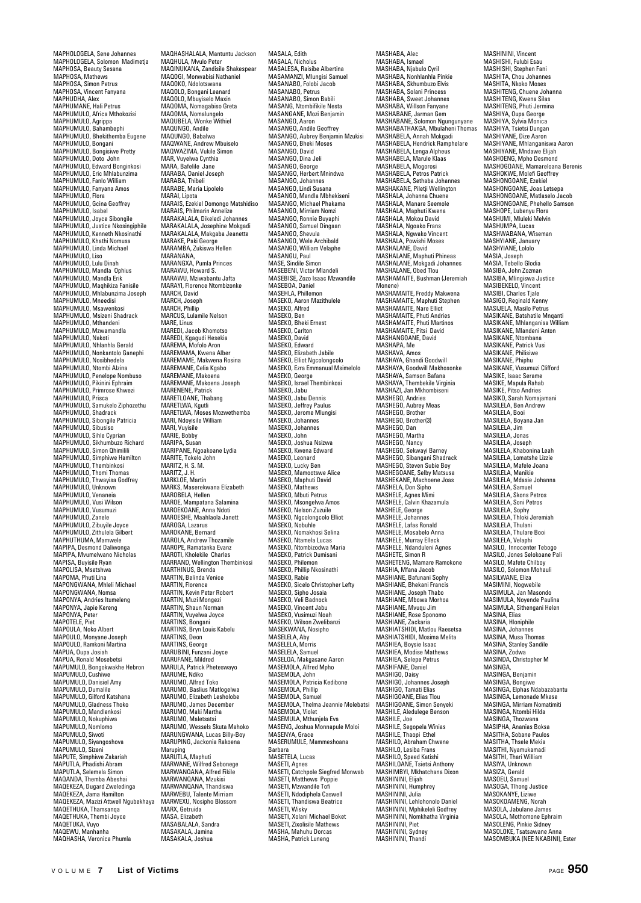MAPHOLOGELA, Sene Johannes MAPHOLOGELA, Solomon Madimetja MAPHOSA, Beauty Sesana MAPHOSA, Mathews MAPHOSA, Simon Petrus MAPHOSA, Vincent Fanyana MAPHUDHA, Alex MAPHUMANE, Hali Petrus MAPHUMULO, Africa Mthokozisi MAPHUMULO, Agrippa MAPHUMULO, Bahambephi MAPHUMULO, Bhekithemba Eugene MAPHUMULO, Bongani MAPHUMULO, Bongisiwe Pretty MAPHUMULO, Doto John MAPHUMULO, Edward Bonginkosi MAPHUMULO, Eric Mhlabunzima MAPHUMULO, Fanlo William MAPHUMULO, Fanyana Amos MAPHUMULO, Flora MAPHUMULO, Gcina Geoffrey MAPHUMULO, Isabel MAPHUMULO, Joyce Sibongile MAPHUMULO, Justice Nkosingiphile MAPHUMULO, Kenneth Nkosinathi MAPHUMULO, Khathi Nomusa MAPHUMULO, Linda Michael MAPHUMULO, Liso MAPHUMULO, Lulu Dinah MAPHUMULO, Mandla Ophius MAPHUMULO, Mandla Erik MAPHUMULO, Maqhikiza Fanisile MAPHUMULO, Mhlabunzima Joseph MAPHUMULO, Mneedisi MAPHUMULO, Msawenkosi MAPHUMULO, Msizeni Shadrack MAPHUMULO, Mthandeni MAPHUMULO, Mzwamandla MAPHUMULO, Nakoti MAPHUMULO, Nhlanhla Gerald MAPHUMULO, Nonkantolo Ganephi MAPHUMULO, Nosibhedela MAPHUMULO, Ntombi Alzina MAPHUMULO, Penelope Nombuso MAPHUMULO, Pikinini Ephraim MAPHUMULO, Primrose Khwezi MAPHUMULO, Prisca MAPHUMULO, Samukelo Ziphozethu MAPHUMULO, Shadrack MAPHUMULO, Sibongile Patricia wiar nowioco, siboligiis<br>MAPHUMULO, Sibusiso MAPHUMULO, Sihle Cyprian MAPHUMULO, Sikhumbuzo Richard MAPHUMULO, Simon Ohimilili MAPHUMULO, Simphiwe Hamilt MAPHUMULO, Thembinkosi MAPHUMULO, Thomi Thomas MAPHUMULO, Thwayisa Godfrey MAPHUMULO, Unknown MAPHUMULO, Venaneia MAPHUMULO, Vusi Wilson MAPHUMULO, Vusumuzi MAPHUMULO, Zanele MAPHUMULO, Zibuyile Joyce MAPHUMULO, Zithulela Gilbert MAPHUTHUMA, Mamwele MAPIPA, Desmond Daliwonga MAPIPA, Mvumelwano Nicholas MAPISA, Buyisile Ryan MAPOLISA, Msetshwa MAPOMA, Phuti Lina MAPONGWANA, Mhleli Michael MAPONGWANA, Nomsa MAPONYA, Andries Itumeleng MAPONYA, Japie Kereng MAPONYA, Peter MAPOTELE, Piet MAPOULA, Noko Albert MAPOULO, Monyane Joseph MAPOULO, Ramkoni Martina MAPUA, Oupa Josiah MAPUA, Ronald Mosebetsi MAPUMULO, Bongokwakhe Hebron MAPUMULO, Cushiwe MAPUMULO, Danisiel Amy MAI OMOLO, Dumalile MAPUMULO, Gilford Katshana MAPUMULO, Gladness Thoko MAPUMULO, Mandlenkosi MAPUMULO, Nokuphiwa MAPUMULO, Nomlomo MAPUMULO, Siwoti MAPUMULO, Siyangoshova MAPUMULO, Sizeni MAPUTE, Simphiwe Zakariah MAPUTLA, Phadishi Abram MAPUTLA, Selemela Simon MAQANDA, Themba Abeshai MAQEKEZA, Dugard Zweledinga MAQEKEZA, Jama Hamilton MAQEKEZA, Mazizi Attwell Ngubekhaya MAQETHUKA, Thamsanqa MAQETHUKA, Thembi Joyce MAQETUKA, Vuyo MAQEWU, Manhanha MAQHASHA, Veronica Phumla

MAQHASHALALA, Mantuntu Jackson MAQHULA, Mvulo Peter MAQINUKANA, Zandisile Shakespear MAQOGI, Monwabisi Nathaniel MAQOKO, Ndolotswana MAQOLO, Bongani Leanard MAQOLO, Mbuyiselo Maxin MAQOMA, Nomagabiso Greta MAQOMA, Nomalungelo MAQUBELA, Wonke Withiel MAQUNGO, Andile MAQUNGO, Babalwa MAQWANE, Andrew Mbuiselo MAQWAZIMA, Vukile Simon MAR, Vuyelwa Cynthia MARA, Bafelile Jane MARABA, Daniel Joseph MARABA, Damer MARABE, Maria Lipolelo MARAI, Lipota MARAIS, Ezekiel Domongo Matshidiso MARAIS, Philmarin Annelize MARAKALALA, Dikeledi Johannes MARAKALALA, Josephine Mokgadi MARAKALALA, Makgaba Jeanette MARAKE, Paki George MARAMBA, Zukiswa Hellen MARANANA, MARANGXA, Pumla Princes MARAWU, Howard S. MARAWU, Mziwabantu Jafta MARAYI, Florence Ntombizonke MARCH, David MARCH, Joseph MARCH, Phillip MARCUS, Lulamile Nelson MARE, Linus MAREDI, Jacob Khomotso MAREDI, Kgagudi Hesekia MAREMA, Mofolo Aron MAREMAMA, Kwena Alber MAREMAME, Makwena Rosina MAREMANE, Makwena n MAREMANE, Makoena MAREMANE, Makoena Joseph MARENENE, Patrick MARETLOANE, Thabang MARETLWA, Kgutli MARETLWA, Moses Mozwethemba MARI, Ndoyisile William MARI, Vuyisile MARIE, Bobby MARIPA, Susan MARIPANE, Ngoakoane Lydia MARITE, Tokelo John MARITZ H. S. M. MARITZ, J. H. MARKLOF, Martin MARKS, Maserekwana Elizabeth MAROBELA, Hellen MAROE, Mampatana Salamina MAROEKOANE, Anna Ndoti MAROESHE, Maahlaola Janett MAROGA, Lazarus MAROKANE, Bernard MAROLA, Andrew Thozamile MAROPE, Ramatanka Evanz MAROTI, Kholekile Charles MARRAND, Wellington Thembinkosi MARTHINUS, Brenda MARTIN, Belinda Venice MARTIN, Florence MARTIN, Kevin Peter Robert MARTIN, Muzi Mongezi MARTIN, Shaun Norman MARTIN, Vuyelwa Joyce MARTINS, Bongani MARTINS, Bryn Louis Kabelu MARTINS, Deon MARTINS, George MARUBINI, Funzani Joyce MARUFANE, Mildred MARULA, Patrick Pheteswayo MARUME, Ndiko MARUMO, Alfred Toko MARUMO, Baslius Matlogelwa MARUMO, Elizabeth Lesholobe MARUMO, James December MARUMO, Maki Martha MARUMO, Maletsatsi MARUMO, Wessels Skuta Mahoko MARUNGWANA, Lucas Billy-Boy MARUPING, Jackonia Rakoena Maruping MARUTLA, Maphuti MARWANE, Wilfred Sebonege MARWANQANA, Alfred Fikile MARWANQANA, Mzukisi MARWANQANA, Thandiswa MARWEBU, Talente Mirriam MARWEXU, Nosipho Blossom MARX, Getruida MASA, Elizabeth MASABALALA, Sandra MASAKALA, Jamina MASAKALA, Joshua

MASALA, Edith MASALA, Nicholus MASALESA, Raisibe Albertina MASAMANZI, Mlungisi Samuel MASANABO, Folobi Jacob MASANABO, Petrus MASANABO, Simon Babili MASANG, Ntombifikile Nesta MASANGANE, Mozi Benjamin MASANGANE, MO MASANGO, Andile Geoffrey MASANGO, Aubrey Benjamin Mzukisi MASANGO, Bheki Moses MASANGO, David MASANGO, Dina Jeli MASANGO, George MASANGO, Herbert Mnindwa MASANGO, Johannes MASANGO, Lindi Susana MASANGO, Mandla Mbhekiseni MASANGO, Michael Phakama MASANGO, Mirriam Nomz MASANGO, Ronnie Buvaph MASANGO, Samuel Dingaan MASANGO, Shevula MASANGO, Wele Archibald MASANGO, William Velaphe MASANGU, Paul MASE, Sindile Simon MASEBENI, Victor Mlandeli MASEBISE, Zozo Isaac Mzwandile MASEROA, Daniel MASEHLA, Phillemon MASEKO, Aaron Mazithulele MASEKO, Adion<br>MASEKO, Alfred<br>MASEKO, Ben MASEKO, Ben MASEKO, Bheki Ernest MASEKO, Carlton MASEKO, David MASEKO, Edward MASEKO, Elizabeth Jabile MASEKO, Elliot Ngcolongcolo MASEKO, Ezra Emmanual Msimelolo MASEKO, George MASEKO, Israel Thembinkosi MASEKO, Jabu MASEKO, Jabu Dennis MASEKO, Jeffrey Paulus MASEKO, Jerome Mlungisi MASEKO, Johannes wiesero, Johannes<br>MASEKO, Johannes MASEKO, John MASEKO, Joshua Nsizwa MASEKO, Kwena Edward MASEKO, Leonard MASEKO, Lucky Ben MASEKO, Mamootswe Alice MASEKO, Maphuti David MASEKO, Mathews MASEKO, Mbuti Petrus MASEKO, Msongelwa Amos MASEKO, Nelson Zuzuile MASEKO, Ngcolongcolo Elliot MASEKO, Nobuhle MASEKO, Nomakhosi Selina MASEKO, Ntamela Lucas MASEKO, Ntombizodwa Maria MASEKO, Patrick Dumisani MASEKO, Philemon MASEKO, Phillip Nkosinathi MASEKO, Rabie MASEKO, Sicelo Christopher Lefty MASEKO, Sipho Josaia MASEKO, Veli Badnock MASEKO, Vincent Jabu MASEKO, Vusimuzi Noah MASEKO, Wilson Zwelibanzi MASEKWANA, Nosipho MASELELA, Aby MASELELA, Morris MASELELA, Samuel MASELOA, Makgasane Aaron MASEMOLA, Alfred Mpho MASEMOLA, John MASEMOLA, Patricia Kedibone MASEMOLA, Phillip MASEMOLA, Samuel MASEMOLA, Thelma Jeannie Molebatsi MASEMOLA, Violet MASEMULA, Mthunjela Eva MASENG, Joshua Monnapule Moloi MASENYA, Grace MASERUMULE, Mammeshoana MASETELA, Lucas MASETELA, Lucas MASETI, Agnes MASETI, Catchpole Siegfred Monwab MASETI, Matthews Poppie MASETI, Mzwandile Tofi MASETI, Ndodiphela Caswell MASETI, Thandiswa Beatrice MASETI, Wisky MASETI, Xolani Michael Boket MASETI, Zixolisile Mathews MASHA, Mahuhu Dorcas MASHA, Patrick Luneng

MASHABA, Alec MASHABA, Ismael MASHABA, Njabulo Cyril MASHABA, Nonhlanhla Pinkie MASHABA, Skhumbuzo Elvis MASHABA, Solani Princess MASHABA, Sweet Johannes MASHABA, Willson Fanyane MASHABANE, Jarman Gem MASHABANE, Solomon Ngungunyane MASHABATHAKGA, Mbulaheni Thomas MASHABELA, Annah Mokgadi MASHABELA, Hendrick Ramphelare MASHABELA, Lenga Alpheus MASHABELA, Marule Klaas MASHABELA, Mogorosi MASHABELA, Petros Patrick MASHABELA, Sethaba Johannes MASHAKANE, Piletii Wellington wiestlechter, Fliegi weiling<br>MASHALA, Johanna Chuene MASHALA, Manare Seemole MASHALA, Maphuti Kwena MASHALA, Mokou David<br>MASHALA, Ngoako Frans<br>MASHALA, Ngwako Vincent<br>MASHALANE, David<br>MASHALANE, David MASHALANE, Maphuti Phineas MASHALANE, Mokgadi Johannes MASHALANE, Obed Tlou MASHAMAITE, Bushman (Jeremiah Monene) MASHAMAITE, Freddy Makwena MASHAMAITE, Maphuti Stephen MASHAMAITE, Nare Elliot MASHAMAITE, Phuti Andries MASHAMAITE, Phuti Martinos MASHAMAITE, Pitsi David MASHANGOANE, David MASHAPA, Me MASHAVA, Amos MASHAYA, Ghandi Goodwill MASHAYA, Goodwill Makhosonke MASHAYA, Samson Bafana MASHAYA, Thembekile Virginia MASHAZI, Jan Mkhombiseni MASHEGO, Andries MASHEGO, Aubrey Meas MASHEGO, Brother MASHEGO, Brother(3) wiesneuu, brut<br>MASHEGO, Dan MASHEGO, Martha MASHEGO, Nancy MASHEGO, Sekwayi Barney MASHEGO, Sibangani Shadrack MASHEGO, Steven Subie Boy MASHEGOANE, Selby Matsusa MASHEKANE, Machoene Joas MASHELA, Don Sipho MASHELE, Agnes Mimi MASHELE, Calvin Khazamula MASHELE, George MASHELE, Johannes MASHELE, Lafas Ronald MASHELE, Mosabelo Anna MASHELE, Murray Elleck MASHELE, Ndanduleni Agnes MASHETE, Simon R MASHETENG, Mamare Ramokone MASHIA, Mfana Jacob MASHIANE, Bafunani Sophy MASHIANE, Bhekani Francis MASHIANE, Joseph Thabo MASHIANE, Mbowa Morhoa MASHIANE, Mvuqu Jim MASHIANE, Rose Sponomo MASHIANE, Zackaria MASHIATSHIDI, Matlou Raesetsa MASHIATSHIDI, Mosima Melita MASHIEA, Boysie Isaac MASHIEA, Modise Mathews MASHIEA, Selepe Petrus MASHIFANE, Daniel MASHIGO, Daisy MASHIGO, Johannes Joseph MASHIGO, Tamati Elias MASHIGOANE, Elias Tlou MASHIGOANE, Enas Hou MASHILE, Aledulege Benson MASHILE, Joe MASHILE, Segopela Winias MASHILE, Thaopi Ethel MASHILO, Abraham Chwene MASHILO, Lesiba Frans MASHILO, Speed Katishi MASHILOANE, Tsietsi Anthony MASHIMBYI, Mkhatchana Dixon MASHININI, Elijah MASHININI, Humphrey MASHININI, Julia MASHININI, Lehlohonolo Daniel MASHININI, Mphikeleli Godfrey MASHININI, Nomkhatha Virginia MASHININI, Piet MASHININI, Sydney MASHININI, Thandi

MASHININI, Vincent MASHISHI, Fulubi Esau MASHISHI, Stephen Fani MASHITA, Chou Johannes MASHITA, Nkoko Moses MASHITENG, Chuene Johanna MASHITENG, Kwena Silas MASHITENG, Phuti Jermina MASHIYA, Oupa George MASHIYA, Sylvia Monica MASHIYA, Tsietsi Dungan MASHIYANE, Dize Aaron MASHIYANE, Mhlanganiswa Aaron MASHIYANE, Mndawe Elijah MASHOENG, Mpho Desmond MASHOGOANE, Mamareloana Berenis MASHOKWE, Molefi Geoffrey MASHONGOANE, Ezekiel MASHONGOANE, Joas Letsepa MASHONGOANE, Matlaselo Jacob MASHONGOANE, Phehello Samson MASHOPE, Lubenyu Flora MASHUMI, Mluleki Melvin MASHUMPA, Lucas MASHWARANA, Wiseman MASHYIANE, January MASHYIANE, Lololo MASIA, Joseph MASIA, Tebello Glodia MASIBA, John Zozman MASIBA, Mlingiswa Justice MASIREKELO, Vincent MASIBI, Charles Tiale MASIGO, Reginald Kenny MASIJELA, Masilo Petrus MASIKANE, Batshatile Mnqanti MASIKANE, Mhlanganisa William MASIKANE, Mlandeni Anton MASIKANE, Miditation MASIKANE, Patrick Vusi MASIKANE, Philisiwe MASIKANE, Phinhu MASIKANE, Vusumuzi Clifford MASIKE, Isaac Serame MASIKE, Mapula Rahab MASIKE, Pitso Andries MASIKO, Sarah Nomajamani MASILELA, Ben Andrew MASILELA, Booi MASILELA, Boyana Jan wiasilela, buy<br>MASILELA, Jim MASILELA, Jonas MASILELA, Joseph MASILELA, Khabonina Leah MASILELA, Lomatshe Lizzie MASILELA, Mafele Joana MASILELA, Manikie MASILELA, Mdasie Johanna MASILELA, Samuel MASILELA, Skons Petros MASILELA, Soni Petros MASILELA, Sophy MASILELA, Thloki Jeremiah MASILELA, Thulani MASILELA, Thulare Booi MASILELA, Velanhi MASILO, Innocenter Tebogo MASILO, Jones Selokoane Pali MASILO, Mafete Chilboy MASILO, Solomon Mohauli MASILWANE, Eliza MASIMINI, Nogwebile MASIMULA, Jan Masondo MASIMULA, Noyende Paulina MASIMULA, Sithengani Helen MASINA, Elias MASINA, Hloniphile MASINA, Johannes MASINA, Musa Thomas MASINA, Stanley Sandile MASINA, Zodwa MASINDA, Christopher M MASINGA, MASINGA, Benjamin MASINGA, Bongiwe MASINGA, Elphas Ndabazabantu MASINGA, Lemonade Mkase MASINGA, Mirriam Nomatimiti MASINGA, Ntombi Hilda MASINGA, Thozwana MASIPHA, Ananias Boksa MASITHA, Sobane Paulos MASITHA, Thsele Mekia MASITHI, Nyamukamadi MASITHI, Thari William MASIYA, Unkno MASIZA, Gerald MASOEU, Samuel MASOGA, Tlhong Justice MASOKANYE, Liziwe MASOKOAMENG, Norah MASOLA, Jabulane James MASOLA, Mothomone Ephraim MASOLENG, Pinkie Sidney MASOLOKE, Tsatsawane Anna MASOMBUKA (NEE NKABINI), Ester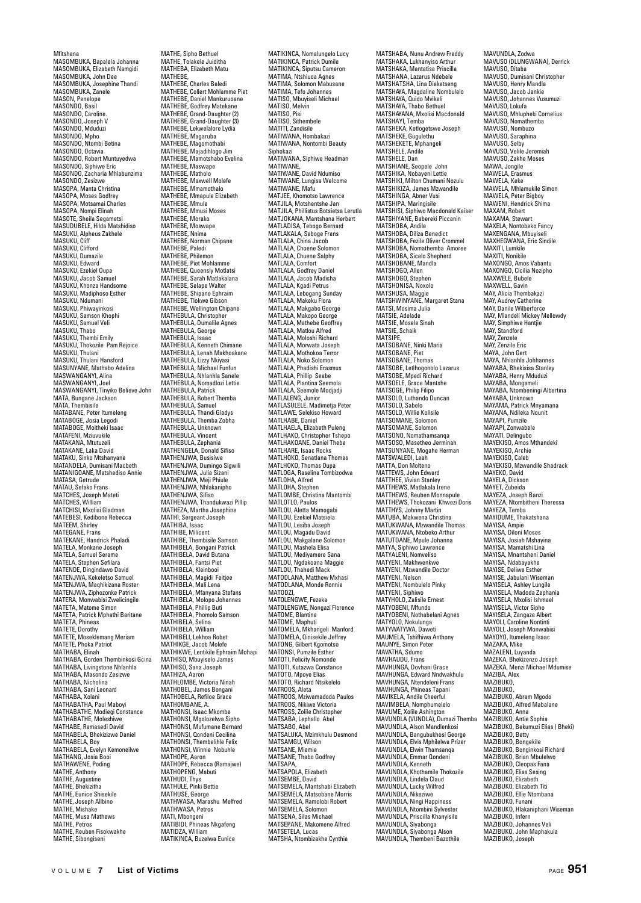Mfitshana MASOMBUKA, Bapalela Johanna MASOMBUKA, Elizabeth Namgidi MASOMBUKA, John Dee MASOMBUKA, Josephine Thandi MASOMBUKA, Zanele MASON, Penelope MASONDO, Basil MASONDO, Caroline. MASONDO, Joseph V MASONDO, Mduduzi MASONDO, Mpho MASONDO, Ntombi Betina MASONDO, Octavia MASONDO, Robert Muntuyedwa MASONDO, Siphiwe Eric MASONDO, Zacharia Mhlabunzima MASONDO, Zesizwe MASOPA, Manta Christina MASOPA, Moses Godfrey MASOPA, Motsamai Charles MASOPA, Nompi Elinah MASOTE, Sheila Segametsi MASUDUBELE, Hilda Matshidiso MASUKU, Alpheus Zakhele MASUKU, Cliff MASUKU, Clifford MASUKU, Dumazile MASUKU, Edward MASUKU, Ezekiel Oupa MASUKU, Jacob Samuel MASUKU, Khonza Handsome MASUKU, Madiphoso Esther MASUKU, Ndumani MASUKU, Phiwayinkosi MASUKU, Samson Khophi MASUKU, Samuel Veli MASUKU, Thabo MASUKU, Thembi Emily MASUKU, Thokozile Pam Rejoice MASUKU, Thulani MASUKU, Thulani Hansford MASUNYANE, Mathabo Adelina MASWANGANYI, Alina MASWANGANYI, Joel MASWANGANYI, Tinyiko Believe John MATA, Bungane Jackson MATA, Thembisile MATABANE, Peter Itumeleng MATABOGE, Josia Legodi MATABOGE, Moitheki Isaac MATAFENI, Mziuvukile MATAKANA, Mtutuzeli MATAKANE, Laka David MATAKU, Sinko Mtshanyane MATANDELA, Dumisani Macbeth MATANIGOANE, Matshediso Annie MATASA, Getrude MATAU, Sefako Frans MATCHES, Joseph Mateti MATCHES, William MATCHISI, Mxolisi Gladman MATEBESI, Kedibone Rebecca MATEEM, Shirley MATEGANE, Frans MATEKANE, Handrick Phaladi MATELA, Monkane Joseph MATELA, Samuel Serame MATELA, Stephen Sefilara MATENDE, Dingindawo David MATENJWA, Kekeletso Samuel MATENJWA, Maqhikizana Roster MATENJWA, Ziphozonke Patrick MATERA, Monwabisi Zwelicingile MATETA, Matome Simon MATETA, Patrick Mphathi Baritane MATETA, Phineas MATETE, Dorothy MATETE, Moseklemang Meriam MATETE, Phoka Patriot MATHABA, Elinah MATHABA, Gorden Thembinkosi Gcina MATHABA, Livingstone Nhlanhla MATHABA, Masondo Zesizwe MATHABA, Nicholina MATHABA, Sani Leonard MATHABA, Xolani MATHABATHA, Paul Maboyi MATHABATHE, Modiegi Constance MATHABATHE, Moleshiwe MATHABE, Ramasedi David MATHABELA, Bhekiziz MATHABELA, Boy MATHABELA, Evelyn Kemoneilwe MATHANG, Josia Booi MATHAWENE, Poding MATHE, Anthony MATHE, Augustine MATHE, Bhekizitha MATHE, Eunice Shisekile MATHE, Joseph Allbino MATHE, Mishake MATHE, Mishake<br>MATHE, Musa Mathews MATHE, Petros MATHE, Reuben Fisokwakhe MATHE, Sibongiseni

MATHE, Sipho Bethuel MATHE, Tolakele Juiditha MATHEBA, Elizabeth Matu<br>MATHEBA, Elizabeth Matu MATHEBE, MATHEBE, Charles Baledi MATHEBE, Collert Mohlamme Piet MATHEBE, Daniel Mankuruoane MATHEBE, Godfrey Matekane MATHEBE, Grand-Daughter (2) MATHEBE, Grand-Daughter (3) MATHEBE, Lekwelalore Lydia MATHEBE, Magaruba MATHEBE, Magomothabi MATHEBE, Majadihlogo Jim MATHEBE, Mamotshabo Evelina MATHEBE, Maswape MATHEBE, Matholo MATHEBE, Maxwell Molefe MATHEBE, Mmamothalo MATHEBE, Mmapule Elizabeth MATHERE, Mmule MATHEBE, Mmusi Moses MATHERE, Morako MATHEBE, Moswape MATHERE, Nnima MATHEBE, Norman Chipane MATHERE, Paledi MATHEBE, Philemon MATHEBE, Piet Mohlamme MATHEBE, Queensly Motlatsi MATHEBE, Sarah Matlakalana MATHEBE, Selape Walter MATHEBE, Shipane Ephraim MATHEBE, Tlokwe Gibson MATHEBE, Wellington Chipane MATHEBULA, Christopher MATHEBULA, Dumalile Agnes MATHEBULA, George MATHEBULA, Isaac MATHEBULA, Kenneth Chimane MATHEBULA, Lenah Makhoakane MATHEBULA, Lizzy Nkiyasi MATHEBULA, Lizzy Iwityasi MATHEBULA, Nhlanhla Sanele MATHEBULA, Nomadlozi Lettie MATHEBULA, Patrick MATHEBULA, Robert Themba MATHEBULA, Samuel MATHEBULA, Thandi Gladys MATHEBULA, Themba Zobha MATHEBULA, Unknown MATHEBULA, Vincent MATHEBULA, Zephania MATHENGELA, Donald Sifiso MATHENJWA, Busisiwe MATHENJWA, Dumingo Sigwili MATHENJWA, Julia Sizan MATHEN. WA Meji Phiule MATHENJWA, Nhlakanipho MATHENJWA, Sifiso MATHENJWA, Thandukwazi Pillip MATHEZA, Martha Josephine MATHI, Sergeant Joseph MATHIBA, Isaac MATHIBE, Milicent MATHIRE, Thembisile Samson MATHIBELA, Bongani Patrick MATHIBELA, David Butana MATHIBELA, Fantsi Piet MATHIBELA, Kleinbooi MATHIBELA, Magidi Feitjee MATHIBELA, Mali Lena MATHIBELA, Mfanyana Stefans MATHIBELA, Molopo Johannes MATHIBELA, Phillip Buti MATHIBELA, Phomolo Samson MATHIBELA, Selina MATHIBELA, William MATHIBELI, Lekhoa Robet MATHIKGE, Jacob Molefe MATHIKWE, Lentikile Ephraim Mohapi MATHISO, Mbuyiselo James MATHISO, Sana Joseph MATHIZA, Aaron MATHLOMBE, Victoria Ninah MATHOBEL, James Bongani MATHOBELA, Refiloe Grace MATHOMBANE, A. MATHONSI, Isaac Mkombe MATHONSI, Mgolozelwa Sipho MATHONSI, Mufumane Bernard MATHONSI, Qondeni Cecilina MATHONSI, Thembelihle Felix MATHONSI, Winnie Nobuhle MATHOPE, Aaron MATHOPE, Rebecca (Ramajwe) MATHOPENG, Mabuti MATHUDI, Thys MATHULE, Pinki Bettie MATHUSE, George MATHWASA, Marashu Melfred MATHWASA Petros MATI, Mbongeni MATIBIDI, Phineas Nkgafeng MATIDZA, William

MATIKINCA, Nomalungelo Lucy MATIKINCA, Patrick Dumile MATIKINCA, Siputsu Cameron MATIMA, Ntshiuoa Agnes MATIMA, Solomon Mabusane MATIMA, Tefo Johannes MATISO, Mbuyiseli Michael MATISO, Melvin MATISO, Pisi MATISO, Sithembele MATITI, Zandisile MATIWANA, Hombakazi MATIWANA, Nontombi Beauty Siphokazi MATIWANA, Siphiwe Headman MATIWANE, MATIWANE, David Ndumiso MATIWANE, Lungisa Welcome MATIWANE, Mafu MATJEE, Khomotso Lawrence MATJILA, Motshentshe Jan MATJILA, Phillistus Botsietsa Lerutla MATJOKANA, Mantshana Herbert MATLADISA, Tebogo Bernard<br>MATLADISA, Tebogo Bernard<br>MATLAKALA, Seboge Frans MATLAKALA, Seboge Frans MATLALA, China Jacob MATLALA, Choene Solomon MATLALA, Chuene Salphy MATLALA, Comfort MATLALA, Godfrey Daniel MATLALA, Jacob Madisha<br>MATLALA, Jacob Madisha<br>MATLALA, Kgadi Petrus MATLALA, Kgadi Petrus MATLALA, Lebogang Sunday MATLALA, Makeku Flora MATLALA, Makgabo George MATLALA, Makopo George MATLALA, Makepe George MATLALA, Matlou Alfred MATLALA, Moloshi Richard MATLALA, Morwata Joseph MATLALA, Mothokoa Terror MATLALA, Noko Solomon MATLALA, Phadishi Erasmus MATLALA, Phillip Seabe MATLALA, Plantina Seemola MATLALA, Seemole Modjadji MATLALENG, Junior MATLASULELE, Madimetja Peter MATLAWE, Selekiso Howard MATLHABE, Daniel MATLHAELA, Elizabeth Puleng MATLHAKO, Christopher Tshepo MATLHAKOANE, Daniel Thebe MATLHARE, Isaac Rocks MATLHOKO, Senatlana Thomas MATLHOKO, Thomas Oupa MATLOGA, Raselina Tombizodwa MATLOHA, Alfred MATLOHA, Stephen MATLOMBE, Christina Mantombi MATLOTLO, Paulos MATLOU, Aletta Mamogabi MATLOU, Ezekiel Matsiela MATLOU, Lesiba Joseph MATLOU, Magadu David MATLOU, Makgalane Solomon MATLOU, Mashela Elisa MATLOU, Mediyamere Sana MATLOU, Ngdakoana Maggie MATLOU, Thahedi Mack MATODLANA, Matthew Mxhasi MATODLANA, Monde Ronnie MATODZI,<br>MATOLENGWE, Fezeka MATOLENGWE, Nongazi Florence MATOME, Blantina MATOME, Maphuti MATOMELA, Mkhangeli Manford MATOMELA, Qinisekile Jeffrey MATONG, Gilbert Kgomotso MATONSI, Pumzile Esther MATOTI, Felicity Nomonde MATOTI, Kutazwa Constance MATOTO, Mpoye Elias MATOTO, Richard Ntsikelelo MATROOS, Aleta MATROOS, Mziwamadoda Paulos MATROOS, Nikiwe Victoria MATROSS, Zolile Christophe MATSABA, Lephallo Abe MATSABO, Abel MATSALUKA, Mzimkhulu Desmond MATSAMGU, Wilson MATSANE, Miemie MATSANE, Thabo Godfrey MATSAPA, MATSAPOLA, Elizabeth MATSEMBE, David MATSEMELA, Mantshabi Elizabeth MATSEMELA, Matsobane Morris MATSEMELA, Ramolobi Robert MATSEMELA, Solomon MATSENA, Silas Michael MATSEPANE, Makomene Alfred MATSETELA, Lucas MATSHA, Ntombizakhe Cynthia

MATSHABA, Nunu Andrew Freddy MATSHAKA, Lukhanyiso Arthur MATSHAKA, Mantatisa Priscilla MATSHANA, Lazarus Ndebele MATSHATSHA, Lina Dieketseng MATSHAYA, Magdaline Nombulelo MATSHAYA, Quido Mvikeli MATSHAYA, Thabo Bethuel MATSHAYANA, Mxolisi Macdonald MATSHAYI, Temba MATSHEKA, Ketlogetswe Joseph MATSHEKE, Gugulethu MATSHEKETE, Mphangeli MATSHELE, Andile MATSHELE, Dan MATSHIANE, Seopele John MATSHIKA, Nobayeni Lettie MATSHIKI, Milton Chumani Nozulu MATSHIKIZA, James Mzwandile MATSHINGA, Abner Vusi MATSHIPA, Maringisile MATSHISI, Siphiwo Macdonald Kaiser MATSHIYANE, Babereki Piccanin MATSHOBA, Andile<br>MATSHOBA, Andile<br>MATSHOBA, Diliza Benedict MATSHOBA, Diliza Benedict MATSHOBA, Fezile Oliver Crommel MATSHOBA, Nomathemba Amoree MATSHOBA, Sicelo Shepherd MATSHOBANE, Mandla MATSHOGO, Allen MATSHOGO, Stephen MATSHONISA, Noxolo MATSHUSA, Maggie MATSHWINYANE, Margaret Stana MATSI, Mosima Julia MATSIE, Adelade MATSIE, Mosele Sinah MATSIE, Schalk MATSIPE, MATSOBANE, Ninki Maria MATSOBANE, Piet MATSOBANE, Thomas MATSOBE, Letlhogonolo Lazarus MATSOBE, Mpedi Richard MATSOELE, Grace Mantshe MATSOGE, Philip Filipo MATSOLO, Luthando Duncan MATSOLO, Sabelo MATSOLO, Willie Kolisile MATSOMANE, Solomon MATSOMANE, Solomon MATSONO, Nomathamsanqa MATSOSO, Masetheo Jerminah MATSUNYANE, Mogahe Herman MATSWALEDI, Leah MATTA, Don Molteno MATTEWS, John Edward MATTHEE, Vivian Stanley MATTHEWS, Matlakala Irene MATTHEWS, Reuben Monnapule MATTHEWS, Thokozani Khwezi Doris MATTHYS, Johnny Martin MATUBA, Makwena Christina MATUKWANA, Mzwandile Thomas MATUKWANA, Ntobeko Arthur MATUTOANE, Mpule Johanna MATYA, Siphiwo Lawrence MATYALENI, Nomveliso MATYENI, Makhwenkwe MATYENI, Mzwandile Doctor MATYENI, Nelson MATYENI, Nombulelo Pinky MATYENI, Siphiwo MATYHOLO, Zalisile Ernest MATYOBENI, Mfundo MATYOBENI, Nothabelani Agnes MATYOLO, Nokulunga MATYWATYWA, Daweti MAUMELA, Tshifhiwa Anthony MAUNYE, Simon Peter MAVATHA, Sdumo MAVHAUDU, Frans MAVHUNGA, Dovhani Grace MAVHUNGA, Edward Nndwakhulu MAVHUNGA, Ntendeleni Frans MAVHUNGA, Phineas Tapani MAVIKELA, Andile Cheerful MAVINLEA, Andre Crieerius<br>MAVIMBELA, Nomphumele MAVUME, Xolile Ashington MAVUNDLA (VUNDLA), Dumazi Themba MAVUNDLA, Alson Mandlenkosi MAVUNDLA, Bangubukhosi George MAVUNDLA, Elvis Mphilelwa Prizer MAVUNDLA, Elwin Thamsanqa MAVUNDLA, Emmar Qondeni MAVUNDLA, Kenneth MAVUNDLA, Khothamile Thokozile MAVUNDLA, Lindela Claud MAVUNDLA, Lucky Wilfred MAVUNDLA, Nikeziwe MAVUNDLA, Ningi Happiness MAVUNDLA, Ntombini Sylvester MAVUNDLA, Priscilla Khanyisile MAVUNDLA, Siyabonga MAVUNDLA, Siyabonga Alson MAVUNDLA, Thembeni Bazothile

MAVUNDLA, Zodwa MAVUSO (DLUNGWANA), Derrick MAVUSO, Ditaba MAVUSO, Dumisani Christopher MAVUSO, Henry Mandla MAVUSO, Jacob Jankie MAVUSO, Johannes Vusumuzi MAVUSO, Lokufa MAVUSO, Mhlupheki Cornelius MAVUSO, Nomathemba MAVUSO, Nombuzo MAVUSO, Saraphina MAVUSO, Selby MAVUSO, Velile Jeremiah MAVUSO, Zakhe Moses MAWA, Jongile MAWFLA, Frasmus MAWELA, Keke MAWELA, Mhlamukile Simon MAWELA, Peter Bigboy MAWENI, Hendrick Shima MAXAM, Robert MAXAMA, Stewart MAXELA, Nontobeko Fancy MAXENGANA, Mbuyiseli MAXHEGWANA, Eric Sindile MAXITI, Lumkile MAXITI, Nonikile MAXONGO, Amos Vabantu MAXONGO, Cicilia Nozipho MAXWELE, Bubele MAXWELL, Gavin MAY, Alicia Thembakazi MAY, Audrey Catherine MAY, Danile Wilberforce MAY, Mlandeli Mickey Mellowdy MAY, Simphiwe Hantjie MAY, Standford MAY, Zenzele MAY, Zenzile Eric MAYA, John Gert MAYA, Nhlanhla Johhannes MAYABA, Bhekisisa Stanley MAYABA, Henry Mduduzi MAYABA, Mongameli MAYABA, Ntombeningi Albertina MAYABA, Unknown MAYAMA, Patrick Mnyamana MAYANA, Ndileka Nounit MAYAPI, Pumzile MAYAPI, Zonwabele MAYATI, Delingubo MAYEKISO, Amos Mthandeki MAYEKISO, Archie MAYEKISO, Caleb MAYEKISO, Mzwandile Shadrack MAYEKO, David MAYELA, Dickson MAYET, Zubeida MAYEZA, Joseph Banzi MAYEZA, Ntombitheni Theressa MAYEZA, Temba MAYIDUME, Thakatshana MAYISA, Ampie MAYISA, Diloni Moses MAYISA, Josiah Mshayina MAYISA, Mamatshi Lina MAYISA, Mnantsheni Daniel MAYISA, Ndabayakhe MAYISE, Deliwe Esther MAYISE, Jabulani Wiseman MAYISELA, Ashley Lungile MAYISELA, Madoda Zephania MAYISELA, Mxolisi Ishmael MAYISELA, Victor Sipho MAYISELA, Zangaza Albert MAYOLI, Caroline Nontinti MAYOLI, Joseph Monwabisi MAYOYO, Itumeleng Isaac MAZAKA, Mike MAZALENI, Luyanda MAZEKA, Bhekizenzo Joseph MAZEKA, Menzi Michael Mdumise MAZIBA, Alex MAZIBUKO, MAZIBUKO, MAZIBUKO, Abram Mgodo MAZIBUKO, Alfred Mabalane MAZIBUKO, Anna MAZIBUKO, Antie Sophia MAZIBUKO, Bekumuzi Elias ( Bheki) MAZIBUKO, Betty MAZIBUKO, Bongekile MAZIBUKO, Bonginkosi Richard MAZIBUKO, Brian Mbulelwo MAZIBUKO, Cleopas Fana MAZIBUKO, Elias Sesing MAZIBUKO, Elizabeth MAZIBUKO, Elizabeth Titi MAZIBUKO, Ellie Ntombana MAZIBUKO, Ellic No MAZIBUKO, Hlakaniphani Wiseman MAZIBUKO, Infern MAZIBUKO, Johannes Veli MAZIBUKO, John Maphakula MAZIBUKO, Joseph

MATIKINCA, Buzelwa Eunice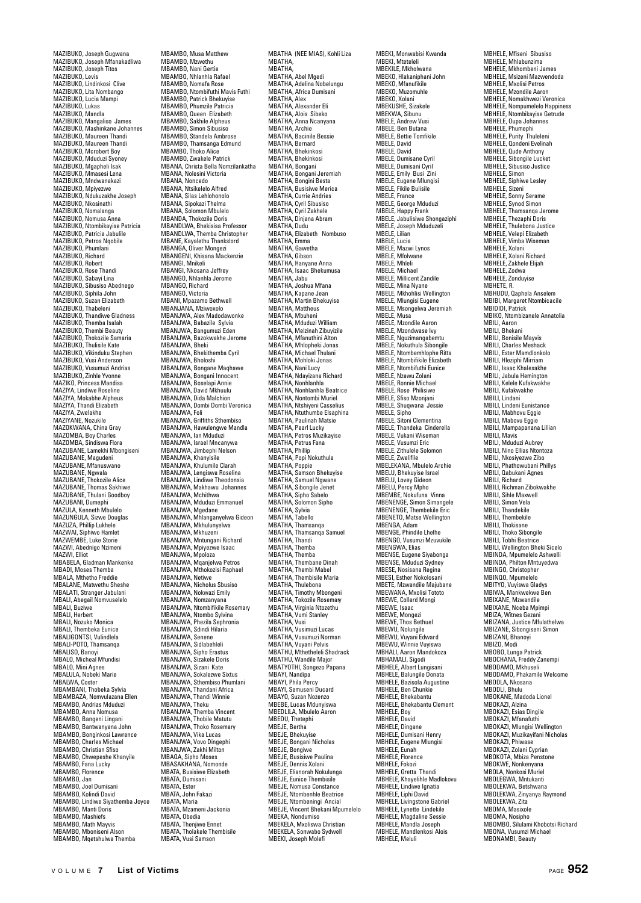MAZIBUKO, Joseph Gugwana MAZIBUKO, Joseph Mfanakadliwa MAZIBUKO, Joseph Titos MAZIBUKO, Levis MAZIBUKO, Lindinkosi Clive MAZIBUKO, Lita Nombango MAZIBUKO, Lucia Mampi MAZIBUKO, Lukas MAZIBUKO, Mandla MAZIBUKO, Mangaliso James MAZIBUKO, Mashinkane Johannes MAZIBUKO, Maureen Thandi MAZIBUKO, Maureen Thandi MAZIBUKO, Mcrobert Boy MAZIBUKO, Mduduzi Syoney MAZIBUKO, Mgapheli Isak MAZIBUKO, Mmasesi Lena MAZIBUKO, Mndwanakazi MAZIBUKO, Mpiyezwe MAZIBUKO, Ndukuzakhe Joseph MAZIBUKO, Nkosinathi MAZIBUKO, Nomalanga MAZIBUKO, Nomusa Anna MAZIBUKO, Ntombikayise Patricia MAZIBUKO, Patricia Jabulile MAZIBUKO, Petros Nqobile MAZIBUKO, Phumlani MAZIBUKO, Richard MAZIBUKO, Robert MAZIBUKO, Rose Thandi MAZIBUKO, Sabayi Lina MAZIBUKO, Sibusiso Abednego MAZIBUKO, Siphila John MAZIBUKO, Suzan Elizabeth MAZIBUKO, Thabeleni www.uov.com.under.com<br>MAZIBUKO, Thandiwe Gladness MAZIBUKO, Themba Isalah MAZIBUKO, Thembi Beauty MAZIBUKO, Thokozile Samaria MAZIBUKO, Thulisile Kate MAZIBUKO, Vikinduku Stephen MAZIBUKO, Vusi Anderson MAZIBUKO, Vusumuzi Andrias MAZIBUKO, Zinhle Yvonne MAZIKO, Princess Mandisa MAZIYA, Lindiwe Roseline MAZIYA, Mokabhe Alpheus MAZIYA, Thandi Elizabeth MAZIYA, Zwelakhe MAZIYANE, Nozukile wiazi ranc, nozukile<br>MAZOKWANA, China Gray MAZOMBA, Boy Charles MAZOMBA, Sindiswa Flora MAZUBANE, Lamekhi Mbongiseni MAZUBANE, Magudeni MAZUBANE, Mfanuswano MAZUBANE, Ngwala MAZUBANE, Thokozile Alice MAZUBANE, Thomas Sakhi MAZUBANE, Thulani Goodboy MAZUBANI, Dumephi MAZULA, Kenneth Mbulelo MAZUNGULA, Sizwe Douglas MAZUZA, Phillip Lukhele MAZWAI, Siphiwo Hamlet MAZWEMBE, Luke Storie MAZWI, Abednigo Nzimeni MAZWI, Elliot MBABELA, Gladman Mankenke MBADI, Moses Themba MBALA, Mthetho Freddie MBALANE, Matwethu Sheshe MBALATI, Stranger Jabulani MBALI, Abegail Nomvuselelo MBALI, Buziwe MBALI, Herbert MBALI, Nozuko Monica MBALI, Thembeka Eunice MBALIGONTSI, Vulindlela MBALI-POTO, Thamsanqa MBALISO, Banoyi MBALO, Micheal Mfundisi MBALO, Mini Agnes MBALULA, Nobeki Marie MBALWA, Coster MBAMBANI, Thobeka Sylvia MBAMBAZA, Nomvulazana Ellen MBAMBO, Andrias Mduduzi MBAMBO, Anna Nomusa MBAMBO, Bangeni Lingani MBAMBO, Bantwanyana John MBAMBO, Bonginkosi Lawrence MBAMBO, Charles Michael MBAMBO, Christian Sfiso MBAMBO, Chwepeshe Khanyile MBAMBO, Fana Lucky MBAMBO, Florence MBAMBO, Jan MBAMBO, Joel Dumisani MBAMBO, Kolindi David MBAMBO, Lindiwe Siyathemba Joyce MBAMBO, Manti Doris MBAMBO, Mashiefs MBAMBO, Math Mayvis MBAMBO, Mboniseni Alson MBAMBO, Mqetshulwa Themba

MBAMBO, Musa Matthew MBAMBO, Mzwethu MBAMBO, Nani Gertie MBAMBO, Nhlanhla Rafael MBAMBO, Nomafa Rose MBAMBO, Ntombifuthi Mavis Futhi MBAMBO, Patrick Bhekuyise MBAMBO, Phumzile Patricia MBAMBO, Queen Elizabeth MBAMBO, Sakhile Alpheus MBAMBO, Simon Sibusiso MBAMBO, Standela Ambrose MBAMBO, Thamsanga Edmund MBAMBO, Thoko Alice MBAMBO, Zwakele Patrick MBANA, Christa Bella Nomzilankatha MBANA, Nolesini Victoria MBANA, Noncedo MBANA, Ntsikelelo Alfred MBANA, Nisikelelo Alireu MBANA, Sinokazi Thelma MBANA, Solomon Mbulelo MBANDA, Thokozile Doris MBANDLWA, Bhekisisa Professor<br>MBANDLWA, Themba Christopher MBANDLWA, Themba Christopher MBANE, Kayalethu Thankslord MBANGA, Oliver Mongezi MBANGENI, Khisana Mackenzie MBANGI, Mnikeli MBANGI, Nkosana Jeffrey MBANGO, Nhlanhla Jerome MBANGO, Richard MBANGO, Victoria MBANI, Mpazamo Bethwell MBANJANA, Mziwoxolo MBANJWA, Alex Madodawonke MBANJWA, Babazile Sylvia MBANJWA, Bangumuzi Eden MBANJWA, Bazokwakhe Jerome MRANJWA<sup>, Bheki</sup> MBANJWA, Bhekithemba Cyril MBANJWA, Bholoshi MBANJWA, Bongane Maqhawe MBANJWA, Bongani Innocent MBANJWA, Boselapi Annie MBANJWA, David Mkhuulu MBANJWA, Dida Malchion MBANJWA, Dombi Dombi Veronica MBANJWA, Foli MBANJWA, Griffiths Sthembiso MBANJWA, Hawulengwe Mandla MBANJWA, Ian Mduduzi MBANJWA, Israel Mncanywa MBANJWA, Jimbephi Nelson MBANJWA, Khanyisile MBANJWA, Khulumile Clarah MBANJWA, Lengiswa Roselina MBANJWA, Lindiwe Theodonsia MBANJWA, Makhawu Johannes MBANJWA, Mchithwa MBANJWA, Mduduzi Emmanuel MBANJWA, Mgedane MBANJWA, Mhlanganyelwa Gideon MBANJWA, Mkhulunyelwa MBANJWA, Mkhuzeni MBANJWA, Mntungani Richard MBANJWA, Mpiyezwe Isaac MBANJWA, Mpoloza MBANJWA, Mqanjelwa Petros MBANJWA, Mthokozisi Raphael MBANJWA, Netiwe MBANJWA, Nicholus Sbusiso MBANJWA, Nokwazi Emily MBANJWA, Nomzanyana MBANJWA, Ntombifikile Rosemary MBANJWA, Ntombo Sylvina MBANJWA, Phezila Sephronia MBANJWA, Sdindi Hilaria MBANJWA, Senene MBANJWA, Sidlabehleli MBANJWA, Sipho Erastus MBANJWA, Sizakele Doris MBANJWA, Sizani Kate MBANJWA, Sokalezwe Sixtus MBANJWA, Sthembiso Phumlani MBANJWA, Thandani Africa MBANJWA, Thandi Winnie MBANJWA, Theku MBANJWA, Themba Vincent MBANJWA, Thobile Matutu MBANJWA, Thoko Rosemary MBANJWA, Vika Lucas MBANJWA, Vovo Dingephi MBANJWA, Zakhi Milton MBAQA, Sipho Moses MBASAKHANA, Nomonde MBATA, Busisiwe Elizabeth MBATA, Dumisani MBATA, Ester MBATA, John Fakazi MBATA, Maria MBATA, Mzameni Jackonia MBATA, Obedia MBATA, Thenjiwe Ennet MBATA, Tholakele Thembisile MBATA, Vusi Samson

MBATHA (NEE MIAS), Kohli Liza MBATHA, MBATHA, MBATHA, Abel Mgedi MBATHA, Adelina Nobelungu MBATHA, Africa Dumisani MBATHA, Alex MBATHA, Alexander Eli MBATHA, Alois Sibeko MBATHA, Anna Ncanyana MBATHA, Archie MBATHA, Bacinile Bessie MBATHA, Bernard MBATHA, Bhekinkosi MBATHA, Bhekinkosi MBATHA, Bongani MBATHA, Bongani Jeremiah MBATHA, Bongini Besta MBATHA, Busisiwe Merica MBATHA, Currie Andries MBATHA, Cyril Sibusiso MBATHA, Cyril Zakhele MBATHA, Dinjana Abram MBATHA, Dudu MBATHA, Elizabeth Nombuso MBATHA, Emma MBATHA, Gawetha MBATHA, Gibson MBATHA, Hanyane Anna MBATHA, Isaac Bhekumusa MBATHA, Jahu MBATHA, Joshua Mfana MBATHA, Kapane Jean MBATHA, Martin Bhekuyise MBATHA, Mattheus MBATHA, Mbuheni MBATHA, Mduduzi William MBATHA, Melzinah Zibuyizile MBATHA, Mfanuthini Alton MBATHA, Mhlopheki Jonas MBATHA, Michael Thulani MBATHA, Mohloki Jonas MBATHA, Municki Ju MBATHA, Ndayizana Richard MBATHA, Nonhlanhla MBATHA, Nonhlanhla Beatrice MBATHA, Nontombi Muriel MBATHA, Ntshiyeni Casselius MBATHA, Ntuthumbe Elsaphina MBATHA, Paulinah Matsie MBATHA, Pearl Lucky MBATHA, Petros Muzikayise MBATHA, Petrus Fana MBATHA, Phillip MBATHA, Popi Nokuthula MBATHA, Poppie MBATHA, Samson Bhekuyise MBATHA, Samuel Ngwane MBATHA, Sibongile Jenet MBATHA, Sipho Sabelo MBATHA, Solomon Sipho MBATHA, Sylvia MBATHA, Tabello MBATHA, Thamsanqa MBATHA, Thamsanqa Samuel MBATHA, Thandi MBATHA, Themba MBATHA, Themba MBATHA, Thembane Dinah MBATHA, Thembi Mabel MBATHA, Thembisile Maria MBATHA, Thulebona MBATHA, Timothy Mbongeni MBATHA, Tokozile Rosemary MBATHA, Virginia Ntozethu MBATHA, Vumi Stanley MBATHA, Vusi MBATHA, Vusimuzi Lucas MBATHA, Vusumuzi Norman MBATHA, Vuyani Pelvis MBATHU, Mthetheleli Shadrack MBATHU, Wandile Major MBATYOTHI, Songezo Papana MBAYI, Nandipa MBAYI, Phila Percy MBAYI, Semuseni Ducard MBAYO, Suzan Nozenzo MBEBE, Lucas Mdunyiswa MBEDLILA, Mbulelo Aaron MBEDU, Thetephi MBEJE, Bertha MBEJE, Bhekuyise MBEJE, Bongani Nicholas MBEJE, Bongiwe MBEJE, Busisiwe Paulina MBEJE, Dennis Xolani MBEJE, Elianorah Nokulunga MBEJE, Eunice Thembisile MBEJE, Nomusa Constance MBEJE, Ntombenhle Beatrice MBEJE, Ntombeningi Ancial MBEJE, Vincent Bhekani Mpumelelo MBEKA, Nondumiso MBEKELA, Mxoliswa Christian MBEKELA, Sonwabo Sydwell MBEKI, Joseph Molefi

MBEKI, Monwabisi Kwanda MBEKI, Mteteleli MBEKILE, Mkholwana MBEKO, Hlakaniphani John MBEKO, Mfanufikile MBEKO, Muzomuhle MBEKO, Xolani MBEKUSHE, Sizakele MBEKWA, Sibunu MBELE, Andrew Vusi MBELE, Ben Butana MBELE, Bettie Tomfikile MBELE, David MBELE, David MBELE, Dumisane Cyril MBELE, Dumisani Cyril MBELE, Emily Busi Zini MBELE, Eugene Mlungisi MBELE, Fikile Bulisile<br>MBELE, France MBELE, France MBELE, George Mduduzi MBELE, Happy Frank MBELE, Jabulisiwe Shongaziphi MBELE, Joseph Mduduzeli MBELE, Lilian MBELE, Lucia MBELE, Mazwi Lynos MBELE, Mfolwane MBELE, Mhleli MBELE, Michael MBELE, Millicent Zandile MBELE, Mina Nyane MBELE, Mkhohlisi Wellington MBELE, Mlungisi Eugene MBELE, Msongelwa Jeremiah MBELE, Musa MBELE, Mzondile Aaron MBELE, Mzondwase Ivy MBELE, Nguzimangabemtu MBELE, Nokuthula Sibongile MBELE, Ntombemhlophe Ritta MBELE, Ntombifikile Elizabeth MBELE, Ntombifuthi Eunice MBELE, Nzawu Zolani MBELE, Ronnie Michael MBELE, Rose Philisiwe MBELE, Sfiso Mzonjani MBELE, Shuqwana Jessie MBELE, Sipho MBELE, Sitoni Clementina MBELE, Thandeka Cinderella MBELE, Vukani Wiseman MBELE, Vusumzi Eric MBELE, Zithulele Solomon MBELE, Zwelifile MBELEKANA, Mbulelo Archie MBELU, Bhekuyise Israel MBELU, Lovey Gideon MBELU, Percy Mpho MBEMBE, Nokufuna Vinna MBENENGE, Simon Simangele MBENENGE, Thembekile Eric MBENETO, Matse Wellingt MBENGA, Adam MBENGE, Phindile Lhelhe MBENGO, Vusumzi Mzuvukile MBENGWA, Elias MBENSE, Eugene Siyabonga MBENSE, Mduduzi Sydney MBESE, Nosisana Regina MBESI, Esther Nokolosani MBETE, Mzwandile Majubane MBEWANA, Mxolisi Tototo MBEWE, Collard Mongi MBEWE, Isaac MBEWE, Mongezi MBEWE, Thos Bethuel MBEWU, Nolungile MBEWU, Vuyani Edward MBEWU, Winnie Vuyiswa MBHALI, Aaron Mandokoza MBHAMALI, Sigodi MBHELE, Albert Lungisani MBHELE, Balungile Donata MBHELE, Bazisola Augustine MBHELE, Ben Chunkie MBHELE, Bhekabantu MBHELE, Bhekabantu Clement MBHELE, Boy MBHELE, David MBHELE, Dingane MBHELE, Dumisani Henry MBHELE, Eugene Mlungisi MBHELE, Eunah MBHELE, Florence MBHELE, Fokozi MBHELE, Gretta Thandi MBHELE, Khayelihle Madlokovu MBHELE, Lindiwe Ignatia MBHELE, Liphi David MBHELE, Livingstone Gabriel MBHELE, Lynette Lindekile MBHELE, Magdaline Sessie MBHELE, Mandla Joseph MBHELE, Mandlenkosi Alois MBHELE, Meluli

MBHELE, Mfiseni Sibusiso MBHELE, Mhlabunzima MBHELE, Mkhombeni James MBHELE, Msizeni Mazwendoda MBHELE, Mxolisi Petros MBHELE, Mzondile Aaron MBHELE, Nomakhwezi Veronica MBHELE, Nompumelelo Happiness MBHELE, Ntombikayise Getrude MBHELE, Oupa Johannes MBHELE, Phumephi MBHELE, Purity Thuleleni MBHELE, Qondeni Evelinah MBHELE, Qude Anthony MBHELE, Sibongile Lucket MBHELE, Sibusiso Justice MBHELE, Simon MBHELE, Siphiwe Lesley MBHELE, Sizeni MBHELE, Sonny Serame MBHELE, Synod Simon MBHELE, Thamsanqa Jerome MBHELE, Thezaphi Doris MBHELE, Thulebona Justice MBHELE, Velepi Elizabeth MBHELE, Vimba MBHELE, Xolani MBHELE, Xolani Richard MBHELE, Zakhele Elijah MBHELE, Zodwa MBHELE, Zonduyise MBHETE, R. MBHUDU, Qaphela Anselem MBIBI, Margaret Ntombicacile MBIDIDI, Patrick MBIKO, Ntombizanele Annatolia MBILI, Aaron MRILI, Bhekani MBILI, Bonisile Mayvis MBILI, Charles Meshack MBILI, Ester Mamdlonkolo MBILI, Hleziphi Mirriam MBILI, Isaac Khalesakhe MBILI, Jabula Hemington MBILI, Kelele Kufakwakhe MBILI, Kufakwakhe MBILI, Lindani MBILI, Lindeni Eunistance MBILI, Mabhovu Eggie MBILI, Mabovu Eggie MBILI, Mampapanana Lillian MBILI, Mavis MBILI, Mduduzi Aubrey MBILI, Nino Ellias Ntontoza MBILI, Nkosiyezwe Zibo MBILI, Phathowubani Phillys MBILI, Qabukani Agnes MBILI, Richard MBILI, Richman Zibokwakhe MBILI, Sihle Maxwell MBILI, Simon Vela MBILL Thandekile MBILI, Thembekile MBILI, Thokisane MBILI, Thoko Sibongile MBILI, Tobhi Beatrice MBILI, Wellington Bheki Sicelo MBINDA, Mpumelelo Ashwelli MBINDA, Philton Mntuyedwa MBINGO, Christopher MBINQO, Mpumelelo MBITYO, Vuyiswa Gladys MBIWA, Mankwekwe Ben MBIXANE, Mzwandile MBIXANE, Nceba Mpimpi MBIZA, Witnes Gezani MBIZANA, Justice Mfulathelwa MBIZANE, Sibongiseni Simon MBIZANI, Bhanoyi MBIZO, Modi MBOBO, Lunga Patrick MBOCHANA, Freddy Zanempi MBODAMO, Mkhuseli MBODAMO, Phakamile Welcome MBODLA, Nkosana MBODLI, Bhulu MBOKANE, Madoda Lionel MBOKAZI, Alzina MBOKAZI, Esias Dingile MBOKAZI, Mfanafuthi MBOKAZI, Mlungisi Wellington MBOKAZI, Muzikayifani Nicholas MBOKAZI, Phiwase MBOKAZI, Zolani Cyprian<br>MBOKOTA, Mbiza Penstone MBOKOTA, Mbiza Penstone MBOKWE, Nonkenyana MBOLA, Nonkosi Muriel MBOLEGWA, Mntukanti MBOLEKWA, Betshwana MBOLEKWA, Zinyanya Raymond MBOLEKWA, Zita MROMA Masivola MBOMA, Nosipho MBOMBO, Silulami Khobotsi Richard MBONA, Vusumzi Michael MBONAMBI, Beauty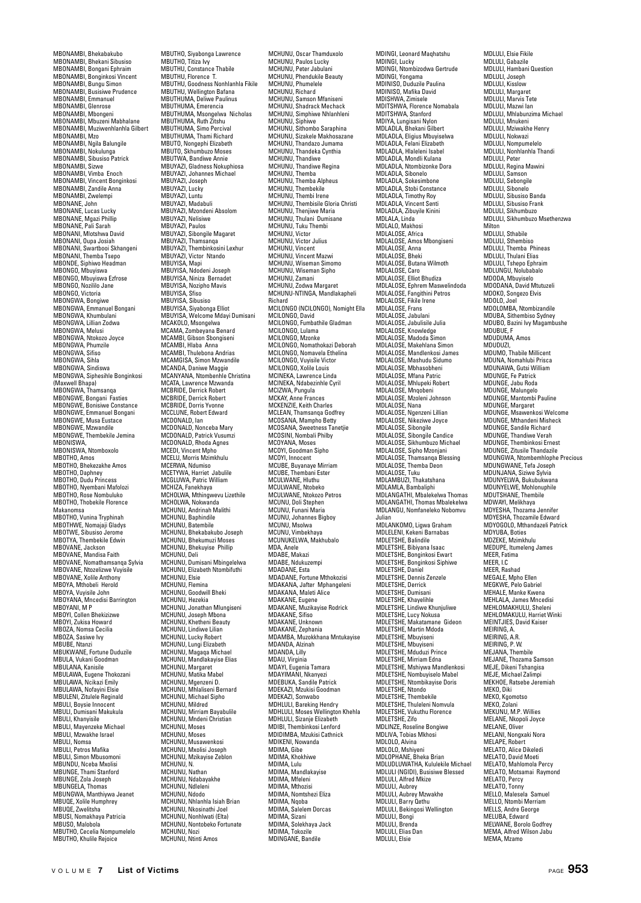MBONAMBI, Bhekabakubo MBONAMBI, Bhekani Sibusiso MBONAMBI, Bongani Ephraim MBONAMBI, Bonginkosi Vincent MBONAMBI, Bungu Simon MBONAMBI, Busisiwe Prudence MBONAMBI, Emmanuel MBONAMBI, Glenrose MBONAMBI, Mbongeni MBONAMBI, Mbuzeni Mabhalane MBONAMBI, Muziwenhlanhla Gilbert MBONAMBI, Mzo MBONAMBI, Ngila Balungile MBONAMBI, Nokulunga MBONAMBI, Sibusiso Patrick MBONAMBI, Sizwe MBONAMBI, Vimba Enoch MBONAMBI, Vincent Bonginkosi MBONAMBI, Zandile Anna MBONAMBI, Zandie A<br>MBONAMBI, Zwelempi MBONANE, John MBONANE, Lucas Lucky MBONANE, Mgazi Phillip MBONANE, Pali Sarah MBONANI, Mlotshwa David MBONANI, Oupa Josiah MBONANI, Swartbooi Skhangeni MBONANI, Themba Tsepo MBONDE, Siphiwo Headman MBONGO, Mbuyiswa MBONGO, Mbuyiswa Ezfrose MBONGO, Nozililo Jane MBONGO, Victoria MBONGWA, Bongiwe MBONGWA, Emmanuel Bongani MBONGWA, Khumbulani MBONGWA, Lillian Zodwa MBONGWA, Melusi MBONGWA, Ntokozo Joyce MBONGWA, Phumzile MBONGWA, Sifiso MBONGWA<sup>CHIA</sup> MBONGWA, Sindiswa MBONGWA, Siphesihle Bonginkosi (Maxwell Bhapa) MBONGWA, Thamsanqa MBONGWE, Bongani Fasties MBONGWE, Bonisiwe Constance MBONGWE, Emmanuel Bongani MBONGWE, Musa Eustace wiborvowe, wiusa cust<br>MBONGWE, Mzwandile MBONGWE, Thembekile Jemina MBONISWA, MBONISWA, Ntomboxolo MBOTHO, Amos MBOTHO, Bhekezakhe Amos MBOTHO, Daphney<br>MBOTHO, Daphney<br>MBOTHO, Dudu Princess MBOTHO, Dudu Princess MBOTHO, Nyembani Mafolozi MBOTHO, Rose Nombuluko MBOTHO, Thobekile Florence Makanomsa MBOTHO, Vunina Tryphinah MBOTHWE, Nomajaji Gladys MBOTWE, Sibusiso Jerome MBOTYA, Thembekile Edwin MBOVANE, Jackson MBOVANE, Mandisa Faith MBOVANE, Nomathamsanqa Sylvia MBOVANE, Ntozelizwe Vuyisile MBOVANE, Xolile Anthony MBOYA, Mthobeli Herold MBOYA, Vuyisile John MBOYANA, Mncedisi Barrington MBOYANI, M P MBOYI, Collen Bhekizizwe MBOYI, Zukisa Howard MBOZA, Nomsa Cecilia MBOZA, Sasiwe Ivy MBUBE, Ntanzi MBUKWANE, Fortune Duduzile MBULA, Vukani Goodman MBULANA, Kanisile MBULAWA, Eugene Thokozani MBULAWA, Ncikazi Emily MBULAWA, Nofayini Elsie MBULENI, Zitulele Reginald MBULI, Boysie Innocent MBULI, Dumisani Makukula MBULI, Khanyisile MBULI, Mayenzeke Michael MBULI, Mzwakhe Israel MBULI, Nomsa MBULI, Petros Mafika MBULI, Simon Mbusomoni MBUNDU, Nceba Mxolisi MBUNGE, Thami Stanford MBUNGE, Zola Joseph MBUNGELA, Thomas MBUNGWA, Manthiywa Jeanet MBUQE, Xolile Humphrey MBUQE, Zwelitsha MBUSI, Nomakhaya Patricia MBUSO, Malobola MBUTHO, Cecelia Nompumelelo MBUTHO, Khulile Rejoice

MBUTHO, Siyabonga Lawrence MBUTHO, Titiza Ivy MBUTHU, Constance Thabile MBUTHU, Florence T. MBUTHU, Goodness Nonhlanhla Fikile MBUTHU, Wellington Bafana MBUTHUMA, Deliwe Paulinus MBUTHUMA, Emerencia MBUTHUMA, Msongelwa Nicholas MBUTHUMA, Ruth Zitshu MBUTHUMA, Simo Percival MBUTHUMA, Thami Richard MBUTO, Nongephi Elizabeth MBUTO, Skhumbuzo Moses MBUTWA, Bandiwe Annie MBUYAZI, Gladness Nokuphiosa MBUYAZI, Johannes Michael MBUYAZI, Joseph MBUYAZI, Lucky MBUYAZI, Luntu MBUYAZI, Madabuli MBUYAZI, Mzondeni Absolom MBUYAZI, Nelisiwe MBUYAZI, Paulos MBUYAZI, Sibongile Magaret MBUYAZI, Thamsanqa MBUYAZI, Thembinkosini Lexhur MBUYAZI, Victor Ntando MBUYISA, Mapi MBUYISA, Ndodeni Joseph MBUYISA, Niniza Bernadet MBUYISA, Nozipho Mavis MBUYISA, Sfiso MBUYISA, Sibusiso MBUYISA, Siyabonga Elliot MBUYISA, Welcome Mdayi Dumisani MCAKOLO, Msongelwa MCAMA, Zombeyana Benard MCAMBI, Gibson Sbongiseni MCAMBI, Hlaba Anna MCAMBI, Thulebona Andrias MCAMGISA, Simon Mzwandik MCANDA, Daniwe Maggie MCANYANA, Ntombenhle Christina MCATA, Lawrence Mzwanda MCBRIDE, Derrick Robert MCBRIDE, Derrick Robert MCBRIDE, Dorris Yvonne MCCLUNE, Robert Edward MCDONALD, Ian MCDONALD, Nonceba Mary MCDONALD, Patrick Vusumzi MCDONALD, Rhoda Agnes MCEDI, Vincent Mpho MCELU, Morris Mzimkhulu MCERWA, Ndumiso MCETYWA, Harriet Jabulile MCGLUWA, Patric William MCHIZA, Fanekhaya MCHOLWA, Mthingwevu Lizethile MCHOLWA, Nokwanda MCHUNU, Andrinah Malithi MCHUNU, Baphind MCHUNU, Batembile MCHUNU, Bhekabakubo Joseph MCHUNU, Bhekumuzi Moses MCHUNU, Bhekuyise Phillip MCHUNU, Deli MCHUNU, Dumisani Mbingelelwa MCHUNU, Elizabeth Ntombifuthi MCHUNU, Elsie MCHUNU, Flemina MCHUNU, Goodwill Bheki MCHUNU, Hezekia MCHUNU, Jonathan Mlungiseni MCHUNU, Joseph Mbona MCHUNU, Khetheni Beauty MCHUNU, Lindiwe Lilian MCHUNU, Lucky Robert MCHUNU, Lungi Elizabeth MCHUNU, Magaqa Michael MCHUNU, Mandlakayise Elias MCHUNU, Margaret MCHUNU, Matika Mabel MCHUNU, Mgenzeni D. MCHUNU, Mhlaliseni Bernard MCHUNU, Michael Sipho MCHUNU, Mildred MCHUNU, Mirriam Bayabulile MCHUNU, Mndeni Christian MCHUNU, Moses MCHUNU, Moses MCHUNU, Musawenkosi MCHUNU, Mxolisi Joseph MCHUNU, Mzikayise Zeblon MCHUNU, N. MCHUNU, Nathan MCHUNU, Ndabayakhe MCHUNU, Ndleleni MCHUNU, Ndodo MCHUNU, Nhlanhla Isiah Brian MCHUNU, Nkosinathi Joel MCHUNU, Nonhlwati (Elta) MCHUNU, Nontobeko Fortunate MCHUNU, Nozi MCHUNU, Ntinti Amos

MCHUNU, Oscar Thamduxolo MCHUNU, Paulos Lucky MCHUNU, Peter Jabulani MCHUNU, Phendukile Beauty MCHUNU, Phumelele MCHUNU, Richard MCHUNU, Samson Mfaniseni MCHUNU, Shadrack Mechack MCHUNU, Simphiwe Nhlanhleni MCHUNU, Siphiwe MCHUNU, Sithombo Saraphina MCHUNU, Sizakele Makhosazane MCHUNU, Thandazo Jumama MCHUNU, Thandeka Cynthia MCHUNU, Thandiwe MCHUNU, Thandiwe Regina MCHUNU, Themba MCHUNU, Themba Alpheus MCHUNU, Thembekile MCHUNU, Thembi Irene MCHUNU, Thembisile Gloria Christi MCHUNU, Thenjiwe Maria MCHUNU, Thulani Dumisane MCHUNU, Tuku Thembi MCHUNU, Victor MCHUNU, Victor Julius MCHUNU, Vincent MCHUNU, Vincent Mazwi MCHUNU, Wiseman Simomo MCHUNU, Wiseman Sipho MCHUNU, Zamani MCHUNU, Zodwa Margaret MCHUNU-NTINGA, Mandlakapheli Richard MCILONGO (NCILONGO), Nomight Ella MCILONGO, David MCILONGO, Fumbathile Gladman MCILONGO, Lulama MCILONGO, Mzonke MCILONGO, Nomathokazi Deborah MCILONGO, Nomavela Ethelina MCILONGO, Vuyisile Victor MCILONGO, Vayishe Vic MCINEKA, Lawrence Linda MCINEKA, Ndabezinhle Cyril MCIZWA, Pungula MCKAY, Anne Frances MCKENZIE, Keith Charles MCLEAN, Thamsanqa Godfrey MCOSANA, Mampho Betty MCOSANA, Sweetness Tanetjie MCOSINI, Nombali Philby MCOYANA, Moses MCOYI, Goodman Sinho MCOYI, Innocent MCUBE, Buyanaye Mirriam MCUBE, Thembani Ester MCULWANE, Hluthu MCULWANE, Ntobeko MCULWANE, Ntokozo Petros MCUNU, Doli Stephen MCUNU, Funani Maria MCUNU, Johannes Bigboy MCUNU, Msolwa MCUNU, Vimbekhaya MCUNUKELWA, Makhubalo MDA Anele MDABE, Makazi MDABE, Ndukuzempi MDADANE, Esta MDADANE, Fortune Mthokozisi MDAKANA, Jafter Mphangeleni MDAKANA, Maleti Alice MDAKANE, Eugene MDAKANE, Muzikayise Rodrick MDAKANE, Sifiso MDAKANE, Unknown MDAKANE, Zephania MDAMBA, Muzokkhana Mntukayise MDANDA, Alzinah MDANDA, Lilly MDAU, Virginia MDAYI, Eugenia Tamara MDAYIMANI, Nkanyezi MDEBUKA, Sandile Patrick MDEKAZI, Mzukisi Goodman MDEKAZI, Sonwabo MDHLULI, Bareking Hendry MDHLULI, Moses Wellington Khehla MDHLULI, Sizanje Elizabeth MDIBI, Thembinkosi Lenford MDIDIMBA, Mzukisi Cathnick MDIKENI, Nowanda MDIMA, Gibe MDIMA, Khokhiwe MDIMA, Lulu MDIMA, Mandlakayise MDIMA, Mfelen MDIMA, Mthozis MDIMA, Nomtshezi Eliza MDIMA, Nooba MDIMA, Salelem Dorcas MDIMA, Sizani MDIMA, Solekhaya Jack MDIMA, Tokozile MDINGANE, Bandile

MDINGI, Leonard Maqhatshu MDINGI, Lucky MDINGI, Ntombizodwa Gertrude MDINGI, Yongama MDINISO, Duduzile Paulina MDINISO, Mafika David MDISHWA, Zimisele MDITSHWA, Florence Nomabala MDITSHWA, Stanford MDIYA, Lungisani Nylon MDLADLA, Bhekani Gilbert MDLADLA, Eligius Mbuyiselwa MDLADLA, Felani Elizabeth MDLADLA, Hlaleleni Isabel MDLADLA, Mondli Kulana MDLADLA, Ntombizonke Dora MDLADLA, Sibonelo MDLADLA, Sokesimbone MDLADLA, Stobi Constance MDLADLA, Timothy Roy MDLADLA, Vincent Senti MDLADLA, Zibuyile Kinini MDLALA, Linda MDLALO, Makhosi MDLALOSE, Africa MDLALOSE, Amos Mbongiseni MDLALOSE, Anna MDLALOSE, Bheki MDLALOSE, Butana Wilmoth MDLALOSE, Caro MDLALOSE, Elliot Bhudiza MDLALOSE, Ephrem Maswelindoda MDLALOSE, Fangithini Petros MDLALOSE, Furgitting MDLALOSE, Frans MDLALOSE, Jabulani MDLALOSE, Jabulisile Julia MDLALOSE, Knowledge MDLALOSE, Madoda Simon MDLALOSE, Makehlana Simon MDLALOSE, Mandlenkosi James MDLALOSE, Mashudu Sidumo MDLALOSE, Mbhasobheni MDLALOSE, Mfana Patric MDLALOSE, Mhlupeki Robert MDLALOSE, Mnqobeni MDLALOSE, Mzoleni Johnson MDLALOSE, Nana MDLALOSE, Ngenzeni Lillian MDLALOSE, Nikeziwe Joyce MDLALOSE, Sibongile MDLALOSE, Sibongile Candice MDLALOSE, Sikhumbuzo Michael MDLALOSE, Sipho Mzonjani MDLALOSE, Thamsanqa Blessing MDLALOSE, Themba Deon MDLALOSE, Tuku MDLAMBUZI, Thakatshana MDLAMLA, Bambaliphi MDLANGATHI, Mbalekelwa Thomas MDLANGATHI, Thomas Mbalekely MDLANGU, Nomfaneleko Nobomvu Julian MDLANKOMO, Ligwa Graham MDLELENI, Kekeni Barnabas MDLETSHE, Balindile MDLETSHE, Bibiyana Isaac MDLETSHE, Bonginkosi Ewart MDLETSHE, Bonginkosi Siphiwe MDLETSHE, Daniel MDLETSHE, Dennis Zenzele MDLETSHE, Derrick MDLETSHE, Dumisani MDLETSHE, Khayelihle MDLETSHE, Lindiwe Khunjuliwe MDLETSHE, Lucy Nokusa MDLETSHE, Makatamane Gideon MDLETSHE, Martin Mdoda MDLETSHE, Mbuyiseni MDLETSHE, Mbuyiseni MDLETSHE, Mduduzi Prince MDLETSHE, Mirriam Edna MDLETSHE, Mshiywa Mandlenkosi MDLETSHE, Nombuyiselo Mabel MDLETSHE, Ntombikayise Doris MDLETSHE, Ntondo MDLETSHE, Thembekile MDLETSHE, Thuleleni Nomvula MDLETSHE, Vukuthu Florence MDLETSHE, Zifo MDLINZE, Roseline Bongiwe MDLIVA, Tobias Mkhosi MDLOLO, Alvina MDLOLO, Mshiyeni MDLOPHANE, Bheka Brian MDLUDLUWATHA, Kululekile Michael MDLULI (NGIDI), Busisiwe Blessed MDLULI, Alfred Mkize MDLULI, Aubrey MDLULI, Aubrey Mzwakhe MDLULI, Barry Qethu MDLULI, Bekingosi Wellington MDLULI, Bongi MDLULI, Brenda MDLULI, Elias Dan MDLULI, Elsie

MDLULI, Elsie Fikile MDLULI, Gabazile MDLULI, Hambani Question MDLULI, Joseph MDLULI, Kisslow MDLULI, Margaret MDLULI, Marvis Tete MDLULI, Mazwi Ian MDLULI, Mhlabunzima Michael MDLULI, Mnukeni MDLULI, Mziwakhe Henry MDLULI, Nokwazi MDLULI, Nompumelelo MDLULI, Nonhlanhla Thandi MDLULI, Peter MDLULI, Regina Mawini MDLULI, Samson MDLULI, Sebongile MDLULI, Sibonelo MDLULI, Sibusiso Banda MDLULLI, Sibusiso Frank MDLULI, Sikhumbuzo MDLULI, Sikhumbuzo Msethenzwa Milton MDLULI, Sthabile MDLULI, Sthembiso MDLULI, Themba Phineas MDLULI, Thulani Elias MDLULI, Tshepo Ephraim MDLUNGU, Nolubabalo MDODA, Mbuyiselo MDODANA, David Mtutuzeli MDOKO, Songezo Elvis MDOLO, Joel MDOLOMBA, Ntombizandile MDUBA, Sithembiso Sydney MDUBO, Bazini Ivy Magambushe MDUBUE<sub>F</sub> MDUDUMA, Amos MDUDUZI, MDUMO, Thabile Millicent MDUNA, Nomahlubi Prisca MDUNAWA, Gutsi William MDUNGE, Fe Patrick MDUNGE, Jabu Roda MDUNGE, Malungelo MDUNGE, Mantombi Pauline MDUNGE, Margaret MDUNGE, Msawenkosi Welcome MDUNGE, Mthandeni Misheck MDUNGE, Sandile Richard MDUNGE, Thandiwe Verah MDUNGE, Thembinkosi Ernest MDUNGE, Zitusile Thandazile MDUNGWA, Ntombemhlophe Precious MDUNGWANE, Tefa Joseph MDUNJANA, Siziwe Sylvia MDUNYELWA, Bukubukwana MDUNYELWE, Mohlonuph MDUTSHANE, Thembile MDWAYI, Melikhaya MDYESHA, Thozama Jennifer MDYESHA, Thozamile Edward MDYOGOLO, Mthandazeli Patrick MDYUBA, Boties MDZEKE, Mzimkhulu MEDUPE, Itumeleng James MEER, Fatima MEER, I.C MEER, I.C<br>MEER, Rashad MEGALE, Mpho Ellen MEGKWE, Pelo Gabriel MEHALE, Manke Kwena MEHLALA, James Mncedisi MEHLOMAKHULU, Sheleni MEHLOMAKULU, Harriet Winki MEINTJIES, David Kaiser MEIRING, A. MEIRING, A.R. MEIRING, P. W. MEJANA, Thembile MEJANE, Thozama Samson MEJE, Dikeni Tshangisa MEJE, Michael Zalimpi MEKHOE, Ratsebe Jeremiah MEKO, Diki MEKO, Kgomotso MEKO, Zolani MEKUNU, M.P. Willies MELANE, Nkopoli Joyce MELANE, Oliver MELANI, Nongxaki Nora MELAPE, Robert MELATO, Alice Dikeledi MELATO, David Moeti MELATO, Mahlomola Percy MELATO, Motsamai Raymond MELATO, Percy MELATO, Tonny MELLO, Malesela Samuel MELLO, Ntombi Merriam MELLS, Andre George MELUBA, Edward MELWANE, Borolo Godfrey MEMA, Alfred Wilson Jabu MEMA, Mzamo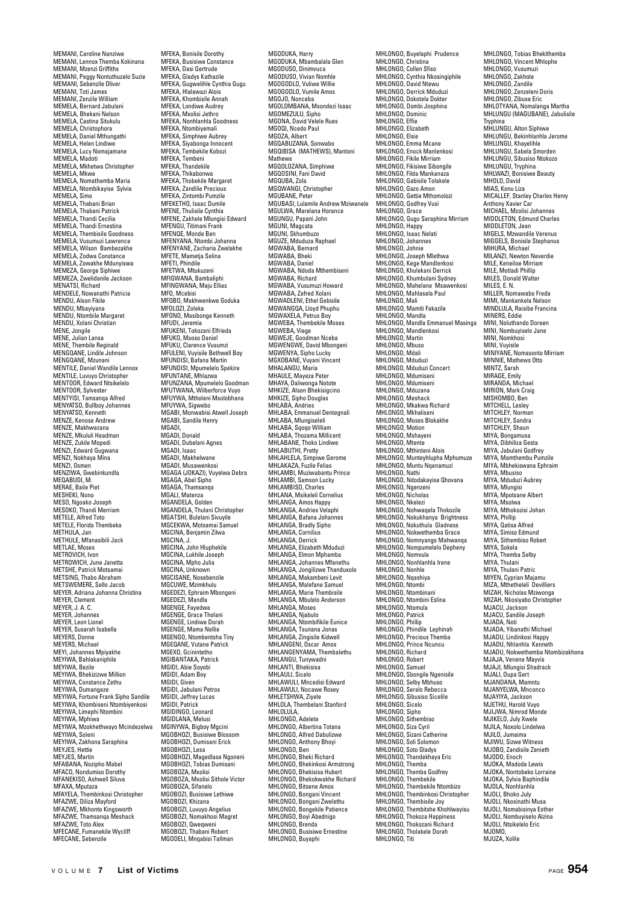MEMANI, Caroline Nanziwe MEMANI, Lennox Themba Kokinana MEMANI, Mzenzi Griffiths MEMANI, Peggy Nontuthuzelo Suzie MEMANI, Sebenzile Oliver MEMANI, Toti James MEMANI, Zenzile William MEMELA, Bernard Jabulani MEMELA, Bhekani Nelson MEMELA, Castina Situkulu MEMELA, Christophora MEMELA, Daniel Mthungathi MEMELA, Helen Lindiwe MEMELA, Lucy Nomajamane MEMELA, Madoti MEMELA, Mkhetwa Christopher MEMELA, Mkwe MEMELA, Nomathemba Maria MEMELA, Ntombikayise Sylvia MEMELA, Simo MEMELA, Thabani Brian MEMELA, Thabani Patrick MEMELA, Thandi Cecilia MEMELA, Thandi Ernestina MEMELA, Thembisile Goodness MEMELA, Vusumuzi Lawrence MEMELA, Wilson Bambezakhe MEMELA, Zodwa Constance MEMELA, Zowakhe Mdunyiswa MEMEZA, George Siphiwe MEMEZA, Zwelidanile Jackson MENATSI, Richard MENDELE, Nowanathi Patricia MENDU, Alson Fikile MENDU, Mbayiyana MENDU, Ntombile Margaret MENDU, Xolani Christian MENE, Jongile MENE, Julian Lansa MENE, Thembile Reginald MENGQANE, Lindile Johnson MENGOANE, Mzunani MENTILE, Daniel Wandile Lennox MENTILE, Luvuyo Christopher MENTOOR, Edward Ntsikelelo MENTOOR, Sylvester MENTYISI, Tamsanqa Alfred MENYATSO, Bullboy Johannes MENYATSO, Kenneth MENZE, Kenose Andrew MENZE, Makhwezana MENZE, Mkululi Headman MENZE, Zukile Mopedi MENZI, Edward Gugwana MENZI, Nokhaya Mina MENZI, Osmen MENZIWA, Gwebinkundla MEQABUDI, M. MERAE, Baile Piet MESHEKI, Nono MESO, Ngoako Joseph MESOKO, Thandi Merriam METELE, Alfred Toto METELE, Florida Thembeka METHULA, Jan METHULE, Mfanasibili Jack METHOLL, Noses<br>METLAE, Moses METROVICH, Ivon METROWICH, June Janetta METSHE, Patrick Motsamai METSING, Thabo Abraham METSWEMERE, Sello Jacob MEYER, Adriana Johanna Christina MEYER, Clement MEYER, J. A. C. MEYER, Johannes MEYER, Leon Lionel MEYER, Susarah Isabella MEYERS, Donne MEYERS, Michael MEYI, Johannes Mpiyakhe MEYIWA, Bahlakaniphile MEYIWA, Bezile MEYIWA, Bhekizizwe Million MEYIWA, Constance Zethu MEYIWA, Dumangeze MEYIWA, Fortune Frank Sipho Sandile MEYIWA, Khombiseni Ntombiyenkosi MEYIWA, Limenhi Ntombini MEYIWA, Mphiwa MEYIWA, Mzokhethwayo Mcindezelwa MEYIWA, Soleni MEYIWA, Zakhona Saraphina MEYJES, Hettie MEYJES, Martin MFABANA, Nozipho Mabel MFACO, Nondumiso Dorothy MFANEKISO, Ashwell Siluva MFAXA, Mputaza MFAYELA, Thembinkosi Christopher MFAZWE, Diliza Mayford MFAZWE, Mkhonto Kingsworth MFAZWE, Thamsanqa Meshack MFAZWE, Toto Alex MFECANE, Fumanekile Wycliff MFECANE, Sebenzile

MFEKA, Bonisile Dorothy MFEKA, Busisiwe Constance MFEKA, Dasi Gertrude MFEKA, Gladys Kathazile MFEKA, Gugwelihle Cynthia Gugu MFEKA, Hlalawazi Alois MFEKA, Khombisile Annah MFEKA, Londiwe Audrey MFEKA, Mxolisi Jethro MFEKA, Nonhlanhla Goodness MFEKA, Ntombiyemali MFEKA, Simphiwe Aubrey MFEKA, Siyabonga Innocent MFEKA, Tembekile Kobozi MFEKA, Tembeni MFEKA, Thandekile MFEKA, Thikabonwa MFEKA, Thobekile Margaret MFEKA, Zandilie Precious MFEKA, Zintombi Pumzile MFEKETHO, Isaac Dumile MFENE, Thulisile Cynthia MFENE, Zakhele Mlungisi Edward MFENGU, Titimani Frank MFENQE, Monde Ben MFENYANA, Ntombi Johanna MFENYANE, Zacharia Zwelakhe MFETE, Mametja Selina MFETI, Phindile MFETWA, Mtukuzeni MFIGWANA, Bambaliphi MFINGWANA, Maju Ellias MFO, Mcebisi MFOBO, Makhwenkwe Goduka MFOLOZI, Zoleka MFONO, Masibonge Kenneth MFUDI, Jeremia MFUKENI, Tokozani Elfrieda MFUKO, Msoso Daniel MFUKU, Clarence Vusumzi MFULENI, Vuyisile Bethwell Boy MFUNDISI, Bafana Martin MFUNDISI, Mpumelelo Spekire MFUNTANE, Mhlazwa MFUNZANA, Mpumelelo Goodman MFUTWANA, Wilberforce Vuyo MFUYWA, Mtholeni Msolobhana MFUYWA, Sigwebo MGABI, Monwabisi Atwell Joseph MGABI, Sandile Henry MGADI, MGADI, Donald MGADI, Dubelani Agnes MGADI, Isaac MGADI, Makhelwane MGADI, Musawenkosi MGAGA (JOKAZI), Vuyelwa Debra MGAGA, Abel Sipho MGAGA, Thamsanqa MGALI, Matenza MGANDELA, Golden MGANDELA, Thulani Christopher MGATSHI, Bulelani Sivuyile MGCEKWA, Motsamai Samuel MGCINA, Benjamin Zilwa MGCINA, J. MGCINA, John Hluphekile MGCINA, Lukhile Joseph MGCINA, Mpho Julia MGCINA, Unknown MGCISANE, Nosebenzile MGCUWE, Mzimkhulu MGEDEZI, Ephraim Mbongeni MGEDEZI, Mandla MGENGE, Fayedwa MGENGE, Grace Tholani MGENGE, Lindiwe Dorah MGENGE, Mama Nellie MGENGO, Ntombentsha Tiny MGEQANE, Vutane Patrick MGEXO, Gcinintetho MGIBANTAKA, Patrick MGIDI, Abie Soyobi MGIDI, Adam Boy MGIDI, Given MGIDI, Jabulani Petros MGIDI, Jeffrey Lucas MGIDI, Patrick MGIDINGO, Leonard MGIDLANA, Melusi MGINYWA, Bigboy Mgcini MGOBHOZI, Busisiwe Blossom MGOBHOZI, Dumisani Erick MGOBHOZI, Lesa MGOBHOZI, Magedlase Ngoneni MGOBHOZI, Tobias Dumisani MGOBOZA, Mxolisi MGOBOZA, Mxolisi Sithole Victor MGOBOZA, Sifanelo MGOBOZI, Busisiwe Lethiwe MGOBOZI, Khizana MGOBOZI, Luvuyo Angelius MGOBOZI, Nomakhosi Magret MGOBOZI, Qweqweni MGOBOZI, Thabani Robert

MGODUKA, Harry MGODUKA, Mbambalala Glen MGODUSO, Dinimvuca MGODUSO, Vivian Nomhle MGOGODLO, Vuliwe Willie MGOGODLO, Vumile Amos MGOJO, Nonceba MGOLOMBANA, Msondezi Isaac MGOMEZULU, Sipho MGONA, David Velele Rues MGOQI, Ncedo Paul MGOZA, Albert MGQABUZANA, Sonwabo MGQIBISA (MATHEWS), Mantoni Mathews MGQOLOZANA, Simphiwe MGQOSINI, Fani David MGQUBA, Zola MGOWANGI, Christopher MGUWANG, S.... MGUBASI, Lulamile Andrew Mziwanele MGULWA, Marelana Horance MGUNGU, Papani John MGUNI, Magcata MGUNI, Skhumbuzo MGUZE, Mduduza Raphael MGWARA Rernard MGWABA, Bheki<br>MGWABA, Bheki MGWABA, Daniel MGWABA, Ndoda Mthembiseni MGWABA, Richard MGWABA, Vusumuzi Howard MGWABA, Zefred Xolani MGWADLENI, Ethel Gebisile MGWANGQA, Lloyd Phuphu MGWAXELA, Petrus Boy MGWEBA, Thembekile Moses MGWEBA, Viege MGWEJE, Goodman Nceba MGWENGWE, David Mbongeni MGWENYA, Sipho Lucky MGXOBANE, Vuyani Vincent MUADDAIVE, Vuyan MHAULE, Mayeza Peter MHAYA, Daliwonga Notote MHKIZE, Alson Bhekisigcino MHKIZE, Sipho Douglas MHLABA, Andries MHLABA, Emmanuel Dentegnali MHLABA, Mlungiseleli MHLABA, Sqoqo William MHLABA, Thozama Millicent MHLABANE, Thoko Lindiwe MHLABUTHI, Pretty MHLAHLELA, Simpiwe Gerome MHLAKAZA, Fuzile Felias MHLAMBI, Muziwabantu Prince MHLAMBI, Samson Lucky MHLAMBISO, Charles MHLANA, Msikeleli Cornelius MHLANGA, Amos Happy MHLANGA, Andries Velaphi MHLANGA, Bafana Johannes MHLANGA, Bradly Sipho MHLANGA, Corniliu MHLANGA, Derrick MHLANGA, Elizabeth Mduduzi MHLANGA, Elmon Mphamba MHLANGA, Johannes Mfanethu MHLANGA, Jongilizwe Thanduxolo MHLANGA, Makambeni Levit MHLANGA, Malefane Samuel MHLANGA, Marie Thembisile MHLANGA, Mbulelo Anderson MHLANGA, Moses MHLANGA, Njabulo MHLANGA, Ntombifikile Eunice MHLANGA, Tsunana Jonas MHLANGA, Zingisile Kidwell MHLANGENI, Oscar Amos MHLANGENYAMA, Thembalethu MHLANGU, Tunywadni MHLANTI, Bhekisisa MHLAULI, Sicelo MHLAWULI, Mncedisi Edward MHLAWULI, Nocawe Rosey MHLETSHWA, Ziyele MHLOLA, Thembelani Stanford MHLOLULA, MHLONGO, Adelete MHLONGO, Albertina Totana MHLONGO, Alfred Dabulizwe MHLONGO, Anthony Bhoyi MHLONGO, Ben MHLONGO, Bheki Richard MHLONGO, Bhekinkosi Armstrong MHLONGO, Bhekisisa Hubert MHLONGO, Bhekokwakhe Richard MHLONGO, Bitsene Amos MHLONGO, Bongani Vincent MHLONGO, Bongani Zwelethu MHLONGO, Bongekile Patience MHLONGO, Boyi Abednigo MHLONGO, Branda MHLONGO, Busisiwe Ernestine MHLONGO, Buyaphi

MHLONGO, Buyelaphi Prudence MHLONGO, Christina MHLONGO, Collen Sfiso MHLONGO, Cynthia Nkosingiphile MHLONGO, David Ntewu MHLONGO, Derrick Mduduzi MHLONGO, Dokotela Dokter MHLONGO, Dombi Josphina MHLONGO, Dominic MHLONGO, Effie MHLONGO, Flizabeth MHLONGO, Elsie MHLONGO, Emma Mcane MHLONGO, Enock Manlenkosi MHLONGO, Fikile Mirriam MHLONGO, Fikisiwe Sibongile MHLONGO, Filda Mankanaza MHLONGO, Gabisile Tolakel MHLONGO, Gazo Amon MHLONGO, Gazo Allion<br>MHLONGO, Gettie Mthomolozi<br>MHLONGO, Godfrey Vusi MHLONGO, Godfrey Vusi MHLONGO, Grace MHLONGO, Gugu Saraphina Mirriam MHLONGO, Happy MHLONGO, Isaac Nelati MHLONGO, Johanne MHLONGO, Johnie MHLONGO, Joseph Mlethwa MHLONGO, Kege Mandlenkosi MHLONGO, Khulekani Derrick MHLONGO, Khumbulani Sydney MHLONGO, Mahelane Msawenkosi MHLONGO, Mahlasela Paul MHLONGO, Mali MHLONGO, Mamiti Fakazile MHLONGO, Mandla MHLONGO, Mandla Emmanuel Masinga MHLONGO, Mandlenkosi MHLONGO, Martin MHLONGO, Mbuso MHLONGO, Mdali MHLONGO, Mduduzi MHLONGO, Mduduzi Concert MHLONGO, Mdumiseni MHLONGO, Mdumiseni MHLONGO, Mduzana MHLONGO, Meshack MHLONGO, Mkakwa Richard MHLONGO, Mkhaliseni MHLONGO, Moses Blokakhe MHLONGO, Motion MHLONGO, Mshayeni MHLONGO, Mtente MHLONGO, Mthinteni Alois MHLONGO, Munteyhlupha Mphumuze MHLONGO, Muntu Nqenamuzi MHLONGO, Nathi MHLONGO, Ndodakayise Qhovana MHLONGO, Ngenzeni MHLONGO, Nicholas MHLONGO, Nkelezi MHLONGO, Nohwaqela Thokozile MHLONGO, Nokukhanya Brightness MHLONGO, Nokuthula Gladness MHLONGO, Nokwethemba Grace MHLONGO, Nomnyango Mahwanqa MHLONGO, Nompumelelo Depheny MHLONGO, Nomvula MHLONGO, Nonhlanhla Irene MHLONGO, Nonhle MHLONGO, Nqashiya MHLONGO, Ntombi MHLONGO, Ntombinani MHLONGO, Ntombini Eslina MHLONGO, Ntomula MHLONGO, Patrick MHLONGO, Phillip MHLONGO, Phindile Lephinah MHLONGO, Precious Themba MHLONGO, Prince Ncuncu MHLONGO, Richard MHLONGO, Robert MHLONGO, Samuel MHLONGO, Sbongile Ngenisile MHLONGO, Selby Mbhuso MHLONGO, Seralo Rebecca MHLONGO, Sibusiso Sicelile MHLONGO, Sicelo MHLONGO, Sipho MHLONGO, Sithembiso MHLONGO, Siza Cyril MHLONGO, Sizani Catherine MHLONGO, Soli Solomon MHLONGO, Soto Gladys MHLONGO, Thandekhaya Eric MHLONGO, Themba MHLONGO, Themba<br>MHLONGO, Themba Godfrey MHLONGO, Thembekile MHLONGO, Thembekile Ntombizo MHLONGO, Thembinkosi Christopher MHLONGO, Thembisile Joy MHLONGO, Thembitshe Khohlwayisu MHLONGO, Thokoza Happiness MHLONGO, Thokozani Richard MHLONGO, Tholakele Dorah MHLONGO, Titi

MHLONGO, Tobias Bhekithemba MHLONGO, Vincent Mhlophe MHLONGO, Vusumuzi MHLONGO, Zakhole MHLONGO, Zandile MHLONGO, Zenzeleni Doris MHLONGO, Zibuse Eric MHLOTYANA, Nomalanga Martha MHLUNGU (MAGUBANE), Jabulisile Tryphina MHLUNGU, Alton Siphiwe MHLUNGU, Bekinhlanhla Jerome MHLUNGU, Khayelihle MHLUNGU, Sabela Smorden MHLUNGU, Sibusiso Ntokozo MHLUNGU, Tryphina MHLWAZI, Bonisiwe Beauty MHOLO, David MIAS, Konu Liza MICALLEF, Stanley Charles Henry Anthony Xavier Car MICHAEL, Mzolisi Johannes MIDDLETON, Edmund Charles MIDDLETON, Jean MIGELS, Mzwandile Verenus MIGGELS, Bonisile Stephanus MIHURA Michael MILANZI, Newton Neverdie MILE, Keneiloe Mirriam MILE, Motladi Phillip MILES, Donald Walter MILES, E. N. MILLER, Nomawabo Freda MIMI, Mankankela Nelson MINDLULA, Raisibe Francina MINERS, Eddie MINI, Noluthando Doreen MINI, Nombuyiselo Jane MINI, Nomkhosi MINI, Vuyisile MINIYANE, Nomasonto Mirriam MINNIE, Mathews Otto MINTZ, Sarah MIRAGE, Emily MIRANDA, Michael MIRION, Mark Craig MISHOMBO, Ber MITCHELL, Lesley MITCHLEY, Norman MITCHLEY, Sandra MITCHLEY, Shaun MIYA, Bongamusa MIYA, Dibhiliza Gesta MIYA, Jabulani Godfrey MIYA, Mamthembu Pumzile MIYA, Mbhekiswana Ephraim MIYA, Mbusiso MIYA, Mduduzi Aubrey MIYA, Mlungisi MIYA, Mnotsane Albert MIYA, Msolwa MIYA, Mthokozisi Johan MIYA, Phillip MIYA, Qatisa Alfred MIYA, Simiso Edmund MIYA, Sithembiso Robert MIYA, Sokela MIYA, Themba Selby MIYA, Thulani MIYA, Thulani Patric MIYEN, Cyprian Majamu MIZA, Mthetheleli Devilliers MIZAH, Nicholas Mziwonga MIZAH, Nkosiyabo Christopher MJACU, Jackson MJACU, Sandile Joseph MJADA, Noti MJADA, Yibanathi Michael MJADU, Lindinkosi Happy MJADU, Nhlanhla Kenneth MJADU, Nokwethemba Ntombizakhona MJAJA, Venene Mayvis MJAJI, Mlungisi Shadrack MJALI, Oupa Gert MJANDANA, Mamntu MJANYELWA, Mnconco MJAYIYA, Jackson MJETHU, Harold Vuyo M.II.IWA, Nimrod Monde MJIKELO, July Xwele MJILA, Noxolo Lindelwa MJILO, Jumaima MJIWU, Sizwe Witness MJOBO, Zandisile Zenieth MJODO, Enoch MJOKA, Madoda Lewis MJOKA, Nontobeko Lorraine MJOKA, Sylvia Baphindile MJOLA, Nonhlanhla MJOLI, Bhoko July MJOLI, Nkosinathi Musa MJOLI, Nomabisinya Esther MJOLI, Nombuyiselo Alzina MJOLI, Ntsikelelo Eric MJOMO,<br>MJUZA, Xolile

MGODELI, Mnqabisi Tallman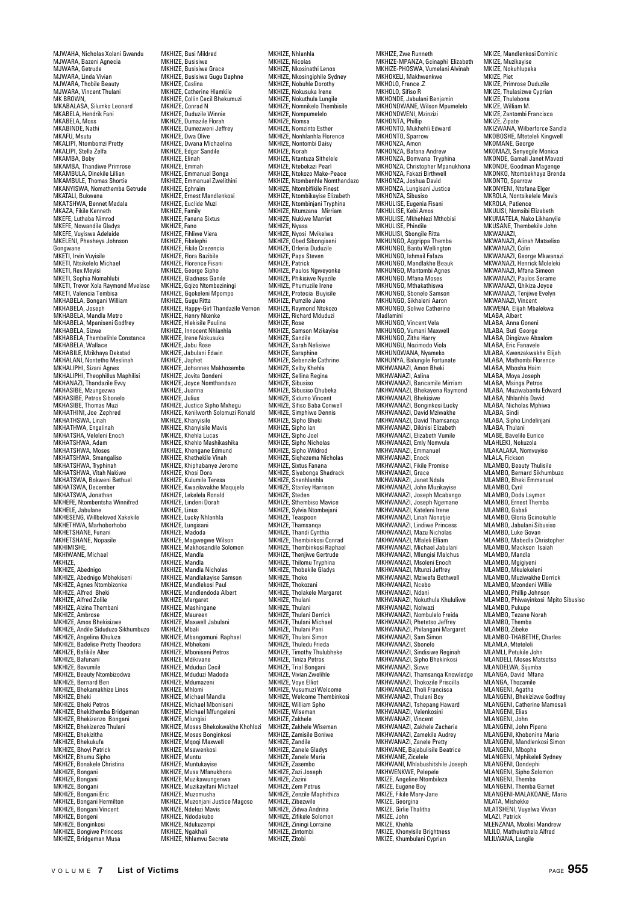MJWAHA, Nicholas Xolani Gwandu MJWARA, Bazeni Agnecia MJWARA, Getrude MJWARA, Linda Vivian MJWARA, Thobile Beauty MJWARA, Vincent Thulani MK BROWN,<br>MKABALASA, Silumko Leonard MKABELA, Hendrik Fani MKABELA, Moss MKABINDE, Nathi MKAFU, Msutu MKALIPI, Ntombomzi Pretty MKALIPI, Stella Zelfa MKAMBA, Boby MKAMBA, Thandiwe Primrose MKAMBULA, Dinekile Lillian MKAMBULE, Thomas Shortie MKANYISWA, Nomathemba Getrude MKATALI, Bukwana MKATSHWA, Bennet Madala MKAZA, Fikile Kenneth MKEFE, Luthaba Nimrod MKEFE, Nowandile Gladys MKEFE, Vuyiswa Adelaide MKELENI, Phesheya Johnson Gongwane MKETI, Irvin Vuyisile MKETI, Ntsikelelo Michael MKETI, Rex Meyisi MKETI, Sophia Nomahlubi MKETI, Trevor Xola Raymond Mvelase MKETI, Valencia Tembisa MKHABELA, Bongani William MKHABELA, Joseph MKHABELA, Mandla Metro MKHABELA, Mpaniseni Godfrey MKHABELA, Sizwe MKHABELA, Thembelihle Constance MKHABELA, Wallace MKHABILE, Mzikhaya Dekstad MKHALANI, Nontetho Meslinah MKHALIPHI, Sizani Agnes MKHALIPHI, Theophillus Maphilisi MKHANAZI, Thandazile Evvy MKHASIBE, Mzungezwa MKHASIBE, Petros Sibonelo MKHASIBE, Thomas Muzi MKHATHINI, Joe Zephred MKHATHSWA Linah wikhATHSWA, Lillan<br>MKHATHWA, Engelinah MKHATSHA, Veleleni Enoch MKHATSHWA, Adam MKHATSHWA, Moses MKHATSHWA, Smangaliso MKHATSHWA, Tryphinah MKHATSHWA, Vitah Nakiwe MKHATSWA, Bokweni Bethuel MKHATSWA, Decembe MKHATSWA, Jonathan MKHEFE, Ntombentsha Winnifred MKHELE, Jabulane MKHESENG, Willbeloved Xakekile MKHETHWA, Marhoborhobo MKHETSHANE, Funani MKHETSHANE, Lunani<br>MKHETSHANE, Nopasile MKHIMISHE, MKHIWANE, Michael MKHIZE, MKHIZE, Abednigo MKHIZE, Abednigo Mbhekiseni MKHIZE, Agnes Ntombizonke MKHIZE, Alfred Bheki MKHIZE, Alfred Zolile MKHIZE, Alzina Thembani MKHIZE, Ambrose MKHIZE, Amos Bhekisizwe MKHIZE, Andile Siduduzo Sikhumbuzo MKHIZE, Angelina Khuluza MKHIZE, Badelise Pretty Theodora MKHIZE, Bafikile Alter MKHIZE, Bafunani MKHIZE, Bavumile MKHIZE, Beauty Ntombizodwa MKHIZE, Bernard Ben MKHIZE, Bhekamakhize Linos MKHIZE, Bheki MKHIZE, Bheki Petros MKHIZE, Bhekithemba Bridgeman MKHIZE, Bhekizenzo Bongar MKHIZE, Bhekizenzo Thulani MKHIZE, Bhekizitha MKHIZE, Bhekukufa MKHIZE, Bhoyi Patrick MKHIZE, Bhumu Sipho MKHIZE, Bonakele Christina MKHIZE, Bongani MKHIZE, Bongani MKHIZE, Bongani MKHIZE, Bongani Eric MKHIZE, Bongani Hermilton MKHIZE, Bongani Vincent MKHIZE, Bongeni MKHIZE, Bonginkosi MKHIZE, Bongiwe Princess MKHIZE, Bridgeman Musa

MKHIZE, Busi Mildred MKHIZE, Busisiwe MKHIZE, Busisiwe Grace MKHIZE, Busisiwe Gugu Daphne MKHIZE, Caslina MKHIZE, Catherine Hlamkile MKHIZE, Collin Cecil Bhekumuz MKHIZE, Conrad N MKHIZE, Duduzile Winnie MKHIZE, Dumazile Florah MKHIZE, Dumezweni Jeffrey MKHIZE, Dwa Olive MKHIZE, Dwana Michaelina MKHIZE, Edgar Sandile MKHIZE, Elinah MKHIZE, Emmah MKHIZE, Emmanuel Bonga MKHIZE, Emmanuel Zwelithini MKHIZE, Ephraim MKHIZE, Ernest Mandlenkosi MKHIZE, Euclide Muzi MKHIZE, Family MKHIZE, Fanana Sixtus MKHIZE, Fano MKHIZE, Fihliwe Viera MKHIZE, Fikelephi MKHIZE, Fikile Crezencia MKHIZE, Flora Bazibile MKHIZE, Florence Fisan MKHIZE, George Sipho MKHIZE, Gladness Ganile MKHIZE, Gqizo Ntombeziningi MKHIZE, Gqizo Ntombezhiniy<br>MKHIZE, Gqokeleni Mpompo MKHIZE, Gugu Ritta MKHIZE, Happy-Girl Thandazile Vernon MKHIZE, Henry Nkenke MKHIZE, Hlekisile Paulina MKHIZE, Innocent Nhlanhla MKHIZE, Irene Nokusuka MKHIZE, Jahu Rose MKHIZE, Jabulani Edwin<br>MKHIZE, Jabulani Edwin MKHIZE, Japhet MKHIZE, Johannes Makhosemba MKHIZE, Jovita Qondeni MKHIZE, Joyce Nomthandazo MKHIZE, Juanna MKHIZE, Julius MKHIZE, Justice Sipho Mxhegu MKHIZE, Kenilworth Solomuzi Ronald MKHIZE, Khanyisile MKHIZE, Khanyisile Mavis MKHIZE, Khehla Lucas MKHIZE, Khehlo Mashikashika MKHIZE, Khengane Edmund MKHIZE, Khethekile Vinah MKHIZE, Khiphabanye Jerome MKHIZE, Khosi Dora MKHIZE, Kulumile Teresa MKHIZE, Kwazikwakhe Maqujela MKHIZE, Lekelela Ronald MKHIZE, Lindeni Dorah MKHIZE, Linus MKHIZE, Lucky Nhlanhla MKHIZE, Lungisani MKHIZE, Madoda MKHIZE, Magwegwe Wilson MKHIZE, Makhosandile Solomon MKHIZE, Mandla MKHIZE, Mandla MKHIZE, Mandla Nicholas MKHIZE, Mandlakayise Samson MKHIZE, Mandlekosi Paul MKHIZE, Mandlendoda Albert MKHIZE, Margaret MKHIZE, Mashingane MKHIZE, Maureen MKHIZE, Maxwell Jabulani MKHIZE, Mbali MKHIZE, Mbangomuni Raphael MKHIZE, Mbhekeni MKHIZE, Mboniseni Petros MKHIZE, Mdikivane MKHIZE, Mduduzi Cecil MKHIZE, Mduduzi Madoda MKHIZE, Mdumazeni MKHIZE, Mhlomi MKHIZE, Michael Mandla MKHIZE, Michael Mboniseni MKHIZE, Michael Mfungeleni MKHIZE, Mlungisi MKHIZE, Moses Bhekokwakhe Khohlozi MKHIZE, Moses Bonginkosi MKHIZE, Mqoqi Maxwell MKHIZE, Msawenkosi MKHIZE, Muntu MKHIZE, Muntukayise MKHIZE, Musa Mfanukhona MKHIZE, Muzikawungenwa MKHIZE, Muzikayifani Michael MKHIZE, Muzomusha MKHIZE, Muzonjani Justice Magoso MKHIZE, Ndelezi Mavis MKHIZE, Ndodakubo MKHIZE, Ndukuzempi MKHIZE, Ngakhali MKHIZE, Nhlamvu Secrete

MKHIZE, Nhlanhla MKHIZE, Nicolas MKHIZE, Nkosinathi Lenos MKHIZE, Nkosingiphile Sydney MKHIZE, Nobuhle Dorothy MKHIZE, Nokusuka Irene MKHIZE, Nokuthula Lungile MKHIZE, Nomnikelo Thembisile MKHIZE, Nompumelelo MKHIZE, Nomsa MKHIZE, Nomzinto Esther MKHIZE, Nonhlanhla Florence MKHIZE, Nontombi Daisy MKHIZE, Norah MKHIZE, Ntantuza Sithelele MKHIZE, Ntebekazi Pearl MKHIZE, Ntokozo Make-Peace MKHIZE, Ntombenhle Nomthandazo MKHIZE, Ntombifikile Finest MKHIZE, Ntombikayise Elizabeth MKHIZE, Ntombinjani Tryphina MKHIZE, Ntumzana Mirriam MKHIZE, Nukiwe Marriet MKHIZE, Nyasa MKHIZE, Nyosi Mvikelwa MKHIZE, Obed Sibongiseni MKHIZE, Orleria Duduzile MKHIZE, Papa Steven MKHIZE, Patrick MKHIZE, Paulos Ngweyonke MKHIZE, Phikisiwe Nyezile MKHIZE, Phumuzile Irene MKHIZE, Protecia Buyisile MKHIZE, Pumzile Jane MKHIZE, Raymond Ntokozo MKHIZE, Richard Mduduzi MKHIZE, Rose MKHIZE, Samson Mzikayise MKHIZE, Samson MARA<br>MKHIZE, Sandile<br>MKHIZE, Sarah Nelisiwe MKHIZE, Sarah Nelisiwe MKHIZE, Saraphine MKHIZE, Sebenzile Cathrine MKHIZE, Sebenzile Ca MKHIZE, Sellina Regina MKHIZE, Sibusiso MKHIZE, Sibusiso Qhubeka MKHIZE, Sidumo Vincent MKHIZE, Sifiso Baba Conwell MKHIZE, Simphiwe Dennis MKHIZE, Sipho Bheki MKHIZE, Sipho Ian MKHIZE, Sipho Joel MKHIZE, Sipho Nicholas MKHIZE, Sipho Wildrod MKHIZE, Siqhezema Nicholas MKHIZE, Sixtus Fanana MKHIZE, Siyabonga Shadrack MKHIZE, Snenhlanhla MKHIZE, Stanley Harrison MKHIZE, Steden MKHIZE, Sthembiso Mavice MKHIZE, Sylvia Ntombejani MKHIZE, Teaspoon MKHIZE, Thamsanqa MKHIZE, Thandi Cynthia MKHIZE, Thembinkosi Conrad MKHIZE, Thembinkosi Raphael MKHIZE, Thenjiwe Gertrude MKHIZE, Thilomu Tryphina MKHIZE, Thobekile Gladys MKHIZE, Thoko MKHIZE, Thokozani MKHIZE, Tholakele Margaret MKHIZE, Thulani MKHIZE, Thulani MKHIZE, Thulani Derrick MKHIZE, Thulani Michael MKHIZE, Thulani Pani MKHIZE, Thulani Simon MKHIZE, Thuledu Frieda MKHIZE, Timothy Thulubheke MKHIZE, Tiniza Petros MKHIZE, Trial Bongani MKHIZE, Vivian Zwelihle MKHIZE, Voye Elliot MKHIZE, Vusumuzi Welcome MKHIZE, Welcome Thembinkosi MKHIZE, William Spho MKHIZE, Wiseman MKHIZE, Zakhele MKHIZE, Zakhele Wiseman MKHIZE, Zamisile Bo MKHIZE, Zandile MKHIZE, Zanele Gladys MKHIZE, Zanele Maria MKHIZE, Zasembo MKHIZE, Zazi Joseph MKHIZE, Zazini MKHIZE, Zem Petrus MKHIZE, Zenzile Maphithiza MKHIZE, Zibezwile MKHIZE, Zidwa Andrina MKHIZE, Zifikele Solomon MKHIZE, Ziningi Lorraine MKHIZE, Zintombi MKHIZE, Zitobi

MKHIZE, Zwe Runneth MKHIZE-MPANZA, Gcinaphi Elizabeth MKHIZE-PHOSWA, Vumelani Alvinah MKHOKELI, Makhwenkwe MKHOLO, France .Z MKHOLO, Sifiso R MKHONDE, Jabulani Benjamin MKHONDWANE, Wilson Mpumelelo MKHONDWENI, Mzinzizi MKHONTA, Phillip MKHONTO, Mukhehli Edward MKHONTO, Sparrow MKHONZA, Amon MKHONZA, Bafana Andrew MKHONZA, Bomvana Tryphina MKHONZA, Christopher Mpanukhona MKHONZA, Fakazi Birthwell MKHONZA, Joshua David MKHONZA, Lungisani Justice MKHONZA, Sibusiso MKHULISE, Eugenia Fisani MKHULISE, Kebi Amos MKHULISE, Mkhehlezi Mthobisi MKHULISE, Phindile MKHULISI, Sbongile Ritta MKHUNGO, Aggrippa Themba MKHUNGO, Bantu Wellington MKHUNGO, Ishmail Fafaza MKHUNGO, Mandlakhe Beauk MKHUNGO, Mantombi Agnes MKHUNGO, Mana Moses MKHUNGO, Miana Moood MKHUNGO, Sbonelo Samson MKHUNGO, Sikhaleni Aaron MKHUNGO, Soliwe Catherine<br>MKHUNGO, Soliwe Catherine Madlamini MKHUNGO, Vincent Vela MKHUNGO, Vumani Maxwell MKHUNGO, Zitha Harry MKHUNGU, Nozimodo Viola MKHUNQWANA, Nyameko MKHUNYA, Balungile Fortunate MKHWANAZI, Amon Bheki MKHWANAZI, Aslina MKHWANAZI, Bancamile Mirriam MKHWANAZI, Bhekayena Raymond MKHWANAZI, Bhekisiwe MKHWANAZI, Bonginkosi Lucky MKHWANAZI, David Mziwakhe MKHWANAZI, David Thamsanqa MKHWANAZI, Dikinisi Elizabeth MKHWANAZI, Elizabeth Vumile MKHWANAZI, Emly Nomvula MKHWANAZI, Emmanuel MKHWANAZI, Enock MKHWANAZI, Fikile Promise MKHWANAZI, Grace MKHWANAZI, Janet Ndala MKHWANAZI, John Muzikayise MKHWANAZI, Joseph Mcabango MKHWANAZI, Joseph Ngeman MKHWANAZI, Kateleni Irene MKHWANAZI, Linah Nonatjie MKHWANAZI, Lindiwe Princess MKHWANAZI, Mazu Nicholas MKHWANAZI, Mfaleli Elliam MKHWANAZI, Michael Jabulani MKHWANAZI, Mlungisi Malchus MKHWANAZI, Msoleni Enoch MKHWANAZI, Mtunzi Jeffrey MKHWANAZI, Mziwefa Bethwell MKHWANAZI, Ncebo MKHWANAZI, Ndani MKHWANAZI, Nokuthula Khululiwe MKHWANAZI, Nolwazi MKHWANAZI, Nombulelo Freida MKHWANAZI, Phetetso Jeffrey MKHWANAZI, Philangani Margaret MKHWANAZI, Sam Simon MKHWANAZI, Sbonelo MKHWANAZI, Sindisiwe Reginah MKHWANAZI, Sipho Bhekinkosi MKHWANAZI, Sizwe MKHWANAZI, Thamsanqa Knowledge MKHWANAZI, Thokozile Priscilla MKHWANAZI, Tholi Francisca MKHWANAZI, Thulani Boy MKHWANAZI, Tshepang Haward MKHWANAZI, Velenkosini MKHWANAZI, Vincent MKHWANAZI, Zakhele Zacharia MKHWANAZI, Zamekile Audrey MKHWANAZI, Zanele Pretty MKHWANE, Bajabulisile Beatrice MKHWANE, Zicelele MKHWANI, Mhlabushitshile Joseph MKHWENKWE, Pelepele MKIZE, Angeline Ntombileza MKIZE, Eugene Boy MKIZE, Fikile Mary-Jane MKIZE, Georgina MKIZE, Girlie Thalitha MKIZE, John MKIZE, Khehla MKIZE, Khonyisile Brightness MKIZE, Khumbulani Cyprian

MKIZE, Mandlenkosi Dominic MKIZE, Muzikayise MKIZE, Nokuhlupeka MKIZE, Piet MKIZE, Primrose Duduzile MKIZE, Thulasizwe Cyprian MKIZE, Thulebona MKIZE, William M. MKIZE, Zantombi Francisca MKIZE, Zipate MKIZWANA, Wilberforce Sandla MKOBOSHE, Mteteleli Kingwell MKOMANE, George MKOMAZI, Senyegile Monica MKONDE, Gamali Janet Mavezi MKONDE, Goodman Magenqe MKONKO, Ntombekhaya Brenda MKONTO, Sparrow MKONYENI, Ntofana Elger MKROLA, Nontsikelele Mavis MKROLA, Patience MKULISI, Nomsibi Elizabeth MKUMATELA, Nako Likhanyile MKUSANE, Thembekile John MKWANAZI, MKWANAZI, Alinah Matseliso MKWANAZI, Colin MKWANAZI, George Mkwanazi MKWANAZI, Henrick Moleleki MKWANAZI, Mfana Simeon MKWANAZI, Paulos Serame MKWANAZI, Qhikiza Joyce MKWANAZI, Tenjiwe Evelyn MKWANAZI, Vincent MKWENA, Elijah Mbalekwa MLARA, Albert MLABA, Anna Goneni MLABA, Buti George MLABA, Dingizwe Absalom MLABA, Eric Fanavele MLABA, Kwenzakwakhe Elijah MLABA, Mathombi Florence MLABA, Mbosha Haim MLABA, Moya Joseph MLABA, Msinga Petros MLABA, Muziwabantu Edward MLABA, Nhlanhla David MLABA, Nicholas Mphiwa MLABA, Sindi MLABA, Sipho Lindelinjani MLABA, Thulani MLABE, Bavelile Eunice MLAHLEKI, Nokuzola MLAKALAKA, Nomvuyiso MLALA, Fickson MLAMBO, Beauty Thulisile MLAMBO, Bernard Sikhumbuzo MLAMBO, Bheki Emmanuel MLAMBO, Cyril MLAMBO, Doda Laymon MLAMBO, Ernest Themba MLAMBO, Gabali MLAMBO, Gloria Gcinokuhle MLAMBO, Jabulani Sibusiso MLAMBO, Subaram Sh MLAMBO, Mahedla Christopher MLAMBO, Mackson Isaiah MLAMBO, Mandla MLAMBO, Mgigiyeni MLAMBO, Mkulekeleni MLAMBO, Muziwakhe Derrick MLAMBO, Mzondeni Willie MLAMBO, Phillip Johnson MLAMBO, Phiwayinkosi Mpito Sibusiso MLAMBO, Pukupe MLAMBO, Tezane Norah MLAMBO, Themba MLAMBO, Zibeke MLAMBO-THABETHE, Charles MLAMLA, Mteteleli MLAMLI, Petukile John MLANDELI, Moses Matsotso MLANDELWA, Sijumba MLANGA, David Mfana MLANGA, Thozamile MLANGENI, Agatha MLANGENI, Bhekizizwe Godfrey MLANGENI, Catherine Mamosali MLANGENI, Flias MLANGENI, John MLANGENI, John Pipana MLANGENI, Khobonina Maria MLANGENI, Mandlenkosi Simon MLANGENI, Mbopha MLANGENI, Mphikeleli Sydney MLANGENI, Qondephi MLANGENI, Sipho Solomon MLANGENI, Themba MLANGENI, Themba Garnet MLANGENI-MALAKOANE, Maria MLATA, Mishekke MLATSHENI, Vuyelwa Vivian MLAZI, Patrick MLENZANA, Mxolisi Mandrew MLILO, Mathukuthela Alfred

MLILWANA, Lungile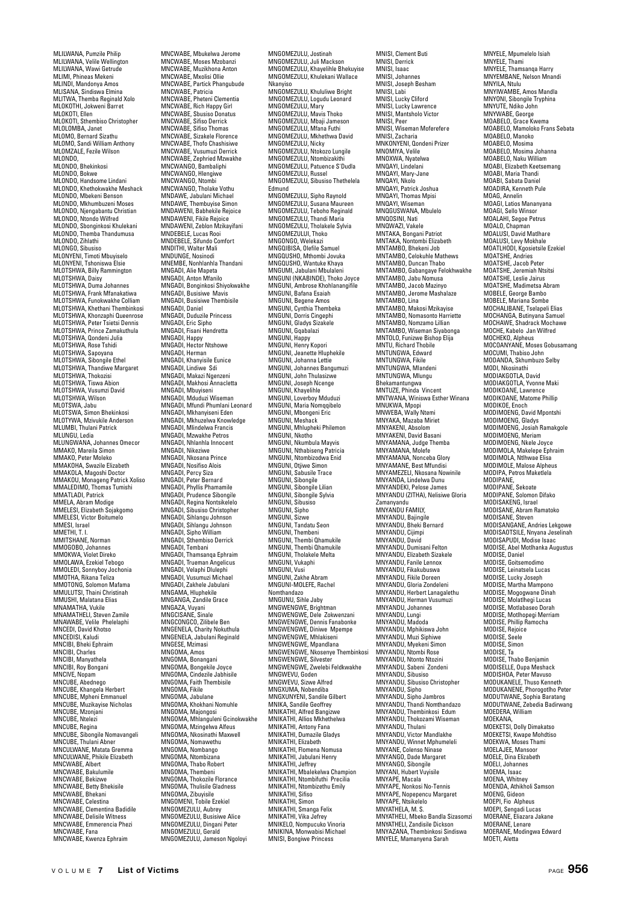MLILWANA, Pumzile Philip MLILWANA, Velile Wellington MLILWANA, Wawi Getrude MLIMI, Phineas Mekeni MLINDI, Mandonya Amos MLISANA, Sindiswa Elmina MLITWA, Themba Reginald Xolo MLOKOTHI, Jokweni Barret MLOKOTI, Ellen MLOKOTI, Sthembiso Christopher MLOLOMBA, Janet MLOMO, Bernard Sizathu MLOMO, Sandi William Anthony MLOMZALE, Fezile Wilson MLONDO, MLONDO, Bhekinkosi MLONDO, Bokwe MLONDO, Handsome Lindani MLONDO, Khethokwakhe Meshack MLONDO, Mbekeni Benson MLONDO, Mkhumbuzeni Moses MLONDO, Njengabantu Christian MLONDO, Ntondo Wilfred MLONDO, Sbonginkosi Khulekani MLONDO, Themba Thandumusa MLONDO, Zihlathi MLONGO, Sibusiso MLONYENI, Timoti Mbuyiselo MLONYENI, Tshoniswa Elsie MLOTSHWA, Billy Rammington MLOTSHWA, Daisy MLOTSHWA, Duma Johannes MLOTSHWA, Frank Mfanakatiwa MLOTSHWA, Funokwakhe Colliam MLOTSHWA, Khethani Thembinkosi MLOTSHWA, Khonzaphi Queenrose MLOTSHWA, Peter Tsietsi Dennis MLOTSHWA, Prince Zamakuthula MLOTSHWA, Qondeni Julia MLOTSHWA, Rose Tshidi MLOTSHWA, Sapoyana MLOTSHWA, Sibongile Ethel MLOTSHWA, Thandiwe Margaret MLOTSHWA, Thokozisi MLOTSHWA, Tiswa Abion MLOTSHWA, Vusumzi David MLOTSHWA, Wilson MLOTSWA, Jabu MLOTSWA, Simon Bhekinkosi MLOTYWA, Mzivukile Anderson MLUMBI, Thulani Patrick MLUNGU, Ledia MLUNGWANA, Johannes Omecor MMAKO, Mareila Simon MMAKO, Peter Moleko MMAKOHA, Swazile Elizabeth MMAKOLA, Magoshi Doctor MMAKOU, Monageng Patrick Xoliso MMALEDIMO, Thomas Tumishi MMATLADI, Patrick MMELA, Abram Modige MMELESI, Elizabeth Sojakgomo MMELESI, Victor Boitun MMESI, Israel MMETHI, T. I. MMITSHANE, Norman MMOGOBO, Johannes MMOKWA, Violet Direko MMOLAWA, Ezekiel Tebogo MMOLEDI, Sonnyboy Jochonia MMOTHA, Rikana Teliza MMOTONG, Solomon Mafama MMULUTSI, Thaini Christinah MMUSHI, Malatana Elias MNAMATHA, Vukile MNAMATHELI, Steven Zamile MNAWABE, Velile Phelelaphi MNCEDI, David Khotso MNCEDISI, Kaludi MNCIBI, Bheki Ephraim MNCIBI, Charles MNCIBI, Manyathela MNCIBI, Roy Bongani MNCIVE, Nopam MNCUBE, Abednego MNCUBE, Khangela Herbert MNCUBE, Mpheni Emmanuel MNCUBE, Muzikayise Nicholas MNCUBE, Mzonjani MNCUBE, Ntelezi MNCUBE, Regina MNCUBE, Sibongile Nomavangeli MNCUBE, Thulani Abner MNCULWANE, Matata Gremma MNCULWANE, Phikile Elizabeth MNCWABE, Albert MNCWABE, Bakulumile MNCWABE, Bekizwe MNCWABE, Betty Bhekisile MNCWARE, Bhekani MNCWABE, Celestina MNCWABE, Clementina Badidile MNCWABE, Delisile Witness MNCWABE, Emmerencia Phezi MNCWABE, Emme MNCWABE, Kwenza Ephraim

MNCWABE, Mbukelwa Jerome MNCWABE, Moses Mzobanzi MNCWABE, Muzikhona Anton MNCWABE, Mxolisi Ollie MNCWABE, Partick Phangubude MNCWABE, Patricia MNCWABE, Pheteni Clementia MNCWABE, Rich Happy Girl MNCWABE, Sbusiso Donatus MNCWABE, Sifiso Derrick MNCWABE, Sifiso Thomas MNCWABE, Sizakele Florence MNCWABE, Thofo Chashisiwe MNCWABE, Vusumuzi Derrick MNCWABE, Zephried Mzwakhe MNCWANGO, Bambaliphi MNCWANGO, Hlengiwe MNCWANGO, Ntombi MNCWANGO, Tholake Vothu MNDAWE, Jabulani Michael MNDAWE, Thembuyise Simon MNDAWENI, Babhekile Rejoice MNDAWENI, Fikile Rejoice MNDAWENI, Zeblon Mzikayifani MNDEBELE, Lucas Rooi MNDEBELE, Sifundo Comfort MNDITHI, Walter Mali MNDUNGE, Nosinodi MNEMBE, Nonhlanhla Thandani MNGADI, Alie Mapeta MNGADI, Anton Mfanilo MNGADI, Bonginkosi Shiyokwakhe MNGADI, Busisiwe Mavis MNGADI, Busisiwe Thembisile MNGADI, Dasisiwe Themats<br>MNGADI, Daniel<br>MNGADI, Duduzile Princess MNGADI, Duduzile Princess MNGADI, Eric Sipho MNGADI, Fisani Hendretta MNGADI, Happy MNGADI, Hector Ntshowe MNGADI, Herman MNGADI, Khanyisile Eunice MNGADI, Lindiwe Sdi MNGADI, Makazi Ngenzeni MNGADI, Makhosi Annacletta MNGADI, Mbuyiseni MNGADI, Mduduzi Wiseman MNGADI, Mfundi Phumlani Leonard MNGADI, Mkhanyiseni Eden MNGADI, Mkhuzelwa Knowledge MNGADI, Mlindelwa Francis MNGADI, Mzwakhe Petros MNGADI, Nhlanhla Innocent MNGADI, Nikeziwe MNGADI, Nkosana Prince MNGADI, Nosifiso Alois MNGADI, Percy Siza MNGADI, Peter Bernard MNGADI, Phyllis Phamamile MNGADI, Prudence Sibongile MNGADI, Regina Nontsikelelo MNGADI, Sibusiso Christopher MNGADI, Sihlangu Johnson MNGADI, Sihlangu Johnson MNGADI, Sipho William MNGADI, Sthembiso Derrick MNGADI, Tembani MNGADI, Thamsanqa Ephraim MNGADI, Trueman Angelicus MNGADI, Velaphi Dlulephi MNGADI, Vusumuzi Michael MNGADI, Zakhele Jabulani MNGAMA, Hluphekile MNGANGA, Zandile Grace MNGAZA, Vuyani MNGCISANE, Sinale MNGCONGCO, Zilibele Ben MNGENELA, Charity Nokuthula MNGENELA, Jabulani Reginald MNGESE, Mzimasi MNGOMA, Amos MNGOMA, Bonangani MNGOMA, Bongekile Joyce MNGOMA, Cindezile Jabhisile MNGOMA, Faith Thembisile MNGOMA, Fikile MNGOMA, Jabulane MNGOMA, Khokhani Nomuhle MNGOMA, Majongosi MNGOMA, Mhlanguleni Gcinokwakhe MNGOMA, Mzingelwa Alfeus MNGOMA, Nkosinathi Maxwell MNGOMA, Nomawethu MNGOMA, Nombango MNGOMA, Ntombizana MNGOMA, Thabo Robert MNGOMA, Thembeni MNGOMA, Thokozile Florance MNGOMA, Thulisile Gladness MNGOMA, Zibuyisile MNGOMENI, Tobile Ezekiel MNGOMEZULU, Aubrey MNGOMEZULU, Busisiwe Alice MNGOMEZULU, Dingani Peter MNGOMEZULU, Gerald

MNGOMEZULU, Jameson Ngoloyi

MNGOMEZULU, Jostinah MNGOMEZULU, Juli Mackson MNGOMEZULU, Khayelihle Bhekuyise MNGOMEZULU, Khulekani Wallace Nkanyiso MNGOMEZULU, Khululiwe Bright MNGOMEZULU, Logudu Leonard MNGOMEZULU, Mary MNGOMEZULU, Mavis Thoko MNGOMEZULU, Mbaji Jameson MNGOMEZULU, Mfana Futhi MNGOMEZULU, Mkhethwa David MNGOMEZULU, Nicky MNGOMEZULU, Ntokozo Lungile MNGOMEZULU, Ntombizakithi MNGOMEZULU, Patuence S'Dudla MNGOMEZULU, Russel MNGOMEZULU, Sibusiso Thethelela Edmund MNGOMEZULU, Sipho Raynold MNGOMEZULU, Susana Maureen MNGOMEZULU, Teboho Reginald MNGOMEZULU, Thandi Maria MNGOMEZULU, Tholakele Sylvia MNGOMEZULUI, Thoko MNGONGO, Welekazi MNGQIBISA, Olefile Samuel MNGQUSHO, Mthombi Jovuka MNGQUSHO, Wantuke Khaya MNGUMI, Jabulani Mbulaleni MNGUNI (NKABINDE), Thoko Joyce MNGUNI, Ambrose Khohlanangifile MNGUNI, Bafana Esaiah MNGUNI, Begene Amos MNGUNI, Cynthia Thembeka MNGUNI, Dorris Cingephi MNGUNI, Gladys Sizakele MNGUNI, Gqabalazi MNGUNI, Happy MNGUNI, Henry Kopori MNGUNI, Jeanette Hluphekile MNGUNI, Johanna Lettie MNGUNI, Johannes Bangumuzi MNGUNI, John Thulasizwe MNGUNI, Joseph Ncenge MNGUNI, Khayelihle MNGUNI, Loverboy Mduduzi MNGUNI, Maria Nomqqibelo MNGUNI, Mbongeni Eric MNGUNI, Meshack MNGUNI, Mhlupheki Philemon MNGUNI, Nkotho MNGUNI, Nkumbula Mayvis MNGUNI, Nthabiseng Patricia MNGUNI, Ntombizodwa Enid MNGUNI, Otjiwe Simon MNGUNI, Sabusile Trace MNGUNI, Sibongile MNGUNI, Sibongile Lilian MNGUNI, Sibongile Sylvia MNGUNI, Sibusiso MNGUNI, Sinho MNGUNI, Sizwe MNGUNI, Tandatu Seon MNGUNI, Thembeni MNGUNI, Thembi Qhamukile MNGUNI, Thembi Qhamukile MNGUNI, Tholakele Melta MNGUNI, Vukaphi MNGUNI, Vusi MNGUNI, Zakhe Abram MNGUNI-MOLEFE, Rachel Nomthandazo MNGUNU, Sihle Jaby MNGWENGWE, Brightman MNGWENGWE, Dele Zokwenzani MNGWENGWE, Dennis Fanabonke MNGWENGWE, Diniwe Mpempe MNGWENGWE, Mhlakiseni MNGWENGWE, Mpandlana MNGWENGWE, Nkosenye Thembinkosi MNGWENGWE, Silvester MNGWENGWE, Zwelebi Feldkwakhe MNGWEVU, Goden MNGWEVU, Sizwe Alfred MNGXUMA, Nobendiba MNGXUNYENI, Sandile Gilbert MNIKA, Sandile Geoffrey MNIKATHI, Alfred Bangizwe MNIKATHI, Allios Mkhethelwa MNIKATHI, Antony Fana MNIKATHI, Dumazile Gladys MNIKATHI, Elizabeth MNIKATHI, Flomena Nomusa MNIKATHI, Jabulani Henry MNIKATHI, Jeffrey MNIKATHI, Mbalekelwa Champion MNIKATHI, Ntombifuthi Precilia MNIKATHI, Ntombizethu Emily MNIKATHI, Sifiso MNIKATHI, Simon MNIKATHI, Smanga Felix MNIKATHI, Vika Jefrey MNIKELO, Nompucuko Vinoria MNIKINA, Monwabisi Michael MNISI, Bongiwe Princess

MNISI, Clement Buti MNISI, Derrick MNISI, Isaac MNISI, Johannes MNISI, Joseph Besham MNISI, Labi MNISI, Lucky Cliford MNISI, Lucky Lawrence MNISI, Mantsholo Victor MNISI, Peer MNISI, Wiseman Moferefere MNISI, Zacharia MNKONYENI, Qondeni Prizer MNOMIYA, Velile MNOXWA, Nyatelwa MNQAYI, Lindelani MNQAYI, Mary-Jane MNQAYI, Nkolo MNQAYI, Patrick Joshua MNQAYI, Thomas Mpisi MNOAYI, Wiseman MNQGUSWANA, Mbulelo MNQOSINI, Nati MNQWAZI, Vakele MNTAKA, Bongani Patriot MNTAKA, Nontombi Elizabeth MNTAMBO, Bhekeni Job MNTAMBO, Celokuhle Mathews MNTAMBO, Duncan Thabo MNTAMBO, Gabangaye Felokhwakhe MNTAMBO, Jabu Nomusa MNTAMBO, Jacob Mazinyo MNTAMBO, Jerome Mashalaze MNTAMBO, Lina MNTAMBO, Makosi Mzikayise MNTAMBO, Nomasonto Harriette MNTAMBO, Nomzamo Lillian MNTAMBO, Wiseman Siyabonga MNTOLO, Funizwe Bishop Elija MNTU, Richard Thobile MNTUNGWA, Edward MNITUNGWA Fikile MNTUNGWA, Mandeni MNTUNGWA, Mlungu Bhekamantungwa MNTUZE, Phinda Vincent MNTWANA, Winiswa Esther Winana MNUKWA, Mpopi MNWEBA, Wally Ntemi MNYAKA, Mazaba Miriet MNYAKENI, Absolom MNYAKENI, David Basani wiwi AKEIwi, David Dasaiii<br>MNYAMANA, Judge Themba MNYAMANA, Molefe MNYAMANA, Nonceba Glory MNYAMANE, Best Mfundisi MNYAMEZELI, Nkosana Nowinile MNYANDA, Lindelwa Dunu MNYANDEKI, Pelose James MNYANDU (ZITHA), Nelisiwe Gloria Zamanyandu MNYANDU FAMILY, MNYANDU, Bajingile MNYANDU, Bheki Bernard MNYANDU, Cijimpi MNYANDU, David MNYANDU, Dumisani Felton MNYANDU, Elizabeth Sizakele MNYANDU, Fanile Lennox MNYANDU, Fikakubuswa MNYANDU, Fikile Doreen MNYANDU, Gloria Zondeleni MNYANDU, Herbert Lanagalethu MNYANDU, Herman Vusumuzi MNYANDU, Johannes MNYANDU, Lungi MNYANDU, Madoda MNYANDU, Mphikiswa John MNYANDU, Muzi Siphiwe MNYANDU, Myekeni Simon MNYANDU, Ntombi Rose MNYANDU, Ntonto Ntozini MNYANDU, Sabeni Zondeni MNYANDU, Sibusiso MNYANDU, Sibusiso Christopher MNYANDU, Sipho MNYANDU, Sipho Jambros MNYANDU, Thandi Nomthandazo MNYANDU, Thembinkosi Edum MNYANDU, Thokozami Wiser MNYANDU, Thulani MNYANDU, Victor Mandlakhe MNYANDU, Winnet Mphumeleli MNYANE, Colenso Ninase MNYANGO, Dade Margaret MNYANGO, Sibongile MNYANI, Hubert Vuyisile MNYAPE, Macala MNYAPE, Nonkosi No-Tennis MNYAPE, Nopepencu Margaret MNYAPE, Ntsikelelo MNYATHELA, M. S. MNYATHELI, Mbeko Bandla Sizasomzi MNYATHELI, Zandisile Dickson MNYAZANA, Thembinkosi Sindiswa MNYELE, Mamanyena Sarah

MNYELE, Mpumelelo Isiah MNYELE, Thami MNYELE, Thamsanqa Harry MNYEMBANE, Nelson Mnandi MNYILA, Ntulu MNYIWAMBE, Amos Mandla MNYONI, Sibongile Tryphina MNYUTE, Ndiko John MNYWABE, George MOABELO, Grace Kwema MOABELO, Mamoloko Frans Sebata MOABELO, Manoko MOABELO, Mosima MOABELO, Mosima Johanna MOABELO, Naku William MOABI, Elizabeth Keetsemang MOABI, Maria Thandi MOABI, Sabata Daniel MOADIRA, Kenneth Puls MOAG, Annelin MOAGI, Latios Mananyana MOAGI, Sello Winso MOALAHI, Segoe Petrus MOALO, Chapman MOALUSI, David Matlhare MOALUSI, Levy Mokhale MOATLHODI, Kgosietsile Ezekiel MOATSHE, Andries MOATSHE, Jacob Peter MOATSHE, Jeremiah Ntsitsi MOATSHE, Leslie Jairus MOATSHE, Madimetsa Abram MOBELE, George Bambo MOBELE, Mariana Sombe MOCHALIBANE, Tselapeli Elias MOCHANGA, Butinyana Samuel MOCHAWE, Shadrack Mochawe MOCHE Kabelo Jan Wilfred MOCHEKO, Alpheus MOCOANYANE, Moses Gobusamang MOCUMI, Thabiso John MODANDA, Skhumbuzo Selby MODANDA, JAHUI MODIAKGOTLA, David MODIAKGOTLA, Yvonne Maki MODIKOANE, Lawrence MODIKOANE, Matome Phillip MODIKOE, Enoch MODIMOENG, David Mpontshi MODIMOENG, Gladys MODIMOENG, Josiah Ramakgole MODIMOENG, Meriam MODIMOENG, Nkele Joyce MODIMOLA, Makelepe Ephraim MODIMOLA, Ntlhwae Elisa MODIMOLE, Malose Alpheus MODIPA, Petros Maketlela MODIPANE, MODIPANE, Sekoate MODIPANE, Solomon Difako MODISAKENG, Israel MODISANE, Abram Ramatoko MODISANE, Steven MODISANGANE, Andries Lekgowe MODISAOTSILE, Nnyana Jese MODISAPUDI, Modise Isaac MODISE, Abel Motlhanka Augustus MODISE, Daniel MODISE, Goitsemodimo MODISE, Leinatsela Lucas MODISE, Lucky Joseph MODISE, Martha Mampono MODISE, Mogogwane Dinah MODISE, Molatlhegi Lucas MODISE, Motlabaseo Dorah MODISE, Motlhopegi Merriam MODISE, Phillip Ramocha MODISE, Rejoice MODISE, Seele MODISE, Simon MODISE, Ta MODISE, Thabo Benjamin MODISELLE, Oupa Meshack MODISHOA, Peter Mavuso MODUKANELE, Thuso Kenneth MODUKANENE, Phorogotlho Peter MODUTWANE, Sophia Baratang MODUTWANE, Zebedia Badirwang MOEDERA, William MOEKANA MOEKETSI, Dolly Dimakatso MOEKETSI, Kwape Mohdtiso MOEKWA, Moses Thami MOELAJEE, Manso MOELE, Dina Elizabeth MOELI, Johannes MOEMA, Isaac MOENA, Whitney MOENDA, Athikholi Samson MOENG, Gideon MOEPI, Fio Alpheus MOEPI, Sengadi Lucas MOERANE, Eliazara Jakane MOERANE, Lenare MOERANE, Modingwa Edward MOETI, Aletta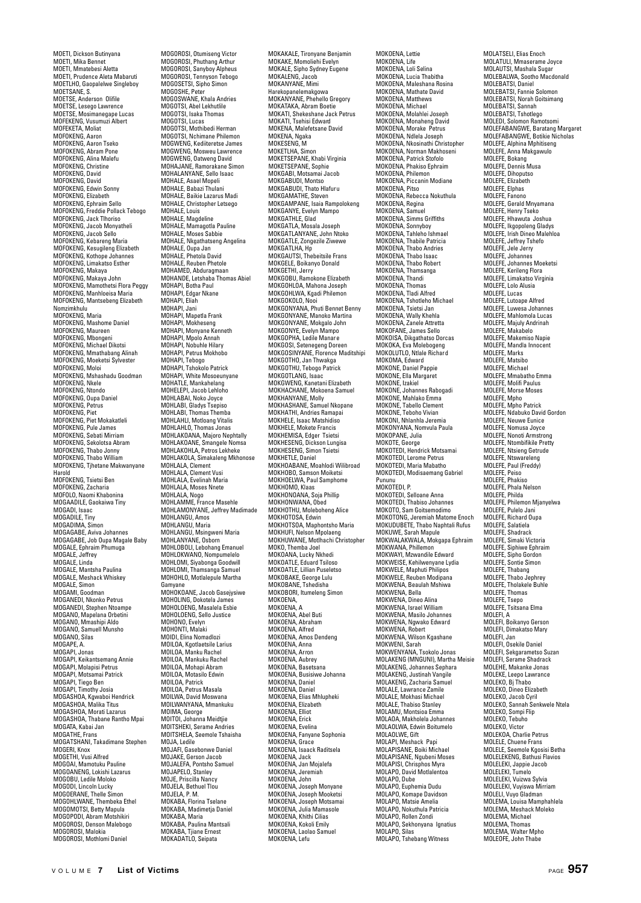MOETI, Dickson Butinyana MOETI, Mika Bennet MOETI, Mmatebesi Aletta MOETI, Prudence Aleta Mabaruti MOETLHO, Gaopalelwe Singleboy MOETSANE, S. MOETSE, Anderson Olifile MOETSE, Lesego Lawrence MOETSE, Mosimanegape Lucas MOFEKENG, Vusumuzi Albert MOFEKETA, Moliat MOFOKENG, Aaron MOFOKENG, Aaron Tseko MOFOKENG, Abram Pone MOFOKENG, Alina Malefu MOFOKENG, Christine MOFOKENG, David MOFOKENG, David MOFOKENG, Edwin Sonny MOFOKENG, Euwin St MOFOKENG, Ephraim Sello MOFOKENG, Freddie Pollack Tebogo MOFOKENG, Jack Tlhoriso MOFOKENG, Jacob Monyatheli MOFOKENG, Jacob Sello MOFOKENG, Kebareng Maria MOFOKENG, Kesugileng Elizabeth MOFOKENG, Kothope Johannes MOFOKENG, Limakatso Esther MOFOKENG, Makaya MOFOKENG, Makaya John MOFOKENG, Mamothetsi Flora Peggy MOFOKENG, Manhloeisa Maria MOFOKENG, Mantsebeng Elizabeth Nomzimkhulu MOFOKENG, Maria MOFOKENG, Mashome Daniel MOFOKENG, Maureen MOFOKENG, Mbongeni MOFOKENG, Michael Dikotsi MOFOKENG, Mmathabang Alinah MOFOKENG, Moeketsi Sylvester MOFOKENG, Moloi MOFOKENG, Mshashadu Goodman MOFOKENG, Nkele MOFOKENG, Ntondo MOFOKENG, Oupa Daniel MOFOKENG, Petrus MOFOKENG, Piet MOFOKENG, Piet Mokakatleli MOFOKENG, Pule James MOFOKENG, Sebati Mirriam MOFOKENG, Sekolotsa Abram MOFOKENG, Thabo Jonny MOFOKENG, Thabo William MOFOKENG, Tjhetane Makwanyane Harold MOFOKENG, Tsietsi Ben MOFOKENG, Zacharia MOFOLO, Naomi Khabonina MOGAADILE, Gaokaiwa Tiny MOGADI, Isaac<br>MOGADILE, Tiny MOGADILE, Tiny MOGADIMA, Simon MOGAGABE, Aviva Johannes MOGAGABE, Job Oupa Magale Baby MOGALE, Ephraim Phumuga MOGALE, Jeffrey MOGALE, Linda MOGALE, Mantsha Paulina MOGALE, Meshack Whiskey MOGALE, Simon MOGAMI, Goodman MOGANEDI, Nkonko Petrus MOGANEDI, Stephen Ntoampe MOGANO, Mapelana Orbetini MOGANO, Mmashipi Aldo MOGANO, Samuell Munsho MOGANO, Silas MOGAPE, A. MOGAPI, Jonas MOGAPI, Keikantsemang Annie MOGAPI, Molapisi Petrus MOGAPI, Motsamai Patrick MOGAPI, Tiego Ben MOGAPI, Timothy Josia MOGASHOA, Kgwaboi Hendrick MOGASHOA, Malika Titus MOGASHOA, Morati Lazarus MOGASHOA, Thabane Rantho Mpai MOGATA, Kabai Jan MOGATHE, Frans MOGATSHANI, Takadimane Stephen Muumiu...<br>MOGERI, Knox MOGETHI, Vusi Alfred MOGOAI, Mamotuku Pauline MOGOANENG, Lokishi Lazarus MOGOBU, Ledile Moloko MOGODI, Lincoln Lucky MOGOERANE, Thelle Simon MOGOHLWANE, Thembeka Ethel MOGOMOTSI, Betty Mapula MOGOPODI, Abram Motshikiri MOGOROSI, Denson Malebogo MOGOROSI, Malokia MOGOROSI, Mothlomi Daniel

MOGOROSI, Otumiseng Victor MOGOROSI, Phuthang Arthur MOGOROSI, Sanyboy Alpheus MOGOROSI, Tennyson Tebogo MOGOSETSI, Sipho Simon MOGOSHE, Peter MOGOSWANE, Khala Andries MOGOTSI, Abel Lekhutlile MOGOTSI, Isaka Thomas MOGOTSI, Lucas MOGOTSI, Mothibedi Herman MOGOTSI, Nchimane Philemon MOGWENG, Kediiteretse James MOGWENG, Mosweu Lawrence MOGWENG, Oatweng David MOHAJANE, Ramorakane Simon MOHALANYANE, Sello Isaac MOHALE, Asael Mopeli MOHALE, Bahazi Thulani MOHALE, Baikie Lazarus Madi MOHALE, Christopher Letsego MOHALE, Louis MOHALE, Magdeline MOHALE, Mamagotla Pauline MOHALE, Moses Sabbie MOHALE, Nkgathatseng Angelina MOHALE, Oupa Jan MOHALE, Phetola David MOHALE, Reuben Phetole MOHAMED, Abduragmaan MOHANDE, Letshaba Thomas Abiel MOHAPI, Botha Paul MOHAPI, Edgar Nkane MOHAPI, Eliah MOHAPI, Jani MOHAPI, Mapetla Frank MOHAPI, Mokheseng MOHAPI, Monyane Kenneth MOHAPI, Mpolo Annah MOHAPI, Nobuhle Hilary MOHAPI, Petrus Mokhobo MOHAPI, Tebogo MOHAPI, Tshokolo Patrick MOHAPI, White Mosoeunyane MOHATLE, Mankahelang MOHELEPI, Jacob Lehloho MOHLABAI, Noko Joyce MOHLABI, Gladys Tsepiso MOHLABI, Thomas Themba MOHLAHLI, Motloang Vitalis MOHLAHLO, Thomas Jonas MOHLAKOANA, Majoro Nephtally MOHLAKOANE, Smangele Nomsa MOHLAKOHLA, Petros Lekheke MOHLAKOLA, Simakaleng Mkhor MOHLALA, Clement MOHLALA, Clement Vusi MOHLALA, Evelinah Maria MOHLALA, Moses Nnete MOHLALA, Nogo MOHLAMME, France Masehle MOHLAMONYANE, Jeffrey Madimade MOHLANGU, Amos MOHLANGU, Maria MOHLANGU, Maria<br>MOHLANGU, Msingweni Maria<br>MOHLANYANE. Osborn MOHLANYANE, Osborn MOHLOBOLI, Lebohang Emanuel MOHLOKWANO, Nompumelelo MOHLOMI, Siyabonga Goodwill MOHLOMI, Thamsanga Samuel MOHOHLO, Motlalepule Martha Gamyane MOHOKOANE, Jacob Gasejysiwe MOHOLING, Dokotela James MOHOLOENG, Masalela Esbie MOHOLOENG, Sello Justice MOHONO, Evelyn MOHONTI, Malaki MOIDI, Elina Nomadlozi MOILOA, Kgotlaetsile Larius MOILOA, Manku Rachel MOILOA, Mankuku Rachel MOILOA, Mohapi Abram MOILOA, Motasilo Edwin MOILOA, Patrick MOILOA, Petrus Masala MOILWA, David Moswana MOILWANYANA, Mmankuku MOIMA, George MOITOI, Johanna Meidtjie MOITSHEKI, Serame Andries MOITSHELA, Seemole Tshaisha MOJA, Ledile MOJAFI, Gasebonwe Daniel MOJAKE, Gerson Jacob MOJALEFA, Pontsho Samuel MOJAPELO, Stanley MOJE, Priscilla Nancy<br>MOJE, Priscilla Nancy MOJELA, Bethuel Tlou MOJELA, P. M. MOKABA, Florina Tselane MOKABA, Madimetja Daniel MOKABA, Maria MOKABA, Paulina Mantsali MOKABA, Tjiane Ernest MOKADATLO, Seipata

MOKAKALE, Tironyane Benjamin MOKAKE, Momoliehi Evelyn MOKALE, Sipho Sydney Eugene MOKALENG, Jacob MOKANYANE, Mimi Harekopanelemakgowa MOKANYANE, Phehello Gregory MOKATAKA, Abram Boetie MOKATI, Shekeshane Jack Petrus MOKATI, Tsehisi Edward MOKENA, Malefetsane David MOKENA, Ngaka MOKESENG, M MOKETLHA, Simon MOKETSEPANE, Khabi Virginia MOKETSEPANE, Sophie MOKGABI, Motsamai Jacob MOKGABUDI, Montso MOKGABUDI, Thato Hlafuru MOKGABODI, That His MOKGAMPANE, Isaia Rampolokeng MOKGANYE, Evelyn Mampo MOKGATHLE, Glad MOKGATLA, Mosala Joseph MOKGATLANYANE, John Ntoko MOKGATLE, Zongezile Ziwewe MOKGATLHA, Hp MOKGAUTSI, Thebeitsile Frans MOKGELE, Boikanyo Donald MOKGETHI, Jerry MOKGOBU, Ramokone Elizabeth MOKGOHLOA, Mahona Joseph MOKGOHLWA, Kgadi Philemon MOKGOKOLO, Nooi MOKGONYANA, Phuti Bennet Benny MOKGONYANE, Manoko Martina MOKGONYANE, Manoko Warat MOKGONYE, Evelyn Mampo MOKGOPHA, Ledile Manare MOKGOSI, Setenegeng Doreen MOKGOSINYANE, Florence Maditshipi MOKGOTHO, Jan Thwakga MOKGOTHU, Tebogo Patrick MOKGOTLANG, Isaac MOKGWENG, Kanetani Elizabeth MOKHACHANE, Mokoena Samuel MOKHANYANE, Molly MOKHASHANE, Samuel Nkopane MOKHATHI, Andries Ramapai MOKHELE, Isaac Matshidiso MOKHELE, Mokete Francis MOKHEMISA, Edger Tsietsi MOKHESENG, Dickson Lungisa MOKHESENG, Simon Tsiets MOKHETLE, Daniel MOKHOABANE, Moahlodi Wilibroad MOKHOBOANC, MOAINON WILL<br>MOKHOBO, Samson Moiketsi<br>MOKHOELWA. Paul Samphome MOKHOELWA, Paul Samphome MOKHOMO, Klaas MOKHONOANA, Soja Phillip MOKHONWANA, Obed MOKHOTHU, Moleboheng Alice MOKHOTOSA, Edwin MOKHOTSOA, Maphontsho Maria MOKHUFI, Nelson Mpolaeng MOKHUWANE, Motlhachi Christopher MOKO, Themba Joel MOKOANA, Lucky Nkhedi MOKOATLE, Eduard Tsiloso MOKOATLE, Lillian Puseletso MOKOBAKE, George Lulu MOKOBANE, Tshedisha MOKOBORI, Itumeleng Simon MOKOENA, MOKOENA, A MOKOENA, Abel Buti MOKOENA, Abraham MOKOENA, Alfred MOKOENA, Amos Dendeng MOKOENA, Anna MOKOENA, Arron MOKOENA, Aubrey MOKOENA, Basetsana MOKOENA, Busisiwe Johanna MOKOENA, Daniel MOKOENA, Daniel MOKOENA, Elias Mhlupheki MOKOENA, Elizabeth MOKOENA, Elliot MOKOENA, Erick MOKOENA, Evelina MOKOENA, Fanyane Sophonia MOKOENA, Grace MOKOENA, Isaack Raditsela MOKOENA, Jack MOKOENA, Jan Mojalefa MOKOENA, Jeremiah MOKOENA, John MOKOENA, Joseph Monyane MOKOENA, Joseph Mooketsi MOKOENA, Joseph Motsamai MOKOENA, Julia Mamasole MOKOENA, Khithi Cilias MOKOENA, Kokoli Emily MOKOENA, Laolao Samuel MOKOENA, Lefu

MOKOENA, Lettie MOKOENA, Life MOKOENA, Loli Selina MOKOENA, Lucia Thabitha MOKOENA, Maleshana Rosina MOKOENA, Mathate David MOKOENA, Matthews MOKOENA, Michael MOKOENA, Molahlei Joseph MOKOENA, Monaheng David MOKOENA, Morake Petrus MOKOENA, Ndlela Joseph MOKOENA, Nkosinathi Christopher MOKOENA, Norman Makhoseni MOKOENA, Patrick Stofolo MOKOENA, Phakiso Ephraim MOKOENA, Philemon MOKOENA, Piccanin Modiane MOKOENA, Pitso MOKOENA, Rebecca Nokuthula MOKOENA, Regina MOKOENA, Samuel MOKOENA, Simms Griffiths MOKOENA, Sonnyboy MOKOENA, Tahleho Ishmael MOKOENA, Thabile Patricia MOKOENA, Thabo Andries MOKOENA, Thabo Isaac MOKOENA, Thabo Robert MOKOENA, Thamsanga MOKOENA, Thandi MOKOENA, Thomas MOKOENA, Tladi Alfred MOKOENA, Tshotleho Michael MOKOENA, Tsietsi Jan MOKOENA, Wally Khehla MOKOENA, Wany Khema<br>MOKOENA, Zanele Attretta MOKOFANE, James Sello MOKOISA, Dikgathatso Dorcas MOKOKA, Eva Molebogeng MOKOLUTLO, Ntlale Richard MOKOMA, Edward MOKONE, Daniel Pappie MOKONE, Ella Margaret MOKONE, Izakiel MOKONE, Johannes Rabogadi MOKONE, Mahlako Emma MOKONE, Tabello Clement MOKONE, Teboho Vivian MOKONI, Nhlanhla Jeremia MOKONYANA, Nomvula Paula MOKOPANE, Julia MOKOTE, George MOKOTEDI, Hendrick Motsamai MOKOTEDI, Lerome Petrus MOKOTEDI, Maria Mabatho MOKOTEDI, Modisaemang Gabriel Pununu MOKOTEDI, P. MOKOTEDI, Selloane Anna MOKOTEDI, Thabiso Johannes MOKOTO, Sam Goitsemodimo MOKOTONG, Jeremiah Matome Enoch MOKUDUBETE, Thabo Naphtali Rufus MOKUWE, Sarah Mapule MOKWALAKWALA, Mokgapa Ephraim MOKWANA, Phillemon MOKWAYI, Mzwandile Edward MOKWEISE, Kehilwenyane Lydia MOKWELE, Maphuti Philipos MOKWELE, Reuben Modipana MOKWENA, Beaulah Mshiwa MOKWENA, Bella MOKWENA, Dineo Alina MOKWENA, Israel William MOKWENA, Masilo Johannes MOKWENA, Ngwako Edward MOKWENA, Robert MOKWENA, Wilson Kgashane MOKWENI, Sarah MOKWENYANA, Tsokolo Jonas MOLAKENG (MNGUNI), Martha Meisie MOLAKENG, Johannes Sephara MOLAKENG, Justinah Vangile MOLAKENG, Zacharia Samuel MOLALE, Lawrance Zamile MOLALE, Mokhasi Michael MOLALE, Thabiso Stanley MOLAMU, Montsioa Emma MOLAOA, Makholela Johannes MOLAOLWA, Edwin Boitumelo MOLAOLWE, Gift MOLAPI, Meshack Papi MOLAPISANE, Boiki Michael MOLAPISANE, Ngubeni Moses MOLAPISI, Chrisphos Myra MOLAPO, David Motlalentoa MOLAI U, DUILL MOLAPO, Euphemia Dudu MOLAPO, Komape Davidson MOLAPO, Matsie Amelia MOLAPO, Nokuthula Patricia MOLAPO, Rollen Zondi MOLAPO, Sekhonyana Ignatius MOLAPO, Silas MOLAPO, Tshebang Witness

MOLATSELI, Elias Enoch MOLATULI, Mmaserame Joyce MOLAUTSI, Mashala Sugar MOLEBALWA, Sootho Macdonald MOLEBATSI, Daniel MOLEBATSI, Fannie Solomon MOLEBATSI, Norah Goitsimang MOLEBATSI, Sannah MOLEBATSI, Tshotlego MOLEDI, Solomon Ramotsomi MOLEFABANGWE, Baratang Margaret MOLEFABANGWE, Botikie Nicholas MOLEFE, Alphina Mphitiseng MOLEFE, Anna Makgawulo MOLEFE, Bokang MOLEFE, Dennis Musa MOLEFE, Dihoputso MOLEFE, Elizabeth MOLEFE, Elphas MOLEFE, Fanono MOLEFE, Gerald Mnyamana MOLEFE, Henry Tseko MOLEFE, Hhawuta Joshua MOLEFE, Ikgopoleng Gladys MOLEFE, Irish Dineo Malehloa MOLEFE, Jeffrey Tshefo MOLEFE, Jele Jerry MOLEFE, Johannes MOLEFE, Johannes Moeketsi MOLEFE, Kerileng Flora MOLEFE, Limakatso Virginia MOLEFE, Lolo Alusia MOLEFE, Lucas MOLEFE, Lutoape Alfred MOLEFE, Luwesa Johannes MOLEFE, Mahlomola Lucas MOLEFE, Majuly Andrinah MOLEFE, Makabelo MOLEFE, Makemiso Napie MOLEFE, Mandla Innocent MOLEFE, Marks MOLEEE, Mateiho MOLEFE, Michael MOLEFE, Mmabatho Emma MOLEFE, Molifi Paulus MOLEFE, Morse Moses MOLEFE, Mpho MOLEFE, Mpho Patrick MOLEFE, Ndabuko David Gordon MOLEFE, Neuwe Eunice MOLEFE, Nomusa Joyce MOLEFE, Nonoti Armstrong MOLEFE, Ntombifikile Pretty MOLEFE, Ntsieng Getrude MOLEFE, Ntswareleng MOLEFE, Paul (Freddy) MOLEFE, Peiso MOLEFE, Phakiso MOLEFE, Phala Nelson MOLEFE, Philda MOLEFE, Philemon Mjanyelwa MOLEFE, Pulelo Jani MOLEFE, Richard Oupa MOLEFE, Salatiela MOLEFE, Shadrack MOLEFE, Simaki Victoria MOLEFE, Siphiwe Ephraim MOLEFE, Sipho Gordon MOLEFE, Sontie Simon MOLEFE, Thabang MOLEFE, Thabo Jephrey MOLEFE, Tholakele Buhle MOLEFE, Thomas MOLEFE, Tsepo MOLEFE, Tsitsana Elma MOLEFI, A MOLEFI, Boikanyo Gerson MOLEFI, Dimakatso Mary MOLEFI, Jan MOLEFI, Osekile Daniel MOLEFI, Sekgarametso Suzan MOLEFI, Serame Shadrack MOLEHE, Makanke Jonas MOLEKE, Leepo Lawrance MOLEKO, Bj Thabo MOLEKO, Dineo Elizabeth MOLEKO, Jacob Cyril MOLEKO, Sannah Senkwele Ntela MOLEKO, Sompi Flip MOLEKO, Tebuho MOLEKO, Victor MOLEKOA, Charlie Petrus MOLELE, Chuene Frans MOLELE, Seemole Kgosisi Betha MOLELEKENG, Bathusi Flavios MOLELEKI, Jappie Jacob MOLELEKI, Tumelo MOLELEKI, Vuizwa Sylvia MOLELEKI, Vuyiswa Mirriam MOLELI, Vuyo Gladman MOLEMA, Louisa Mamphahlela MOLEMA, Meshack Moleko MOLEMA, Michael MOLEMA, Thomas MOLEMA, Walter Mpho MOLEOFF, John Thabe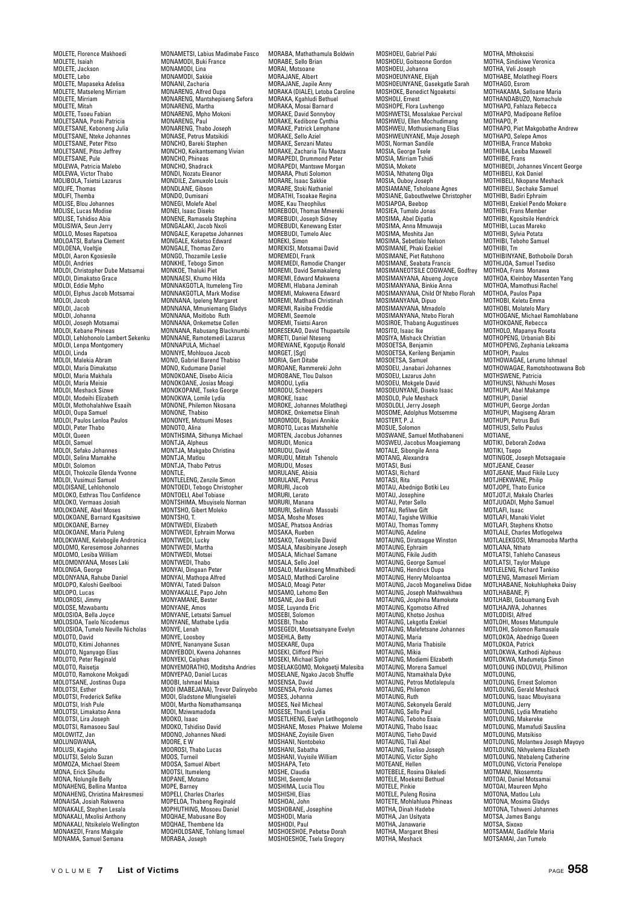MOLETE, Florence Makhoedi MOLETE, Isaiah MOLETE, Jackson MOLETE, Lebo MOLETE, Mapaseka Adelisa MOLETE, Matseleng Mirriam MOLETE, Mirriam MOLETE, Mitah MOLETE, Tsoeu Fabian MOLETSANA, Ponki Patricia MOLETSANE, Keboneng Julia MOLETSANE, Nteke Johannes MOLETSANE, Peter Pitso MOLETSANE, Pitso Jeffrey MOLETSANE, Pule MOLEWA, Patricia Malebo MOLEWA, Victor Thabo MOLIBOLA, Tsietsi Lazarus MOLIFE, Thomas MOLIFI, Themba MOLISE, Blou Johannes MOLISE, Lucas Modise MOLISE, Tshidiso Ahia MOLISIWA, Seun Jerry MOLLO, Moses Rapetsoa MOLOATSI, Bafana Clement MOLOENA, Voeltjie MOLOI, Aaron Kgosiesile MOLOI, Andries MOLOI, Christopher Dube Matsamai MOLOI, Dimakatso Grace MOLOI, Eddie Mpho MOLOI, Elphus Jacob Motsamai MOLOI, Jacob MOLOI, Jacob MOLOI, Johanna MOLOI, Joseph Motsamai MOLOI, Kebane Phineas MOLOI, Lehlohonolo Lambert Sekenku MOLOI, Lenpa Montgomery MOLOI, Linda MOLOI, Malekia Abram MOLOI, Maria Dimakatso MOLOI, Maria Makhala MOLOI, Maria Meisie MOLOI, Meshack Sizwe MOLOI, Modeihi Elizabeth MOLOI, Mothohalahlwe Esaaih MOLOI, Oupa Samuel MOLOI, Paulos Lenloa Paulos MOLOI, Peter Thabo MOLOI, Queen MOLOI, Samuel MOLOI, Sefako Johannes MOLOI, Selina Mamakhe MOLOI, Solomon MOLOI, Thokozile Glenda Yvonne MOLOI, Vusimuzi Samuel MOLOISANE, Lehlohonolo MOLOKO, Esthras Tlou Confidence MOLOKO, Vermaas Josiah MOLOKOANE, Abel Moses MOLOKOANE, Barnard Kgasitsiwe MOLOKOANE, Barney MOLOKOANE, Maria Puleng MOLOKWANE, Kelebogile Andronica MOLOMO, Keresemose Johannes MOLOMO, Lesiba William MOLOMONYANA, Moses Laki MOLONGA, George MOLONYANA, Rahube Daniel MOLOPO, Kaloshi Geelbooi MOLOPO, Lucas MOLOROSI, Jimmy MOLOSE, Mzwabantu MOLOSIOA, Bella Joyce MOLOSIOA, Taelo Nicodemus MOLOSIOA, Tumelo Neville Nicholas MOLOTO, David MOLOTO, Kitimi Johannes MOLOTO, Nganyago Elias MOLOTO, Peter Reginald MOLOTO, Raisetja MOLOTO, Ramokone Mokgadi MOLOTSANE, Jostinas Oupa MOLOTSI, Esther MOLOTSI, Frederick Sefike MOLOTSI, Irish Pule MOLOTSI, Limakatso Anna MOLOTSI, Lira Joseph MOLOTSI, Ramasoeu Saul MOLOWITZ, Jan MOLUNGWANA MOLUSI, Kagisho MOLUTSI, Selolo Suzan MOMOZA, Michael Steem MONA, Erick Sihudu MONA, Nolungile Belly MONAHENG, Bellina Mantoa MONAHENG, Christina Makresmesi MONAISA, Josiah Rakwena MONAKALE, Stephen Lesala MONAKALI, Mxolisi Anthony MONAKALI, Ntsikelelo Wellington MONAKEDI, Frans Makgale MONAMA, Samuel Semana

MONAMETSI, Labius Madimabe Fasco MONAMODI, Buki France MONAMODI, Lina MONAMODI, Sakkie MONANI, Zacharia MONARENG, Alfred Oupa MONARENG, Mantshepiseng Sefora MONARENG, Martha MONARENG, Mpho Mokoni MONARENG, Paul MONARENG, Thabo Joseph MONASE, Petrus Matsikidi MONCHO, Bareki Stephen MONCHO, Keikantsemang Vivian MONCHO, Phineas MONCHO, Shadrack MONDI, Nozatu Eleanor MONDILE, Zamuxolo Louis MONDLANE, Gibson MONDO, Dumisani MONEGI, Molefe Abel MONEI, Isaac Diseko MONENE, Ramasela Stephina MONGALAKI, Jacob Nxoli MONGALE, Kerapetse Johannes MONGALL, Kerapetse John<br>MONGALE, Koketso Edward<br>MONGALE, Thomas Zero MONGALE, Thomas Zero MONGO, Thozamile Leslie MONKHE, Tebogo Simon MONKOE, Thaluki Piet MONNAESI, Khumo Hilda MONNAKGOTLA, Itumeleng Tiro MONNAKGOTLA, Mark Modise MONNANA, Ipeleng Margaret MONNANA, Mmuniemang Gladys MONNANA, Moitlobo Ruth MONNANA, Onkemetse Collen MONNANA, Rabusang Blacknumbi MONNANE, Ramotemedi Lazarus MONNAPULA, Michael MONNYE, Mohlouoa Jacob MONO, Gabriel Barend Thabiso MONO, Kudumane Daniel MONOKOANE, Disebo Alicia MONOKOANE, Josias Moagi MONOKOPANE, Tseko George MONOKWA, Lomile Lydia MONONE, Philemon Nkosana MONONE, Thabiso MONONYE, Motsumi Moses MONONTE, MOL MONTHSIMA, Sithunya Michael MONTJA, Alpheus MONTJA, Makgabo Christina MONTJA, Matlou MONTJA, Thabo Petrus MONTLE, MONTLELENG, Zenzile Simon MONTOEDI, Tebogo Christopher MONTOELI, Abel Tobiase MONTSHIMA, Mbuyiselo Norman MONTSHO, Gibert Moleko MONTSHO, T. MONTWEDI, Elizabeth MONTWEDI, Ephraim Morwa MONTWEDI, Lucky MONTWEDI, Martha MONTWEDI, Motsei MONTWEDI, Thabo MONYAI, Dingaan Peter MONYAI, Mathopa Alfred MONYAI, Tatedi Dalson MONYAKALLE, Papo John MONYAMANE, Bester MONYANE, Amos MONYANE, Letsatsi Samuel MONYANE, Mathabe Lydia MONYE, Lenah MONYE, Loosboy MONYE, Nananyane Susan MONYEBODI, Kwena Johannes MONYEKI, Caiphas MONYEMORATHO, Moditsha Andries MONYEPAO, Daniel Lucas MOOBI, Ishmael Maisa MOOI (MABEJANA), Trevor Dalinyebo MOOI, Gladstone Mlungiseleli MOOI, Martha Nomathamsanqa MOOI, Mziwamadoda MOOKO, Isaac MOOKO, Tshidiso David MOONO, Johannes Nkedi MOORE, E W MOOROSI, Thabo Lucas MOOS, Turneil MOOSA, Samuel Albert MOOTSI, Itumeleng MOPANE, Motamo MOPE, Barney MOPELI, Charles Charles MOPELOA, Thabeng Reginald MOPHUTHING, Mosoeu Daniel MOQHAE, Mabusane Boy MOOHAE, Thembene Ida MOQHOLOSANE, Tohlang Ismael

MORABA, Mathathamula Boldwin MORABE, Sello Brian MORAI, Motsoane MORAJANE, Albert MORAJANE, Japile Anny MORAKA (DIALE), Letoba Caroline MORAKA, Kgahludi Bethuel MORAKA, Mosai Barnard MORAKE, David Sonnyboy MORAKE, Kedibone Cynthia MORAKE, Patrick Lemphane MORAKE, Sello Aziel MORAKE, Senzani Mateu MORAKE, Zacharia Tilu Maeza MORAPEDI, Drummond Peter MORAPEDI, Mantswe Morgan MORARA, Phuti Solomon MORARE, Isaac Sakkie MORARE, Stoki Nathaniel MORATHI, Tsoakae Regina MORE, Kau Theophilus MOREBODI, Thomas Mmereki MOREBUDI, Joseph Sidney MOREBUDI, Kenewang Ester MOREBUDI, Tumelo Alec MOREKI, Simon MOREKISI, Motsamai David MOREMEDI, Frank MOREMEDI, Ramodie Changer MOREMI, David Semakaleng MOREMI, Edward Makwena MOREMI, Hlabana Jeminah MOREMI, Makwena Edward MOREMI, Matlhadi Christinah MOREMI, Raisibe Freddie MOREMI, Seemole MOREMI, Tsietsi Aaron MORESEKAO, David Thupaetsile MORETI, Daniel Nteseng MOREWANE, Kgoputjo Ronald MORGET, [Sgt] MORIA, Gert Ditabe MOROANE, Rammereki John MOROBANE, Tlou Dalson MORODU, Lydia MORODU, Scheeners MOROKE, Isaac MOROKE, Johannes Molatlhegi MOROKE, Onkemetse Elinah MOROMODI, Bojani Annikie MOROTO, Lucas Matshehle MORTEN, Jacobus Johannes MORUDI, Monica MORUDU, David MORUDU, Mittah Tshenolo MORUDU, Moses MORULANE, Abisia MORULANE, Petrus MORURI, Jacob MORURI, Lerato MORURI, Manana MORURI, Sellinah Masoabi MOSA, Moshe Moses MOSAE, Phatsoa Andrias MOSAKA, Rueben MOSAKO, Tekoetsile David MOSALA, Masibinyane Joseph MOSALA, Michael Samane MOSALA, Sello Joel MOSALO, Mankitseng Mmathibedi MOSALO, Matlhodi Caroline MOSALO, Moagi Peter MOSAMO, Lehomo Ben MOSANE, Joe Buti MOSE, Luyanda Eric MOSEBI, Solomon MOSEBI, Thabo MOSEGEDI, Mosetsanyane Evelyn MOSEHLA, Betty MOSEKARE, Oupa MOSEKI, Clifford Phiri MOSEKI, Michael Sipho MOSELAKGOMO, Mokgaetji Malesiba MOSELANE, Ngako Jacob Shuffle MOSENSA, David MOSENSA, Ponko James MOSES, Johanna MOSES, Neil Micheal MOSESE, Thandi Lydia MOSETLHENG, Evelyn Letlhogonolo MOSHANE, Moses Phakwe Moleme MOSHANE, Zoyisile Given MOSHANI, Nontobeko MOSHANI, Sabatha MOSHANI, Vuyisile William MOSHAPA, Teto MOSHE, Claudia MOSHI, Seemole MOSHIMA, Lucia Tlou MOSHISHI, Elias MOSHOAI, John MOSHOBANE, Josephine MOSHODI, Maria MOSHODI, Paul MOSHOESHOE, Pebetse Dorah MOSHOESHOE, Tsela Gregory

MOSHOEU, Gabriel Paki MOSHOEU, Goitseone Gordon MOSHOEU, Johanna MOSHOEUNYANE, Elijah MOSHOEUNYANE, Gasekgatle Sarah MOSHOKE, Benedict Ngoaketsi MOSHOLI, Ernest MOSHOPE, Flora Luvhengo MOSHWETSI, Mosalakae Percival MOSHWEU, Ellen Mochudimang MOSHWEU, Mothusiemang Elias MOSHWEUNYANE, Maje Joseph MOSI, Norman Sandile MOSIA, George Tsele MOSIA, Mirriam Tshidi MOSIA, Mokete MOSIA, Nthateng Olga MOSIA, Ouboy Joseph MOSIAMANE, Tsholoane Agnes MOSIANE, Gaboutlwelwe Christopher MOSIAPOA, Beebop MOSIEA, Tumalo Jonas<br>MOSIEA, Tumalo Jonas<br>MOSIMA. Abel Dipatla MOSIMA, Abel Dipatla<br>MOSIMA, Anna Mmuwaja<br>MOSIMA, Moshita Jan<br>MOSIMANE, Phaki Ezekiel<br>MOSIMANE, Phaki Ezekiel<br>MOSIMANE, Piet Ratshono MOSIMANE, Seabata Francis MOSIMANEOTSILE COGWANE, Godfrey MOSIMANYANA, Abueng Joyce MOSIMANYANA, Binkie Anna MOSIMANYANA, Child Of Ntebo Florah MOSIMANYANA, Dipuo MOSIMANYANA, Mmadolo MOSIMANYANA, Ntebo Florah MOSIROE, Thabang Augustinues MOSITO, Isaac Ike MOSIYA, Mishack Christian MOSOETSA, Benjamin MOSOETSA, Kerileng Benjamin MOSOETSA, Samuel MOSOEU, Janabari Johannes MOSOEU, Lazarus John MOSOEU, Mokgele David MOSOEUNYANE, Diseko Isaac MOSOLO, Pule Meshack MOSOLOLI, Jerry Joseph MOSOME, Adolphus Motsemme MOSTERT, P. J. MOSUE, Solomon MOSWANE, Samuel Motlhabaneni MOSWEU, Jacobus Moagiemang MOTALE, Sibongile Anna MOTANG, Alexand MOTASI, Busi, MOTASI, Richard MOTASI, Rita MOTAU, Abednigo Botiki Leu MOTAU, Josephine MOTAU, Peter Sello MOTAU, Refilwe Gift MOTAU, Tagishe Willkie MOTAU, Thomas Tommy MOTAUNG, Adeline MOTAUNG, Diratsagae Winston MOTAUNG, Ephraim MOTAUNG, Fikile Judith MOTAUNG, George Samuel MOTAUNG, Hendrick Oupa MOTAUNG, Henry Moloantoa MOTAUNG, Jacob Moganeliwa Didae MOTAUNG, Joseph Makhwakhwa MOTAUNG, Josphina Mamokete MOTAUNG, Kgomotso Alfred MOTAUNG, Khotso Joshua MOTAUNG, Lekgotla Ezekiel MOTAUNG, Malefetsane Johannes MOTAUNG, Maria MOTAUNG, Maria Thabisile MOTAUNG, Mikia MOTAUNG, Modiemi Elizabeth MOTAUNG, Morena Samuel MOTAUNG, Ntamakhala Dyke MOTAUNG, Petros Motlalepula MOTAUNG, Philemon MOTAUNG, Ruth MOTAUNG, Sekonyela Gerald MOTAUNG, Sello Paul MOTAUNG, Teboho Esaia MOTAUNG, Thabo Isaac MOTAUNG, Tieho David MOTAUNG, Tlali Abel MOTAUNG, Tseliso Joseph MOTAUNG, Victor Sipho MOTEANE, Hellen MOTEBELE, Rosina Dikeledi MOTELE, Moeketsi Bethuel MOTELE, Pinkie MOTELE, Puleng Rosina MOTETE, Mohlahluoa Phineas MOTHA, Dinah Hadebe MOTHA, Jan Usityata MOTHA, Janawarie MOTHA, Margaret Bhesi MOTHA, Meshack

MOTHA, Mthokozisi MOTHA, Sindisiwe Veronica MOTHA, Veli Joseph MOTHABE, Molatlhegi Floers MOTHAGO, Esrom MOTHAKAMA, Selloane Maria MOTHANDABUZO, Nomachule MOTHAPO, Fahlaza Rebecca MOTHAPO, Madipoane Refiloe MOTHAPO, P. MOTHAPO, Piet Makgobathe Andrew MOTHAPO, Selepe Amos MOTHIBA, France Maboko MOTHIBA, Lesiba Maxwell MOTHIBE, Frans MOTHIBEDI, Johannes Vincent George MOTHIBELI, Kok Daniel MOTHIBELI, Nkopane Meshack MOTHIBELI, Sechake Samuel MOTHIBI, Badiri Ephraim MOTHIBI, Ezekiel Pendo Mokere MOTHIBI, Frans Member MOTHIBI, Kgositsile Hendrick MOTHIBI, Lucas Mareko MOTHIBI, Sylvia Potata MOTHIBI, Teboho Samuel MOTHIBIN, Tm<br>MOTHIBINYANE, Bothoboile Dorah<br>MOTHIJOA, Samuel Tsediso<br>MOTHOA, Frans Monawa<br>MOTHOA, Mamothusi Rachel<br>MOTHOA, Mamothusi Rachel<br>MOTHOA, Paulos Papa MOTHOBI, Keletu Emma MOTHOBI, Molatelo Mary MOTHOGANE, Michael Ramohlabane MOTHOKOANE, Rebecca MOTHOLO, Mapanya Roseta MOTHOPENG, Urbaniah Bibi MOTHOPENG, Zephania Lekoama MOTHOPI, Paulos MOTHOWAGAE, Lerumo Ishmael MOTHOWAGAE, Ramotshootswana Bob MOTHSWENE, Patricia MOTHUNSI, Nkhushi Moses MOTHUPI, Abel Makampe MOTHUPI, Daniel MOTHUPI, George Jordan MOTHUPI, Magiseng Abram MOTHUPI, Petrus Buti MOTHUSI, Sello Paulus MOTIANE, MOTIKI, Deborah Zodwa MOTIKI, Tsepo MOTINGOE, Joseph Motsagaaie MOTJEANE, Ceaser MOTJEANE, Maud Fikile Lucy MOT.IHEKWANE, Philip MOTJOPE, Thato Eunice MOTJOTJI, Makalo Charles MOTJUOADI, Mpho Samuel<br>MOTI AFI, Isaac MOTLAFI, Isaac MOTLAFI, Manaki Violet MOTLAFI, Stephens Khotso MOTLALE, Charles Motlogelwa MOTLALEKGOSI, Mmamooba Martha MOTLANA, Nthato MOTLATSI, Tahleho Canaseus MOTLATSI, Taylor Malupe MOTLELENG, Richard Tankiso MOTLENG, Mamaseli Mirriam MOTLHABANE, Nokuhlupheka Daisy MOTLHABANE, Pj MOTLHABI, Gobuamang Evah MOTLHAJWA, Johannes MOTLODISI, Alfred MOTLOHI, Moses Matumpule MOTLOHI, Solomon Ramasale MOTLOKOA, Abednigo Queen MOTLOKOA, Patrick MOTLOKWA, Katlhodi Alpheus MOTLOKWA, Madumetja Simon MOTLOUNG (NDLOVU), Phillimon MOTLOUNG, MOTLOUNG, Ernest Solomon MOTLOUNG, Gerald Meshack MOTLOUNG, Isaac Mbuyisana MOTLOUNG, Jerry MOTLOUNG, Lydia Mmatieho MOTLOUNG, Makereke MOTLOUNG, Mamafudi Sauslina MOTLOUNG, Matsikiso MOTLOUNG, Molantwa Joseph Mayoyo MOTLOUNG, Nkhyelema Elizabeth MOTLOUNG, Ntebaleng Catherine MOTLOUNG, Victoria Penelope MOTMANI, Nkosemntu MOTOAI, Daniel Motsamai MOTOAI, Maureen Mpho MOTONA, Matlou Lulu MOTONA, Mosima Gladys MOTONA, Tshweni Johannes MOTSA, James Bangu MOTSA Sixoxo MOTSAMAI, Gadifele Maria MOTSAMAI, Jan Tumelo

MORABA, Joseph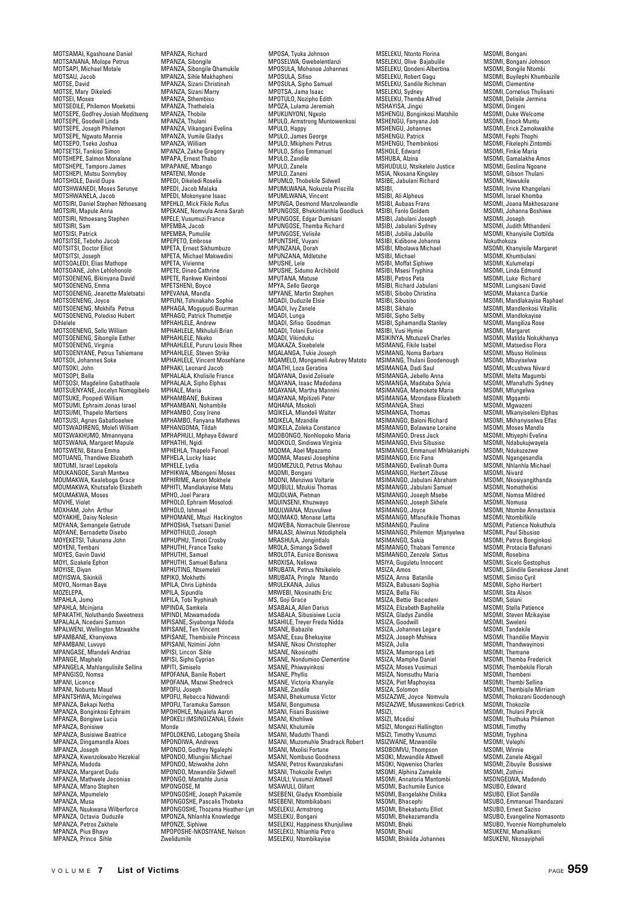MOTSAMAI, Kgashoane Daniel MOTSANANA, Molope Petrus MOTSAPI, Michael Motale MOTSAU, Jacob MOTSE, David MOTSE, Mary Dikeledi MOTSEI, Moses MOTSEOILE, Philemon Moeketsi MOTSEPE, Godfrey Josiah Moditseng MOTSEPE, Goodwill Linda MOTSEPE, Joseph Philemon MOTSEPE, Ngwato Mannie MOTSEPO, Tseko Joshua MOTSETSI, Tankiso Simon MOTSHEPE, Salmon Monalane MOTSHEPE, Tamporo James MOTSHEPI, Mutsu Sonnyboy MOTSHOLE, David Oupa MOTSHWANEDI, Moses Serunye MOTSHWANELA, Jacob MOTSIRI, Daniel Stephen Nthoesang MOTSIRI, Mapule Anna MOTSIRI, Nthoesang Stephen MOTSIRI, Sam MOTSISI, Patrick MOTSITSE, Teboho Jacob MOTSITSI, Doctor Elliot MOTSITSI, Joseph MOTSOALEDI, Elias Mathope MOTSOANE, John Lehlohonolo MOTSOENENG, Bikinyana David MOTSOENENG, Emma MOTSOENENG, Jeanette Maletsatsi MOTSOENENG, Joyce MOTSOENENG, Mokhifa Petrus MOTSOENENG, Polediso Hubert Dihlelele MOTSOENENG, Sello William MOTSOENENG, Sibongile Esther MOTSOENENG, Virginia MOTSOENYANE, Petrus Tshiemane MOTSOI, Johannes Soke MOTSOKI, John MOTSOPI, Bella MOTSOSI, Magdeline Gabatlhaole MOTSUENYANE, Jocelyn Nomqgibelo MOTSUKE, Poopedi William MOTSUMI, Ephraim Jonas Israel MOTSUMI, Thapelo Martiens MOTSUSI, Agnes Gabatloaelwe MOTSWADIRENG, Molefi William MOTSWAKHUMO, Mmannyana MOTSWANA, Margaret Mapule MOTSWENI, Bitana Emma MOTUANG, Thandiwe Elizabeth MOTUMI, Israel Lenekola MOUKANGOE, Sarah Mantwa MOUMAKWA, Kealeboga Grace MOUMAKWA, Khutsafalo Elizabeth MOUMAKWA, Moses MOVHE, Violet MOXHAM, John Arthur MOYAKHE, Daisy Nolesin MOYANA, Semangele Getrude MOYANE, Bernadette Disebo MOYEKETSI, Tukunana John MOYENI, Tembani MOYES, Gavin David MOYI, Sizakele Ephon MOYISE, Diyan MOYISWA, Sikinkili MOYO, Norman Baye MOZELEPA, MPAHLA, Jomo MPAHLA, Mcinjana MPAKATHI, Noluthando Sweetness MPALALA, Ncedani Samson MPALWENI, Wellington Mzwakhe MPAMBANE, Khanyiswa MPAMBANI, Luvuyo MPANGASE, Mlandeli Andrias MPANGE, Maphelo MPANGELA, Mahlangulisile Sellina MPANGISO, Nomsa MPANI, Licence MPANI, Nobuntu Maud MPANTSHWA, Mcingelwa MPANZA, Bekapi Netha MPANZA, Bonginkosi Ephraim MPANZA, Bongiwe Lucia MPANZA, Bonisiwe MPANZA, Busisiwe Beatrice MPANZA, Dingamandla Aloes MPANZA, Joseph MPANZA, Kwenzokwabo Hezekial MPANZA, Madoda MPANZA, Margaret Dudu MPANZA, Mathwele Jeconias MPANZA, Mfano Stephen MPANZA, Mpumelelo MPANZA, Musa MPANZA, Nsukwana Wilberforce MPANZA, Octavia Duduzile MPANZA, Petros Zakhele MPANZA, Pius Bhaye MPANZA, Prince Sihle

MPANZA, Richard MPANZA, Sibongile MPANZA, Sibongile Qhamukile MPANZA, Sihle Makhapheni MPANZA, Sizani Christinah MPANZA, Sizani Marry MPANZA, Sthembiso MPANZA, Thethelela MPANZA, Thobile MPANZA, Thulani MPANZA, Vikangani Evelina MPANZA, Vumile Gladys MPANZA, William MPANZA, Zakhe Gregory MPAPA, Ernest Thabo MPAPANE, Mbango MPATENI, Monde MPEDI, Dikeledi Roselia MPEDI, Jacob Malaka MPEDI, Mokonyane Isaac MPEHLO, Mick Fikile Rufus MPEKANE, Nomvula Anna Sarah MPELE, Vusumuzi France MPEMBA, Jacob<br>MPEMBA, Jacob MPEMBA, Pumulile MPEPETO, Embrose MPETA, Ernest Sikhumbuzo MPETA, Michael Makwedini MPETA, Vivienne MPETE, Dineo Cathrine MPETE, Rankwe Kleinbooi MPETSHENI, Boyce MPEVANA, Mandla MPFUNI, Tshinakaho Sophie MPHAGA, Mogupudi Buurman MPHAGO, Patrick Thumetjie MPHAHLELE, Andrew MPHAHLELE, Mkhululi Brian MPHAHLELE, Nkeko MPHAHLELE, Pururu Louis Rhee MPHAHLELE, Steven Strike MPHAHLELE, Old for Olimp MPHAKI, Leonard Jacob MPHALALA, Kholisile France MPHALALA, Sipho Elphas MPHALE, Maria MPHAMBANE, Bukiswa MPHAMBANI, Nohambile MPHAMBO, Cosy Irene MPHAMBO, Fanyana Mathews MPHANGOMA, Tildah MPHAPHULI, Mphaya Edward MPHATHI, Ngidi MPHEHLA, Thapelo Fanuel MPHELA, Lucky Isaa MPHELE, Lydia MPHIKWA, Mbongeni Moses MPHIRIME, Aaron Mokhele MPHITI, Mandlakayise Matu MPHO, Joel Parara MPHOLO, Ephraim Mosolodi MPHOLO, Ishmael MPHOMANE, Mtuzi Hackington MPHOSHA, Tsetsani Daniel MPHOTHULO, Joseph MPHUPHU, Timoti Crosby MPHUTHI, France Tseko MPHUTHI, Samuel MPHUTHI, Samuel Bafana MPHUTING, Ntsemeleli MPIKO, Mokhethi MPILA, Chris Liphinda MPILA, Sipundla MPILA, Tobi Tryphinah MPINDA, Samkela MPINDI, Mzwamadoda MPISANE, Siyabonga Ndoda MPISANE, Ten Vincent MPISANE, Thembisile Princess MPISANI, Nzimini John MPISI, Lincon Sihle MPISI, Sipho Cyprian MPITI, Simiselo MPOFANA, Banile Robert MPOFANA, Mazwi Shedreck MPOFU, Joseph MPOFU, Rebecca Ndwandi MPOFU, Taramuka Samson MPOHOHLE, Majalefa Aaron MPOKELI (MSINGIZANA), Edwin Monde MPOLOKENG, Lebogang Sheila MPONDIWA, Andrews MPONDO, Godfrey Ngalephi MPONDO, Mlungisi Michael MPONDO, Mziwakhe John MPONDO, Mzwandile Sidwell MPONGO, Mantahle Junia MPONGOSE, M MPONGOSHE, Joseph Pakamile MPONGOSHE, Pascalis Thobeka MPONGOSHE, Thozama Heather-Lyn MPONZA, Nhlanhla Knowledge MPONZE, Siphiwe MPOPOSHE-NKOSIYANE, Nelson

MPOSA, Tyuka Johnson MPOSELWA, Gwebelentlanzi MPOSULA, Mohanoe Johannes MPOSULA, Sifiso MPOSULA, Sipho Samuel MPOTSA, Jama Isaac MPOTULO, Nozipho Edith MPOZA, Lulama Jeremiah MPUKUNYONI, Ngxolo MPULO, Armstrong Muntowenkosi MPULO, Happy MPULO, James George MPULO, Mkipheni Petrus MPULO, Sifiso Emmanuel MPULO, Zandile MPULO, Zanele MPULO, Zaneni MPUMLO, Thobekile Sidwell MPUMLWANA, Nokuzola Priscilla MPUMLWANA, Vincent MPUNGA, Desmond Manzolwandle MPUNGOSE, Bhekinhlanhla Goodluck MPUNGOSE, Edgar Dumisani MPUNGOSE, Themba Richard MPUNGOSE, Velisile MPUNTSHE, Vuyani MPUNZANA, Dorah MPUNZANA, Mdletshe MPUSHE, Lele MPUSHE, Sidumo Archibold MPUTANA, Matuse MPYA, Sello George MPYANE, Martin Stephen MOADI, Duduzile Elsie MQADI, Ivy Zanele MQADI, Lunga MQADI, Sifiso Goodman MOADI, Tolani Eunice MQADI, Vikinduku MQAKAZA, Sixebelele MQALANGA, Tukie Joseph MQAMELO, Mongameli Aubrey Matoto MQATHI, Loza Geratina MQAYANA, David Zolisele MQAYANA, Isaac Madodana MQAYANA, Martha Mannini MQAYANA, Mpitizeli Peter MQHANA, Msokoli MQIKELA, Mlandeli Walter MQIKELA, Mzandile MQIKELA, Zoleka Constance MQOBONGO, Nonhlopoko Maria MQOKOLO, Sindiswa Virginia MOOMA, Abel Mpazamo MQOMA, Masesi Josephine MOOMEZULO, Petrus Mohau MQOMI, Bongani MQONI, Menziwa Voltarie MQUBULI, Mzukisi Thomas MQUDLWA, Pietman MQUINSENI, Khuzwayo MOULWANA, Mzuvuliwe MQUMAKO, Monase Letta MQWEBA, Nomachule Glenrose MRALASI, Alwinus Ndodiphela MRASHULA, Jongintlalo MROLA, Simanga Sidwell MROLOTA, Eunice Boniswa MROXISA, Neliswa MRUBATA, Petrus Ntsikelelo MRUBATA, Pringle Ntando MRULEKANA, Julius MRWEBI, Nkosinathi Eric MS, Goji Grace MSABALA, Allen Darius MSABALA, Sibusisiwe Lucia MSAHILE, Treyer Freda Nidda MSANE, Babazile MSANE, Esau Bhekuyise MSANE, Nkosi Christopher MSANE, Nkosinathi MSANE, Nondumiso Clementine MSANE, Phiwayinkosi MSANE, Phyllis MSANE, Victoria Khanyile MSANE, Zandile MSANI, Bhekumusa Victor MSANI, Bongumusa MSANI, Fisani Busisiwe MSANI, Khohliwe MSANI, Khulumile MSANI, Maduthi Thandi MSANI, Muzomuhle Shadrack Robert MSANI, Mxolisi Fortune MSANI, Nombuso Goodness MSANI, Petros Kwanzakufani MSANI, Thokozile Evelyn MSAULI, Vusumzi Attwell MSAWULI, Olifant MSEBENI, Gladys Khombisile MSEBENI, Ntombikabani MOLLET, Armstrong MSELEKU, Bongani MSELEKU, Happiness Khunjuliwe MSELEKU, Nhlanhla Petro MSELEKU, Ntombikayise

MSELEKU, Ntonto Florina MSELEKU, Olive Bajabulile MSELEKU, Qondeni Albertina MSELEKU, Robert Gagu MSELEKU, Sandile Richman MSELEKU, Sydney MSELEKU, Themba Alfred MSHAYISA, Jingxi MSHENGU, Bonginkosi Matshilo MSHENGU, Fanyana Job MSHENGU, Johannes MSHENGU, Patrick MSHENGU, Thembinkosi MSHOLE, Edward MSHUBA, Alzina MSHUDULU, Ntsikelelo Justice MSIA, Nkosana Kingsley MSIBE, Jabulani Richard MSIBI, MSIBI, Ali Alpheus MSIBI, Aubaas Frans MSIBI, Fanlo Goldem MSIBI, Jabulani Joseph MSIBI, Jabulani Sydney MSIBI, Jubilia Jabulile MSIBI, Kidibone Johan MSIBI, Mbolawa Michael MSIBI, Michael MSIBI, Moffat Siphiwe MSIBI, Msesi Tryphina MSIBI, Petros Peta MSIBI, Richard Jabulani MSIBI, Sibobo Christina MSIBI, Sibusiso MSIBI, Sikhalo MSIBI, Sinho Selby MSIBI, Sphamandla Stanley MSIBI, Vusi Hymie MSIKINYA, Mtutuzeli Charles MSIMANG, Fikile Isabel MSIMANG, Noma Barbara MSIMANG, Thulani Goodenough MSIMANG, Thurann God MSIMANGA, Jebello Anna MSIMANGA, Maditaba Sylvia MSIMANGA, Mamokete Maria MSIMANGA, Mzondase Elizabeth MSIMANGA, Shezi MSIMANGA, Thomas MSIMANGO, Baloni Richard MSIMANGO, Bolawane Loraine MSIMANGO, Dress Jack MSIMANGO, Elvis Sibusiso MSIMANGO, Emmanuel Mhlakaniphi MSIMANGO, Eric Fana MSIMANGO, Evelinah Ouma MSIMANGO, Herbert Zibuse MSIMANGO, Jabulani Abraham MSIMANGO, Jabulani Samuel MSIMANGO, Joseph Msebe MSIMANGO, Joseph Skhele MSIMANGO, Joyce MSIMANGO, Mfanufikile Thomas MSIMANGO, Pauline MSIMANGO, Philemon Mjanyelwa MSIMANGO, Sakia MSIMANGO, Thabani Terrence MSIMANGO, Zenzele Sixtus MSIYA, Guguletu Innocent MSIZA, Amos MSIZA, Anna Batanile MSIZA, Babusani Sophia MSIZA, Bella Fiki MSIZA, Bettie Bacedeni MSIZA, Elizabeth Baphelile MSIZA, Gladys Zandile MSIZA, Goodwill MSIZA, Johannes Legare MSIZA, Joseph Mshiwa MSIZA, Julia MSIZA, Mamoropa Leti MSIZA, Mamphe Daniel MSIZA, Moses Vusimuzi MSIZA, Nomsuthu Maria MSIZA, Piet Maphoyisa MSIZA, Solomon MSIZAZWE, Joyce Nomvula MSIZAZWE, Musawenkosi Cedrick MSIZI, MSIZI, Mcedisi MSIZI, Mongezi Hallington MSIZI, Timothy Vusumzi MSIZWANE, Mzwandile MSOBOMVU, Thompson MSOKI, Mzwandile Attwell MSOKI, Nqweniso Charles MSOMI, Alphina Zamekile MSOMI, Annatoria Mantombi MSOMI, Bachumile Eunice MSOMI, Bangelakhe Chilika MSOMI, Bhacephi MSOMI, Bhekabantu Elliot MSOMI, Bhekezamandla MSOMI, Bheki MSOMI, Bheki MSOMI, Bhikilda Johannes

MSOMI, Bongani MSOMI, Bongani Johnson MSOMI, Bongile Ntombi MSOMI, Buyilephi Khumbuzile MSOMI, Clementine MSOMI, Cornelius Thulisani MSOMI, Delisile Jermina MSOMI, Dingeni MSOMI, Duke Welcome MSOMI, Enock Muntu MSOMI, Erick Zamokwakhe MSOMI, Fephi Thophi MSOMI, Fikelephi Zintombi MSOMI, Finkie Maria MSOMI, Gamalakhe Amos MSOMI, Geslina Ngoane MSOMI, Gibson Thulani MSOMI, Hawukile MSOMI, Irvine Khangelani MSOMI, Israel Khomba MSOMI, Joana Makhosazane MSOMI, Johanna Bosh MSOMI, Joseph MSOMI, Judith Mthandeni MSOMI, Khanyisile Clottilda Nokuthokoza MSOMI, Khanyisile Margaret MSOMI, Khumbulani MSOMI, Kulumelapi MSOMI, Linda Edmund MSOMI, Luke Richard MSOMI, Lungisani David MSOMI, Makanca Darkie MSOMI, Mandlakayise Raphael MSOMI, Mandlenkosi Vitallis MSOMI, Mandlokayise MSOMI, Mangiliza Rose MSOMI, Margaret MSOMI, Matilda Nokukhanya MSOMI, Matsediso Flora MSOMI, Mbuso Holiness MSOMI, Mbuyiselwa MSOMI, Mcushwa Nivard MSOMI, Melta Magumbi MSOMI, Mfanafuthi Sydney MSOMI, Mfungelwa MSOMI, Mgqambi MSOMI, Mgwazeni MSOMI, Mkanyiseleni Elphas MSOMI, Mkhanyiselwa Elfas wisowii, wikiiailyiselwa<br>MSOMI, Moses Mandla MSOMI, Mtiyephi Evelina MSOMI, Ndabukujwayela MSOMI, Ndukuzezwe MSOMI, Ngangesandla MSOMI, Nhlanhla Michael MSOMI, Nivard MSOMI, Nkosiyangithanda MSOMI, Nomathekisi MSOMI, Nomsa Mildred MSOMI, Nomusa MSOMI, Ntombe Annastasia MSOMI, Ntombifikile MSOMI, Patience Nokuthula MSOMI, Paul Sibusiso MSOMI, Petros Bonginkosi MSOMI, Protacia Bafunani MSOMI, Rosebina MSOMI, Sicelo Gestophus MSOMI, Silindile Genekose Janet MSOMI, Simiso Cyril MSOMI, Sipho Herbert MSOMI, Sita Alson MSOMI, Solani MSOMI, Stella Patience MSOMI, Steven Mzikayise MSOMI, Sweleni MSOMI, Tandekile MSOMI, Thandilie Mayvis MSOMI, Thandwayinosi MSOMI, Themane MSOMI, Themba Frederick MSOMI, Thembekile Florah MSOMI, Thembeni MSOMI, Thembi Sellina MSOMI, Thembisile Mirriam MSOMI, Thokozani Goodenough MSOMI, Thokozile MSOMI, Thulani Patrcik MSOMI, Thuthuka Philemon MSOMI, Timothy MSOMI, Tryphina MSOMI, Velephi MSOMI, Winnie MSOMI, Zanele Abigail MSOMI, Zibuyile Busisiwe MSOMI, Zothini MSONGELWA, Madondo MSUBO, Edward MSUBO, Elliot Sandile MSUBO, Emmanuel Thandazani MSURO, Ernest Saziso MSUBO, Evangeline Nomasonto MSUBO, Yvonnie Nomphumelelo MSUKENI, Mamalikeni

Zwelidumile

MSUKENI, Nkosayipheli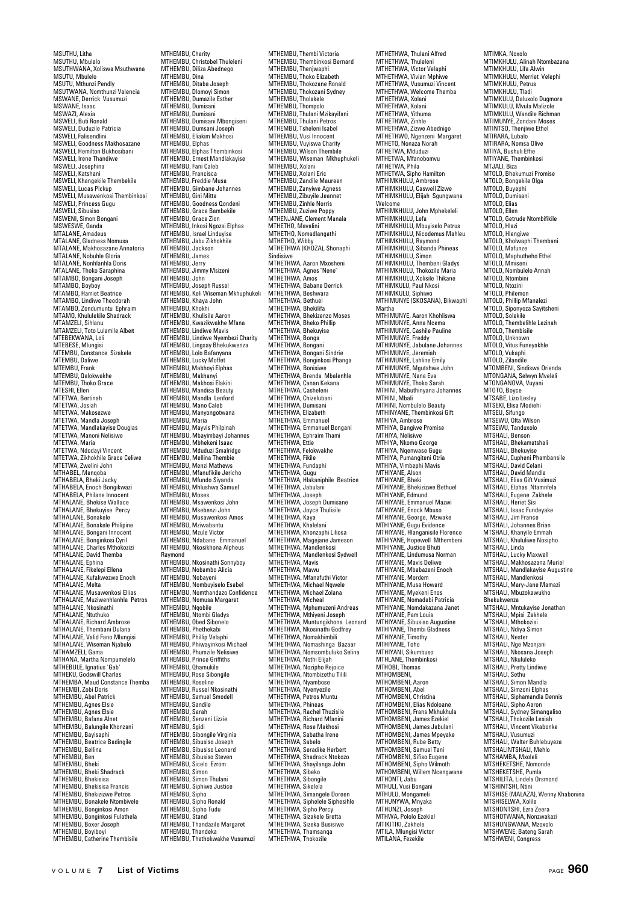MSUTHU, Litha MSUTHU, Mbulelo MSUTHWANA, Xoliswa Msuthwana MSUTU, Mbulelo MSUTU, Mthunzi Pendly MSUTWANA, Nomthunzi Valencia MSWANE, Derrick Vusumuzi MSWANE, Isaac MSWAZI, Alexia MSWELI, Buti Ronald MSWELI, Duduzile Patricia MSWELI, Falisendlini MSWELI, Goodness Makhosazane MSWELI, Hemilton Bukhosibani MSWELI, Irene Thandiwe MSWELI, Josephina MSWELI, Katshani MSWELI, Khangekile Thembekile MSWELI, Lucas Pickup MSWELI, Musawenkosi Thembinkosi MSWELI, Princess Gugu MSWELI, Sibusiso MSWENI, Simon Bongani MSWESWE, Ganda MTALANE, Amadeus MTALANE, Gladness Nomusa MTALANE, Makhosazane Annatoria MTALANE, Nobuhle Gloria MTALANE, Nonhlanhla Doris MTALANE, Thoko Saraphina MTAMBO, Bongani Joseph MTAMBO, Boyboy MTAMBO, Harriet Beatrice MTAMBO, Lindiwe Theodorah MTAMBO, Zondumuntu Ephraim MTAMO, Khululekile Shadrack MTAMZELI, Sihlanu MTAMZELI, Toto Lulamile Albert MTEBEKWANA, Loli MTEBESE, Mlungisi MTEMBU, Constance Sizakele MTEMBU, Daliwe MTEMBU, Daliwe MTEMBU, Qalokwakhe MTEMBU, Thoko Grace MTESHI, Ellen MTETWA, Bertinah MTETWA, Josiah MTETWA, Makosezwe MTETWA, Mandla Joseph MTETWA, Mandlakayise Douglas MTETWA, Manoni Nelisiwe MTETWA, Maria MTETWA, Ndodayi Vincent MTETWA, Zikhokhile Grace Celiwe MTETWA, Zwelini John MTHABEL, Manqoba MTHABELA, Bheki Jacky MTHABELA, Enoch Bongikwazi MTHABELA, Philane Innocent MTHALANE, Bhekise Wallace MTHALANE, Bhekuyise Percy MTHALANE, Bonakele MTHALANE, Bonakele Philipine MTHALANE, Bongani Innocent MTHALANE, Bonginkosi Cyril MTHALANE, Charles Mthokozizi MTHALANE, David Themba MTHALANE, Ephina MTHALANE, Fikelepi Ellena MTHALANE, Kufakwezwe Enoch MTHALANE, Melta MTHALANE, Musawenkosi Ellias MTHALANE, Muziwenhlanhla Petros MTHALANE, Nkosinathi MTHALANE, Ntuthuko MTHALANE, Richard Ambrose MTHALANE, Thembani Dulana MTHALANE, Valid Fano Mlungisi MTHALANE, Wiseman Njabulo MTHAMZELI, Gama MTHANA, Martha Nompumelelo MTHEBULE, Ignatius 'Gab' MTHEKU, Godswill Charles MTHEMBA, Maud Constance Themba MTHEMBI, Zobi Doris MTHEMBU, Abel Patrick MTHEMBU, Agnes Elsie MTHEMBU, Agnes Elsie MTHEMBU, Bafana Alnet MTHEMBU, Balungile Khonzani MTHEMBU, Bayisaphi MTHEMBU, Beatrice Badingile MTHEMBU, Bellina MTHEMBU, Ben MTHEMBU, Bheki MTHEMBU, Bheki Shadrack MTHEMBU, Bhekisisa MTHEMBU, Bhekisisa Francis MTHEMBU, Bhekizizwe Petros MTHEMBU, Bonakele Ntombivele MTHEMBU, Bonginkosi Amon MTHEMBU, Bonginkosi Fulathela MTHEMBU, Boxer Joseph MTHEMBU, Boyiboyi MTHEMBU, Catherine Thembisile

MTHEMBU, Charity MTHEMBU, Christobel Thuleleni MTHEMBU, Diliza Abednego MTHEMBU, Dina MTHEMBU, Ditaba Joseph MTHEMBU, Dlomoyi Simon MTHEMBU, Dumazile Esther MTHEMBU, Dumisani MTHEMBU, Dumisani MTHEMBU, Dumisani Mbongiseni MTHEMBU, Dumsani Joseph MTHEMBU, Eliakim Makhosi MTHEMBU, Elphas MTHEMBU, Elphas Thembinkosi MTHEMBU, Ernest Mandlakayise MTHEMBU, Fani Caleb MTHEMBU, Francisca MTHEMBU, Freddie Musa MTHEMBU, Gimbane Johannes MTHEMBU, Gini Mitta MTHEMBU, Goodness Qondeni MTHEMBU, Grace Bambekile MTHEMBU, Grace Zion MTHEMBU, Inkosi Ngozsi Elphas MTHEMBU, Israel Linduyise MTHEMBU, Jabu Zikhokhile MTHEMBU, Jackson MTHEMBU, James MTHEMBU, Jerry MTHEMBU, Jimmy Msizeni MTHEMBU, John MTHEMBU, Joseph Russel MTHEMBU, Keli Wiseman Mkhuphukeli MTHEMBU, Khaya John MTHEMBU, Khokhi MTHEMBU, Khulisile Aaron MTHEMBU, Kwazikwakhe Mfana MTHEMBU, Lindiwe Mavis MTHEMBU, Lindiwe Nyembezi Charity MTHEMBU, Lingsay Bhekukwenza MTHEMBU, Lolo Bafanyana MTHEMBU, Lucky Moffet MTHEMBU, Mabhoyi Elphas MTHEMBU, Makhanyi MTHEMBU, Makhosi Elakini MTHEMBU, Mandisa Beauty MTHEMBU, Mandla Lenford MTHEMBU, Mano Caleb MTHEMBU, Manyongotwana MTHEMBU, Maria MTHEMBU, Mayvis Philpinah MTHEMBU, Mbayimbayi Johannes MTHEMBU, Mbhekeni Isaac MTHEMBU, Mduduzi Smalridge MTHEMBU, Mellina Thembie MTHEMBU, Menzi Mathews MTHEMBU, Mfanufikile Jericho MTHEMBU, Mfundo Siyanda MTHEMBU, Mhlushwa Samuel MTHEMBU, Moses MTHEMBU, Msawenkosi John MTHEMBU, Msebenzi John MTHEMBU, Musawenkosi Amos MTHEMBU, Mziwabantu MTHEMBU, Mzule Victor MTHEMBU, Ndabane Emmanuel MTHEMBU, Nkosikhona Alpheus Raymond MTHEMBU, Nkosinathi Sonnyboy MTHEMBU, Nobambo Alicia MTHEMBU, Nobayeni MTHEMBU, Nombuyiselo Esabel MTHEMBU, Nomthandazo Confidence MTHEMBU, Nomusa Margaret MTHEMBU, Nqobile MTHEMBU, Ntombi Gladys MTHEMBU, Obed Sibonelo MTHEMBU, Phethekabi MTHEMBU, Phillip Velaphi MTHEMBU, Phiwayinkosi Michael MTHEMBU, Phumzile Nelisiwe MTHEMBU, Prince Griffiths MTHEMBU, Qhamukile MTHEMBU, Rose Sibongile MTHEMBU, Roseline MTHEMBU, Russel Nkosinathi MTHEMBU, Samuel Smodell MTHEMBU, Sannue MTHEMBU, Sarah MTHEMBU, Senzeni Lizzie MTHEMBU, Sgidi MTHEMBU, Sibongile Virginia MTHEMBU, Sibusiso Joseph MTHEMBU, Sibusiso Leonard MTHEMBU, Sibusiso Steven<br>MTHEMBU, Sicelo Ezrom MTHEMBU, Sicelo Ezrom MTHEMBU, Simon MTHEMBU, Simon Thulani MTHEMBU, Siphiwe Justice MTHEMBU, Sipho MTHEMBU, Sipho Ronald MTHEMBU, Sipho Tudu MTHEMBU, Stand MTHEMBU, Thandazile Margaret MTHEMBU, Thandeka MTHEMBU, Thathokwakhe Vusumuzi

MTHEMBU, Thembi Victoria MTHEMBU, Thembinkosi Bernard MTHEMBU, Thenjwaphi MTHEMBU, Thoko Elizabeth MTHEMBU, Thokozane Ronald MTHEMBU, Thokozani Sydney MTHEMBU, Tholakele MTHEMBU, Thompolo MTHEMBU, Thulani Mzikayifani MTHEMBU, Thulani Petros MTHEMBU, Tsheleni Isabel MTHEMBU, Vusi Innocent MTHEMBU, Vuyiswa Charity MTHEMBU, Wilson Thembile MTHEMBU, Wiseman Mkhuphukeli MTHEMBU, Xolani MTHEMBU, Xolani Eric MTHEMBU, Zandile Maureen MTHEMBU, Zanyiwe Agness MTHEMBU, Zibuyile Jeannet MTHEMBU, Zinhle Norris MTHEMBU, Zuziwe Poppy MTHENJANE, Clement Manala MTHETHO, Mavalini MTHETHO, Nomadlangathi MTHETHO, Wibby MTHETHWA (KHOZA), Shonaphi Sindisiwe MTHETHWA, Aaron Mxosheni MTHETHWA, Agnes "Nene" MTHETHWA, Amos MTHETHWA, Babane Derrick MTHETHWA, Babanc<br>MTHETHWA, Beshwara MTHETHWA, Bethuel MTHETHWA, Bhekilifa MTHETHWA, Bhekizenzo Moses MTHETHWA, Bheko Phillip MTHETHWA, Bhekuyise MTHETHWA, Bricker MTHETHWA, Bongani MTHETHWA, Bongani Sindrie MTHETHWA, Bonginkosi Phanga MTHETHWA, Bonisiwe MTHETHWA, Brenda Mbalenhle MTHETHWA, Canan Kekana MTHETHWA, Casheleni MTHETHWA, Chizelubani MTHETHWA, Dumisani MTHETHWA, Elizabeth MTHETHWA, Emmanuel MTHETHWA, Emmanuel Bongani MTHETHWA, Ephraim Thami MTHETHWA, Ettie MTHETHWA, Felokwakhe MTHETHWA, Fikile MTHETHWA, Fundanhi MTHETHWA, Gugu MTHETHWA, Hlakaniphile Beatrice MTHETHWA, Jabula MTHETHWA, Joseph MTHETHWA, Joseph Dumisane MTHETHWA, Joyce Thulisile<br>MTHETHWA, Kaya<br>MTHETHWA, Khalelani<br>MTHETHWA, Khonzaphi Liliosa<br>MTHETHWA, Magejane Jameson<br>MTHETHWA, Mandlenkosi<br>MTHETHWA, Mandlenkosi Sydwell MTHETHWA, Mavis MTHETHWA, Mawu MTHETHWA, Mfanafuthi Victor MTHETHWA, Michael Nqwele MTHETHWA, Michael Zolana MTHETHWA, Micheal MTHETHWA, Mphumuzeni Andreas MTHETHWA, Mthiyeni Joseph MTHETHWA, Muntungikhona Leonard MTHETHWA, Nkosinathi Godfrey MTHETHWA, Nomakhimbili MTHETHWA, Nomashinga Bazaar MTHETHWA, Nomsombuluko Selina MTHETHWA, Nothi Elijah MTHETHWA, Nozipho Rejoice MTHETHWA, Ntombizethu Tilili MTHETHWA, Nyambose MTHETHWA, Nyenyezile MTHETHWA, Petros Muntu MTHETHWA, Phineas MTHETHWA, Rachel Thuzisile MTHETHWA, Richard Mfanini MTHETHWA, Rose Makhosi MTHETHWA, Sabatha Irene MTHETHWA, Sabelo MTHETHWA, Seradike Herbert MTHETHWA, Shadrack Ntokozo MTHETHWA, Shayilanga John MTHETHWA, Sibeko MTHETHWA, Sibongile MTHETHWA, Sikelela MTHETHWA, Simangele Doreen MTHETHWA, Siphelele Siphesihle MTHETHWA, Sipho Percy MTHETHWA, Sizakele Gretta MTHETHWA, Sizeka Busisiwe MTHETHWA, Thamsanqa MTHETHWA Thokozile

MTHETHWA, Thulani Alfred MTHETHWA, Thuleleni MTHETHWA, Victor Velaphi MTHETHWA, Vivian Mphiwe MTHETHWA, Vusumuzi Vincent MTHETHWA, Welcome Themba MTHETHWA, Xolani MTHETHWA, Xolani MTHETHWA, Yithuma MTHETHWA, Zinhle MTHETHWA, Zizwe Abednigo MTHETHWO, Ngenzeni Margaret MTHETO, Nonaza Norah MTHETWA, Mduduzi MTHETWA, Mfanobomvu MTHETWA, Phila MTHETWA, Sipho Hamilton MTHIMKHULU, Ambrose MTHIMKHULU, Caswell Zizwe MTHIMKHULU, Elijah Sgungwana Welcome MTHIMKHULU, John Mphekeleli MTHIMKHULU, Lefa MTHIMKHULU, Mbuyiselo Petrus MTHIMKHULU, Nicodemus Mahleu MTHIMKHULU, Raymond MTHIMKHULU, Sibanda Phineas MTHIMKHULU, Simon MTHIMKHULU, Thembeni Gladys MTHIMKHULU, Thokozile Maria MTHIMKHULU, Xolisile Thikane MTHIMKULU, Paul Nkosi MTHIMKULU, Siphiwo MTHIMUNYE (SKOSANA), Bikwaphi Martha<br>MTHIMIINVE Aaron Khohliswa MTHIMUNYE, Aaron Khohliswa MTHIMUNYE, Anna Ncema MTHIMUNYE, Cashile Pauline MTHIMUNYE, Freddy MTHIMUNYE, Jabulane Johannes MTHIMUNYE, Jeremiah MTHIMUNYE, Lahline Emily MTHIMUNYE, Mgutshwe John MTHIMUNYE, Nana Eva MTHIMUNYE, Thoko Sarah MTHINI, Mabuthinyana Johannes MTHINI, Mbali MTHINI, Nombulelo Beauty MTHINYANE, Thembinkosi Gift MTHIYA, Ambrose MTHIYA, Bangiwe Promise MTHIYA, Nelisiwe MTHIYA, Nkomo George MTHIYA, Nqenwase Gugu MTHIYA, Pumangiteni Otria MTHIYA, Vimbephi Mavis MTHIYANE, Alson MTHIYANE, Bheki MTHIYANE, Bhekizizwe Bethuel MTHIYANE, Edmund MTHIYANE, Emmanuel Mazwi MTHIYANE, Enock Mbuso MTHIYANE, George, Mzwake MTHIYANE, Gugu Evidence MTHIYANE, Hlanganisile Florence MTHIYANE, Hopewell Mthembeni MTHIYANE, Justice Bhuti MTHIYANE, Lindumusa Norman MTHIYANE, Mavis Deliwe MTHIYANE, Mbabazeni Enoch MTHIYANE, Mordern MTHIYANE, Musa Howard MTHIYANE, Myekeni Enos MTHIYANE, Nomadabi Patricia MTHIYANE, Nomdakazana Janet MTHIYANE, Pam Louis MTHIYANE, Sibusiso Augustine MTHIYANE, Thembi Gladness MTHIYANE, Timothy MTHIYANE, Toho MTHIYANI, Sikumbuso MTHLANE, Thembinkosi MTHOBI, Thomas MTHOMBENI, MTHOMBENI, Aaron MTHOMBENI, Abel MTHOMBENI, Christina MTHOMBENI, Elias Ndoloane MTHOMBENI, Frans Mkhukhula MTHOMBENI, James Ezekiel<br>MTHOMBENI, James Ezekiel<br>MTHOMBENI, James Jabulani MTHOMBENI, James Jabulani<br>MTHOMBENI, James Mpeyake<br>MTHOMBENI, Rube Betty<br>MTHOMBENI, Samuel Tani<br>MTHOMBENI, Sifiso Eugene<br>MTHOMBENI, Sipho Wilmoth MTHOMBENI, Willem Ncengwane MTHONTI, Jabu MTHULI, Vusi Bongani MTHULU, Mongameli MTHUNYWA, Mnyaka MTHUNZI, Joseph MTHWA, Pololo Ezekiel MTIKITIKI, Zakhele MTILA, Mlungisi Victor MTILANA, Fezekile

MTIMKA, Noxolo MTIMKHULU, Alinah Ntombazana MTIMKHULU, Lifa Alwin MTIMKHULU, Merriet Velephi MTIMKHULU, Petrus MTIMKHULU, Tladi MTIMKULU, Daluxolo Dugmore MTIMKULU, Mvula Malizole MTIMKULU, Wandile Richman MTIMUNYE, Zondani Moses MTINTSO, Thenjiwe Ethel<br>MTINTSO, Thenjiwe Ethel<br>MTIRARA. Lubalo MTIRARA, Lubalo MTIRARA, Nomsa Olive MTIYA, Bushuli Effie MTIYANE, Thembinkosi MTJALI, ...<br>MTJALI, Biza MTOLO, Bhekumuzi Promise MTOLO, Bongekile Olga MTOLO, Buyephi MTOLO, Dumisani MTOLO, Flias MTOLO, Ellen MTOLO, Getrude Ntombifikile MTOLO, Hlazi MTOLO, Hlengiwe MTOLO, Kholwaphi Thembani MTOLO, Mafunze MTOLO, Maphutheho Ethel MTOLO, Mmiseni MTOLO, Nombulelo Annah MTOLO, Ntombini MTOLO, Ntozini MTOLO, Philemon MTOLO, Phillip Mfanalezi MTOLO, Siponyoza Sayitsheni MTOLO, Solekile MTOLO, Thembelihle Lezinah MTOLO, Thembisile MTOLO, Unknown MTOLO, Vitus Funeyakhle MTOLO, Vukaphi MTOLO, Zilandile MTOMBENI, Sindiswa Orienda MTONGANA, Selwyn Mveleli MTONGANOVA, Vuyani MTOTO, Boyce MTSABE, Lizo Lesley MTSEKI, Elisa Modiehi MTSENI, Elisa ivit<br>MTSEU, Sifungo MTSEWU, Olta Wilson MTSEWU, Tanduxolo MTSHALI, Benson MTSHALI, Bhekamatshali MTSHALI, Bhekuyise MTSHALI, Cupheni Phambansile MTSHALL David Celani MTSHALI, David Mandla MTSHALL Flias Gift Vusimuz MTSHALI, Elphas Ntamnfela MTSHALI, Eugene Zakhele MTSHALI, Heriet Sisi MTSHALI, Isaac Fundeyake MTSHALI, Jim France MTSHALI, Johannes Brian MTSHALI, Jonannos L.L.<br>MTSHALI, Khanyile Emmah MTSHALL Khululiwe Nosipho MTSHALI, Linda MTSHALI, Lucky Maxwell MTSHALI, Makhosazana Muriel MTSHALI, Mandlakayise Augustine MTSHALI, Mandlenkosi MTSHALI, Mary-Jane Mamazi MTSHALI, Mbuzokawukho Bhekukwenza MTSHALI, Mntukayise Jonathan MTSHALI, Mpisi Zakhele MTSHALI, Mthokozisi MTSHALI, Ndiya Simon MTSHALI, Nester MTSHALI, Nge Mzonjani MTSHALI, Nkosana Joseph MTSHALI, Nkululeko MTSHALI, Pretty Lindiwe MTSHALI, Sethu MTSHALI, Simon Mandla MTSHALI, Simzoni Elphas MTSHALI, Siphamandla Dennis MTSHALI, Sipho Aaron MTSHALI, Sydney Simangaliso MTSHALI, Thokozile Lesiah MTSHALI, Vincent Vikabonke MTSHALI, Vusumuzi MTSHALI, Walter Buhlebuyeza MTSHALINTSHALI, Mehl MTSHAMBA, Mxoleli MTSHEKETSHE, Nomonde MTSHEKETSHE, Pumla MTSHILITA, Lindela Orsmond MTSHINTSHI, Ntini MTSHISE (MALAZA), Wenny Khabonina MTSHISELWA, Xolile MTSHONTSHI, Ezra Zeera MTSHOTWANA, Nonzwakazi MTSHUNGWANA, Mzoxolo MTSHWENE, Bateng Sarah

MTSHWENI, Congress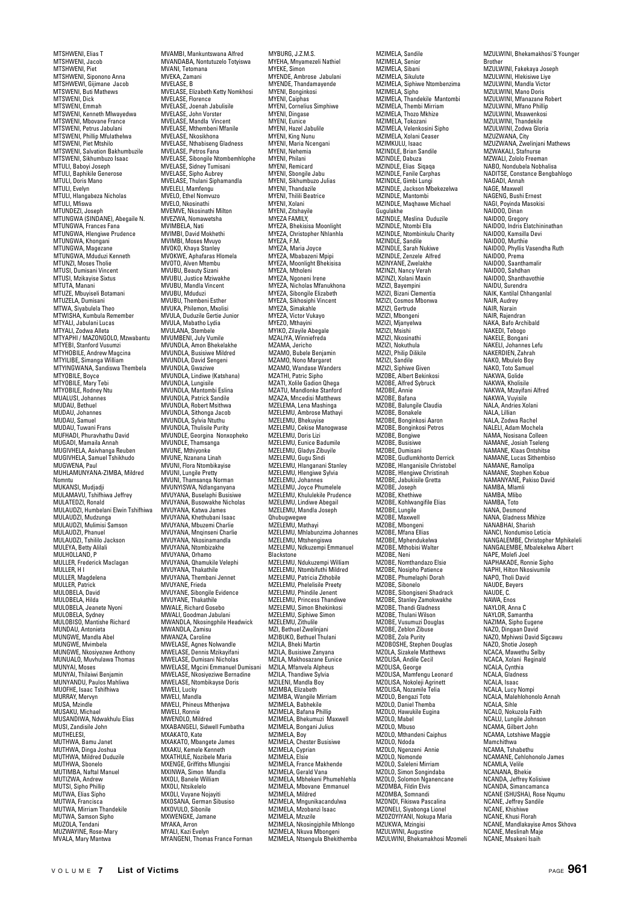MTSHWENI, Elias T MTSHWENI, Jacob MTSHWENI, Piet MTSHWENI, Siponono Anna MTSHWEWI, Gijimane Jacob MTSWENI, Buti Mathews MTSWENI, Dick MTSWENI, Emmah MTSWENI, Kenneth Mlwayedwa MTSWENI, Mbovane France MTSWENI, Petrus Jabulani MTSWENI, Phillip Mfulathelwa MTSWENI, Piet Mtshilo MTSWENI, Salvation Bakhumbuzile MTSWENI, Sikhumbuzo Isaac MTULI, Baboyi Joseph MTULI, Baphikile Generose MTULI, Doris Mano MTULI, Evelyn MTULI, Hlangabeza Nicholas MTULI, Mfiswa MTUNDEZI, Joseph MTUNGWA (SINDANE), Abegaile N. MTUNGWA, Frances Fana MTUNGWA, Hlengiwe Prudence MTUNGWA, Khongani MTUNGWA, Magezane MTUNGWA, Mduduzi Kenneth MTUNZI, Moses Tholie MTUSI, Dumisani Vincent MTUSI, Mzikayise Sixtus MTUTA, Manani MTUZE, Mbuyiseli Botamani MTUZELA, Dumisani MTWA, Siyabulela Theo MTWISHA, Kumbula Remember MTYALI, Jabulani Lucas MTYALI, Zodwa Alleta MTYAPHI / MAZONGOLO, Mzwabantu MTYEBI, Stanford Vusumzi MTYHOBILE, Andrew Magcina MTYILIBE, Simanga William MTYINGWANA, Sandiswa Thembela MTYOBILE, Boyce MTYOBILE, Mary Tebi MTYOBILE, Rodney Ntu MUALUSI, Johannes MUDAU, Bethuel MUDAU, Johannes MUDAU, Samuel MUDAU, Tuwani Frans MUFHADI, Phuravhathu David MUGADI, Mamaila Annah MUGIVHELA, Asivhanga Reuben MUGIVHELA, Samuel Tshikhudo MUGWENA, Paul MUHLAMUNYANA-ZIMBA, Mildred Nomntu MUKANSI, Mudjadji MULAMAVIL Tshifhiwa Jeffrey MULATEDZI, Ronald MULAUDZI, Humbelani Elwin Tshifhiwa MULAUDZI, Mudzunga MULAUDZI, Mulimisi Samson MULAUDZI, Phanuel MULAUDZI, Tshililo Jackson MULEYA, Betty Alilali MULHOLLAND, P MULLER, Frederick Maclagan MULLER, H I MULLER, Magdelena MULLER, Patrick MULOBELA, David MULOBELA, Hilda MULOBELA, Jeanete Nyoni MULOBELA, Sydney MULOBISO, Mantishe Richard MUNDAU, Antonieta MUNGWE, Mandla Abel MUNGWE, Mvimbela MUNGWE, Nkosiyezwe Anthony MUNUALO, Muvhulawa Thomas MUNYAI, Moses MUNYAI, Thilaiwi Benjamin MUNYANDU, Paulos Mahliwa MUOFHE, Isaac Tshifhiwa MURRAY, Mervyn MUSA, Mzindle MUSAKU, Michael MUSANDIWA, Ndwakhulu Elias MUSI, Zandisile John MUTHELESI, MUTHWA, Bamu Janet MUTHWA, Dinga Joshua MUTHWA, Mildred Duduzile MUTHWA, Sboneld MUTIMBA, Naftal Manuel MUTIZWA, Andrew MUTSI, Sipho Phillip murun, e.p.n.e. ............<br>MUTWA, Elias Sipho MUTWA, Francisca MUTWA, Mirriam Thandekile MUTWA, Samson Sipho MUZOLA, Tendani MUZWAYINE, Rose-Mary MVALA, Mary Mantwa

MVAMBI, Mankuntswana Alfred MVANDABA, Nontutuzelo Totyiswa MVANI, Tetomana MVEKA, Zamani MVELASE, B MVELASE, Elizabeth Ketty Nomkhosi MVELASE, Florence MVELASE, Joenah Jabulisile MVELASE, John Vorster MVELASE, Mandla Vincent MVELASE, Mthembeni Mfanile MVELASE, Nkosikhona MVELASE, Nthabiseng Gladness MVELASE, Petros Fana MVELASE, Sibongile Ntombemhlophe MVELASE, Sidney Tumisani MVELASE, Sipho Aubrey MVELASE, Thulani Siphamandla MVELELI, Mamfengu MVELO, Ethel Nomvuzo MVFLO, Nkosinathi MVEMVE, Nkosinathi Milton MVEZWA, Nomawetsha MVIMBELA, Nati MVIMBI, David Mokhethi MVIMBI, Moses Mvuyo MVOKO, Khaya Stanley MVOKWE, Aphafaras Hlomela MVOTO, Alven Mtembu MVUBU, Beauty Sizani MVUBU, Justice Mziwakhe MVUBU, Mandla Vincent MVUBU, Mduduzi MVUBU, Thembeni Esther MVUKA, Philemon, Mxolisi MVULA, Duduzile Gertie Junior MVULA, Mabatho Lydia MVIII ANA, Stembele MVUMBENI, July Vumile MVUNDLA, Amon Bhekelakhe MVUNDLA, Busisiwe Mildred MVUNDLA, David Sengeni MVUNDLA, Gwaziwe MVUNDLA, Lindiwe (Katshana) MVUNDLA, Lungisile MVUNDLA, Mantombi Eslina MVUNDLA, Patrick Sandile MVUNDLA, Robert Msithwa MVUNDLA, Sithonga Jacob MVUNDLA, Sylvia Ntuthu MVUNDLA, Thulisile Purity MVUNDLE, Georgina Nonxopheko MVUNDLE, Thamsanga MVUNE, Mthiyonke MVUNE, Nzanana Linah MVUNI, Flora Ntombikayise MVUNI, Lungile Pretty MVIINI, Thamsanga Norman MVUNYISWA, Ndlanganyana MVUYANA, Buselaphi Busisiwe MVUYANA, Busowakhe Nicholas MVUYANA, Katwa James MVUYANA, Khethubani Isaac MVUYANA, Mbuzemi Charlie MVUYANA, Mnqinseni Charlie MVIIYANA, Nkosinamandla MVUYANA, Ntombizakhe MVUYANA, Orhamo MVUYANA, Qhamukile Velephi MVUYANA, Thakathile MVUYANA, Thembani Jennet MVUYANE, Frieda MVUYANE, Sibongile Evidence MVUYANE, Thakathile MWALE, Richard Gosebo MWALI, Goodman Jabulani MWANDLA, Nkosingphile Headwick MWANDLA, Zamisu MWANZA, Caroline MWELASE, Agnes Nolwandle MWELASE, Dennis Mzikayifani MWELASE, Dumisani Nicholas MWELASE, Mgcini Emmanuel Dumisani MWELASE, Nkosiyeziwe Bernadine MWELASE, Ntombikayse Doris MWELI, Lucky MWELI, Mandla MWELI, Phineus Mthenjwa MWELI, Ronnie MWENDLO, Mildred MXABANGELI, Sidwell Fumbatha MXAKATO, Kate MXAKATO, Mbangete James MXAKU, Kemele Kenneth<br>MXAKU, Kemele Kenneth<br>MXATHULF, Nozibele Maria MXATHULE, Nozibele Maria MXENGE, Griffiths Mlungisi MXINWA, Simon Mandla MXOLI, Banele William MXOLI, Ntsikelelo MXOLI, Vuyane Nojayiti MXOSANA, German Sibusiso MXOVULO, Sibonile MXWENGXE, Jamane MYAKA, Arron MYALI, Kazi Evelyn

MYANGENI, Thomas France Forman

MYBURG, J.Z.M.S. MYEHA, Mnyamezeli Nathiel MYEKE, Simon MYENDE, Ambrose Jabulani MYENDE, Thandamayende MYENI, Bonginkosi MYENI, Caiphas MYENI, Cornelius Simphiwe MYENI, Dingase MYENI, Eunice MYENI, Hazel Jabulile MYENI, King Nunu MYENI, Maria Ncengani MYENI, Nehemia MYENI, Philani MYENI, Remicard MYENI, Sbongile Jabu MYENI, Sikhumbuzo Julias MYENI, Thandazile **MTENI, Thanuazhe**<br>MYENI, Thilili Beatrice MYENI, Xolani MYENI, Zitshayile MYEZA FAMILY, MYEZA, Bhekisisa Moonlight MYEZA, Christopher Nhlanhla MYEZA, F.M. MYEZA, Maria Joyce MYEZA, Mbabazeni Mpipi MYEZA, Moonlight Bhekisisa MYEZA, Mtholeni MYEZA, Ngoneni Irene MYEZA, Nicholas Mfanukhona MYEZA, Sibongile Elizabeth MYEZA, Sikhosiphi Vincent MYEZA, Simakahle MYEZA, Victor Vukayo MYEZO, Mthayini MYIKO, Zilayile Abegale MZALIYA, Winniefreda MZAMA, Jericho MZAMO, Bubele Benjamin MZAMO, Nono Margaret MZAMO, Wandase Wanders MZATHI, Patric Sipho MZATI, Xolile Gadion Qhega MZATU, Mandlonke Stanford MZAZA, Mncedisi Matthews MZELEMA, Lena Mashinga MZELEMU, Ambrose Mathayi MZELEMU, Bhekuyise MZELEMU, Cekise Manogwase MZELEMU, Doris Lizi MZELEMU, Eunice Badumile MZELEMU, Gladys Zibuyile MZELEMU, Gugu Sindi MZELEMU, Hlanganani Stanley MZELEMU, Hlengiwe Sylvia MZELEMU, Johannes MZELEMU, Joyce Phumelele MZELEMU, Khululekile Prudence MZELEMU, Lindiwe Abegail MZELEMU, Mandla Joseph Qhubugwegwe MZELEMU, Mathayi MZELEMU, Mhlabunzima Johannes MZELEMU, Mtshengiswa MZELEMU, Ndkuzempi Emmanuel Blackstone MZELEMU, Ndukuzempi William MZELEMU, Ntombifuthi Mildred MZELEMU, Patricia Zithobile MZELEMU, Phelelisile Preety MZELEMU, Phindile Jenent MZELEMU, Princess Thandiwe MZELEMU, Simon Bhekinkosi MZELEMU, Siphiwe Simon MZELEMU, Zithulile MZI, Bethuel Zwelinjani MZIBUKO, Bethuel Thulani MZILA, Bheki Martin MZILA, Busisiwe Zanyana MZILA, Makhosazane Eunice MZILA, Mfanvela Alpheus MZILA, Thandiwe Sylvia MZILENI, Mandla Boy MZIMBA, Elizabeth MZIMBA, Wangile Mirriam MZIMELA, Babhekile MZIMELA, Bafana Phillip MZIMELA, Bhekumuzi Maxwell MZIMELA, Bongani Julius MZIMELA, Boy MZIMELA, Chester Busisiwe MZIMELA, Cyprian MZIMELA, Elsie MZIMELA, France Makhende MZIMELA, Gerald Vana MZIMELA, Mbhekeni Phumehlehla MZIMELA, Mbovane Emmanuel MZIMELA, Mildred MZIMELA, Mngunikacandulwa MZIMELA, Mzobanzi Isaac MZIMELA, Mzuzile MZIMELA, Nkosingiphile Mhlongo MZIMELA, Nkuva Mbongeni MZIMELA, Ntsengula Bhekithemba

MZIMELA, Sandile MZIMELA, Senior MZIMELA, Sibani MZIMELA, Sikulute MZIMELA, Siphiwe Ntombenzima MZIMELA, Sipho MZIMELA, Thandekile Mantombi MZIMELA, Thembi Mirriam MZIMELA, Thozo Mkhize MZIMELA, Tokozani MZIMELA, Velenkosini Sipho MZIMELA, Xolani Ceaser MZIMKULU, Isaac MZINDLE, Brian Sandile MZINDLE, Dabuza MZINDLE, Elias Siqaqa MZINDLE, Fanile Carphas MZINDLE, Gimbi Lungi MZINDLE, Jackson Mbekezelwa MZINDLE, Mantombi MZINDLE, Maqhawe Michael Gugulakhe MZINDLE, Meslina Duduzile MZINDLE, Ntombi Ella MZINDLE, Ntombinkulu Charity MZINDLE, Sandile MZINDLE, Sarah Nukiwe MZINDLE, Zenzele Alfred MZINYANE, Zwelakhe MZINZI, Nancy Verah MZINZI, Xolani Maxin MZIZI, Bayempini MZIZI, Bizani Clementia MZIZI, Cosmos Mbonwa MZIZI, Gertrude MZIZI, Mbongeni MZIZI, Mjanyelwa MZIZI, Msishi MZIZI, Nkosinathi MZIZI, Nokuthula MZIZI, Philip Dilikile MZIZI, Sandile MZIZI, Siphiwe Given MZOBE, Albert Bekinkosi MZOBE, Alfred Sybruck MZOBE, Annie MZOBE, Bafana MZOBE, Balungile Claudia MZOBE, Bonakele MZOBE, Bonginkosi Aaron MZOBE, Bonginkosi Petros MZOBE, Bongiwe MZOBE, Busisiwe MZOBE, Dumisani MZOBE, Gudlumkhonto Derrick MZOBE, Hlanganisile Christobel MZOBE, Hlengiwe Christinah MZOBE, Jabukisile Gretta MZOBE, Joseph MZOBE, Khethiwe MZOBE, Kohlwangifile Elias MZOBE, Lungile MZOBE, Maxwell MZOBE, Mbongeni MZOBE, Mfana Ellias MZOBE, Mphendukelwa MZOBE, Mthobisi Walter MZOBE, Neni MZOBE, Nomthandazo Elsie MZOBE, Nosipho Patience MZOBE, Phumelaphi Dorah MZOBE, Sibonelo MZOBE, Sibongiseni Shadrack MZOBE, Stanley Zamokwakhe MZOBE, Thandi Gladness MZOBE, Thulani Wilson MZOBE, Vusumuzi Douglas MZOBE, Zeblon Zibuse MZOBE, Zola Purity MZOBOSHE, Stephen Douglas MZOLA, Sizakele Matthews MZOLISA, Andile Cecil MZOLISA, George MZOLISA, Mamfengu Leonard MZOLISA, Nokoleji Agrinett MZOLISA, Nozamile Telia MZOLO, Bengazi Toto MZOLO, Daniel Themba MZOLO, Hawukile Eugina MZOLO, Mabel MZOLO, Mbuso MZOLO, Mthandeni Caiphus MZOLO, Ndoda MZOLO, Ngenzeni Annie MZOLO, Nomonde MZOLO, Saleleni Mirriam MZOLO, Simon Songindaba MZOLO, Solomon Nganencane MZOMBA, Fildin Elvis MZOMBA, Somnandi MZONDI, Fikiswa Pascalina MZONELI, Siyabonga Lionel MZOZOYIYANI, Nokupa Maria MZUKWA, Mzingisi MZULWINI, Augustine MZULWINI, Bhekamakhosi Mzomeli MZULWINI, Bhekamakhosi'S Younger Brother MZULWINI, Fakekaya Josep MZULWINI, Hlekisiwe Liye MZULWINI, Mandla Victor MZULWINI, Mano Doris MZULWINI, Mfanazane Robert MZULWINI, Mfano Phillip MZULWINI, Msawenkosi MZULWINI, Thandekile MZULWINI, Zodwa Gloria MZUZWANA, City MZUZWANA, Zwelinjani Mathews MZWAKALI, Stafnurse MZWALI, Zololo Freeman NABO, Nondubela Nobhalisa NADITSE, Constance Bengbahlogo NAGADI, Annah NAGE, Maxwell NAGENG, Bushi Ernest NAGI, Poyinda Masokisi NAIDOO, Dinan NAIDOO, Gregory NAIDOO, Indris Elatchininathan NAIDOO, Kamsilla Devi NAIDOO, Murthie NAIDOO, Phyllis Vasendha Ruth NAIDOO, Prema NAIDOO, Saanthamalir NAIDOO, Sahdhan NAIDOO, Shanthavothie NAIDU, Surendra NAIK, Kantilal Chhanganlal NAIR, Audrey NAIR, Narain NAIR, Rajendran NAKA, Bafo Archibald NAKEDI, Tebogo NAKELE, Bongani NAKELI, Johannes Lefu NAKERDIEN, Zahrah NAKO, Mbulelo Boy NAKO, Toto Samuel NAKWA, Golide NAKWA, Kholisile NAKWA, Mzayifani Alfred NAKWA, Vuyisile NALA, Andries Xolani NALA, Lillian NALA, Zodwa Rachel NALELI, Adam Mochela NAMA, Nosisana Colleen NAMANE, Josiah Tseleng NAMANE, Klaas Ontshitse NAMANE, Lucas Sithembiso NAMANE, Ramolipa NAMANE, Stephen Kobue NAMANYANE, Pakiso David NAMBA, Mlam NAMBA, Midin NAMBA, Toto NANA, Desmond NANA, Gladness Mkhize NANARHAI Sharish NANCI, Nondumiso Leticia NANGALEMBE, Christopher Mphikeleli NANGALEMBE, Mbalekelwa Albert NAPE, Molefi Joel NAPHAKADE, Ronnie Sipho NAPHI, Hilton Nkosivumile NAPO, Tholi David NAUDE, Beyers NAUDE, C. NAWA, Enos NAYLOR, Anna C NAYLOR, Samantha NAZIMA, Sipho Eugene NAZO, Dingaan David NAZO, Mphiwsi David Sigcawu NAZO, Shotie Joseph NCACA, Mawethu Selby NCACA, Xolani Reginald NCALA, Cynthia NCALA, Gladness NCALA, Isaac NCALA, Lucy Nompi NCALA, Malehlohonolo Annah NCALA, Sihle NCALO, Nokuzola Faith NCALU, Lungile Johnson NCAMA, Gilbert John NCAMA, Lotshiwe Maggie Mamchithwa NCAMA, Tshabethu NCAMANE, Cehlohonolo James NCAMLA, Velile NCANANA, Bhekie NCANDA, Jeffrey Kolisiwe NCANDA, Simancamanca NCANE (SHUSHA), Rose Nqumu NCANE, Jeffrey Sandile NCANE, Khishiwe NCANE, Khusi Florah NCANE, Mandlakayise Amos Skhova NCANE, Meslinah Maje

NCANE, Msakeni Isaih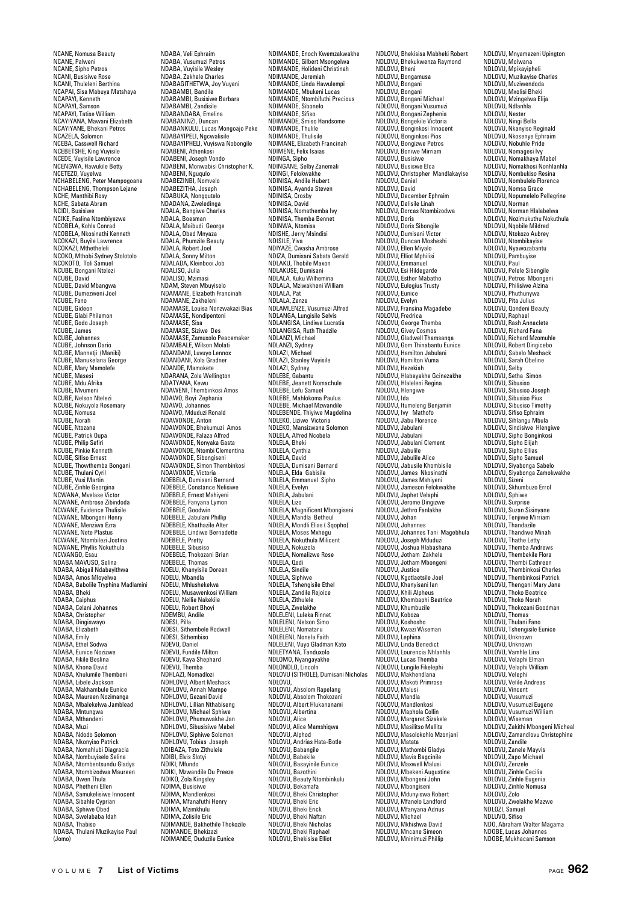NCANE, Nomusa Beauty NCANE, Palweni NCANE, Sipho Petros NCANI, Busisiwe Rose NCANI, Thuleleni Berthina NCAPAI, Sisa Mabuya Matshaya NCAPAYI, Kenneth NCAPAYI, Samson NCAPAYI, Tatise William NCAYIYANA, Mawani Elizabeth NCAYIYANE, Bhekani Petros NCAZELA, Solomon NCEBA, Casswell Richard NCEBETSHE, King Vuyisile NCEDE, Vuyisile Lawrence NCENGWA, Hawukile Betty NCETEZO, Vuyelwa NCHABELENG, Peter Mampogoane NCHABELENG, Thompson Lejane NCHE, Manthibi Rosy NCHE, Sabata Abram NCIDI, Busisiwe NCIKE, Faslina Ntombiyezwe NCOBELA, Kohla Conrad NCOBELA, Nkosinathi Kenneth NCOKAZI, Buyile Lawre NCOKAZI, Mthetheleli NCOKO, Mthobi Sydney Stolotolo NCOKOTO, Toli Samuel NCUBE, Bongani Ntelezi NCUBE, David NCUBE, David Mbangwa NCUBE, Dumezweni Joel NCUBE, Fano NCUBE, Gideon NCUBE, Glabi Philemon NCUBE, Godo Joseph NCUBE, James NCUBE, Johannes NCUBE, Johnson Dario NCUBE, Mannetji (Maniki) NCUBE, Manukelana George NCUBE, Mary Mamolefe NCUBE, Masesi NCUBE, Mdu Afrika NCUBE, Mvumeni NCUBE, Nelson Ntelezi NCUBE, Nokuyola Rosemary NCUBE, Nomusa NCUBE, Norah NCUBE, Ntozane NCUBE, Patrick Oupa NCUBE, Philip Sefiri NCUBE, Pinkie Kenneth NCUBE, Sifiso Ernest NCUBE, Dinos Ernost<br>NCUBE, Thowthemba Bongan NCUBE, Thulani Cyril NCUBE, Vusi Martin NCUBE, Zinhle Georgina NCWANA, Mvelase Victor NCWANE, Ambrose Zibindoda NCWANE, Evidence Thulisile NCWANE, Mbongeni Henry NCWANE, Menziwa Ezra NCWANE, Nete Plastus NCWANE, Ntombilezi Jostina NCWANE, Phyllis Nokuthula NCWANGO, Esau NDABA MAVUSO, Selina NDABA, Abigail Ndabayithwa NDABA, Amos Mloyelwa NDABA, Babolile Tryphina Madlamini NDABA, Bheki NDABA, Caiphus NDABA, Celani Johannes NDABA, Christopher NDABA, Dingiswayo NDABA, Elizabeth NDABA, Emily NDABA, Ethel Sodwa NDABA, Eunice Nozizwe NDABA, Fikile Beslina NDABA, Khona David NDABA, Khulumile Thembeni NDABA, Libele Jackson NDABA, Makhambule Eunice NDABA, Maureen Nozimanga NDABA, Mbalekelwa Jamblead NDABA, Mntungwa NDABA, Mthandeni NDABA, Muzi NDABA, Ndodo Solomon NDABA, Nkonyiso Patrick NDABA, Nomahlubi Diagracia NDABA, Nombuyiselo Selina NDABA, Ntombentsundu Gladys NDABA, Ntombizodwa Maureen NDABA, Owen Thula NDABA, Phetheni Ellen NDABA, Samukelisiwe Innocent NDABA, Sibahle Cyprian NDABA, Sphiwe Obed NDABA, Swelababa Idah NDABA, Thabiso NDABA, Thulani Muzikayise Paul (Jomo)

NDABA, Veli Ephraim NDABA, Vusumuzi Petros NDABA, Vuyisile Wesley NDABA, Zakhele Charles NDABAGITHETWA, Joy Vuyani NDABAMBI, Bandile NDABAMBI, Busisiwe Barbara NDABAMBI, Zandisile NDABANDABA, Emelina NDABANINZI, Duncan NDABANKULU, Lucas Mongoajo Peke NDABAYIPELI, Ngcwalisile NDABAYIPHELI, Vuyiswa Nobongile NDABENI, Athenkosi NDABENI, Joseph Vondo NDABENI, Monwabisi Christopher K. NDABENI, Nguqulo NDABEZINBI, Nomvelo NDABEZITHA Joseph NDABEZTTAA, JOSEPH<br>NDABUKA, Nongqutelo NDADANA, Zweledinga NDALA, Bangiwe Charles NDALA, Boesman NDALA, Maibudi George NDALA, Obed Mnyaza NDALA, Phumzile Beauty NDALA, Robert Joel NDALA, Sonny Milton NDALADA, Kleinbooi Job NDALISO, Julia NDALISO, Mzimasi NDAM, Steven Mbuyiselo NDAMANE, Elizabeth Francinah NDAMANE, Zakheleni NDAMASE, Louisa Nonzwakazi Bias NDAMASE, Nondipentoni NDAMASE, Sisa NDAMASE, Siziwe Des NDAMASE, Zamuxolo Peacemaker NDAMBALE, Wilson Molati NDANDANI, Luvuyo Lennox NDANDANI, Xola Gradner NDANDE, Mamokete NDARANA, Zola Wellington NDATYANA, Kewu NDAWENI, Thembinkosi Amos NDAWO, Boyi Zephania NDAWO, Johannes NDAWO, Mduduzi Ronald NDAWONDE, Anton NDAWONDE, Bhekumuzi Amos NDAWONDE, Falaza Alfred NDAWONDE, Nonyaka Gasta NDAWONDE, Ntombi Clementina NDAWONDE, Sibongiseni NDAWONDE, Simon Thembinkosi NDAWONDE, Victoria NDEBELA, Dumisani Bernard NDEBELE, Constance Nelisiwe NDEBELE, Ernest Mshiyeni NDEBELE, Fanyana Lymon NDEBELE, Goodwin NDEBELE, Jabulani Phillip NDEBELE, Khathazile Alter NDEBELE, Lindiwe Bernadette NDEBELE, Pretty NDEBELL, Fronty NDEBELE, Thokozani Brian NDEBELE, Thomas NDELU, Khanyisile Doreen NDELU, Mbandla NDELU, Mhlushekelwa NDELU, Musawenkosi William NDELU, Nellie Nakekile NDELU, Robert Bhoyi NDEMBU, Andile NDESI, Pilla NDESI, Sithembele Rodwell NDESI, Sithembiso NDEVU, Daniel NDEVU, Fundile Milton NDEVU, Kaya Shephard NDEVU, Themba NDHLAZI, Nomadlozi NDHLOVU, Albert Meshack NDHLOVU, Annah Mampe NDHLOVU, Gezani David NDHLOVU, Lillian Nthabiseng NDHLOVU, Michael Sphiwe NDHLOVU, Phumuwakhe Jan NDHLOVU, Sibusisiwe Mabel NDHLOVU, Siphiwe Solomon NDHLOVU, Tobias Joseph NDIBAZA, Toto Zithulele NDIBI, Elvis Slotyi NDIKI, Mfundo NDIKI, Mzwandile Du Preeze NDIKO, Zola Kingsley NDIMA, Busisiwe NDIMA, Mandlenkosi NDIMA, Mfanafuthi Henry NDIMA, Mzimkhulu NDIMA, Zolisile Eric NDIMANDE, Bakhethile Thokozile NDIMANDE, Bhekizazi NDIMANDE, Duduzile Eunice

NDIMANDE, Enoch Kwemzakwakhe NDIMANDE, Gilbert Msongelwa NDIMANDE, Holideni Christinah NDIMANDE, Jeremiah NDIMANDE, Linda Hawulempi NDIMANDE, Mbukeni Lucas NDIMANDE, Ntombifuthi Precious NDIMANDE, Sibonelo NDIMANDE, Sifiso NDIMANDE, Smiso Handsome NDIMANDE, Thulile NDIMANDE, Thulisile NDIMANE, Elizabeth Francinah NDIMENE, Felix Isaias NDINGA, Sipho NDINGANE, Selby Zanemali NDINGI, Felokwakhe NDINISA, Andile Hubert NDINISA, Ayanda Steven NDINISA, Crosby NDINISA, David NDINISA, Nomathemba Ivy NDINISA, Themba Bennet NDINWA, Ntomisa NDISHE, Jerry Msindisi NDISILE, Yiva NDIYAZE, Cwasha Ambrose NDIZA, Dumisani Sabata Gerald NDLAKU, Thobile Maxon NDLAKUSE, Dumisani NDLALA, Kuku Wilhemina NDLALA, Mziwakheni William NDLALA, Pat NDLALA, Zenze NDLAMLENZE, Vusumuzi Alfred NDLANGA, Lungisile Selvis NDLANGISA, Lindiwe Lucratia NDLANGISA, Ruth Thadzile NDLANZI, Michael NDLANZI, Sydney NDLAZI, Michael NDLAZI, Stanley Vuyisile NDLAZI, Sydney NDLEBE, Gabantu NDLEBE, Jeanett Nomachule NDLEBE, Lefu Samuel NDLEBE, Mahlokoma Paulus NDLEBE, Michael Mzwandile NDLEBENDE, Thiyiwe Magdelina NDLEKO, Liziwe Victoria NDLEKO, Mansizwana Solomon NDLELA, Alfred Ncobela NDLELA, Bheki NDLELA, Cynthia NDLELA, David NDLELA, Dumisani Bernard NDLELA, Elda Gabisile NDLELA, Emmanuel Sipho NDLELA, Evelyn NDLELA, Jabulani NDLELA, Lizo NDLELA, Magnificent Mbongiseni NDLELA, Mandla Betheul NDLELA, Mondli Elias ( Sqopho) NDLELA, Moses Mxhegu NDLELA, Nokuthula Milicent NDLELA, Nokuzola NDLELA, Nomalizwe Rose NDLELA, Qedi NDLELA, Sindile NDLELA, Siphiwe NDLELA, Tshengisile Ethel NDLELA, Zandile Rejoice NDLELA, Zithulele NDLELA, Zwelakhe NDLELENI, Luleka Rinnet NDLELENI, Nelson Simo NDLELENI, Nomataru NDLELENI, Nonela Faith NDLELENI, Vuyo Gladman Kato NDLETYANA, Tanduxolo NDLOMO, Nyangayakhe NDLONDLO, Lincoln NDLOVU (SITHOLE), Dumisani Nicholas NDLOVU, NDLOVU, Absolom Rapelang NDLOVU, Absolom Thokozani NDLOVU, Albert Hlukananami NDLOVU, Albertina NDLOVU, Alice NDLOVU, Alice Mamshiqwa NDLOVU, Alphod NDLOVU, Andrias Hata-Botle NDLOVU, Babangile NDLOVU, Babekile NDLOVU, Basayinile Eunice NDLOVU, Bazothini NDLOVU, Beauty Ntombinkulu NDLOVU, Bekamafa NDLOVU, Bheki Christopher NDLOVU, Bheki Eric NDLOVU, Bheki Erick NDLOVU, Bheki Naftan NDLOVU, Bheki Nicholas NDLOVU, Bheki Raphael NDLOVU, Bhekisisa Elliot

NDLOVU, Bhekisisa Mabheki Robert NDLOVU, Bhekukwenza Raymond NDLOVU, Bheni NDLOVU, Bongamusa NDLOVU, Bongani NDLOVU, Bongani NDLOVU, Bongani Michael NDLOVU, Bongani Vusumuzi NDLOVU, Bongani Zephenia NDLOVU, Bongekile Victoria NDLOVU, Bonginkosi Innocent NDLOVU, Bonginkosi Pios NDLOVU, Bongizwe Petros NDLOVU, Boniwe Mirriam NDLOVU, Busisiwe NDLOVU, Busiswe Elca NDLOVU, Christopher Mandlakayise NDLOVU, Daniel NDLOVU, David NDLOVU, December Ephraim NDLOVU, Delisile Linah NDLOVU, Dorcas Ntombizodwa NDLOVU, Doris NDLOVU, Doris Sibongile NDLOVU, Dumisani Victor NDLOVU, Duncan Mosheshi NDLOVU, Ellen Miyalo NDLOVU, Elliot Mphilisi NDLOVU, Emmanuel NDLOVU, Esi Hildegarde NDLOVU, Esther Mabatho NDLOVU, Eulogius Trusty NDLOVU, Eunice NDLOVU, Evelyn NDLOVU, Fransina Magadebe NDLOVU, Fredrica NDLOVU, George Themba NDLOVU, Givey Cosmos NDLOVU, Gladwell Thamsanqa NDLOVU, Gom Thinabantu Eunice NDLOVU, Hamilton Jabulani NDLOVU, Hamilton Vuma NDLOVU, Hezekiah NDLOVU, Hlabeyakhe Gcinezakhe NDLOVU, Hlaleleni Regina NDLOVU, Hlengiwe NDLOVU, Ida NDLOVU, Itumeleng Benjamin NDLOVU, Ivy Mathofo NDLOVU, Jabu Florence NDLOVU, Jabulani NDLOVU, Jabulani NDLOVU, Jabulani Clement NDLOVU, Jabulile NDLOVU, Jabulile Alice NDLOVU, Jabusile Khombisile NDLOVU, James Nkosinathi NDLOVU, James Mshiyeni NDLOVU, Jameson Felokwakhe NDLOVU, Japhet Velaphi NDLOVU, Jerome Dingizwe NDLOVU, Jethro Fanlakhe NDLOVU, Johan NDLOVU, Johannes NDLOVU, Johannes Tani Magebhula NDLOVU, Joseph Mduduzi NDLOVU, Joshua Hlabashana NDLOVU, Jotham Zakhele NDLOVU, Jotham Mbongeni NDLOVU, Justice NDLOVU, Kgotlaetsile Joel NDLOVU, Khanyisani Ian NDLOVU, Khili Alpheus NDLOVU, Khombaphi Beatrice NDLOVU, Khumbuzile NDLOVU, Koboza NDLOVU, Koshosho NDLOVU, Kwazi Wiseman NDLOVU, Lephina NDLOVU, Linda Benedict NDLOVU, Lourencia Nhlanhla NDLOVU, Lucas Themba NDLOVU, Lungile Fikelephi NDLOVU, Makhendlana NDLOVU, Makoti Primrose NDLOVU, Malusi NDLOVU, Mandla NDLOVU, Mandlenkosi NDLOVU, Maphola Collin NDLOVU, Margaret Sizakele NDLOVU, Masilitso Mallita NDLOVU, Masolokohlo Mzonjani NDLOVU, Matata NDLOVU, Mathombi Gladys NDLOVU, Mavis Bagcinile NDLOVU, Maxwell Malusi NDLOVU, Mbekeni Augustine NDLOVU, Mbongeni John NDLOVU, Mbongiseni NDLOVU, Mdunyiswa Robert NDLOVU, Mfanelo Landford NDLOVU, Mfanyana Adrius NDLOVU, Michael NDLOVU, Mkhishwa David NDLOVU, Mncane Simeon NDLOVU, Mninimuzi Phillip

NDLOVU, Mnyamezeni Upington NDLOVU, Molwana NDLOVU, Mpikayipheli NDLOVU, Muzikayise Charles NDLOVU, Muziwendoda NDLOVU, Mxolisi Bheki NDLOVU, Mzingelwa Elija NDLOVU, Ndlanhla NDLOVU, Nester NDLOVU, Ningi Bella NDLOVU, Nkanyiso Reginald NDLOVU, Nkosenye Ephraim NDLOVU, Nobuhle Pride NDLOVU, Nomagesi Ivy NDLOVU, Nomakhaya Mabel NDLOVU, Nomakhosi Nonhlanhla NDLOVU, Nombukiso Resina NDLOVU, Nombulelo Florence NDLOVU, Nomsa Grace NDLOVU, Nopumelelo Pellegrine NDLOVU, Norman NDLOVU, Norman Hlalabelwa NDLOVU, Nozimukuthu Nokuthula NDLOVU, Nqobile Mildred NDLOVU, Ntokozo Aubrey NDLOVU, Ntombikayise NDLOVU, Nyawozabantu NDLOVU, Pambuyise NDLOVU, Paul NDLOVU, Pelele Sibengile NDLOVU, Petros Mbongeni NDLOVU, Philisiwe Alzina NDLOVU, Phuthunywa NDLOVU, Pita Juli NDLOVU, Qondeni Beauty NDLOVU, Raphael NDLOVU, Rash Annaclete NDLOVU, Richard Fana NDLOVU, Richard Mzomuhle NDLOVU, Robert Dingicebo NDLOVU, Sabelo Meshack NDLOVU, Sarah Obeline NDLOVU, Selby NDLOVU, Setha Simon NDLOVU, Sibusiso NDLOVU, Sibusiso Joseph NDLOVU, Sibusiso Pius NDLOVU, Sibusiso Timothy NDLOVU, Sifiso Ephraim NDLOVU, Sihlangu Mbula NDLOVU, Sindisiwe Hlengiwe NDLOVU, Sipho Bonginkosi NDLOVU, Sipho Elijah NDLOVU, Sipho Ellias NDLOVU, Sipho Samuel NDLOVU, Siyabonga Sabelo NDLOVU, Siyabonga Zamokwakhe NDLOVU, Sizeni NDLOVU, Skhumbuzo Errol NDLOVU, Sphiwe NDLOVU, Surprise NDLOVU, Suzan Sisinyane NDLOVU, Tenjiwe Mirriam NDLOVU, Thandazile NDLOVU, Thandiwe Minah NDLOVU, Thathe Letty NDLOVU, Themba Andrews NDLOVU, Thembekile Flora NDLOVU, Thembi Cathreen NDLOVU, Thembinkosi Charles NDLOVU, Thembinkosi Patrick NDLOVU, Thengani Mary Jane NDLOVU, Thoko Beatrice NDLOVU, Thoko Norah NDLOVU, Thokozani Goodman NDLOVU, Thomas NDLOVU, Thulani Fano NDLOVU, Tshengisile Eunice NDLOVU, Unknown NDLOVU, Unknown NDLOVU, Vamhle Lina NDLOVU, Velaphi Elman NDLOVU, Velaphi William NDLOVU, Velephi NDLOVU, Velile Andreas NDLOVU, Vincent NDLOVU, Vusumuzi NDLOVU, Vusumuzi Eugene NDLOVU, Vusumuzi William NDLOVU, Wiseman NDLOVU, Zakithi Mbongeni Micheal NDLOVU, Zamandlovu Christophine NDLOVU, Zandile NDLOVU, Zanele Mayvis NDLOVU, Zapo Michael NDLOVU, Zenzele NDLOVU, Zinhle Cecilia NDLOVU, Zinhle Eugenia NDLOVU, Zinhle Nomusa NDLOVU, Zolo NDLOVU, Zwelakhe Mazwe NDLOZI, Samuel NDLUVO, Sifiso NDO, Abraham Walter Magama NDOBE, Lucas Johannes NDOBE, Mukhacani Samson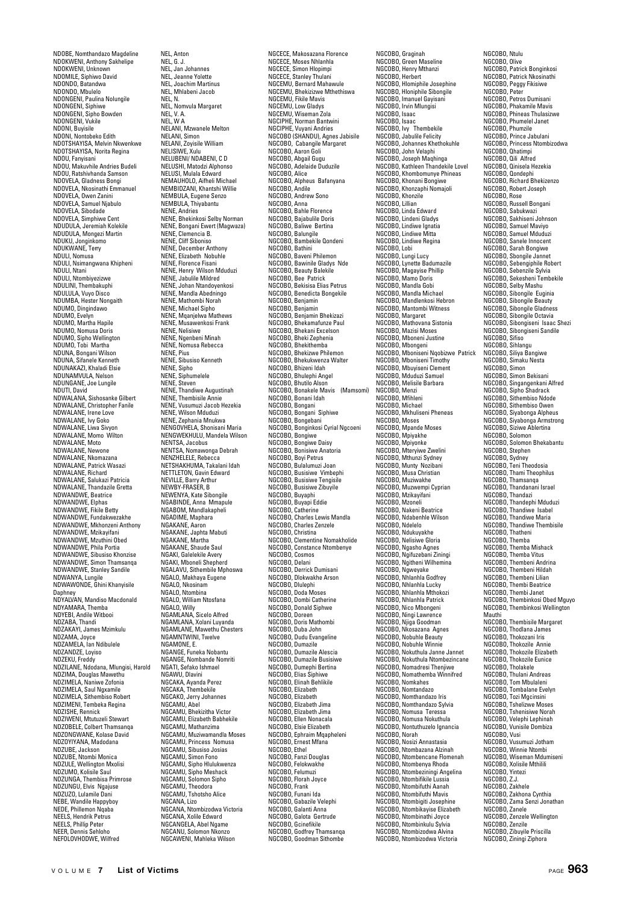NDOBE, Nomthandazo Magdeline NDOKWENI, Anthony Sakhelipe NDOKWENI, Unknown NDOMILE, Siphiwo David NDONDO, Batandwa NDONDO, Mbulelo NDONGENI, Paulina Nolungile NDONGENI, Siphiwe NDONGENI, Sipho Bowden NDONGENI, Vukile NDONI, Buyisile NDONI, Nontobeko Edith NDOTSHAYISA, Melvin Nkwenkwe NDOTSHAYISA, Norita Regina NDOU, Fanyisani NDOU, Makuvhile Andries Budeli NDOU, Ratshivhanda Samson NDOVELA, Gladness Bongi NDOVELA, Nkosinathi Emmanuel NDOVELA, Owen Zanini NDOVELA, Samuel Njabulo NDOVELA, Sibodade NDOVELA, Simphiwe Cent NDUDULA, Jeremiah Kolekile NDUDULA, Mongezi Martin NDUKU, Jonginkomo NDUKWANE, Terry NDULI, Nomusa NDULI, Nsimangwana Khipheni NDULI, Ntani NDULI, Ntombiyezizwe NDULINI, Thembakuphi NDULULA, Vuyo Disco NDUMBA, Hester Nongaith NDUMO, Dingindawo NDUMO, Evelyn NDUMO, Martha Hapile NDUMO, Nomusa Doris NDUMO, Sipho Wellington NDUMO, Tobi Martha NDUNA, Bongani Wilson NDUNA, Sifanele Kenneth NDUNAKAZI, Khaladi Elsie NDUNAMVULA, Nelson NDUNGANE, Joe Lungile NDUTI, David NDWALANA, Sishosanke Gilbert NDWALANE, Christopher Fanile NDWALANE, Irene Love NDWALANE, Ivy Goko NDWALANE, Liwa Sivyon NDWALANE, Momo Wilton NDWALANE, Moto NDWALANE, Newone NDWALANE, Nkomazana NDWALANE, Patrick Wasazi NDWALANE, Richard NDWALANE, Salukazi Patricia NDWALANE, Thandazile Gretta NDWANDWE, Beatrice NDWANDWE, Elphas NDWANDWE, Fikile Betty NDWANDWE, Fundakwezakhe NDWANDWE, Mkhonzeni Anthony NDWANDWE, Mzikayifani NDWANDWE, Mzuthini Obed NDWANDWE, Phila Portia NDWANDWE, Sibusiso Khonzise NDWANDWE, Simon Thamsanqa NDWANDWE, Stanley Sandile NDWANYA, Lungile NDWAWONDE, Ghini Khanyisile Daphney NDYALVAN, Mandiso Macdonald NDYAMARA, Themba NDYEBI, Andile Witbooi NDZABA, Thandi NDZAKAYI, James Mzimkulu NDZAMA, Joyce NDZAMELA, Ian Ndibulele NDZANDZE, Loyiso NDZEKU, Freddy NDZILANE, Ndodana, Mlungisi, Harold NDZIMA, Douglas Mawethu NDZIMELA, Naniwe Zofonia NDZIMELA, Saul Ngxamile NDZIMELA, Sithembiso Robert NDZIMENI, Tembeka Regina NDZISHE, Rennick NDZIWENI, Mtutuzeli Stewart NDZOBELE, Colbert Thamsanqa NDZONGWANE, Kolase David NDZOYIYANA, Madodana NDZUBE, Jackson NDZUBE, Ntombi Monica NDZULE, Wellington Mxolisi NDZUMO, Kolisile Saul NDZUNGA, Thembisa Primrose NDZUNGU, Elvis Ngajuse NDZUZO, Lulamile Dani NEBE, Wandile Happyboy NEDE, Phillemon Nqaba NEELS, Hendrik Petrus NEELS, Phillip Peter NEER, Dennis Sehloho NEFOLOVHODWE, Wilfred

NEL, Anton NEL, G. J. NEL, Jan Johannes NEL, Jeanne Yolette NEL, Joachim Martinus NEL, Mhlabeni Jacob NEL, N. NEL, Nomvula Margaret NEL, V. A. NEL, W A NELANI, Mzwanele Melton NELANI, Simon NELANI, Zoyisile William NELISIWE, Xulu NELUBENI/ NDABENI, C D NELUSHI, Matodzi Alphonso NELUSI, Mulala Edward NEMAUHOLO, Aifheli Michael NEMBIDZANI, Khantshi Willie NEMBIDZANI, KHAHISHI VI<br>NEMBULA, Eugene Senzo<br>NEMBIJI A Thivahantu NEMBULA, Thiyabantu NENE, Andries NENE, Bhekinkosi Selby Norman NENE, Bongani Ewert (Magwaza) NENE, Clemencia B. NENE, Cliff Siboniso NENE, December Anthony NENE, Elizabeth Nobuhle NENE, Florence Fisani NENE, Henry Wilson Mduduzi NENE, Jabulile Mildred NENE, Johan Ntandoyenkosi NENE, Mandla Abedningo NENE, Mathombi Norah NENE, Michael Sipho NENE, Mqanjelwa Mathews NENE, Musawenkosi Frank NENE, Nelisiwe NENE, Ngenbeni Minah NENE, Nomusa Rebecca NENE, Pius NENE, Sibusiso Kenneth NENE, Sipho NENE, Siphumelele NENE, Steven NENE, Thandiwe Augustinah NENE, Thembisile Annie NENE, Vusumuzi Jacob Hezekia NENE, Wilson Mduduzi NENE, Zephania Mnukwa NENGOVHELA, Shonisani Maria NENGWEKHULU, Mandela Wilson NENTSA, Jacobus NENTSA, Nomawonga Debrah NENZHELELE, Rebecca NETSHAKHUMA, Takalani Idah NETTLETON, Gavin Edward NEVILLE, Barry Arthur NEWBY-FRASER, B NEWENYA, Kate Sibongile NGABINDE, Anna Mmapule NGABOM, Mandlakapheli NGADIME, Maphar NGAKANE, Aaron NGAKANE, Japhta Mabuti NGAKANE, Martha NGAKANE, Shaude Saul NGAKI, Galelekile Avery NGAKI, Mboneli Shepherd NGALAVU, Sithembile Mphoswa NGALO, Makhaya Eugene NGALO, Nkosinam NGALO, Ntombina NGALO, William Ntosfana NGALO, Willy NGAMLANA, Sicelo Alfred NGAMLANA, Xolani Luyanda NGAMLANE, Mawethu Chesters NGAMNTWINI, Twelve NGAMONE, E. NGANGE, Funeka Nobantu NGANGE, Nombande Nomriti NGATI, Sefako Ishmael NGAWU, Dlavini NGCAKA, Ayanda Perez NGCAKA, Thembekile NGCAKO, Jerry Johannes NGCAMU, Abel NGCAMU, Bhekizitha Victor NGCAMU, Elizabeth Babhekile NGCAMU, Mathanzima NGCAMU, Muziwamandla Moses NGCAMU, Princess Nomusa NGCAMU, Sibusiso Josias NGCAMU, Simon Fono NGCAMU, Sipho Hlulukwenza NGCAMU, Sipho Meshack NGCAMU, Solomon Sipho NGCAMU, Theodora NGCAMU, Tshotsho Alice NGCANA, Lizo NGCANA, Ntombizodwa Victoria NGCANA, Xolile Edward NGCANGELA, Abel Ngame NGCANU, Solomon Nkonzo NGCAWENI, Mahleka Wilson

NGCECE, Makosazana Florence NGCECE, Moses Nhlanhla NGCECE, Simon Hlopimpi NGCECE, Stanley Thulani NGCEMU, Bernard Mahawule NGCEMU, Bhekizizwe Mthethiswa NGCEMU, Fikile Mavis NGCEMU, Low Gladys NGCEMU, Wiseman Zola NGCIPHE, Norman Bantwini NGCIPHE, Vuyani Andries NGCOBO (SHANDU), Agnes Jabisile NGCOBO, Cabangile Margaret NGCOBO, Aaron Goli NGCOBO, Abgail Gugu NGCOBO, Adelaide Duduzile NGCOBO, Alice NGCOBO, Alpheus Bafanyana NGCOBO, Andile NGCOBO, Andrew Sono NGCOBO, Anna NGCOBO, Bahle Florence NGCOBO, Bajabulile Doris NGCOBO, Baliwe Bertina NGCOBO, Balungile NGCOBO, Bambekile Qondeni NGCOBO, Bathini NGCOBO, Baveni Philemon NGCOBO, Bawinile Gladys Nde NGCOBO, Beauty Balekile NGCOBO, Bee Patrick NGCOBO, Bekisisa Elias Petrus NGCOBO, Benedicta Bongekile NGCOBO, Benjamin NGCOBO, Benjamin NGCOBO, Benjamin Bhekizazi NGCOBO, Bhekamafunze Paul NGCOBO, Bhekani Excelson NGCOBO, Bheki Zephenia NGCOBO, Bhekithemba NGCOBO, Bhekizwe Philemon NGCOBO, Bhekukwenza Walter NGCOBO, Bhizeni Idah NGCOBO, Bhulephi Angel NGCOBO, Bhutilo Alson NGCOBO, Bonakele Mavis (Mamsomi) NGCOBO, Bonani Idah NGCOBO, Bongani NGCOBO, Bongani Siphiwe NGCOBO, Bongebani NGCOBO, Bonginkosi Cyrial Ngcoeni NGCOBO, Bongiwe NGCOBO, Bongiwe Daisy NGCOBO, Bonisiwe Anatoria NGCOBO, Boyi Petrus NGCOBO, Bulalumuzi Joan NGCOBO, Busisiwe Vimber NGCOBO, Busisiwe Tengisile NGCOBO, Busisiwe Zibuyile NGCOBO, Buyaphi NGCOBO, Buyapi Eddie NGCOBO, Catherine NGCOBO, Charles Lewis Mandla NGCOBO, Charles Zenzele NGCOBO, Christina NGCOBO, Clementine Nomakholide NGCOBO, Constance Ntombenye NGCOBO, Cosmos NGCOBO, Delani NGCOBO, Derrick Dumisani NGCOBO, Dlokwakhe Arson NGCOBO, Dlulephi NGCOBO, Doda Moses NGCOBO, Dombi Catherine NGCOBO, Donald Siphwe NGCOBO, Doreen NGCOBO, Doris Mathombi NGCOBO, Duba John NGCOBO, Dudu Evangeline NGCOBO, Dumazile NGCOBO, Dumazile Alescia NGCOBO, Dumazile Busisiwe NGCOBO, Dumephi Bertina NGCOBO, Elias Siphiwe NGCOBO, Elinah Behlikile NGCOBO, Elizabeth NGCOBO, Elizabeth NGCOBO, Elizabeth Jima NGCOBO, Elizabeth Jima NGCOBO, Ellen Nonacala NGCOBO, Elsie Elizabeth NGCOBO, Ephraim Mqapheleni NGCOBO, Ernest Mfana NGCOBO, Ethel NGCOBO, Fanzi Douglas NGCOBO, Felokwakh NGCOBO, Felumuzi NGCOBO, Florah Joyce NGCOBO, Frank NGCOBO, Funani Ida NGCOBO, Gabazile Velephi NGCOBO, Galanti Anna NGCOBO, Galota Gertrude NGCOBO, Gcinefikile NGCOBO, Godfrey Thamsanqa NGCOBO, Goodman Sithombe

NGCOBO, Graginah NGCOBO, Green Maseline NGCOBO, Henry Mthanzi NGCOBO, Herbert NGCOBO, Hlomiphile Josephine NGCOBO, Hloniphile Sibongile NGCOBO, Imanuel Gayisani NGCOBO, Irvin Mlungisi NGCOBO, Isaac NGCOBO, Isaac NGCOBO, Ivy Thembekile NGCOBO, Jabulile Felicity NGCOBO, Johannes Khethokuhle NGCOBO, John Velaphi NGCOBO, Joseph Maqhinga NGCOBO, Kathleen Thandekile Lovel NGCOBO, Khombomunye Phineas NGCOBO, Khonani Bongiwe NGCOBO, Khonzaphi Nomajoli NGCOBO, Khonzile NGCOBO, Lillian NGCOBO, Linda Edward NGCOBO, Lindeni Gladys NGCOBO, Lindiwe Ignatia NGCOBO, Lindiwe Mitta NGCOBO, Lindiwe Regina NGCOBO, Lobi NGCOBO, Lungi Lucy NGCOBO, Lynette Badumazile NGCOBO, Magayise Phillip NGCOBO, Mamo Doris NGCOBO, Mandla Gobi NGCOBO, Mandla Michael NGCOBO, Mandlenkosi Hebron NGCOBO, Mantombi Witness NGCOBO, Margaret NGCOBO, Mathovana Sistonia NGCOBO, Mazisi Moses NGCOBO, Mboneni Justine NGCOBO, Mbongeni NGCOBO, Mboniseni Nqobizwe Patrick NGCOBO, Mboniseni Timothy NGCOBO, Mbuyiseni Clement NGCOBO, Mduduzi Samuel NGCOBO, Melisile Barbara NGCOBO, Menzi NGCOBO, Mfihleni NGCOBO, Michael NGCOBO, Mkhuliseni Pheneas NGCOBO, Moses NGCOBO, Mpande Moses NGCOBO, Mpiyakhe NGCOBO, Mpiyonke NGCOBO, Mteryiwe Zwelini NGCOBO, Mthunzi Sydney NGCOBO, Munty Nozibani NGCOBO, Musa Christian NGCOBO, Muziwakhe NGCOBO, Muzwempi Cyprian NGCOBO, Mzikayifani NGCOBO, Mzoneli NGCOBO, Nakeni Beatrice NGCOBO, Ndabenhle Wilson NGCOBO, Ndelelo NGCOBO, Ndukuyakhe NGCOBO, Nelisiwe Gloria NGCOBO, Ngasho Agnes NGCOBO, Ngifuzebani Ziningi NGCOBO, Ngitheni Wilhemina NGCOBO, Ngweyake NGCOBO, Nhlanhla Godfrey NGCOBO, Nhlanhla Lucky NGCOBO, Nhlanhla Mthokozi NGCOBO, Nhlanhla Patrick NGCOBO, Nico Mbongeni NGCOBO, Ningi Lawrence NGCOBO, Njiga Goodman NGCOBO, Nkosazana Agnes NGCOBO, Nobuhle Beauty NGCOBO, Nobuhle Winnie NGCOBO, Nokuthula Janne Jannet NGCOBO, Nokuthula Ntombezincane NGCOBO, Nomadresi Thenjiwe NGCOBO, Nomathemba Winnifred NGCOBO, Nomkahes NGCOBO, Nomtandazo NGCOBO, Nomthandazo Iris NGCOBO, Nomthandazo Sylvia NGCOBO, Nomusa Teressa NGCOBO, Nomusa Nokuthula NGCOBO, Nontuthuzelo Ignancia NGCOBO, Norah NGCOBO, Nosizi Annastasia NGCOBO, Ntombazana Alzinah NGCOBO, Ntombencane Flomenah NGCOBO, Ntombenya Rhoda NGCOBO, Ntombeziningi Angelina NGCOBO, Ntombifikile Lussia NGCOBO, Ntombifuthi Aanah NGCOBO, Ntombifuthi Mavis NGCOBO, Ntombigiti Josephine NGCOBO, Ntombikayise Elizabeth NGCOBO, Ntombinathi Joyce NGCOBO, Ntombinkulu Sylvia NGCOBO, Ntombizodwa Alvina NGCOBO, Ntombizodwa Victoria

NGCOBO, Ntulu NGCOBO, Olive NGCOBO, Patrick Bonginkosi NGCOBO, Patrick Nkosinathi NGCOBO, Peggy Fikisiwe NGCOBO, Peter NGCOBO, Petros Dumisani NGCOBO, Phakamile Mavis NGCOBO, Phineas Thulasizwe NGCOBO, Phumelel Janet NGCOBO, Phumzile NGCOBO, Prince Jabulani NGCOBO, Princess Ntombizodwa NGCOBO, Qhatimpi NGCOBO, Qili Alfred NGCOBO, Qinisela Hezekia NGCOBO, Qondephi NGCOBO, Richard Bhekizenzo NGCOBO, Robert Joseph NGCOBO, Rose NGCOBO, Russell Bongani NGCOBO, Sabukwazi NGCOBO, Sakhiseni Johnson NGCOBO, Samuel Maviyo NGCOBO, Samuel Mduduzi NGCOBO, Sanele Innocent NGCOBO, Sarah Bongiwe NGCOBO, Sbongile Jannet NGCOBO, Sebengiphile Robert NGCOBO, Sebenzile Sylvia NGCOBO, Sekesheni Tembekile NGCOBO, Selby Mashu NGCOBO, Sibongile Euginia NGCOBO, Sibongile Beauty NGCOBO, Sibongile Gladness NGCOBO, Sibongile Octavia NGCOBO, Sibongiseni Isaac Shezi NGCOBO, Sibongiseni Sandile NGCOBO, Sifiso NGCOBO, Sihlangu NGCOBO, Siliya Bangiwe NGCOBO, Simaku Nesta NGCOBO, Simon NGCOBO, Simon Bekisani NGCOBO, Singangenkani Alfred NGCOBO, Sipho Shadrack NGCOBO, Sithembiso Ndode NGCOBO, Sithembiso Owen NGCOBO, Siyabonga Alpheus NGCOBO, Siyabonga Armstrong NGCOBO, Siziwe Ablertina NGCOBO, Solomon NGCOBO, Solomon Bhekabantu NGCOBO, Stephen NGCOBO, Sydney NGCOBO, Teni Theodosia NGCOBO, Thami Theophilus NGCOBO, Thamsanqa NGCOBO, Thandanani Israel NGCOBO, Thandazi NGCOBO, Thandephi Mduduzi NGCOBO, Thandiwe Isabel NGCOBO, Thandiwe Maria NGCOBO, Thandiwe Thembisile NGCOBO, Thatheni NGCOBO, Themba NGCOBO, Themba Mishack NGCOBO, Themba Vitus NGCOBO, Thembeni Andrina NGCOBO, Thembeni Hildah NGCOBO, Thembeni Lilian NGCOBO, Thembi Beatrice NGCOBO, Thembi Janet NGCOBO, Thembinkosi Obed Mguyo NGCOBO, Thembinkosi Wellington Mauthi NGCOBO, Thembisile Margaret NGCOBO, Thodlana James NGCOBO, Thokozani Iris NGCOBO, Thokozile Annie NGCOBO, Thokozile Elizabeth NGCOBO, Thokozile Eunice NGCOBO, Tholakele NGCOBO, Thulani Andreas NGCOBO, Tom Mbulaleni NGCOBO, Tombalane Evelyn NGCOBO, Tozi Mgcinsini NGCOBO, Tshelizwe Moses NGCOBO, Tshenisiwe Norah NGCOBO, Velephi Lephinah NGCOBO, Vunisile Dombiza NGCOBO, Vusi NGCOBO, Vusumuzi Jotham NGCOBO, Winnie Ntombi NGCOBO, Wiseman Mdumiseni NGCOBO, Xolisile Mthilili NGCOBO, Yintezi NGCOBO, Z.J. NGCOBO, Zakhele NGCOBO, Zakhona Cynthia NGCOBO, Zama Senzi Jonathan NGCOBO, Zanele NGCOBO, Zenzele Wellington NGCOBO, Zenzile NGCOBO, Zibuyile Priscilla

NGCOBO, Ziningi Ziphora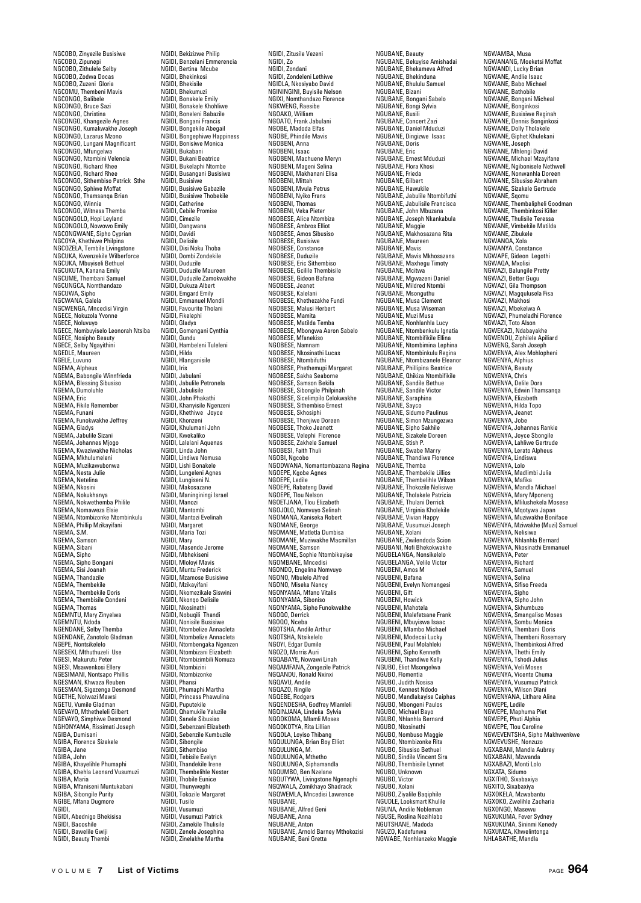NGCOBO, Zinyezile Busisiwe NGCOBO, Zipunepi NGCOBO, Zithulele Selby NGCOBO, Zodwa Docas NGCOBO, Zuzeni Gloria NGCOMU, Thembeni Mavis NGCONGO, Balibele NGCONGO, Bruce Sazi NGCONGO, Christina NGCONGO, Khangezile Agnes NGCONGO, Kumakwakhe Joseph NGCONGO, Lazarus Mzono NGCONGO, Lungani Magnificant NGCONGO, Mfungelwa NGCONGO, Ntombini Velencia NGCONGO, Richard Rhee NGCONGO, Richard Rhee NGCONGO, Sithembiso Patrick Sthe NGCONGO, Sphiwe Moffat NGCONGO, Thamsanqa Brian NGCONGO, Winnie NGCONGO, Witness Themba NGCONGOLO, Hopi Leyland NGCONGOLO, Nowowo Emily NGCONGWANE, Sipho Cyprian NGCOYA, Khethiwe Philpina NGCOZELA, Tembile Livingstone NGCUKA, Kwenzekile Wilberforce NGCUKA, Mbuyiseli Bethuel NGCUKUTA, Kanana Emily NGCUME, Thembani Samuel NGCUNGCA, Nomthandazo NGCUWA, Sipho NGCWANA, Galela NGCWENGA, Mncedisi Virgin NGECE, Nokuzola Yvonne NGECE, Noluvuyo NGECE, Nombuyiselo Leonorah Ntsiba NGECE, Nosipho Beauty NGECE, Selby Ngayithini NGEDLE, Maureen NGELE, Luvuno NGEMA, Alpheus NGEMA, Babongile Winnfrieda NGEMA, Blessing Sibusiso NGEMA, Dumoluhle NGEMA, Eric NGEMA, Fikile Remember NGEMA, Funani NGEMA, Funokwakhe Jeffrey NGEMA, Gladys NGEMA, Jabulile Sizani NGEMA, Johannes Mjogo NGEMA, Kwaziwakhe Nicholas NGEMA, Mkhulumeleni NGEMA, Muzikawubonwa NGEMA, Nesta Julie NGEMA, Netelina NGEMA, Nkosini NGEMA, Nokukhanya NGEMA, Nokwethemba Philile NGEMA, Nomaweza Elsie NGEMA, Ntombizonke Ntombinkulu NGEMA, Phillip Mzikayifani NGEMA, S.M. NGEMA, Samson NGEMA, Sibani NGEMA, Sipho NGEMA, Sipho Bongani NGEMA, Sisi Joanah NGEMA, Thandazile NGEMA, Thembekile NGEMA, Thembekile Doris NGEMA, Thembisile Qondeni NGEMA, Thomas NGEMNTU, Mary Zinyelwa NGEMNTU, Ndoda NGENDANE, Selby Themba NGENDANE, Zanotolo Gladman NGEPE, Nontsikelelo NGESEKI, Mthuthuzeli Use NGESI, Makurutu Peter NGESI, Msawenkosi Ellery NGESIMANI, Nontsapo Phillis NGESMAN, Khwaza Reuben NGESMAN, Sigezenga Desmond NGETHE, Nolwazi Mawsi NGETU, Vumile Gladman NGEVAYO, Mthetheleli Gilbert NGEVAYO, Simphiwe Desmond NGHONYAMA, Rissimati Joseph NGIBA, Dumisani NGIBA, Florence Sizakele NGIBA, Jane NGIBA, John NGIBA, Khayelihle Phumaphi NGIBA, Khehla Leonard Vusumuzi NGIBA, Maria NGIBA, Mfaniseni Muntukabani NGIBA, Sibongile Purity NGIBE, Mfana Dugmore NGIDI, NGIDI, Abednigo Bhekisisa NGIDI, Bacoshile NGIDI, Bawelile Gwiji NGIDI, Beauty Thembi

NGIDI, Bekizizwe Philip NGIDI, Benzelani Emmerencia NGIDI, Bertina Mcube NGIDI, Bhekinkosi NGIDI, Bhekisile NGIDI, Bhekumuzi NGIDI, Bonakele Emily NGIDI, Bonakele Khohliwe NGIDI, Boneleni Babazile NGIDI, Bongani Francis NGIDI, Bongekile Abegail NGIDI, Bongephiwe Happiness NGIDI, Bonisiwe Monica NGIDI, Bukabani NGIDI, Bukani Beatrice NGIDI, Bukelaphi Ntombe NGIDI, Busangani Busisiwe NGIDI, Busisiwe NGIDI, Busisiwe Gabazile NGIDI, Busisiwe Gabazile<br>NGIDI, Busisiwe Thobekile NGIDI, Catherine NGIDI, Cebile Promise NGIDI, Cimezile NGIDI, Dangwana NGIDI, Davidi NGIDI, Delisile NGIDI, Disi Noku Thoba NGIDI, Dombi Zondekile NGIDI, Duduzile NGIDI, Duduzile Maureen NGIDI, Duduzile Zamokwakhe NGIDI, Dukuza Albert NGIDI, Emgard Emily NGIDI, Emmanuel Mondli NGIDI, Favourite Tholani NGIDI, Fikelephi NGIDI, Gladys NGIDI, Gomengani Cynthia NGIDI, Gundu NGIDI, Hambeleni Tuleleni NGIDI, Hilda NGIDI, Hlanganisile NGIDI, Iris NGIDI, Jabulani NGIDI, Jabulile Petronela NGIDI, Jabulisile NGIDI, John Phakathi NGIDI, Khanyisile Ngenzeni NGIDI, Khethiwe Joyce NGIDI, Khonzeni NGIDI, Khulumani John NGIDI, Kwekaliko NGIDI, Lalelani Aquenas NGIDI, Linda John NGIDI, Lindiwe Nomusa NGIDI, Lishi Bonakele NGIDI, Lungeleni Agnes NGIDI, Lungiseni N. NGIDI, Makosazane NGIDI, Maninginingi Israel NGIDI, Manozi NGIDI, Mantombi NGIDI, Mantozi Evelinah NGIDI, Margaret NGIDI, Maria Tozi NGIDI, Mary NGIDI, Masende Jerome NGIDI, Mbhekiseni NGIDI, Mloloyi Mavis NGIDI, Muntu Frederick NGIDI, Mzamose Busisiwe NGIDI, Mzikayifani NGIDI, Nkomezikale Siswini NGIDI, Nkonqo Delisile NGIDI, Nkosinathi NGIDI, Nobuqili Thandi NGIDI, Nonisile Busisiwe NGIDI, Ntombelize Annacleta NGIDI, Ntombelize Annacleta NGIDI, Ntombengaka Ngenzen NGIDI, Ntombizani Elizabeth NGIDI, Ntombizimbili Nomuza NGIDI, Ntombizini NGIDI, Ntombizonke NGIDI, Phansi NGIDI, Phumaphi Martha NGIDI, Princess Phawulina NGIDI, Puputekile NGIDI, Qhamukile Yaluzile NGIDI, Sanele Sibusiso NGIDI, Sebenzani Elizabeth NGIDI, Sebenzile Kumbuz NGIDI, Sibongile NGIDI, Sithembiso NGIDI, Tebisile Evelyn NGIDI, Thandekile Irene NGIDI, Thembelihle Nester NGIDI, Thobile Eunice NGIDI, Thunywephi NGIDI, Tokozile Margaret NGIDI, Tusile NGIDI, Vusumuzi NGIDI, Vusumuzi Patrick NGIDI, Zamekile Thulisile NGIDI, Zenele Josephina NGIDI, Zinelakhe Martha

NGIDI, Zitusile Vezeni NGIDI, Zo NGIDI, Zondani NGIDI, Zondeleni Lethiwe NGIDLA, Nkosiyabo David NGININGINI, Buyisile Nelson NGIXI, Nomthandazo Florence NGKWENG, Raesibe NGOAKO, William NGOATO, Frank Jabulani NGOBE, Madoda Elfas NGOBE, Phindile Mavis NGOBENI, Anna NGOBENI, Isaac NGOBENI, Machuene Meryn NGOBENI, Mageni Selina NGOBENI, Makhanani Elisa NGOBENI, Mittah NGOBENI, Mvula Petrus NGOBENI, Nyiko Frans NGOBENI, Thomas NGOBENI, Veka Pieter NGOBESE, Alice Ntombiza NGOBESE, Ambros Elliot NGOBESE, Amos Sibusiso NGOBESE, Busisiwe NGOBESE, Constance NGOBESE, Duduzile NGOBESE, Eric Sithembiso NGOBESE, Gcilile Thembisile NGOBESE, Gideon Bafana NGOBESE, Jeanet NGOBESE, Kalelani NGOBESE, Khethezakhe Fundi NGOBESE, Michiczakic Ta<br>NGOBESE, Malusi Herbert<br>NGOBESE, Mamita NGOBESE, Mamita NGOBESE, Matilda Temba NGOBESE, Mbongwa Aaron Sabelo NGOBESE, Mfanekiso NGOBESE, Namnam NGOBESE, Nkosinathi Lucas NGOBESE, Ntombifuthi NGOBESE, Phethemupi Margaret NGOBESE, Sakha Seaborne NGOBESE, Samson Bekifa NGOBESE, Sibongile Philpinah NGOBESE, Sicelimpilo Celokwakhe NGOBESE, Sithembiso Ernest NGOBESE, Skhosiphi NGOBESE, Thenjiwe Doreen NGOBESE, Thoko Jeanett NGOBESE, Velephi Florence NGOBESE, Zakhele Samuel NGOBESI, Faith Thuli NGOBI, Ngcobo NGODWANA, Nomantombazana Regina NGOEPE, Kgobe Agnes NGOEPE, Ledile NGOEPE, Rabateng David NGOEPE, Tlou Nelson NGOETJANA, Tlou Elizabeth NGOJOLO, Nomvuyo Selinah NGOMANA, Xaniseka Robert NGOMANE, George NGOMANE, Matletla Dumbisa NGOMANE, Muziwakhe Macmillan NGOMANE, Samson NGOMANE, Sophie Ntombikayise NGOMBANE, Mncedisi NGONDO, Engelina Nomvuyo NGONO, Mbulelo Alfred NGONO, Miseka Nancy NGONYAMA, Mfano Vitalis NGONYAMA, Siboniso NGONYAMA, Sipho Funokwakhe NGOQO, Derrick NGOQO, Nceba NGOTSHA, Andile Arthur NGOTSHA, Ntsikelelo NGOYI, Edgar Dumile NGOZO, Morris Auri NGQABAYE, Nowawi Linah NGQAMFANA, Zongezile Patrick NGQANDU, Ronald Nxinxi NGQAVU, Andile NGQAZO, Ringile NGQEBE, Rodgers NGQENDESHA, Godfrey Mlamleli NGQINJANA, Lindeka Sylvia NGQOKOMA, Mlamli Moses NGQOKOTYA, Rita Lillian NGQOLA, Loyiso Thibang NGQULUNGA, Brian Boy Elliot NGQULUNGA, M. NGQULUNGA, Mthetho NGQULUNGA, Siphamandla NGQUMBO, Ben Nzelane NGQUTYWA, Livingstone Ngenaphi NGQWALA, Zomikhayo Shadrack NGQWEMLA, Mncedisi Lawrence NGUBANE, NGUBANE, Alfred Geni NGUBANE, Anna NGUBANE, Anton NGUBANE, Arnold Barney Mthokozisi NGUBANE, Bani Gretta

NGUBANE, Beauty NGUBANE, Bekuyise Amishadai NGUBANE, Bhekameva Alfred NGUBANE, Bhekinduna NGUBANE, Bhululu Samuel NGUBANE, Bizani NGUBANE, Bongani Sabelo NGUBANE, Bongi Sylvia NGUBANE, Busili NGUBANE, Concert Zazi NGUBANE, Daniel Mduduzi NGUBANE, Dingizwe Isaac NGUBANE, Doris NGUBANE, Eric NGUBANE, Ernest Mduduzi NGUBANE, Flora Khosi NGUBANE, Frieda NGUBANE, Gilbert NGUBANE, Hawukile NGUBANE, Jabulile Ntombifuthi NGUBANE, Jabulisile Francisca NGUBANE, John Mbuzana NGUBANE, Joseph Nkankabula NGUBANE, Maggie NGUBANE, Makhosazana Rita NGUBANE, Maure NGUBANE, Mavis NGUBANE, Mavis Mkhosazana NGUBANE, Maxhegu Timoty NGUBANE, Mcitwa NGUBANE, Mgwazeni Daniel NGUBANE, Mildred Ntombi NGUBANE, Msonguthu NGUBANE, Musa Clement NGUBANE, Musa Wiseman NGUBANE, Muzi Musa NGUBANE, Nonhlanhla Lucy NGUBANE, Ntombenkulu Ignatia NGUBANE, Ntombifikile Ellina NGUBANE, Ntombimina Lephina NGUBANE, Ntombinkulu Regina NGUBANE, Ntombizanele Eleanor NGUBANE, Numbranele Liea NGUBANE, Qhikiza Ntombifikile NGUBANE, Sandile Bethue NGUBANE, Sandile Victor NGUBANE, Saraphina NGUBANE, Sayco NGUBANE, Sidumo Paulinus NGUBANE, Simon Mzungezwa NGUBANE, Sipho Sakhile NGUBANE, Sizakele Doreen NGUBANE, Stish P. NGUBANE, Swabe Marry NGUBANE, Thandiwe Florence NGUBANE, Themba NGUBANE, Thembekile Lillios NGUBANE, Thembelihle Wilson NGUBANE, Thokozile Nelisiwe NGUBANE, Tholakele Patricia NGUBANE, Thulani Derrick NGUBANE, Virginia Kholekile NGUBANE, Vivian Happy NGUBANE, Vusumuzi Joseph NGUBANE, Xolani NGUBANE, Zwilendoda Scion NGUBANI, Nofi Bhekokwakhe NGUBELANGA, Nonsikelelo NGUBELANGA, Velile Victor NGUBENI, Amos M NGUBENI, Bafana NGUBENI, Evelyn Nomangesi NGUBENI, Gift NGUBENI, Howick NGUBENI, Mahotela NGUBENI, Malefetsane Frank NGUBENI, Mbuyiswa Isaac NGUBENI, Mlambo Michael NGUBENI, Modecai Lucky NGUBENI, Paul Molahleki NGUBENI, Sipho Kenneth NGUBENI, Thandiwe Kelly NGUBO, Eliot Msongelwa NGUBO, Flomentia NGUBO, Judith Nosisa NGUBO, Kennest Ndodo NGUBO, Mandlakayise Caiphas NGUBO, Mbongeni Paulos NGUBO, Michael Bayo NGUBO, Nhlanhla Bernard NGUBO, Nkosinathi NGUBO, Nombuso Maggie NGUBO, Ntombizonke Rita NGUBO, Sibusiso Bethuel NGUBO, Sindile Vincent Sira NGUBO, Thembisile Lynnet NGUBO, Unknown NGUBO, Victor NGUBO, Xolani NGUBO, Ziyalile Baqiphile NGUDLE, Looksmart Khulile NGUNA, Andile Nobleman NGUSE, Roslina Nozihlabo NGUTSHANE, Madoda NGUZO, Kadefunwa NGWABE, Nonhlanzeko Maggie

NGWAMBA, Musa NGWANANG, Moeketsi Moffat NGWANDI, Lucky Brian NGWANE, Andlie Isaac NGWANE, Babo Michael NGWANE, Bathobile NGWANE, Bongani Micheal NGWANE, Bonginkosi NGWANE, Busisiwe Reginah NGWANE, Dennis Bonginkosi NGWANE, Dolly Tholakele NGWANE, Giphet Khulekani NGWANE, Joseph NGWANE, Mhlengi David NGWANE, Michael Mzayifane NGWANE, Ngibonisele Nethwell NGWANE, Nonwanhla Doreen NGWANE, Sibusiso Abraham NGWANE, Sizakele Gertrude NGWANE, Sqomu NGWANE, Thembalipheli Goodman NGWANE, Thembinkosi Killer NGWANE, Thulisile Teressa NGWANE, Vimbekile Matilda NGWANE, Zibukele NGWANQA, Xola NGWANYA, Constance NGWAPE, Gideon Legothi NGWAQA, Mxolisi NGWAZI, Balungile Pretty<br>NGWAZI, Balungile Pretty NGWAZI, Better Gugu NGWAZI, Gila Thompson NGWAZI, Magqulusela Fisa NGWAZI, Makhosi NGWAZI, Mbekelwa A NGWAZI, Phumeladhi Florence NGWAZI, Toto Alson NGWEKAZI, Ndabayakhe NGWENDU, Ziphilele Apiliard NGWENG, Sarah Joseph NGWENYA, Alex Mohlopheni NGWENYA, Alphius NGWENYA, Beauty NGWENYA, Chris NGWENYA, Delile Dora NGWENYA, Edwin Thamsanqa NGWENYA, Elizabeth NGWENYA, Hilda Topo NGWENYA, Jeanet NGWENYA, Jobe NGWENYA, Johannes Rankie NGWENYA, Joyce Sbongile NGWENYA, Lahliwe Gertrude NGWENYA, Lerato Alpheus NGWENYA, Lindiswa NGWENYA, Lolo NGWENYA, Madlimbi Julia NGWENYA, Mafika NGWENYA, Mandla Michael NGWENYA, Mary Mponeng NGWENYA, Mlilushekela Mosese NGWENYA, Mqotywa Japan NGWENYA, Muziwakhe Boniface NGWENYA, Mziwakhe (Muzi) Samuel NGWENYA, Nelisiwe NGWENYA, Nhlanhla Bernard NGWENYA, Nkosinathi Emmanuel NGWENYA, Peter NGWENYA, Richard NGWENYA, Samuel NGWENYA, Selina NGWENYA, Sifiso Freeda NGWENYA, Sipho NGWENYA, Sipho John NGWENYA, Skhumbuzo NGWENYA, Smangaliso Moses NGWENYA, Sombu Monica NGWENYA, Thembani Doris NGWENYA, Thembeni Rosemary NGWENYA, Thembinkosi Alfred NGWENYA, Thethi Emily NGWENYA, Tshodi Julius NGWENYA, Veli Moses NGWENYA, Vicente Chuma NGWENYA, Vusumuzi Patrick NGWENYA, Wilson Dlani NGWENYANA, Litlhare Alina NGWEPE, Ledile NGWEPE, Maphuma Piet NGWEPE, Phuti Alphia NGWEPE, Tlou Caroline NGWEVENTSHA, Sipho Makhwenkwe NGWEVUSHE, Nonzuzo NGXABANI, Mandla Aubrey NGXABANI, Mzwanda NGXABAZI, Monti Lolo NGXATA, Sidumo NGXITHO, Sixabaxiya NGXITO, Sixabaxiya NGXOKELA, Mzwabantu NGXOKO, Zwelihle Zacharia NGXONGO, Masewu NGXUKUMA, Fever Sydney NGXUKUMA, Sininmi Kenedy NGXUMZA, Khwelintonga NHLABATHE, Mandla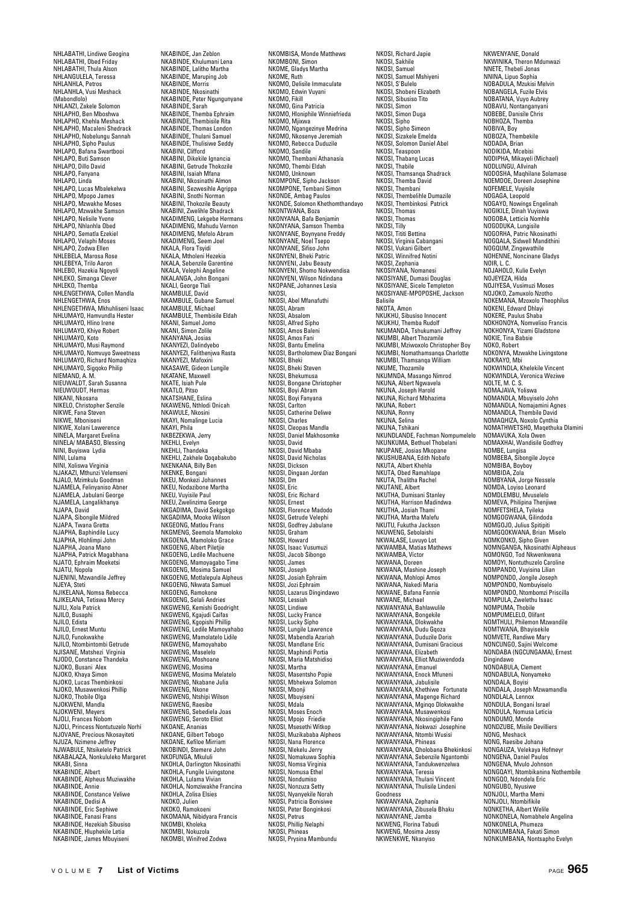NHLABATHI, Lindiwe Geogina NHLABATHI, Obed Friday NHLABATHI, Thula Alson NHLANGULELA, Teressa NHLANHLA, Petros NHLANHLA, Vusi Meshack (Mabondlolo) NHLANZI, Zakele Solomon NHLAPHO, Ben Mboshwa NHLAPHO, Khehla Meshack NHLAPHO, Macaleni Shedrack NHLAPHO, Nobelungu Sannah NHLAPHO, Sipho Paulus NHLAPO, Bafana Swartbooi NHLAPO, Buti Samson NHLAPO, Dillo David NHLAPO, Fanyana NHLAPO, Linda NHLAPO, Lucas Mbalekelwa NHLAPO, Mpopo James NHLAPO, Mzwakhe Moses NHLAPO, Mzwakhe Samson NHLAPO, Nelisile Yvone NHLAPO, Nhlanhla Obed NHLAPO, Sematla Ezekiel NHLAPO, Velaphi Moses NHLAPO, Zodwa Ellen NHLEBELA, Marosa Rose NHLEBEYA, Trilo Aaron NHLEBO, Hazekia Ngoyoli NHLEKO, Simanga Clever NHLEKO, Themba NHLENGETHWA, Collen Mandla NHLENGETHWA, Enos NHLENGETHWA, Mkhuhliseni Isaac NHLUMAYO, Hamvundla Hester NHLUMAYO, Hlino Irene NHLUMAYO, Khiye Robert NHLUMAYO, Koto NHLUMAYO, Musi Raymond NHLUMAYO, Nomvuyo Sweetness NHLUMAYO, Richard Nomaqhiza NHLUMAYO, Sigqoko Philip NIEMAND, A. M. NIEUWALDT, Sarah Susanna NIEUWOUDT, Hermas NIKANI, Nkosana NIKELO, Christopher Senzile NIKWE, Fana Steven NIKWE, Mboniseni NIKWE, Xolani Lawerence NINELA, Margaret Evelina NINELA/ MABASO, Blessing NINI, Buyiswa Lydia NINI, Lulama NINI, Xoliswa Virginia NJAKAZI, Mthunzi Velemseni NJALO, Mzimkulu Goodman NJAMELA, Felinyaniso Abner NJAMELA, Jabulani George NJAMELA, Langalikhanya NJAPA David NJAPA, Sibongile Mildred NJAPA, Twana Gretta NJAPHA, Baphindile Lucy NJAPHA, Hlohlimpi John NJAPHA, Joana Mano NJAPHA, Patrick Magabhana NJATO, Ephraim Moeketsi NJATU, Nopola NJENINI, Mzwandile Jeffrey NJEYA, Steti NJIKELANA, Nomsa Rebecca NJIKELANA, Tetiswa Mercy NJILI, Xola Patrick NJILO, Busaphi NJILO, Edista NJILO, Ernest Muntu NJILO, Funokwakhe NJILO, Ntombintombi Getrude NJISANE, Matshezi Virginia NJODO, Constance Thandeka NJOKO, Busani Alex NJOKO, Khaya Simon NJOKO, Lucas Thembinkosi NJOKO, Musawenkosi Phillip NJOKO, Thobile Olga NJOKO, mobile Oly NJOKWENI, Meyers NJOLI, Frances Nobom NJOLI, Princess Nontutuzelo Norhi NJOVANE, Precious Nkosayit NJUZA, Nzimene Jeffrey NJWABULE, Ntsikelelo Patrick NKABALAZA, Nonkululeko Margaret NKABI, Sinna NKABINDE, Albert NKABINDE, Alpheus Muziwakhe NKABINDE, Annie NKABINDE, Constance Veliwe NKABINDE, Dedisi A NKABINDE, Eric Sephiwe NKABINDE, Fanasi Frans NKABINDE, Hezekiah Sibusiso NKABINDE, Hezekian Sibusis<br>NKABINDE, Hluphekile Letia NKABINDE, James Mbuyiseni

NKABINDE, Jan Zeblon NKABINDE, Khulumani Lena NKABINDE, Lalitho Martha NKABINDE, Maruping Job NKABINDE, Morris NKABINDE, Nkosinathi NKABINDE, Peter Ngungunyane NKABINDE, Sarah NKABINDE, Themba Ephraim NKABINDE, Thembisile Rita NKABINDE, Thomas London NKABINDE, Thulani Samuel NKABINDE, Thulisiwe Seddy NKABINI, Clifford NKABINI, Dikekile Ignancia NKABINI, Getrude Thokozile NKABINI, Isaiah Mfana NKABINI, Nkosinathi Almon NKABINI, Sezwesihle Agrippa NKABINI, Snothi Norman NKABINI, Thokozile Beauty NKABINI, Zwelihle Shadrack NKADIMENG, Lekgebe Hermans NKADIMENG, Mahudu Vernon NKADIMENG, Mefolo Abram NKADIMENG, Seem Joel NKALA, Flora Tsyidi NKALA, Mtholeni Hezekia NKALA, Sebenzile Garentine NKALA, Velephi Angeline NKALANGA, John Bongani NKALI, George Tlali NKAMBULE, David NKAMBULE, Gubane Samuel NKAMBULE, Michael NKAMBULE, Thembisile Eldah NKANI, Samuel Jomo NKANI, Simon Zolile NKANYANA, Josias NKANYEZI, Dalindyebo NKANYEZI, Falithenjwa Rasta NKANYEZI, Mafoxini NKANTLEL, Maluxiill NKATANE, Maxwell NKATE, Isiah Pule NKATLO, Pitso NKATSHANE, Eslina NKAWENG, Nthlodi Onicah NKAWULE, Nkosini NKAYI, Nomalinge Lucia NKAYI, Phila NKREZEKWA, Jem NKEHLI, Evelyn NKEHLI, Thandeka NKEHLI, Zakhele Qoqabakubo NKENKANA, Billy Ben NKENKE, Bongani NKEU, Monkezi Johannes NKEU, Nodazibone Martha NKEU, Vuyisile Paul NKEU, Zwelinzima George NKGADIMA, David Sekgokgo NKGADIMA, Mooke Wilson NKGEONG, Matlou Frans NKGMENG, Seemola Mamoloko NKGOENA, Mamoloko Grace NKGOENG, Albert Piletjie NKGOENG, Ledile Machuene NKGOENG, Mamoyagabo Time NKGOENG, Mosima Samuel NKGOENG, Motlalepula Alpheus NKGOENG, Nkwata Samuel NKGOENG, Ramokone NKGOENG, Selali Andries NKGWENG, Kemishi Goodright NKGWENG, Kgajudi Caifas NKGWENG, Kgopishi Phillip NKGWENG, Ledile Mamoyahabo NKGWENG, Mamolatelo Lidile NKGWENG, Mamoyahabo NKGWENG, Maselelo NKGWENG, Mascicio NKGWENG, Mosima NKGWENG, Mosima Melatelo NKGWENG, Nkabane Julia NKGWENG, Nkone NKGWENG, Ntshipi Wilson NKGWENG, Raesibe NKGWENG, Sebediela Joas NKGWENG, Seroto Elliot NKOANE, Ananias NKOANE, Gilbert Tebogo NKOANE, Kefiloe Mirriam NKOBINDI, Stemere John NKOFUNGA, Mkululi NKOHLA, Darlington Nkosinathi NKOHLA, Fungile Livingstone NKOHLA, Lulama Vivian NKOHLA, Nomziwakhe Francina NKOHLA, Zolisa Elsies NKOKO, Julien NKOKO, Ramokoeni NKOMANA, Nibidyara Francis NKOMBI, Kholeka NKOMBI, Nokuzola

NKOMBISA, Monde Matthews NKOMBONI, Simon NKOME, Gladys Martha NKOME, Ruth NKOMO, Delisile Immaculate NKOMO, Edwin Vuyani NKOMO, Fikill NKOMO, Gina Patricia NKOMO, Hloniphile Winniefrieda NKOMO, Mjixwa NKOMO, Ngangezinye Medrina NKOMO, Nkosenye Jeremiah NKOMO, Rebecca Duduzile NKOMO, Sandile NKOMO, Thembani Athanasia NKOMO, Thembi Eldah NKOMO, Unknown NKOMPONE, Sipho Jackson NKOMPONE, Tembani Simon NKONDE, Ambag Paulos NKONDE, Solomon Khethomthandayo NKONTWANA, Boza NKONYANA, Bafa Benjamin NKONYANA, Samson Themba NKONYANE, Boynyane Freddy NKONYANE, Noel Tsepo NKONYANE, Sifiso John NKONYENI, Bheki Patric NKONYENI, Jabu Beauty NKONYENI, Shomo Nokwendisa NKONYENI, Wilson Ndindana NKOPANE, Johannes Lesia NKOSI, NKOSI, Abel Mfanafuthi NKOSI, Abram NKOSI, Absalom NKOSI, Alfred Sipho NKOSI, Amos Baleni NKOSI, Amos Fani NKOSI, Bantu Emelina NKOSI, Bartholomew Diaz Bongani NKOSI, Bheki NKOSI, Bheki Steven NKOSI, Bhekumusa NKOSI, Bongane Christopher NKOSI, Boyi Abram NKOSI, Boyi Fanyana NKOSI, Carlton NKOSI, Catherine Deliwe NKOSI, Charles NKOSI, Cleopas Mandla NKOSI, Daniel Makhosomke NKOSI, David NKOSI, David Mbaba NKOSI, David Nicholas NKOSI, Dickson NKOSI, Dingaan Jordan NKOSI, Dm NKOSI, Eric NKOSI, Eric Richard NKOSI, Ernest NKOSI, Florence Madodo NKOSI, Getrude Velephi NKOSI, Godfrey Jabulane NKOSI, Graham NKOSI, Howard NKOSI, Isaac Vusumuzi NKOSI, Jacob Sibongo NKOSI, James NKOSI, Joseph NKOSI, Josiah Ephraim NKOSI, Jozi Ephraim NKOSI, Lazarus Dingindawo NKOSI, Lessiah NKOSI, Lindiwe NKOSI, Lucky France NKOSI, Lucky Sipho NKOSI, Lungile Lawrence NKOSI, Mabendla Azariah NKOSI, Mandlane Eric NKOSI, Maphindi Portia NKOSI, Maria Matshidiso NKOSI, Martha NKOSI, Masentsho Popie NKOSI, Mbhekwa Solomon NKOSI, Mbonji NKOSI, Mbuyiseni NKOSI, Mdala NKOSI, Moses Enoch NKOSI, Mpojo Friedie NKOSI, Msesethi Witkop NKOSI, Muzikababa Alpheos NKOSI, Nana Florence NKOSI, Nlekelu Jerry NKOSI, Nomakuwa Sophia NKOSI, Nomsa Virginia NKOSI, Nomusa Ethel NKOSI, Nondumiso NKOSI, Nonzuza Setty NKOSI, Nyanyekile Norah NKOSI, Patricia Bonisiwe NKOSI, Peter Bonginkosi NKOSI, Petrus NKOSI, Phillip Nelaphi NKOSI, Phineas NKOSI, Prysina Mambundu

NKOSI, Richard Japie NKOSI, Sakhile NKOSI, Samuel NKOSI, Samuel Mshiyeni NKOSI, S'Bulelo NKOSI, Shobeni Elizabeth NKOSI, Sibusiso Tito NKOSI, Simon NKOSI, Simon Duga NKOSI, Sipho NKOSI, Sipho Simeon NKOSI, Sizakele Emelda NKOSI, Solomon Daniel Abel NKOSI, Teaspoon NKOSI, Thabang Lucas NKOSI, Thabile NKOSI, Thamsanqa Shadrack NKOSI, Themba David NKOSI, Thembani NKOSI, Thembelihle Dumazile NKOSI, Thembinkosi Patrick NKOSI, Thomas NKOSI, Thomas NKOSI, Tilly NKOSI, Tititi Bettina NKOSI, Virginia Cabangani NKOSI, Vukani Gilbert NKOSI, Winnifred Notini NKOSI, Zephania NKOSIYANA, Nomanesi NKOSIYANE, Dumasi Douglas NKOSIYANE, Sicelo Templeton NKOSIYANE-MPOPOSHE, Jackson Balisile NKOTA, Amon NKUKHU, Sibusiso Innocent NKUKHU, Themba Rudolf NKUMANDA, Tshukumani Jeffrey NKUMBI, Albert Thozamile NKUMBI, Mziwoxolo Christopher Boy NKUMBI, Nomathamsanqa Charlotte NKUMBI, Thamsanqa William NKUME, Thozamile NKUMNDA, Masango Nimrod NKUNA, Albert Ngwavela NKUNA, Joseph Harold NKUNA, Richard Mbhazima NKUNA, Robert NKUNA, Ronny NKUNA, Selina NKUNA, Tshikani NKUNDLANDE, Fachman Nompumelelo NKUNKUMA, Bethuel Thobelani NKUPANE, Josias Mkopane NKUSHUBANA, Edith Nobafo NKUTA, Albert Khehla NKUTA, Obed Ramahlape NKUTA, Thalitha Rachel NKUTANE, Albert NKUTHA, Dumisani Stanley NKUTHA, Harrison Madindwa NKUTHA, Josiah Thami NKUTHA, Martha Malefu **NKUTU, Fukutha Jackson**<br>NKUWENG Seholaishi NKUWENG, Sebolaishi NKWALASE, Luvuyo Lot NKWAMBA, Matias Mathews NKWAMBA, Victor NKWANA, Doreen NKWANA, Mashine Joseph NKWANA, Mohlopi Amos NKWANA, Nakedi Maria NKWANE, Bafana Fannie NKWANE, Michael NKWANYANA, Bahlawulile NKWANYANA, Bongekile NKWANYANA, Dlokwakhe NKWANYANA, Dudu Gqoza NKWANYANA, Duduzile Doris NKWANYANA, Dumisani Gracious NKWANYANA, Elizabeth NKWANYANA, Elliot Muziwendoda NKWANYANA, Emanuel NKWANYANA, Enock Mfuneni NKWANYANA, Jabulisile NKWANYANA, Khethiwe Fortunate NKWANYANA, Magenge Richard NKWANYANA, Mginqo Dlokwakhe NKWANYANA, Musawenkosi NKWANYANA, Nkosingiphile Fano NKWANYANA, Nokwazi Josephine NKWANYANA, Ntombi Wusisi NKWANYANA, Phineas NKWANYANA, Qholobana Bhekinkosi NKWANYANA, Sebenzile Ngantombi NKWANYANA, Tandukwenzelwa NKWANYANA, Teresia NKWANYANA, Thulani Vincent NKWANYANA, Thulisile Lindeni Goodness NKWANYANA, Zephania NKWANYANA, Zibusela Bhaku NKWANYANE, Jamba NKWENG, Florina Tabudi NKWENG, Mosima Jessy NKWENKWE, Nkanyiso

NKWENYANE, Donald NKWINIKA, Theron Mdunwazi NNETE, Thebeli Jonas NNINA, Lipuo Sophia NOBADULA, Mzukisi Melvin NOBANGELA, Fuzile Elvis NOBATANA, Vuyo Aubrey NOBAVU, Nontanganyani NOBEBE, Danisile Chris NOBHOZA, Themba NOBIVA, Boy NOBOZA, Thembekile NODADA, Brian NODIKIDA, Mcebisi NODIPHA, Mikayeli (Michael) NODLUNGU, Allvinah NODOSHA, Maqhilane Solamase NOEMDOE, Doreen Josephine NOFEMELE, Vuyisile NOFEMELE, VUYISI NOGAYO, Nowings Engelinah NOGIKILE, Dinah Vuyiswa NOGOBA, Letticia Nomhle NOGODUKA, Lungisile NOGORHA, Patric Nkosinathi NOGQALA, Sidwell Mandithini NOGQUM, Zingewathile NOHENNE, Noncinane Gladys NOIR, L. C. NOJAHOLO, Kulie Evelyn NOJEYEZA, Hilda NOJIYESA, Vusimuzi Moses NOJOKO, Zamuxolo Nzotho NOKEMANA, Mzoxolo Theophilus NOKENI, Edward Dhlayi NOKERE, Paulus Shaba NOKHONOYA, Nomveliso Francis NOKHONYA, Yizami Gladstone NOKIE, Tina Babsie NOKO, Robert NOKONYA, Mzwakhe Livingstone NOKRAYO, Mbi NOKWINDLA, Khelekile Vincent NOKWINDLA, Veronica Weziwe NOLTE, M. C. S. NOMAJAVA, Yoliswa NOMANDLA, Mbuyiselo John NOMANDLA, Nomajamini Agnes NOMANDLA, Thembile David NOMAQHIZA, Noxolo Cynthia NOMATHWETSHO, Maqethuka Dlamini NOMAVUKA, Xola Owen NOMAXHAI, Wandisile Godfrey NOMBE, Lungisa NOMBEBA, Sibongile Joyce NOMBIBA, Boyboy NOMBIDA, Zola NOMBYANA, Jorge Nessele NOMDA, Loyiso Leonard NOMDLEMBU, Mvuselelo NOMEVA, Philipina Thenjiwe NOMFETSHELA, Tyileka NOMGOGWANA, Gilindoda NOMGOJO, Julius Spitipiti NOMGOOKWANA, Brian Miselo NOMKONKO, Sipho Given NOMNGANGA, Nkosinathi Alpheaus NOMONGO, Tod Nkwenkwana NOMOYI, Nontuthuzelo Caroline NOMPANDO, Vuyisina Lilian NOMPONDO, Jongile Joseph NOMPONDO, Nombuyiselo NOMPONDO, Ntombomzi Priscilla NOMPULA, Zwelethu Isaac NOMPUMA, Thobile NOMPUMELELO, Olifant NOMTHULI, Philemon Mzwandile NOMTWANA, Bhayisekile NOMVETE, Randiwe Mary NONCUNGO, Sajini Welcome NONDABA (NGCUNGAMA), Ernest Dingindawo NONDABULA, Clement NONDABULA, Nonyameko NONDALA, Boyisi NONDALA, Joseph Mzwamandla NONDLALA, Lennox NONDULA, Bongani Israel NONDULA, Nomusa Leticia NONDUMO, Monde NONDZUBE, Misile Devilliers NONG, Meshack NONG, Raesibe Johana NONGAUZA, Velekaya Hofmeyr NONGENA, Daniel Paulos NONGENA, Mvulo Johnson NONGQAYI, Ntombikanina Nothembile NONGQO, Ndondela Eric NONGUBO, Nyusiwe NONJOLI, Martha Memi NONJOLI, Ntombifikile NONKETHA, Albert Welile NONKONELA, Nomabhele Angelina NONKONELA, Phumeza NONKUMBANA, Fakati Simon

NKOMBI, Winifred Zodwa

NONKUMBANA, Nontsapho Evelyn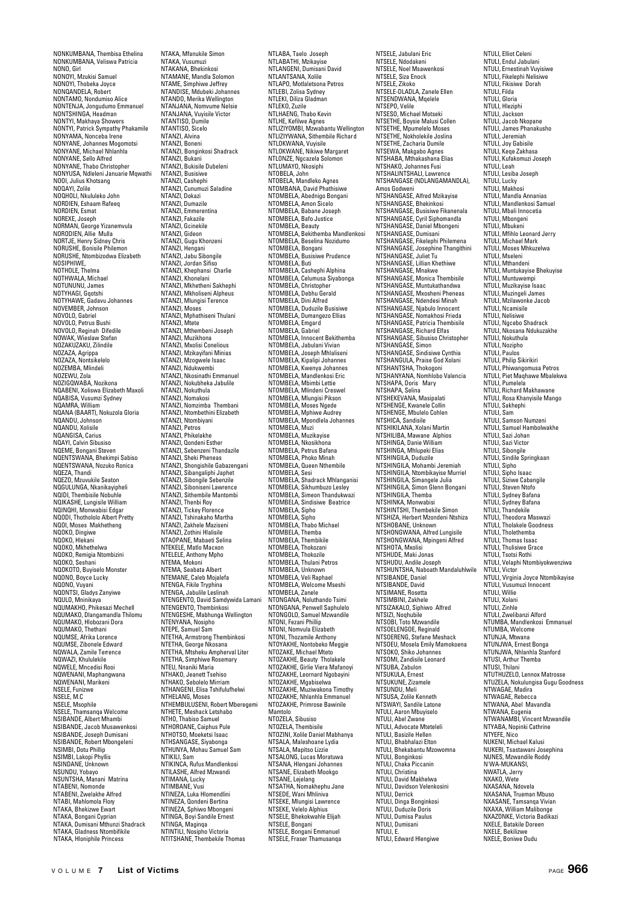NONKUMBANA, Thembisa Ethelina NONKUMBANA, Veliswa Patricia NONO, Girl NONOYI, Mzukisi Samuel NONOYI, Thobeka Joyce NONQANDELA, Robert NONTAMO, Nondumiso Alice NONTENJA, Jongudumo Emmanuel NONTSHINGA, Headman NONTYI, Makhaya Showers NONTYI, Patrick Sympathy Phakamile NONYAMA, Nonceba Irene NONYANE, Johannes Mogomotsi NONYANE, Michael Nhlanhla NONYANE, Sello Alfred NONYANE, Thabo Christopher NONYUSA, Ndleleni Januarie Mqwathi NOOI, Julius Khotsang NOQAYI, Zolile NOQHOLI, Nkululeko John NORDIEN, Eshaam Rafeeq NORDIEN, Esmat NOREXE, Joseph NORMAN, George Yizanemvula NORODIEN, Allie Mulla NORTJE, Henry Sidney Chris NORUSHE, Bonisile Philemon NORUSHE, Ntombizodwa Elizabeth NOSIPHIWE, NOTHOLE, Thelma NOTHWALA, Michael NOTUNUNU, James NOTYHAGI, Gqotshi NOTYHAWE, Gadavu Johannes NOVEMBER, Johnson NOVOLO, Gabriel NOVOLO, Petrus Bushi NOVOLO, Reginah Difedile NOWAK, Wieslaw Stefan NOZAKUZAKU, Zilindile NOZAZA, Agrippa NOZAZA, Nontsikelelo NOZEMBA, Mlindeli NOZEWU, Zola NOZIGQWABA, Nozikona NQABENI, Xoliswa Elizabeth Maxoli NQABISA, Vusumzi Sydney NQAMRA, William NQANA (BAART), Nokuzola Gloria NQANDU, Johnson NQANDU, Xolisile NQANGISA, Carius NQAYI, Calvin Sibusiso NQEME, Bongani Steven NQENTSWANA, Bhekimpi Sabiso NQENTSWANA, Nozuko Ronica NQEZA, Thandi NQEZO, Mzuvukile Seaton NQGULUNGA, Nkanikayipheli NQIDI, Thembisile Nobuhle NQIKASHE, Lungisile William NQINQHI, Monwabisi Edgar NQODI, Thothololo Albert Pretty NQOI, Moses Makhetheng NQOKO, Dingiwe NOOKO, Hlekani NQOKO, Mkhethelwa NQOKO, Remigia Ntombizini NQOKO, Seshani NQOKOTO, Buyiselo Monster NQONO, Boyce Lucky NQONO, Vuyani NQONTSI, Gladys Zanyiwe NQULO, Mninikaya NQUMAKHO, Phikesazi Mechell NQUMAKO, Dlangamandla Thilomu NQUMAKO, Hlobozani Dora NQUMAKO, Thethani NQUMSE, Afrika Lorence NQUMSE, Zibonele Edward NQWALA, Zamile Terrence NQWAZI, Khululekile NQWELE, Mncedisi Rooi NQWENANI, Maphangwana NQWENANI, Marikeni NSELE, Funizwe NSELE, M.C NSELE, Msophile NSELE, Thamsanqa Welcome NSIBANDE, Albert Mhambi NSIBANDE, Jacob Musawenkosi NSIBANDE, Joseph Dumisani NSIBANDE, Robert Mbongeleni NSIMBI, Dotu Phillip NSIMBI, Lakopi Phyllis NSINDANE, Unkno NSUNDU, Yobayo NSUNTSHA, Manani Matrina NTABENI, Nomonde NTABENI, Zwelakhe Alfred NTABI, Mahlomola Flory NTAKA, Bhekizwe Ewart NTAKA, Bongani Cyprian NTAKA, Dumisani Mthunzi Shadrack NTAKA, Gladness Ntombifikile NTAKA, Hloniphile Princess

NTAKA, Mfanukile Simon NTAKA, Vusumuzi NTAKANA, Bhekinkosi NTAMANE, Mandla Solomon NTAME, Simphiwe Jeffrey NTANDISE, Mdubeki Johannes NTANDO, Merika Wellington NTANJANA, Nomvume Nelsie NTANJANA, Vuyisile Victor NTANTISO, Dumile NTANTISO, Sicelo NTANZI, Alvina NTANZI, Boneni NTANZI, Bonginkosi Shadrack NTANZI, Bukani NTANZI, Bukisile Dubeleni NTANZI, Busisiwe NTANZI, Cashephi NTANZI, Cunumuzi Saladine NTANZI, Dokazi NTANZI, Dumazile NTANZI, Emmerentina<br>NTANZI, Emmerentina<br>NTANZI, Eakazile NTANZI, Fakazile NTANZI, Gcinekile NTANZI, Gideon NTANZI, Gugu Khonzeni NTANZI, Hengani NTANZI, Jabu Sibongile NTANZI, Jordan Sifiso NTANZI, Khephansi Charlie NTANZI, Khonelani NTANZI, Mkhetheni Sakhephi NTANZI, Mkholiseni Alpheus NTANZI, Mlungisi Terence NTANZI, Moses NTANZI, Mphathiseni Thulani NTANZI, Mtete NTANZI, Mthembeni Joseph NTANZI, Muzikhona NTANZI, Mxolisi Conelious NTANZI, Mzikayifani Minias NTANZI, Mzogwele Isaac NTANZI, Ndukwembi NTANZI, Nkosinathi Emmanuel NTANZI, Nokubheka Jabulile NTANZI, Nokuthula NTANZI, Nomakosi NTANZI, Nomzimba Thembani NTANZI, Ntombethini Elizabeth NTANZI, Ntombiyani NTANZI, Petros NTANZI, Phikelakhe NTANZI, Qondeni Esther NTANZI, Sebenzeni Thandazile NTANZI, Sheki Pheneas NTANZI, Shongishile Gabazengani NTANZI, Sibangaliphi Japhet NTANZI, Sibongile Sebenzile NTANZI, Siboniseni Lawrence NTANZI, Sithembile Mantombi NTANZI, Thenbi Roy NTANZI, Tickey Florence NTANZI, Tshinakaho Martha NTANZI, Zakhele Maziseni NTANZI, Zothini Hlalisile NTAOPANE, Mabaeti Selina NTEKELE, Matlo Macxon NTELELE, Anthony Mpho NTEMA, Mokoni NTEMA, Seabata Albert NTEMANE, Caleb Mojalefa NTENGA, Fikile Tryphina NTENGA, Jabulile Leslinah NTENGENTO, David Samdywida Lamani NTENGENTO, Thembinkosi NTENGESHE, Mabhunga Wellington NTENYANA, Nosipho NTEPE, Samuel Sam NTETHA, Armstrong Thembinkosi NTETHA, George Nkosana NTETHA, Mtsheku Ampherval Liter NTETHA, Simphiwe Rosemary NTEU, Nnaniki Maria NTHAKO, Jeanett Tsehiso NTHAKO, Sebolelo Mirriam NTHANGENI, Elisa Tshifulufhelwi NTHELANG, Moses NTHEMBULUSENI, Robert Mberegemi NTHETE, Meshack Letshabo NTHO, Thabiso Samuel NTHOROANE, Caiphus Pule NTHOTSO, Moeketsi Isaac NTHSANGASE, Siyabonga NTHUNYA, Mohau Samuel Sam NTIKILI, Sam NTIKINCA, Rufus Mandlenkosi NTILASHE, Alfred Mzwandi NTIMANA, Lucky NTIMBANE, Vusi NTINEZA, Luka Hlomendlini NTINEZA, Qondeni Bertina NTINEZA, Sphiwo Mbongeni NTINGA, Boyi Sandile Ernest NTINGA, Maginqa NTINTILI, Nosipho Victoria NTITSHANE, Thembekile Thomas

NTLABA, Taelo Joseph NTLABATHI, Mzikayise NTLANGENI, Dumisani David NTLANTSANA, Xolile NTLAPO, Motlaletsona Petros NTLEBI, Zolisa Sydney NTLEKI, Diliza Gladman<br>NTLEKI, Diliza Gladman NTLEKO, Zuzile<br>NTLHAENG, Thabo Kevin<br>NTLHE, Kefilwe Agnes<br>NTLIZIYOMBI, Mzwabantu Wellington<br>NTLIZIYWANA, Sithembile Richard NTLOKWANA, Vuyisile NTLOKWANE, Nikiwe Margaret NTLONZE, Ngcazela Solomon NTLUMAYO, Nkosiphi NTOBELA, John NTOBELA, Mandleko Agnes NTOMBANA, David Phathisiwe NTOMBELA, Abednigo Bongani NTOMBELA, Amon Sicelo NTOMBELA, Babane Joseph NTOMBELA, Bafo Justice NTOMBELA, Beauty NTOMBELA, Bekithemba Mandlenkosi NTOMBELA, Beselina Nozidumo NTOMBELA, Bongani NTOMBELA, Busisiwe Prudence NTOMBELA, Buti NTOMBELA, Cashephi Alphina NTOMBELA, Celumusa Siyabonga NTOMBELA, Christopher NTOMBELA, Dinistopher<br>NTOMBELA, Debhu Gerald<br>NTOMBELA, Dini Alfred NTOMBELA, Dini Alfred NTOMBELA, Duduzile Busisiwe NTOMBELA, Dumangezo Ellias NTOMBELA, Emgard NTOMBELA, Gabriel NTOMBELA, Innocent Bekithemba NTOMBELA, Jabulani Vivian NTOMBELA, Joseph Mhlaliseni<br>NTOMBELA, Joseph Mhlaliseni NTOMBELA, Kipalipi Johannes NTOMBELA, Kwenya Johannes NTOMBELA, Mandlenkosi Eric NTOMBELA, Mbimbi Lettie NTOMBELA, Mlindeni Creswel NTOMBELA, Mlungisi Pikson NTOMBELA, Moses Ngede NTOMBELA, Mphiwe Audrey NTOMBELA, Mpondlela Johannes NTOMBELA, Muzi NTOMBELA, Muzikayise NTOMBELA, Nkosikhona NTOMBELA, Petrus Bafana NTOMBELA, Phoko Minah NTOMBELA, Queen Nthembile NTOMBELA, Sesi NTOMBELA, Shadrack Mhlanganisi NTOMBELA, Sikhumbuzo Lesley NTOMBELA, Simeon Thandukwazi NTOMBELA, Sindisiwe Beatrice NTOMBELA, Sipho NTOMBELA, Sipho NTOMBELA, Thabo Michael NTOMBELA, Themba NTOMBELA, Thembikile NTOMBELA, Thokozani NTOMBELA, Thokozile NTOMBELA, Thulani Petros NTOMBELA, Unknown NTOMBELA, Veli Raphael NTOMBELA, Welcome Mseshi NTOMBELA, Zanele NTONGANA, Noluthando Tsimi NTONGANA, Penwell Saphulelo NTONGOLO, Samuel Mzwandile NTONI, Fezani Phillip NTONI, Nomvula Elizabeth NTONI, Thozamile Anthony NTOYAKHE, Nontobeko Meggie NTOZAKE, Michael Mteto NTOZAKHE, Beauty Tholakele NTOZAKHE, Girlie Viera Mafanoyi NTOZAKHE, Leornard Ngobayini NTOZAKHE, Mgabiselwa NTOZAKHE, Muziwakona Timothy NTOZAKHE, Nhlanhla Emmanuel NTOZAKHE, Primrose Bawinile Mamtolo NTOZELA, Sibusiso NTOZELA, Thembisile NTOZINI, Xolile Daniel Mabhanya NTSALA, Maleshoane Lydia NTSALA, Mapitso Lizzie NTSALONG, Lucas Moratuwa NTSANA, Hlengani Johannes NTSANE, Elizabeth Mookgo NTSANE, Lejelang NTSATHA, Nomakhephu Jane NTSEDE, Wani Mhliniva NTSEKE, Mlungisi Lawrence NTSEKE, Velelo Alphius NTSELE, Bhekokwahle Elijah NTSELE, Bongani NTSELE, Bongani Emmanuel NTSELE, Fraser Thamusanqa

NTSELE, Jabulani Eric NTSELE, Ndodakeni NTSELE, Noel Msawenkosi NTSELE, Siza Enock NTSELE, Zikoko NTSELE-DLADLA, Zanele Ellen NTSENDWANA, Mqelele NTSEPO, Velile NTSESO, Michael Motseki NTSETHE, Boysie Malusi Collen NTSETHE, Mpumelelo Moses NTSETHE, Nokholekile Joslina NTSETHE, Zacharia Dumile NTSEWA, Makgabo Agnes NTSHABA, Mthakashana Elias NTSHAKO, Johannes Fusi NTSHALINTSHALI, Lawrence NTSHANGASE (NDLANGAMANDLA), Amos Godweni NTSHANGASE, Alfred Mzikayise NTSHANGASE, Bhekinkosi NTSHANGASE, Busisiwe Fikanenala NTSHANGASE, Cyril Siphomandla NTSHANGASE, Daniel Mbongeni NTSHANGASE, Dumisani NTSHANGASE, Fikelephi Philemena NTSHANGASE, Josephine Thangithini NTSHANGASE, Juliet Tu NTSHANGASE, Lillian Khethiwe NTSHANGASE, Mnakwe NTSHANGASE, Monica Thembisile NTSHANGASE, Muntukathandwa NTSHANGASE, Mxosheni Pheneas NTSHANGASE, Ndendesi Minah NTSHANGASE, Njabulo Innocent NTSHANGASE, Nomakhosi Frieda NTSHANGASE, Patricia Thembisile NTSHANGASE, Richard Elfas NTSHANGASE, Sibusiso Christopher NTSHANGASE, Simon NTSHANGASE, Sindisiwe Cynthia NTSHANGULA, Praise God Xolani NTSHANTSHA, Thaise God NTSHANYANA, Nomhlobo Valencia NTSHAPA, Doris Mary NTSHAPA, Selina NTSHEKEVANA, Masipalati NTSHENGE, Kwanele Collin NTSHENGE, Mbulelo Cohlen NTSHICA, Sandisile NTSHIKILANA, Xolani Martin NTSHILIBA, Mawane Alphios NTSHINGA, Danie William NTSHINGA, Mhlupeki Elias NTSHINGILA, Duduzile NTSHINGILA, Mohambi Jeremiah NTSHINGILA, Ntombikayise Murriel NTSHINGILA, Simangele Julia<br>NTSHINGILA, Simon Glenn Bongani<br>NTSHINGILA, Themba<br>NTSHINKA, Monwabisi<br>NTSHINTSHI, Thembekile Simon NTSHIZA, Herbert Mzondeni Ntshiza NTSHOBANE, Unknown NTSHONGWANA, Alfred Lungisile NTSHONGWANA, Mpingeni Alfred NTSHOTA, Mxolisi NTSHUDE, Maki Jonas NTSHUDU, Andile Joseph NTSHUNTSHA, Naboath Mandaluhlwile NTSIBANDE, Daniel NTSIBANDE, David NTSIMANE, Rosetta NTSIMBINI, Zakhele NTSIZAKALO, Siphiwo Alfred NTSIZI, Noqhubile NTSOBI, Toto Mzwandile NTSOELENGOE, Reginald NTSOERENG, Stefane Meshack NTSOEU, Mosela Emily Mamokoena NTSOKO, Shiko Johannes NTSOMI, Zandisile Leonard NTSUBA, Zabulon NTSUKULA, Ernest NTSUKUNE, Zizamele NTSUNDU, Meli NTSUSA, Zolile Kenneth NTSWAYI, Sandile Latone NTULI, Aaron Mbuyiselo NTULI, Abel Zwane NTULI, Advocate Mteteleli NTULI, Basizile Hellen NTULI, Bhabhalazi Elton NTULI, Bhekabantu Mzowomna NTULI, Bonginkosi NTULI, Chaka Piccanin NTULI, Christina NTULI, David Makhelwa NTULI, Davidson Velenkosini NTULI, Derrick NTULI, Dinga Bonginkosi NTULI, Duduzile Doris NTULI, Dumisa Paulus NTULI, Dumisani NTULI, E. NTULI, Edward Hlengiwe

NTULI, Elliot Celeni NTULI, Endul Jabulani NTULI, Ernestinah Vuyisiwe NTULI, Fikelephi Nelisiwe NTULI, Fikisiwe Dorah NTULI, Filda NTULI, Gloria NTULI, Hleziph NTULI, Jackson NTULI, Jacob Nkopane NTULI, James Phanakusho NTULI, Jeremiah NTULI, Joy Gabisile NTULI, Keqe Zakhasa NTULI, Kufakomuzi Joseph NTULI, Leah NTULI, Lesiba Joseph NTULI, Lucky NTULI, Makhosi NTULI, Mandla Annanias NTULI, Mandlenkosi Samuel NTULI, Mbali Innocetia NTULI, Mbongeni NTULI, Mbukeni NTULI, Mfihlo Leonard Jerry NTULI, Michael Mark NTULI, Moses Mhkuzelwa NTULI, Mseleni NTULI, Mthandeni NTULI, Muntukayise Bhekuyise NTULI, Muntuwempi NTULI, Muzikayise Isaac NTULI, Muzingeli James<br>NTULI, Muzingeli James NTULI, Mzilawonke Jacob NTULI, Ncamisile NTULI, Nelisiwe NTULI, Ngcebo Shadrack NTULI, Nkosana Ndukuzakhe NTULI, Nokuthula NTULI, Nozipho NTULI, Paulos NTULI, Philip Sikirikiri NTULI, Phiwangomusa Petros NTULI, Piet Maqhawe Mbalekwa NTULI, Pumelela NTULI, Richard Makhawane NTULI, Rosa Khanyisile Mango NTULI, Sakhephi NTULI, Sam NTULI, Samson Numzeni NTULI, Samuel Hambolwakhe NTULI, Sazi Johan NTULI, Sazi Jona<br>NTULI, Sazi Victo NTULI, Sibongile NTULI, Sindile Springkaan NTULI, Sipho NTULI, Sipho Isaac NTULI, Siziwe Cabangile NTULI, Steven Ntofo NTULI, Sydney Bafana NTULI, Sydney Bafana NTULI, Thandekile NTULI, Theodora Maswazi NTULI, Tholakele Goodness NTULI, Tholethemba NTULI, Thomas Isaac NTULI, Thulisiwe Grace NTULI, Tsotsi Rothi NTULI, Velaphi Ntombiyokwenziwa NTULI, Victor NTULI, Virginia Joyce Ntombikayise NTULI, Vusumuzi Innocent NTULI, Willie NTULI, Xolani NTULI, Zinhle NTULI, Zwelibanzi Alford NTUMBA, Mandlenkosi Emmanuel NTUMBA, Welcome NTUNJA, Mtwana NTUNJWA, Ernest Bonga NTUNJWA, Nhlanhla Stanford NTUSI, Arthur Themba NTUSI, Thilani NTUTHUZELO, Lennox Matrosse NTUZELA, Nokulungisa Gugu Goodness NTWAGAE, Madira NTWAGAE, Rebecca NTWANA, Abel Mavandla NTWANA, Eugenia NTWANAMBI, Vincent Mzwandile NTYABA, Nopinki Cathrine NTYEFE, Nico NUKENI, Michael Kalusi NUKERI, Tsastawani Jos NUNES, Mzwandile Roddy N'WA-MUKANSI, NWATLA, Jerry NXAKO, Wete NXASANA, Ndovela NXASANA, Trueman Mbuso NXASANE, Tamsanqa Vivian NXAXA, William Malibonge NXAZONKE, Victoria Badikazi NXELE, Batakile Doreen NXELE, Bekilizwe NXELE, Boniwe Dudu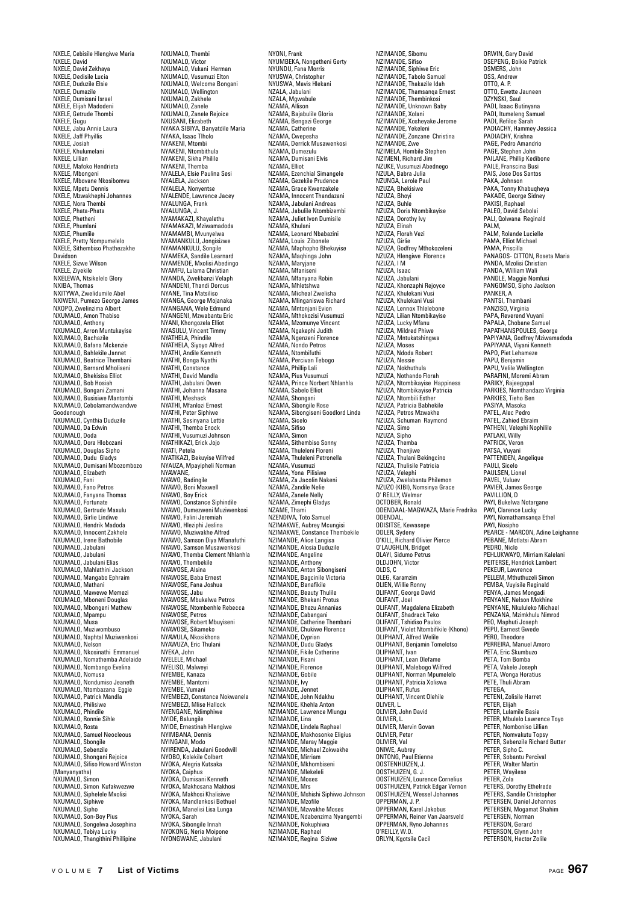NXELE, Cebisile Hlengiwe Maria NXELE, David NXELE, David Zekhaya NXELE, Dedisile Lucia NXELE, Duduzile Elsie NXELE, Dumazile NXELE, Dumisani Israel NXELE, Elijah Madodeni NXELE, Getrude Thombi NXELE, Gugu NXELE, Jabu Annie Laura NXELE, Jaff Phyillis NXELE, Josiah NXELE, Khulumelani NXELE, Lillian NXELE, Mafoko Hendrieta NXELE, Mbongeni NXELE, Mbovane Nkosibomvu NXELE, Mpetu Dennis NXELE, Mzwakhephi Johannes NXELE, Nora Thembi NXELE, Phata-Phata NXELE, Phetheni NXELE, Phumla NXELE, Phumlile NXELE, Pretty Nompumelelo NXELE, Sithembiso Phathezakhe Davidson NXELE, Sizwe Wilson NXELE, Ziyekile NXELEWA, Ntsikelelo Glory NXIBA, Thomas NXITYWA, Zwelidumile Abel NXIWENI, Pumezo George James NXOPO, Zwelinzima Albert NXUMALO, Amon Thabiso NXUMALO, Anthony NXUMALO, Arron Muntukayise NXUMALO, Bachazile NXUMALO, Bafana Mckenzie NXUMALO, Bahlekile Jannet NXUMALO, Beatrice Thembani NXUMALO, Bernard Mholiseni NXUMALO, Bhekisisa Elliot NXUMALO, Bob Hosiah NXUMALO, Bongani Zamani NXUMALO, Busisiwe Mantombi NXUMALO, Cebolamandwandwe Goodenough NXUMALO, Cynthia Duduzile NXUMALO, Da Edwin NXUMALO, Doda NXUMALO, Dora Hlobozani NXUMALO, Douglas Sipho NXUMALO, Dudu Gladys NXUMALO, Dumisani Mbozombozo NXUMALO, Elizabeth NXUMALO, Fani NXUMALO, Fano Petros NXUMALO, Fanyana Thomas NXUMALO, Fortunate NXUMALO, Gertrude Maxulu NXUMALO, Girlie Lindiwe NXUMALO, Hendrik Madoda NXUMALO, Innocent Zakhele NXUMALO, Irene Bathobile NXUMALO, Jabulani NXUMALO, Jabulani NXUMALO, Jabulani Elias NXUMALO, Mahlathini Jackson NXUMALO, Mangabo Ephraim NXUMALO, Mathani NXUMALO, Mawewe Memezi NXUMALO, Mboneni Douglas NXUMALO, Mbongeni Mathew NXUMALO, Mpampu NXUMALO, Musa NXUMALO, Muziwombuso NXUMALO, Naphtal Muziwenkosi NXUMALO, Nelson NXUMALO, Nkosinathi Emmanuel NXUMALO, Nomathemba Adelaide NXUMALO, Nombango Evelina NXUMALO, Nomusa NXUMALO, Nondumiso Jeaneth NXUMALO, Ntombazana Eggie NXUMALO, Patrick Mandla NXUMALO, Philisiwe NXUMALO, Phindile NXUMALO, Ronnie Sihle NXUMALO, Rosta NXUMALO, Samuel Neocleous NXUMALO, Sbongile NXUMALO, Sebenzile NXUMALO, Shongani Rejoice NXUMALO, Sifiso Howard Winston (Manyanyatha) NXUMALO, Simon NXUMALO, Simon Kufakwezwe NXUMALO, Siphelele Mxolisi NXUMALO, Siphiwe NXUMALO, Sipho NXUMALO, Son-Boy Pius NXUMALO, Songelwa Josephina NXUMALO, Tebiya Lucky NXUMALO, Thangithini Phillipine

NXUMALO, Thembi NXUMALO, Victor NXUMALO, Vukani Herman NXUMALO, Vusumuzi Elton NXUMALO, Welcome Bongani NXUMALO, Wellington NXUMALO, Zakhele NXUMALO, Zanele NXUMALO, Zanele Rejoice NXUSANI, Elizabeth NYAKA SIBIYA, Banyatdile Maria NYAKA, Isaac Tlholo NYAKENI, Mtombi NYAKENI, Ntombithula NYAKENI, Sikha Philile NYAKENI, Themba NYALELA, Elsie Paulina Sesi NYALELA, Jackson NYALELA, Nonyentse NYALENDE, Lawrence Jacey NYALUNGA, Frank NYALUNGA, J. NYAMAKAZI, Khayalethu NYAMAKAZI, Mziwamadoda NYAMAMBI, Mvunyelwa NYAMANKULU, Jongisizwe NYAMANKULU, Songile NYAMEKA, Sandile Learnard NYAMENDE, Mxolisi Abedingo NYAMFU, Lulama Christian NYANDA, Zwelibanzi Velaph NYANDENI, Thandi Dorcus NYANE, Tina Matsiliso NYANGA, George Mojanaka NYANGANA, Wele Edmund NYANGENI, Mzwabantu Eric NYANI, Khongozela Elliot NYASULU, Vincent Timmy NYATHELA, Phindile NYATHELA, Siyoyo Alfred NYATHI, Andile Kenneth NYATHI, Bonga Nyathi NYATHI, Constance NYATHI, David Mandla NYATHI, Jabulani Owen NYATHI, Johanna Masana NYATHI, Meshack NYATHI, Mfanlozi Ernest NYATHI, Peter Siphiwe NYATHI, Sesinyana Lettie NYATHI, Themba Enock NYATHI, Vusumuzi Johnson NYATHIKAZI, Erick Jojo NYATI, Petela NYATIKAZI, Bekuyise Wilfred NYAUZA, Mpayipheli Norman NYAWANE,<br>NYAWANE, NYAWO, Badingile NYAWO, Boni Maxwell NYAWO, Boy Erick NYAWO, Constance Siphindile NYAWO, Dumezweni Muziwenkosi NYAWO, Falini Jeremiah NYAWO, Hleziphi Jeslina NYAWO, Muziwakhe Alfred NYAWO, Samson Diya Mfanafuthi NYAWO, Samson Musawenkosi NYAWO, Themba Clement Nhlanhla NYAWO, Thembekile NYAWOSE, Alsina NYAWOSE, Baba Ernest NYAWOSE, Fana Joshua NYAWOSE, Jabu NYAWOSE, Mbukelwa Petros NYAWOSE, Ntombenhle Rebecca NYAWOSE, Petros NYAWOSE, Robert Mbuyiseni NYAWOSE, Sikameko NYAWULA, Nkosikhona NYAWUZA, Eric Thulani NYEKA, John NYELELE, Michael NYELISO, Malwey NYEMBE, Kanaza NYEMBE, Mantomi NYEMBE, Vumani NYEMBEZI, Constance Nokwanela NYEMBEZI, Mlise Hallock NYENGANE, Ndimphiwe NYIDE, Balungile NYIDE, Ernestinah Hlengiwe NYIMBANA, Dennis NYINGANI, Modo NYIRENDA, Jabulani Goodwill NYOBO, Kolekile Colbert NYOKA, Alegria Kutsaka NYOKA, Caiphus NYOKA, Dumisani Kenneth NYOKA, Makhosana Makhosi NYOKA, Makhosi Khalisiwe NYOKA, Mandlenkosi Bethuel NYOKA, Manelisi Lisa Lunga NYOKA, Sarah NYOKA, Sibongile Innah NYOKONG, Neria Moipone NYONGWANE, Jabulani

NYONI, Frank NYUMBEKA, Nongetheni Gerty NYUNDU, Fana Morris NYUSWA, Christopher NYUSWA, Mavis Hlekani NZALA, Jabulani NZALA, Mgwabule NZAMA, Allison NZAMA, Bajabulile Gloria NZAMA, Bengazi George NZAMA, Catherine NZAMA, Cwepesha NZAMA, Derrick Musawenkosi NZAMA, Dumezulu NZAMA, Dumisani Elvis NZAMA, Elliot NZAMA, Ezenchial Simangele NZAMA, Gezekile Prudence NZAMA, Grace Kwenzakele NZAMA, Innocent Thandazani NZAMA, Jahulani Andreas NZAMA, Jabulile Ntombizembi NZAMA, Juliet Ivon Dumisile NZAMA, Khulani NZAMA, Leonard Nbabazini NZAMA, Louis Zibonele NZAMA, Maphopho Bhekuyise NZAMA, Maqhinga John NZAMA, Maryjane NZAMA, Mfaniseni NZAMA, Mfanyana Robin NZAMA, Mhletshwa NZAMA, Micheal Zwelisha NZAMA, Mlinganiswa Richard NZAMA, Mntonjani Evion NZAMA, Mthokozisi Vusumuzi NZAMA, Mzomunye Vincent NZAMA, Ngakephi Judith NZAMA, Ngenzeni Florence NZAMA, Nondo Petros NZAMA, Nonao i cal NZAMA, Percivan Tebogo NZAMA, Percivan I NZAMA, Pius Vusumuzi NZAMA, Prince Norbert Nhlanhla NZAMA, Sabelo Elliot NZAMA, Shongani NZAMA, Sibongile Rose NZAMA, Sibongiseni Goodlord Linda NZAMA, Sicelo NZAMA, Sifiso NZAMA<sub>Simon</sub> NZAMA, Sithembiso Sonny NZAMA, Thuleleni Floreni NZAMA, Thuleleni Petronella NZAMA, Vusumuzi NZAMA, Yona Pilisiwe NZAMA, Za Jacolin Nakeni NZAMA, Zandile Nelie NZAMA, Zanele Nelly NZAMA, Zimephi Gladys<br>NZAMA, Zimephi Gladys NZAME, Thami<br>NZIMDIVA, Toto Samuel<br>NZIMAKWE, Aubrey Mcungisi<br>NZIMAKWE, Constance Thembekile<br>NZIMANDE, Alice Langisa<br>NZIMANDE, Angeline<br>NZIMANDE, Angeline NZIMANDE, Anthony NZIMANDE, Anton Sibongiseni NZIMANDE, Bagcinile Victoria NZIMANDE, Banafikile NZIMANDE, Beauty Thulile NZIMANDE, Bhekani Protus NZIMANDE, Bhezu Annanias NZIMANDE, Cabangani NZIMANDE, Catherine Thembani NZIMANDE, Chukiwe Florence NZIMANDE, Cyprian NZIMANDE, Dudu Gladys NZIMANDE, Fikile Catherine NZIMANDE, Fisani NZIMANDE, Florence NZIMANDE, Gobile NZIMANDE, Ivy NZIMANDE, Jennet NZIMANDE, John Ndakhu NZIMANDE, Khehla Anton NZIMANDE, Lawrence Mlungu NZIMANDE, Lina NZIMANDE, Lindela Raphael NZIMANDE, Makhosonke Eligius NZIMANDE, Maray Maggie NZIMANDE, Michael Zokwakhe NZIMANDE, Mirriam NZIMANDE, Mkhombiseni NZIMANDE, MKHOHIDI NZIMANDE, Moses NZIMANDE, Mrs. NZIMANDE, Mshishi Siphiwo Johnson NZIMANDE, Mzofile NZIMANDE, Mzwakhe Moses NZIMANDE, Ndabenzima Nyangembi NZIMANDE, Nokuphiwa NZIMANDE, Raphael NZIMANDE, Regina Siziwe

NZIMANDE, Sibomu NZIMANDE, Sifiso NZIMANDE, Siphiwe Eric NZIMANDE, Tabolo Samuel NZIMANDE, Thakazile Idah NZIMANDE, Thamsanqa Ernest NZIMANDE, Thembinkosi NZIMANDE, Unknown Baby NZIMANDE, Xolani NZIMANDE, Xosheyake Jerome NZIMANDE, Yekeleni NZIMANDE, Zonzane Christina NZIMANDE, Zwe NZIMELA, Hombile Stephen NZIMENI, Richard Jim NZUKE, Vusumuzi Abednego NZULA, Babra Julia NZUNGA, Lerole Paul NZUZA, Bhekisiwe NZUZA, Bhoyi NZUZA, Buhle NZUZA, Doris Ntombikayise NZUZA, Dorothy Ivy NZUZA, Elinah NZUZA, Florah Vezi NZUZA, Girlie NZUZA, Godfrey Mthokozeleni NZUZA, Hlengiwe Florence NZUZA, IM NZUZA, Isaac NZUZA, Jabulani NZUZA, Khonzaphi Rejoyce NZUZA, Khulekani Vusi NZUZA, Khulekani Vusi NZUZA, Lennox Thlelebone NZUZA, Lilian Ntombikayise NZUZA, Lucky Mfanu NZUZA, Mildred Phiwe NZUZA, Mntukatshingwa NZUZA, Moses NZUZA, Ndoda Robert NZUZA, Nessie NZUZA, Nokhuthula NZUZA, Nothando Florah NZUZA, Ntombikayise Happiness NZUZA, Ntombikayise Patricia NZUZA, Ntombili Esther NZUZA, Patricia Babhekile NZUZA, Petros Mzwakhe NZUZA, Schuman Raymond NZUZA, Simo NZUZA, Sipho NZUZA, Themba NZUZA, Thenjiwe NZUZA, Thulani Bekingcino NZUZA, Thulisile Patricia NZUZA, Velephi NZUZA, Zwelabantu Philemon NZUZO (KIBI), Nomsinya Grace O' REILLY, Welmar OCTOBER, Ronald ODENDAAL-MAGWAZA, Marie Fredrika ODENDAL,<br>ODISITSE, Kewasepe ODLER, Sydeny O'KILL, Richard Olivier Pierce O'LAUGHLIN, Bridget OLAYI, Sidumo Petrus OLDJOHN, Victor OLDS, C OLEG, Karamzim OLIEN, Willie Ronny OLIFANT, George David OLIFANT, Joel OLIFANT, Magdalena Elizabeth OLIFANT, Shadrack Teko OLIFANT, Tshidiso Paulos OLIFANT, Violet Ntombifikile (Khono) OLIPHANT, Alfred Welile OLIPHANT, Benjamin Tomelotso OLIPHANT, Ivan OLIPHANT, Lean Olefame OLIPHANT, Malebogo Wilfred OLIPHANT, Norman Mpumelelo OLIPHANT, Patricia Xoliswa OLIPHANT, Rufus OLIPHANT, Vincent Olehile OLIVER, L. OLIVIER, John David OLIVIER, L. OLIVIER, Mervin Govan OLIVIER, Peter OLIVIER, Val ONIWE, Aubrey ONTONG, Paul Etienne OOSTENHUIZEN, J. OOSTHUIZEN, G. J. OOSTHUIZEN, Lourence Cornelius OOSTHUIZEN, Patrick Edgar Vernon OOSTHUIZEN, Wessel Johannes OPPERMAN, J. P. OPPERMAN, Karel Jakobus OPPERMAN, Reiner Van Jaarsveld OPPERMAN, Ryno Johannes O'REILLY, W.O. ORLYN, Kgotsile Cecil

ORWIN, Gary David OSEPENG, Boikie Patrick OSMERS, John OSS, Andrew OTTO, A. P. OTTO, Ewette Jauneen OZYNSKI, Saul PADI, Isaac Butinyana PADI, Itumeleng Samuel PADI, Refiloe Sarah PADIACHY, Hammey Jessica PADIACHY, Krishna PAGE, Pedro Amandrio PAGE, Stephen John PAILANE, Phillip Kedibone PAILE, Franscina Busi PAIS, Jose Dos Santos PAKA, Johnson PAKA, Tonny Khabuqheya PAKADE, George Sidney PAKISI, Raphael PALEO, David Sebolai PALL Onlwana Reginald PALM, PALM, Rolande Lucielle PAMA, Elliot Micha PAMA, Priscilla PANAGOS- CITTON, Roseta Maria PANDA, Mzolisi Christian PANDA, William Wali PANDLE, Maggie Nomfusi PANGOMSO, Sipho Jackson PANKER, A PANTSI, Thembani PANZISO, Virginia PAPA, Reverend Vuyani PAPALA, Chobane Samuel PAPATHANSPOULES, George PAPIYANA, Godfrey Mziwamadoda PAPIYANA, Viyani Kenneth PAPO, Piet Lehameze PAPU, Benjamin PAPU, Velile Wellington PARAFINI, Moremi Abram PARIKY, Rajeegopal PARKIES, Nomthandazo Virginia PARKIES, Tieho Ben PASIYA, Masoka PASITA, masons<br>PATEL, Alec Pedro PATEL, Zahied Ebraim PATHENI, Velephi Nophilile PATLAKI, Willy PATRICK, Veron PATSA, Vuyani PATTENDEN, Angelique PAULI, Sicelo PAULSEN, Lionel PAVEL, Vuluev PAVIER, James George PAVILLION, D PAYI, Bukelwa Notargane PAYI, Clarence Lucky PAYI, Nomathamsanqa Ethel PAYI, Nosipho PEARCE - MARCON, Adine Leighanne PEBANE, Motlatsi Abram PEDRO, Niclo PEHLUKWAYO, Mirriam Kalelani PEITERSE, Hendrick Lambert PEKEUR, Lawrence PELLEM, Mthuthuzeli Simon PEMBA, Vuyisile Reginald PENYA, James Mongadi PENYANE, Nelson Mokhine PENYANE, Nkululeko Michael PENZANA, Mzimkhulu Nimrod PEO, Maphuti Joseph PEPU, Earnest Gwede PERO, Theodore PERREIRA, Manuel Amoro PETA, Eric Skumbuzo PETA, Tom Bomba PETA, Vakele Joseph PETA, Wonga Horatius PETE, Thuli Abram PETEGA, PETENI, Zolisile Harret PETER, Elijah PETER, Lulamile Basie PETER, Mbulelo Lawrence Toyo PETER, Nomboniso Lillian PETER, Nomvakutu Topsy PETER, Sebenzile Richard Butter PETER, Sipho C. PETER, Sobantu Percival PETER, Walter Martin PETER, Wayilese PETER, Zola PETERS, Dorothy Ethelrede PETERS, Sandile Christopher PETERSEN, Daniel Johannes PETERSEN, Mogamat Shahim PETERSEN, Norman PETERSON, Gerard PETERSON, Glynn John PETERSON, Hector Zolile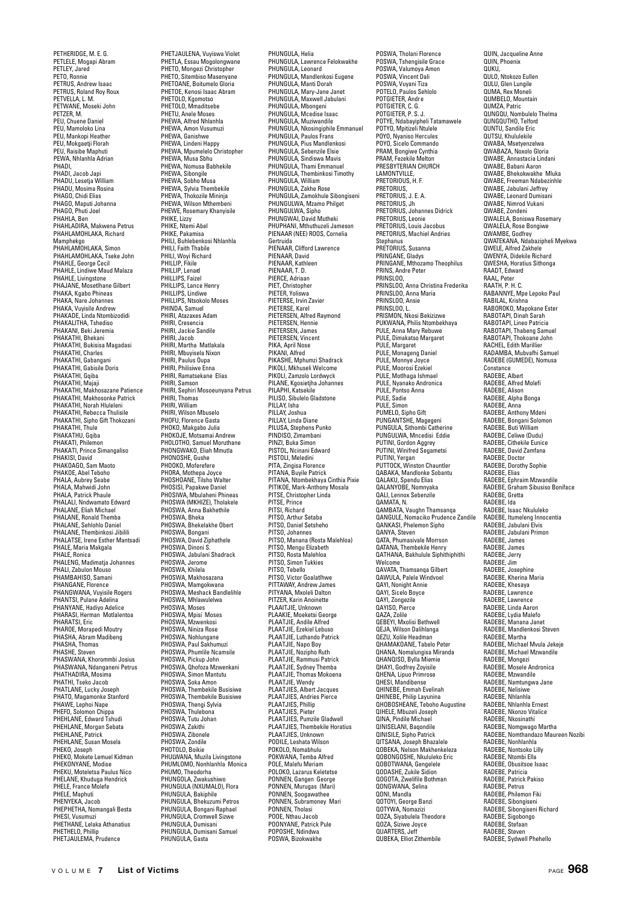PETHERIDGE, M. E. G. PETLELE, Mogapi Abram PETLEY, Jared PETO, Ronnie PETRUS, Andrew Isaac PETRUS, Roland Roy Roux PETVELLA, L. M. PETWANE, Moseki John PETZER, M. PEU, Chuene Daniel PEU, Mamoloko Lina PEU, Mankopi Heather PEU, Mokgaetji Florah PEU, Raisibe Maphuti PEWA, Nhlanhla Adrian PHADI, PHADI, Jacob Japi PHADU, Lesetja William PHADU, Mosima Rosina r nADO, Musilla nu<br>PHAGO, Chidi Elias PHAGO, Maputi Johanna PHAGO, Phuti Joel PHAHLA, Ben PHAHLADIRA, Makwena Petrus PHAHLAMOHLAKA, Richard Mamphekgo PHAHLAMOHLAKA, Simon PHAHLAMOHLAKA, Tseke John PHAHLE, George Cecil PHAHLE, Lindiwe Maud Malaza PHAHLE, Livingstone PHAJANE, Mosetlhane Gilbert PHAKA, Kgabo Phineas PHAKA, Nare Johannes PHAKA, Vuyisile Andrew PHAKADE, Linda Ntombizodidi PHAKALITHA, Tshediso PHAKANI, Beki Jeremia PHAKATHI, Bhekani PHAKATHI, Bukisisa Magadasi PHAKATHI, Charles PHAKATHI, Gabangani PHAKATHI, Gabisile Doris PHAKATHI, Gqiba PHAKATHI, Majaji PHAKATHI, Makhosazane Patience PHAKATHI, Makhosonke Patrick PHAKATHI, Norah Hluleleni PHAKATHI, Rebecca Thulisile PHAKATHI, Sipho Gift Thokozani PHAKATHI, Thule PHAKATHU Gniha PHAKATI, Philemon PHAKATI, Prince Simangaliso PHAKISI, David PHAKOAGO, Sam Maoto PHAKOE, Abel Teboho PHALA, Aubrey Seabe PHALA, Mahwidi John PHALA, Patrick Phaule PHALALI, Nndwamato Edward PHALANE, Eliah Michael PHALANE, Ronald Themba PHALANE, Sehlohlo Daniel PHALANE, Thembinkosi Jibilili PHALATSE, Irene Esther Mantsadi PHALE, Maria Makgala PHALE, Ronica PHALENG, Madimatja Johannes PHALI, Zabulon Mouso PHAMBAHISO, Samani PHANGANE, Florence PHANGWANA, Vuyisile Rogers PHANTSI, Pulane Adelina PHANYANE, Hadiyo Adelice PHARASI, Herman Motlalentoa PHARATSI, Eric PHAROE, Morapedi Moutry PHASHA, Abram Madibeng PHASHA, Thomas PHASHE, Steven PHASWANA, Khorommbi Josius PHASWANA, Ndanganeni Petrus PHATHADIRA, Mosima PHATHI, Tseko Jacob PHATLANE, Lucky Joseph PHATO, Magamonke Stanford PHAWE, Lephoi Nape PHEFO, Solomon Chippa PHEHLANE, Edward Tshudi PHEHLANE, Morgan Sebata PHEHLANE, Patrick PHEHLANE, Susan Mosela PHEKO, Joseph PHEKO, Mokete Lemuel Kidman PHEKONYANE, Modise PHEKU, Moteletsa Paulus Nico PHELANE, Khuduga Hendrick PHELE, France Molefe PHELE, Maphuti PHENYEKA, Jacob PHEPHETHA, Nomangali Besta PHESI, Vusumuzi PHETHANE, Lelaka Athanatius PHETHELO, Phillip PHETJAULEMA, Prudence

PHETJAULENA, Vuyiswa Violet PHETLA, Essau Mogolongwane PHETO, Mongezi Christopher PHETO, Sitembiso Masenyane PHETOANE, Boitumelo Gloria PHETOE, Kenosi Isaac Abram PHETOLO, Kgomotso PHETOLO, Mmaditsebe PHETU, Anele Moses PHEWA, Alfred Nhlanhla PHEWA, Amon Vusumuzi PHEWA, Ganishwe PHEWA, Lindeni Happy PHEWA, Mpumelelo Christopher PHEWA, Musa Sbhu PHEWA, Nomusa Babhekile PHEWA, Sibongile PHEWA, Sobho Musa PHEWA, Sylvia Thembekile PHEWA, Thokozile Mininja PHEWA, Wilson Mthembeni PHEWE, Rosemary Khanyisile PHIKE, Lizzy PHIKE, Ntemi Abel PHIKE, Pakamisa PHILI, Buhlebenkosi Nhlanhla PHILI, Faith Thabile PHILI, Woyi Richard PHILLIP Fikile PHILLIP, Lenard PHILLIPS, Faizel PHILLIPS, Lance Henry PHILLIPS, Lindiwe PHILLIPS, Ntsokolo Moses PHINDA, Samuel PHIRI, Atazaxes Adam PHIRI, Cresencia PHIRI, Jackie Sandile PHIRI, Jacob PHIRI, Martha Matlakala PHIRI, Mbuyisela Nixon PHIRI, Paulus Oupa PHIRI, Philisiwe Enna PHIRI, Ramatsekane Elias PHIRI, Samson PHIRI, Sephiri Mosoeunyana Petrus PHIRI, Thomas PHIRI, William PHIRI, Wilson Mbuselo PHOFU, Florence Gasta PHOKO, Makgabo Julia PHOKOJE, Motsamai Andrew PHOLOTHO, Samuel Moruthane PHONGWAKO, Eliah Mmutla PHONOSHE, Gushe PHOOKO, Moferefere PHORA, Mothepa Joyce PHOSHOANE, Tilsho Walter PHOSISI, Papakwe Daniel PHOSIWA, Mbulaheni Phineas PHOSWA (MKHIZE), Tholakele PHOSWA, Anna Bakhethile PHOSWA, Bheka PHOSWA, Bhekelakhe Obert PHOSWA, Bongani PHOSWA, David Ziphathele PHOSWA, Dinoni S. PHOSWA, Jabulani Shadrack PHOSWA, Jerome PHOSWA, Khilela PHOSWA, Makhosazana PHOSWA, Mamgokwana PHOSWA, Meshack Bandlelihle PHOSWA, Mhlawulelwa PHOSWA, Moses PHOSWA, Mpisi Moses PHOSWA, Mzwenkosi PHOSWA, Niniza Rose PHOSWA, Nohlungane PHOSWA, Paul Sakhumuzi PHOSWA, Phumlile Ncamsile PHOSWA, Pickup John PHOSWA, Qhofoza Mzwenkani PHOSWA, Simon Mantutu PHOSWA, Soka Amon PHOSWA, Thembekile Busisiwe PHOSWA, Thembekile Busisiwe PHOSWA, Thengi Sylvia PHOSWA, Thulebona PHOSWA, Tutu Johan PHOSWA, Zakithi PHOSWA, Zibonele<br>PHOSWA, Zibonele PHOSWA, Zondile PHOTOLO, Boikie PHULWANA, Muzila Livingstone PHUMLOMO, Nonhlanhla Monica PHUMO, Theodorha PHUNGOLA, Zwakushiwo PHUNGULA (NXUMALO), Flora PHUNGULA, Bakiphile PHUNGULA, Bhekuzumi Petros PHUNGULA, Bongani Raphael PHUNGULA, Cromwell Sizwe PHIINGULA, Dumisani PHUNGULA, Dumisani Samuel PHUNGULA, Gasta

PHUNGULA, Helia PHUNGULA, Lawrence Felokwakhe PHUNGULA, Leonard PHUNGULA, Mandlenkosi Eugene PHUNGULA, Manti Dorah PHUNGULA, Mary-Jane Janet PHUNGULA, Maxwell Jabulani PHUNGULA, Mbongeni PHUNGULA, Mcedise Isaac PHUNGULA, Muziwandile PHUNGULA, Nkosingiphile Emmanuel PHUNGULA, Paulos Frans PHUNGULA, Pius Mandlenkosi PHUNGULA, Sebenzile Elsie PHUNGULA, Sindiswa Mavis PHUNGULA, Thami Emmanuel PHUNGULA, Thembinkosi Timothy PHUNGULA, William PHUNGULA, Zakhe Rose PHUNGULA, Zamokhule Sibongiseni PHUNGULWA, Mzamo Philget PHUNGULWA, Sipho PHUNGWAI, David Mutheki PHUPHANI, Mthuthuzeli Jameson PIENAAR (NEE) ROOS, Cornelia Gertruida PIENAAR, Clifford Lawrence PIENAAR, David PIENAAR, Kathleen PIENAAR, T. D. PIERCE, Adriaan PIET, Christophe PIETER, Yoliswa PIETERSE, Irvin Zavier PIETERSE, Karel PIETERSEN, Alfred Raymond PIETERSEN, Hennie PIETERSEN, James PIETERSEN, Vincent PIKA, April Nose PIKANI, Alfred PIKASHE, Mphumzi Shadrack PIKOLI, Mkhuseli Welcome PIKOLI, Zamzolo Lordwyck PILANE, Kgosietjha Johannes PILAPHI, Katsekile PILISO, Sibulelo Gladstone PILLAY Isha PILLAY, Joshua PILLAY, Linda Diane PILUSA, Stephens Punko PINDISO, Zimambani PINZI, Buka Simon PISTOL, Ncinani Edward PISTOLI, Meledini PITA, Zingisa Florence PITANA, Buyile Patrick PITANA, Ntombekhaya Cinthia Pixie PITIKOE, Mark-Anthony Mosala PITSE, Christopher Linda PITSE, Prince PITSI, Richard PITSO, Arthur Setaba PITSO, Daniel Setsheho PITSO, Johannes PITSO, Manana (Rosta Malehloa) PITSO, Mengu Elizabeth PITSO, Rosta Malehloa PITSO, Simon Tukkies PITSO, Tebello PITSO, Victor Goalatlhwe PITTAWAY, Andrew James PITYANA, Mxoleli Dalton PITZER, Karin Anoinette PLAAITJIE, Unknown PLAAKIE, Moeketsi George PLAATJIE, Andile Alfred PLAATJIE, Ezekiel Lebuso PLAATJIE, Luthando Patrick PLAATJIE, Napo Boy PLAATJIE, Nozipho Ruth PLAATJIE, Rammusi Patrick PLAATJIE, Sydney Themba PLAATJIE, Thomas Mokoena PLAATJIE, Wendy PLAATJIES, Albert Jacques PLAATJIES, Andries Pierce PLAATJIES, Phillip PLAATJIES, Pieter PLAATJIES, Pumzile Gladwell PLAATJIES, Thembekile Horatius PLAATJIES, Unknown PODILE, Leshata Wilson POKOLO, Nomabhulu POKWANA, Temba Alfred POLE, Malefu Meriam POLOKO, Lazarus Keletetse PONNEN, Gangen George PONNEN, Murugas (Mari) PONNEN, Soogawathee PONNEN, Subramoney Mari PONNEN, Tholasi POOE, Nthau Jacob POONYANE, Patrick Pule POPOSHE, Ndindwa POSWA, Bizokwakhe

POSWA, Tholani Florence POSWA, Tshengisile Grace POSWA, Valumoya Amon POSWA, Vincent Dali POSWA, Vuyani Tiza POTELO, Paulos Sehlolo POTGIETER, Andre POTGIETER, C. G. POTGIETER, P. S. J. POTYE, Ndabayipheli Tatamawele POTYO, Mpitizeli Ntulele POYO, Nyaniso Hercules POYO, Sicelo Commando PRAM, Bongiwe Cynthia PRAM, Fezekile Melton PRESBYTERIAN CHURCH LAMONTVILLE,<br>PRETORIOUS, H. F. PRETORIUS, PRETORIUS, J. E. A. PRETORIUS, Jh PRETORIUS, Johannes Didrick PRETORIUS, Leonie PRETORIUS, Louis Jacobus PRETORIUS, Machiel Andries Stephanus PRETORIUS, Susanna PRINGANE, Gladys PRINGANE, Mthozamo Theophilus PRINS, Andre Peter PRINSLOO, PRINSLOO, Anna Christina Frederika PRINSLOO, Anna Maria PRINSLOO, Ansie PRINSLOO, L. PRISMON, Nkosi Bekizizwe PUKWANA, Philis Ntombekhaya PULE, Anna Mary Rebuwe PULE, Dimakatso Margaret PULE, Margaret PULE, Monageng Danie PULE, Monnye Joyce PULE, Moorosi Ezekiel PULE, Motlhaga Ishmael PULE, Nyanako Andronica PULE, Pontso Anna PULE, Sadie PULE, Simon PUMELO, Sipho Gift PUNGANTSHE, Magegeni PUNGULA, Sithombi Catherine PUNGULWA, Mncedisi Eddie PUTINI, Gordon Aggrey PUTINI, Winifred Segametsi PUTINI, Yergan PUTTOCK, Winston Chauntler QABAKA, Mandlonke Sobantu QALAKU, Spendu Elias QALANYOBE, Nomnyaka QALI, Lennox Sebenzile QAMATA, N. QAMBATA, Vaughn Thamsanqa QANGULE, Nomaciko Prudence Zandile QANKASI, Phelemon Sipho QANYA, Steven QATA, Phumasivale Morrson QATANA, Thembekile Henry QATHANA, Bakhulule Siphithiphithi Welcome QAVATA, Thamsanqa Gilbert QAWULA, Palele Windvoel QAYI, Nonight Annie QAYI, Sicelo Boyce QAYI, Zongezile QAYISO, Pierce QAZA, Zolile QEBEYI, Mxolisi Bethwell QEJA, Wilson Dalihlanga QEZU, Xolile Headman QHAMAKOANE, Tabelo Peter QHANA, Nomalungisa Miranda QHANQISO, Bylla Miemie QHAYI, Godfrey Zoyisile QHENA, Lipuo Primrose QHESI, Mandibense QHINEBE, Emmah Evelinah QHINEBE, Philip Layunina QHOBOSHEANE, Teboho Augustine QIHELE, Mbuzeli Joseph QINA, Pindile Michael QINISELANI, Baqondile QINISILE, Sipho Patrick QITSANA, Joseph Bhazalele QOBEKA, Nelson Makhenkeleza QOBONGOSHE, Nkululeko Eric QOBOTWANA, Gengelele QODASHE, Zukile Sidion QOGOTA, Zwelifile Bothman QONGWANA, Selina QONI, Mandla QOTOYI, George Banzi QOTYWA, Nomazizi QOZA, Siyabulela Theodore QUEH, Siziwe Joyce QUARTERS, Jeff Question Controller Controller

QUIN, Jacqueline Anne QUIN, Phoenix QUKU,<br>QULO, Ntokozo Eullen QULU, Glen Lungile QUMA, Rex Moneli QUMBELO, Mountain QUMZA, Patric QUNGQU, Nombulelo Thelma QUNGQUTHO, Telford QUNTU, Sandile Eric QUTSU, Khululekile QWABA, Msetyenzelwa QWABAZA, Noxolo Gloria QWABE, Annastacia Lindani QWABE, Babani Aaron QWABE, Bhekokwakhe Mluka **QWABE, Freeman Ndabezir** QWABE, Jabulani Jeffrey GWABE, Jabulahi Jenrey QWABE, Nimrod Vukani QWABE, Zondeni QWALELA, Boniswa Rosemary QWALELA, Rose Bongiwe QWAMBE, Godfrey QWATEKANA, Ndabazipheli Myekwa QWELE, Alfred Zakhele QWENYA, Didekile Richard QWESHA, Horatius Sithonga RAADT, Edward RAAL, Peter RAATH, P. H. C. RABANNYE, Mpe Lepoko Paul RABILAL, Krishna RABOROKO, Mapokane Ester RABOTAPI, Dinah Sarah RABOTAPI, Lineo Patricia RABOTAPI, Thabeng Samuel RABOTAPI, Thokoane John RACHEL, Edith Marillier RADAMBA, Mubvafhi Samuel RADEBE (GUMEDE), Nomusa Constance<br>RADERE Albert RADEBE, Albert RADEBE, Alfred Molefi RADEBE, Alison RADEBE, Alpha Bonga RADEBE, Anna RADEBE, Anthony Mdeni RADEBE, Bongani Solomon RADEBE, Buti William RADEBE, Celiwe (Dudu) RADEBE, Cithekile Eunice RADEBE, David Zamfana RADEBE, Doctor RADEBE, Dorothy Sophie RADEBE, Elias RADEBE, Ephraim Mzwandile RADEBE, Graham Sibusiso Boniface RADEBE, Gretta RADEBE, Ida RADEBE, Isaac Nkululeko RADEBE, Itumeleng Innocentia RADEBE, Jabulani Elvis RADEBE, Jabulani Primon RADEBE, James RADEBE, James RADEBE, Jerry RADEBE, Jim RADEBE, Josephine RADEBE, Kherina Maria RADEBE, Khesaya RADEBE, Lawrence RADEBE, Lawrence RADEBE, Linda Aaron RADEBE, Lydia Malefo RADEBE, Manana Janet RADEBE, Mandlenkosi Steven RADEBE, Martha RADEBE, Michael Mvula Jekeje RADEBE, Michael Mzwandile RADEBE, Mongezi RADEBE, Mosele Andronica RADEBE, Mzwandile RADEBE, Namtungwa Jane RADEBE, Nelisiwe RADEBE, Nhlanhla RADEBE, Nhlanhla Ernest RADEBE, Nkonzo Vitalice RADEBE, Nkosinathi RADEBE, Nomgwago Martha RADEBE, Nomthandazo Maureen Nozibi RADEBE, Nonhlanhla RADEBE, Nontsoko Lilly RADEBE, Ntombi Ella RADEBE, Obusitsoe Isaac RADEBE, Patricia RADEBE, Patrick Pakiso RADEBE, Petrus RADEBE, Philemon Fiki RADEBE, Sibongiseni RADEBE, Sibongiseni Richard RADEBE, Sigobongo RADERE, Stafaar RADEBE, Steven RADEBE, Sydwell Phehello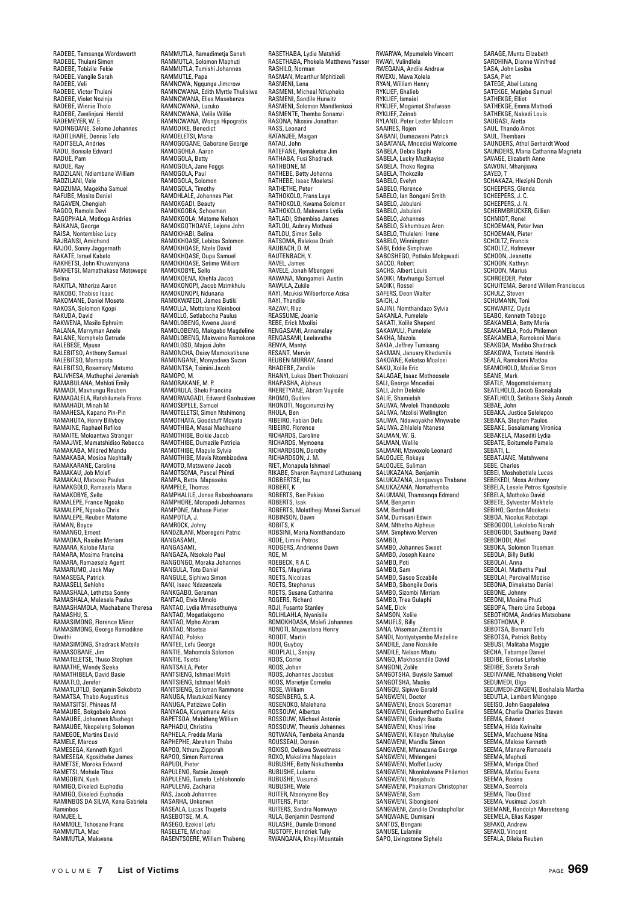RADEBE, Tamsanqa Wordsworth RADEBE, Thulani Simon RADEBE, Tobizile Fekie RADEBE, Vangile Sarah RADEBE, Veli RADEBE, Victor Thulani RADEBE, Violet Nozinja RADEBE, Winnie Tholo RADEBE, Zwelinjani Herold RADEMEYER, W. E. RADINGOANE, Selome Johannes RADITLHARE, Dennis Tefo RADITSELA, Andries RADU, Bonisile Edward RADUE, Pam RADUE, . ....<br>RADUE, Ray RADZILANI, Ndiambane William RADZILANI, Vele RADZUMA, Magekha Samuel RAFUBE, Mosito Daniel RAGAVEN, Chengiah RAGOO, Ramola Devi RAGOPHALA, Motloga Andries RAIKANA, George RAISA, Nontembiso Lucy RAJBANSI, Amichand RAJOO, Sonny Jaggernath RAKATE, Israel Kabelo RAKHETSI, John Khuwanyana RAKHETSI, Mamathakase Motswepe Belina RAKITLA, Ntheriza Aaron RAKOBO, Thabiso Isaac RAKOMANE, Daniel Mosete RAKOSA, Solomon Kgopi RAKUDA, David RAKWENA, Masilo Ephraim RALANA, Merryman Anele RALANE, Nomphelo Getrude RALEBESE, Mpuse RALEBITSO, Anthony Samuel RALEBITSO, Mamapota RALEBITSO, Rosemary Matumo RALIVHESA, Muthuphei Jeremiah RAMABULANA, Mehloti Emily RAMADI, Mavhungu Reuben RAMAGALELA, Ratshilumela Frans RAMAHADI, Minah M RAMAHESA, Kapano Pin-Pin RAMAHUTA, Henry Billyboy RAMAINE, Raphael Refiloe RAMAITE, Moloantwa Stranger RAMAJWE, Mamatshidiso Rebecca RAMAKABA, Mildred Mandu RAMAKABA, Mosioa Nephtally RAMAKARANE, Caroline RAMAKAU, Job Molefi RAMAKAU, Matsoso Paulus RAMAKGOLO, Ramasela Maria RAMAKOBYE, Sello RAMALEPE, France Ngoako RAMALEPE, Ngoako Chris RAMALEPE, Reuben Matome RAMAN, Boyce RAMANGO, Ernest RAMAOKA, Raisibe Meriam RAMARA, Kolobe Maria RAMARA, Mosima Francina RAMARA, Ramaesela Agent RAMARUMO, Jack May RAMASEGA, Patrick RAMASELI, Sehloho RAMASHALA, Lethetsa Sonny RAMASHALA, Malesela Paulus RAMASHAMOLA, Machabane Theresa RAMASHU, S. RAMASIMONG, Florence Minor RAMASIMONG, George Ramodikne Diwithi RAMASIMONG, Shadrack Matsile RAMASOBANE, Jim RAMATELETSE, Thuso Stephen RAMATHE, Wendy Sizeka RAMATHIBELA, David Basie RAMATLO, Jenifer RAMATLOTLO, Benjamin Sekoboto RAMATSA, Thabo Augustinus RAMATSITSI, Phineas M RAMAUBE, Bokgobelo Amos RAMAUBE, Johannes Mashego RAMAUBE, Nkopeleng Solomon RAMEGOE, Martins David RAMELE, Marcus RAMESEGA, Kenneth Kgori RAMESEGA, Kgosithebe James RAMETSE, Moroka Edward RAMETSI, Mohale Titus RAMGOBIN, Kush RAMIGO, Dikeledi Euphodia RAMIGO, Dikeledi Euphodia RAMINBOS DA SILVA, Kena Gabriela Raminbos RAMJEE, L. RAMMOLE, Tshosane Frans RAMMUTLA, Mac RAMMUTLA, Makwena

RAMMUTLA, Ramadimetja Sanah RAMMUTLA, Solomon Maphuti RAMMUTLA, Tumishi Johannes RAMMUTLE, Papa RAMNCWA, Ngqunga Jimcrow RAMNCWANA, Edith Myrtle Thulisiwe RAMNCWANA, Elias Masebenza RAMNCWANA, Luzuko RAMNCWANA, Velile Willie RAMNCWANA, Wonga Hipogratis RAMODIKE, Benedict RAMOELETSI, Maria RAMOGOGANE, Gaborone George RAMOGOHLA, Aaron RAMOGOLA, Betty RAMOGOLA, Jane Foggs RAMOGOLA, Paul RAMOGOLA, Solomon RAMOGOLA, Timothy RAMOHLALE, Johannes Piet RAMOKGADI, Beauty RAMOKGOBA, Schoeman RAMOKGOLA, Matome Nelson RAMOKGOTHOANE, Lejone John RAMOKHABI, Belina RAMOKHOASE, Lebitsa Solomon RAMOKHOASE, Ntele David RAMOKHOASE, Oupa Samuel RAMOKHOASE, Setime William RAMOKOBYE, Sello RAMOKOENA, Khehla Jacob RAMOKONOPI, Jacob Mzimkhulu RAMOKONOPI, Ndunana RAMOKWATEDI, James Butiki RAMOLLA, Mottolane Kleinbooi RAMOLLO, Setlabocha Paulus RAMOLOBENG, Kwena Jaard RAMOLOBENG, Makgabo Magdeline RAMOLOBENG, Makwena Ramokone RAMOLOSO, Majosi John RAMONCHA, Daisy Mamokatibane RAMONGANE, Monyadiwa Suzan RAMONTSA, Tsimini Jacob RAMOPO, M. RAMORAKANE, M. P. RAMORULA, Sheki Francina RAMORWAGADI, Edward Gaobusiwe RAMOSEPELE, Samuel RAMOTELETSI, Simon Ntshimong RAMOTHATA, Goodstuff Moyata RAMOTHIBA, Masai Machuene RAMOTHIBE, Boikie Jacob RAMOTHIBE, Dumazile Patricia RAMOTHIBE, Mapule Sylvia RAMOTHIBE, Mavis Ntombizodwa RAMOTO, Matswene Jacob RAMOTSOMA, Pascal Phindi RAMPA, Betta Mapaseka RAMPELE, Thomas RAMPHALILE, Jonas Raboshoanana RAMPHORE, Morapedi Johannes RAMPONE, Mahase Pieter RAMPOTLA, J. RAMROCK, Johny RANDZILANI, Mberegeni Patric **RANGASAMI** RANGASAMI, RANGAZA, Ntsokolo Paul RANGONGO, Moraka Johannes RANGULA, Toto Daniel RANGULE, Siphiwo Simon RANI, Isaac Ndazenzela RANKGABO, Geraman RANTAO, Elvis Mmolo RANTAO, Lydia Mmasethunya RANTAO, Mogatlakgomo RANTAO, Mpho Abram RANTAO, Ntsetsa RANTAO, Poloko RANTEE, Lefu George RANTIE, Mahomola Solomon RANTIE, Tsietsi RANTSAILA, Peter RANTSIENG, Ishmael Molifi RANTSIENG, Ishmael Molifi RANTSIENG, Soloman Rammone RANUGA, Msutukazi Nancy RANUGA, Patizizwe Collin RANYAOA, Kunyamane Arios RAPETSOA, Mabitleng William RAPHADU, Christina RAPHELA, Fredda Maria RAPHEPHE, Abraham Thabo RAPOO, Nthuru Zipporah RAPOO, Simon Ramorwa RAPUDI, Pieter RAPULENG, Ratsie Joseph RAPULENG, Tumelo Lehlohonolo RAPULENG, Zacharia RAS, Jacob Johannes RASARHA, Unkonwn RASEALA, Lucas Thupetsi RASEBOTSE, M. A. RASEGO, Ezekiel Lefu RASELETE, Michael

RASENTSOERE, William Thabeng

RASETHABA, Lydia Matshidi RASETHABA, Phokela Matthews Yasser RASHILO, Norman RASMAN, Mcarthur Mphitizeli RASMENI, Lena RASMENI, Micheal Ntlupheko RASMENI, Sandile Hurwitz RASMENI, Solomon Mandlenkosi RASMENTE, Themba Sonamzi RASONA, Nkosini Jonathan RASS, Leonard RATANJEE, Maigan RATAU, John RATEFANE, Remaketse Jim RATHABA, Fusi Shadrack RATHBONE, M RATHEBE, Betty Johanna RATHEBE, Isaac Moeletsi RATHETHE, Peter RATHOKOLO, Frans Laye RATHOKOLO, Kwama Solomon RATHOKOLO, Makwena Lydia RATLADI, Sthembiso James RATLOU, Aubrey Mothusi RATLOU, Simon Sello RATSOMA, Ralekoe Oriah RAUBACH, D. M. RAUTENRACH, Y RAVEL, James RAVELE, Jonah Mbengeni RAWANA, Mongameli Austin RAWULA, Zukile RAYI, Mzukisi Wilberforce Azisa RAYI, Thandile RAZAVI, Riaz REASSUME, Joanie REBE, Erick Mxolisi RENGASAMI, Annamalay RENGASAMI, Amamanay RENYA, Mantyi RESANT, Mervin REUBEN MURRAY, Anand RHADEBE, Zandile RHANYI, Lukas Obert Thokozani RHAPASHA, Alpheus RHERETYANE, Abram Vuyisile RHOMO, Gudleni RHONOTI, Nogcinumzi Ivy RHULA, Ben RIBEIRO, Fabian Defu RIBEIRO, Florence RICHARDS, Caroline RICHARDS, Mymoena RICHARDSON, Dorothy RICHARDSON, J. M. RIET, Monapula Ishmael RIKABE, Sharon Raymond Lethusang ROBBERTSE, Isu ROBERT, K ROBERTS, Ben Pakiso ROBERTS, Isak ROBERTS, Molatlhegi Monei Samuel ROBINSON, Dawn ROBITS, K ROBSINI, Maria Nomthandazo RODE, Limini Petros RODGERS, Andrienne Dawn ROE, M ROEBECK, R A C ROETS, Magrieta ROETS, Nicolaas ROETS, Stephanus ROETS, Susana Catharina ROGERS, Richard ROJI, Fusante Stanley ROLIHLAHLA, Nyanisile ROMOKHOASA, Molefi Johannes RONOTI, Mqawelana Henry ROODT, Martin ROOI, Guyboy ROOPLALL, Sanjay ROOS, Corrie ROOS, Johan ROOS, Johannes Jacobus ROOS, Marietjie Cornelia ROSE, William ROSENBERG, S. A. ROSENOKO, Malehana ROSSOUW, Albertus ROSSOUW, Michael Antonie ROSSOUW, Theunis Johannes ROTWANA, Tembeka Amanda ROUSSEAU, Doreen ROXISO, Deliswa Sweetness ROXO, Makalima Napoleon RUBUSHE, Betty Nokuthemba RUBUSHE, Lulama RUBUSHE, Vusumzi RUBUSHE, Wele RUITER, Ntsonyane Boy RUITERS, Pieter RUITERS, Sandra Nomvuyo RULA, Benjamin Desmond RULASHE, Dumile Drimond RUSTOFF, Hendriek Tully RWANQANA, Khoyi Mountain

RWARWA, Mpumelelo Vincent RWAYI, Vulindlela RWEQANA, Andile Andrew RWEXU, Mava Xolela RYAN, William Henry RYKLIEF, Ghalieb RYKLIEF, Ismaiel RYKLIEF, Mogamat Shafwaan RYKLIEF, Zeinab RYLAND, Peter Lester Malcom SAAIRES, Rojen SABANI, Dumezweni Patrick SABATANA, Mncedisi Welcome SABELA, Debra Baphi SABELA, Lucky Muzikayise SABELA, Thoko Regina SABELA, Thokozile SABELO, Evelyn SABELO, Florence SABELO, Ian Bongani Smith SABELO, Jabulani SABELO, Jabulani SABELO, Johannes SABELO, Sikhumbuzo Aron SABELO, Thuleleni Irene SABELO, Winnington SABI, Eddie Simphiwe SABOSHEGO, Potlako Mokgwadi SACCO, Robert SACHS, Albert Louis SADIKI, Mavhungu Samuel SADIKI, Rossel SAFERS, Deon Walter SAICH, J SAJINI, Nomthandazo Sylvia SAKANLA, Pumelele SAKATI, Xolile Sheperd SAKAWULI, Pumelele SAKHA, Mazola SAKIA, Jeffrey Tumisang SAKMAN, January Khedamile SAKOANE, Keketso Moalosi SAKU, Xolile Eric SALAGAE, Isaac Mothoosele SALI, George Mncedisi SALI, John Delekile SALIE, Shamielah SALIWA, Mveleli Thanduxolo SALIWA, Mzolisi Wellington SALIWA, Ndawoyakhe Mnywabe SALIWA, Zihlalele Ntanese SALMAN, W. G. SALMAN, Welile SALMANI, Mzwoxolo Leonard SALOOJEE, Rokaya SALOOJEE, Suliman SALUKAZANA, Benjamin SALUKAZANA, Jonguvuyo Thabane SALUKAZANA, Nomathemba SALUMANI, Thamsanqa Edmand SALUMAN, ... SAM, Berthuell SAM, Dumisani Edwin SAM, Mthetho Alpheus SAM, Simphiwo Merven SAMBO, SAMBO, Johannes Sweet SAMBO, Joseph Keane SAMBO, Poti SAMBO, Sam SAMBO, Sasco Sozabile SAMBO, Sibongile Doris SAMBO, Sizombi Mirriam SAMBO, Trea Gulaphi SAME, Dick SAMSON, Xolile SAMUELS, Billy SANA, Wiseman Zitembile SANDI, Nontyatyambo Medeline SANDILE, Jane Nozukile SANDILE, Nelson Mtutu SANGO, Makhosandile David SANGONI, Zolile SANGOTSHA, Buyisile Samuel SANGOTSHA, Mxolisi SANGQU, Sipiwe Gerald SANGWENI, Doctor SANGWENI, Enock Scoreman SANGWENI, Gcinumthetho Eveline SANGWENI, Gladys Busta SANGWENI, Khosi Irine SANGWENI, Killeyon Ntuluyise SANGWENI, Mandla Simon SANGWENI, Mfanazana George SANGWENI, Mhlengeni SANGWENI, Moffet Lucky SANGWENI, Nkonkolwane Philemon SANGWENI, Nonjabulo SANGWENI, Phakamani Christopher SANGWENI, Sam SANGWENI, Sibongiseni SANGWENI, Zandile Christophollar SANQWANE, Dumisani SANTOS, Bongani SANUSE, Lulamile SAPO, Livingstone Siphelo

SARAGE, Muntu Elizabeth SARDHINA, Dianne Winifred SASA, John Lesiba SASA, Piet SATEGE, Abel Latang SATEKGE, Matjebe Samuel SATHEKGE, Elliot SATHEKGE, Emma Mathodi SATHEKGE, Nakedi Louis SAUGASI, Aletta SAUL, Thando Amos SAUL, Thembani SAUNDERS, Athol Gerhardt Wood SAUNDERS, Maria Catharina Magrieta SAVAGE, Elizabeth Anne SAWONI, Mhanjiswa SAYED, T SCHAKAZA, Hleziphi Dorah SCHEEPERS, Glenda SCHEEPERS, J. C. SCHEEPERS, J. N. SCHERMBRUCKER, Gillian SCHMIDT, Ronel SCHOEMAN, Peter Ivan SCHOEMAN, Pieter SCHOLTZ, Francis SCHOLTZ, Hofmeyer SCHOON, Jeanette SCHOON, Kathryn SCHOON, Marius SCHROEDER, Peter SCHUITEMA, Berend Willem Franciscus SCHULZ, Steven SCHUMANN, Toni SCHWARTZ, Clyde SEABO, Kenneth Tebogo SEAKAMELA, Betty Maria SEAKAMELA, Podu Philemon SEAKAMELA, Ramokoni Maria SEAKGOA, Madibo Shadrack SEAKGWA, Tsotetsi Hendrik SEALA, Ramokoni Matlou SEAMOHOLO, Modise Simon SEANE, Mark SEATLE, Mogomotsiemang SEATLHOLO, Jacob Gaonakala SEATLHOLO, Setibane Sisky Annah SEBAE, John SEBAKA, Justice Selelepoo SEBAKA, Stephen Paulos SEBAKE, Gosalamang Vironica SEBAKELA, Masediti Lydia SEBARELA, wiaseulu Eyula<br>SEBATE, Boitumelo Pamela SEBATI, L. SEBATJANE, Matshwene SEBE, Charles SEBEI, Moshobotlale Lucas SEBEKEDI, Mosa Anthony SEBELA, Lesele Petros Kgositsile SEBELA, Mothoko David SEBETE, Sylvester Mokhele SEBIHO, Gordon Mooketsi SEBOA, Nicolus Rabotapi SEBOGODI, Lekolobo Norah SEBOGODI, Sautlweng David SEBOHODI, Abel SEBOKA, Solomon Trueman SEBOLA, Billy Butiki SEBOLAI, Anna SEBOLAI, Mathetha Paul SEBOLAI, Percival Modise SEBONA, Dimakatso Daniel SEBONE, Johnny SEBONI, Mosima Phuti SEBOPA, Thero Lina Sebopa SEBOTHOMA, Andries Matsobane SEBOTHOMA, P. SEBOTSA, Bernard Tefo SEBOTSA, Patrick Bobby SEBUSI, Malitaba Maggie SECHA, Tabampe Daniel SEDIBE, Glorius Lefoshie SEDIBE, Sareta Sarah SEDINYANE, Nthabiseng Violet SEDUMEDI, Olga SEDUMEDI-ZINGENI, Boshalala Martha SEDUTLA, Lambert Mangopo SEEISO, John Gaopalelwa SEEMA, Charlie Charles Steven SEEMA, Edward SEEMA, Hilda Kwinaite SEEMA, Machuene Ntina SEEMA, Malose Kenneth SEEMA, Manare Ramasela SEEMA, Maphuti SEEMA, Maripa Obed SEEMA, Maripa Obeu SEEMA, Rosina SEEMA, Seemola SEEMA, Tlou Obed SEEMA, Vusimuzi Josiah SEEMANE, Randolph Moreetseng SEEMELA, Elias Kasper SEFAKO, Andrew SEFAKO, Vincent

SEFALA, Dileka Reuben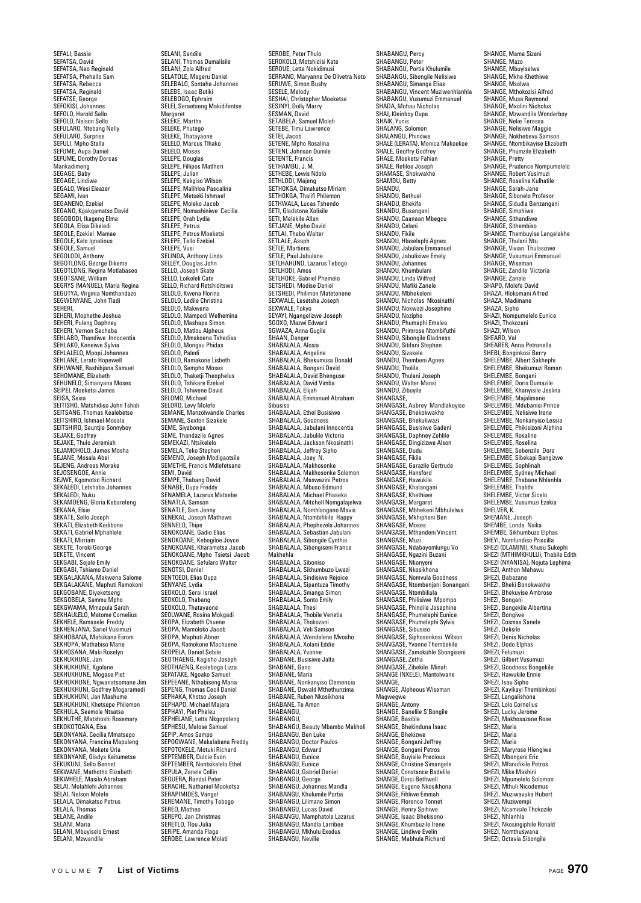SEFALI, Bassie SEFATSA, David SEFATSA, Neo Reginald SEFATSA, Phehello Sam SEFATSA, Rebecca SEFATSA, Reginald SEFATSE, George SEFOKISI, Johannes SEFOLO, Harold Sello SEFOLO, Nelson Sello SEFULARO, Ntebang Nelly SEFULARO, Surprise SEFULL, Mpho Stella SEFUME, Aupa Danie SEFUME, Dorothy Dorcas Mankadimeng SEGAGE, Baby SEGAGE, Lindiwe SEGALO, Wesi Eleazer SEGAMI, Ivan SEGANENO, Ezekiel SEGANO, Kgakgamatso David SEGOBODI, Ikageng Elma SEGOLA, Elisa Dikeledi SEGOLE, Ezekiel Mamae SEGOLE, Kelo Ignatious SEGOLE, Samuel SEGOLODI, Anthony SEGOTLONG, George Dikeme SEGOTLONG, Regina Motlabaseo SEGOTSANE, William<br>SEGOTSANE, William<br>SEGRYS (MANUEL), Maria Regina SEGRYS (MANUEL), Maria Regina SEGUTYA, Virginia Nomthandazo SEGWENYANE, John Tladi SEHERI,<br>SEHERI Monhatha Ioshua SEHERI, Mophethe Joshua SEHERI, Puleng Daphney SEHERI, Vernon Sechaba SEHLABO, Thandiwe Innocentia SEHLAKO, Keneiwe Sylvia SEHLALELO, Mpopi Johannes SEHLANE, Lerato Hopewell SEHLWANE, Rashibjana Samuel SEHOMANE, Elizabeth SEHUNELO, Simanyana Moses SEIPEI, Moeketsi James SEISA, Seisa SEITISHO, Matshidiso John Tshidi SEITISHO, Matshidiso John Tsin SEITSHIRO, Ishmael Mosala SEITSHINO, ISIIIIaei Wosaia<br>SEITSHIRO, Seuntjie Sonnyboy SEJAKE, Godfrey SEJAKE, Thulo Jeremiah SEJAMOHOLO, James Mosha SEJANE, Mosala Abel SEJENG, Andreas Morake SEJOSENGOE, Annie SEJWE, Kgomotso Richard SEKALEDI, Letshaba Johannes SEKALEDI, Nuku SEKAMOENG, Gloria Kebareleng SEKANA, Elsie SEKATE, Sello Joseph SEKATI, Elizabeth Kedibone SEKATI, Gabriel Mphahlele SEKATI, Mirriam SEKETE, Toroki George SEKETE, Vincent SEKGABI, Sejale Emily SEKGABI, Tshiamo Daniel SEKGALAKANA, Makwena Salome SEKGALAKANE, Maphuti Ramokoni SEKGOBANE, Diyeketseng SEKGOBELA, Sammu Mpho SEKGWAMA, Mmapula Sarah SEKHAULELO, Matome Cornelius SEKHELE, Ramasele Freddy SEKHENJANA, Sariel Vusimuzi SEKHOBANA, Mafsikana Esrom SEKHOPA, Mathabiso Marie SEKHOSANA, Maki Roselyn SEKHUKHUNE, Jan SEKHUKHUNE, Kgolane SEKHUKHUNE, Mogase Piet SEKHUKHUNE, Ngwanatsomane Jim SEKHUKHUNI, Godfrey Mogaramedi SEKHUKHUNI, Jan Mashume SEKHUKHUNI, Khetsepe Philemon SEKHULA, Seemole Ntsatsa SEKHUTHE, Matshoshi Rosemary SEKOKOTOANA, Eisa SEKONYANA, Cecilia Mmatsepo SEKONYANA, Francina Mapuleng SEKONYANA, Mokete Uria SEKONYANE, Gladys Keitumetse SEKUKUNI, Sello Bennet SEKWANE, Mathotho Elizabeth SEKWHELE, Masilo Abraham SELAI, Molahlehi Johannes SELAI, Nelson Molefe SELALA, Dimakatso Petrus SELALA Thomas SELANE, Andile SELANI, Maria SELANI, Mbuyiselo Ernest SELANI, Mbayloolo

SELANI, Sandile SELANI, Thomas Dumalisile SELANI, Zola Alfred SELATOLE, Mageru Daniel SELEBALO, Sontaha Johannes SELEBE, Isaac Butiki SELEBOGO, Ephraim SELEI, Seraetseng Makidifentse Margaret SELEKE, Martha SELEKE, Phutego SELEKE, Thatayaone SELELO, Marcus Tlhako SELELO, Moses SELEPE, Douglas SELEPE, Fillipos Matlheri SELEPE, Julian SELEPE, Kakgiso Wilson SELEPE, Malihloa Pascalina SELEPE, Mallillua Fascal<br>SELEPE, Metseki Ishmae SELEPE, Moleko Jacob SELEPE, Nomashiniwe Cecilia SELEPE, Orah Lydia SELLI L, S.C. SELEPE, Petrus Moeketsi SELEPE, Tello Ezekiel SELEPE, Vusi SELINDA, Anthony Linda SELLEY, Douglas John SELLO, Joseph Skate SELLO, Loikeleli Cate SELLO, Richard Retshiditswe SELOLO, Kwena Florina SELOLO, Ledile Christina SELOLO, Makwena SELOLO, Mampedi Welhemina SELOLO, Mampua Weind<br>SELOLO, Mashapa Simon<br>SELOLO, Matlou Alphaus SELOLO, Matlou Alpheus SELOLO, Mmakoena Tshedisa SELOLO, Mongau Phidas SELOLO, Paledi SELOLO, Ramakone Lisbeth SELOLO, Namakone Eispe SELOLO, Thaketji Theophelus SELOLO, Tshikare Ezekiel SELOLO, Tshwene David SELOMO, Michael SELORO, Levy Molefe SEMANE, Manzolwandle Charles SEMANE, Sexton Sizakele SEME, Siyabonga SEME, Thandazile Agnes SEMEKAZI, Ntsikelelo SEMELA, Teko Stephen SEMENO, Joseph Modigaotsile SEMETHE, Francis Mdlefetsane SEMI, David SEMPE, Thabang David SENABE, Oupa Freddy SENAMELA, Lazarus Matsebe SENATLA, Samson SENATLE, Sam Jenny SENEKAL, Joseph Mathews SENNELO, Thipe SENOKOANE, Gadio Elias SENOKOANE, Gaulo Ellas<br>SENOKOANE, Kebogiloe Jovce SENOKOANE, Kharametsa Jacob SENOKOANE, Mpho Tsietsi Jacob SENOKOANE, Sefularo Walter SENOTSI, Daniel SENTOEDI, Elias Oupa SENYANE, Lydia SEOKOLO, Serai Israel SEOKOLO, Thabang SEOKOLO, Thatayaone SEOLWANE, Rosina Mokgadi SEOPA, Elizabeth Chuene SEOPA, Mamoloko Jacob SEOPA, Maphuti Abner SEOPA, Ramokone Machuene SEOPELA, Daniel Sebile SEOTHAENG, Kagisho Joseph SEOTHAENG, Kealeboga Lizza SEPATAKE, Ngoako Samuel SEPEEANE, Nthabiseng Maria SEPENG, Thomas Cecil Daniel SEPHAKA, Khotso Joseph SEPHAPO, Michael Majara SEPHAYI, Piet Pheleu SEPHELANE, Letta Nkgopoleng SEPHESU, Malose Samuel SEPIP, Amos Sampo SEPOGWANE, Makalabana Freddy SEPOTOKELE, Motuki Richard SEPTEMBER, Dulcie Evon SEPTEMBER, Nontsikelelo Ethel SEPULA, Zanele Collin SEQUERA, Randal Peter SERACHE, Nathaniel Mooketsa SERAPIMIDES, Vangel SEREMANE, Timothy Tebogo SEREO, Matheo SEREPO, Jan Christmas SERETLO, Tlou Julia SERIPE, Amanda Flaga SEROBE, Lawrence Molati

SEROBE, Peter Thulo SEROKOLO, Motshidisi Kate SEROUE, Letta Nokidimusi SERRANO, Maryanne De Olivetra Neto SERUWE, Simon Bushy SESELE, Melody SESHAI, Christopher Moeketse SESINYI, Dolly Marry SESMAN, David SETABELA, Samuel Molefi SETEBE, Timu Lawrence SETEI, Jacob SETENE, Mpho Rosalina SETENI, Johnson Dumile SETENTE, Francis SETHAMBU, J. M.<br>SETHAMBU, J. M.<br>SETHEBE. Lewis Ndolo SETHEBE, Lewis Ndolo SETHLODI, Majeng SETHOKGA, Dimakatso Miriam SETHOKGA, Thalifi Philemon SETHWALA, Lucas Tshendo SETI, Gladstone Xolisile SETI, Melekile Allan SETJANE, Mpho David SETLAI, Thabo Walter SETLALE, Asap SETLE, Martiens SETLE, Paul Jabulane SETLHAHUNO, Lazarus Tebogo SETLHODI, Amos SETLHOKE, Gabriel Phemelo SETSHEDI, Modise Daniel SETSHEDI, MOUISE DAINER<br>SETSHEDI, Philimon Matetenene<br>SEXWALE Lesatsha Joseph SEXWALE, Lesetsha Joseph SEXWALE, Tokyo SEYAYI, Ngangelizwe Joseph SGOXO, Mazwi Edward SGWAZA, Anna Gugile SHAAN, Danger SHABALALA, Alosia SHABALALA, Angeline SHABALALA, Bhekumusa Donald SHABALALA, Briekamasa DO SHABALALA, David Bhenguse SHABALALA, David Vimba SHABALALA, Elijah SHABALALA, Emmanuel Abraham Sibusiso SHABALALA, Ethel Busisiwe SHABALALA, Goodness SHABALALA, Jabulani Innocentia SHABALALA, Jabulile Victoria SHABALALA, Jackson Nkosinathi SHABALALA, Jeffrey Sipho SHABALALA, Joey N. SHABALALA, Makhosonke SHABALALA, Makhosonke Solomon SHABALALA, Maswazini Petros SHABALALA, Mbuso Edmund SHABALALA, Michael Phaseka SHABALALA, Mitchell Nomgalajelwa SHABALALA, Mitchell Nomgarajon SHABALALA, Ntombifikile Happy SHABALALA, Phephezela Johannes SHABALALA, Sebastian Jabulani SHABALALA, Sibongile Cynthia SHABALALA, Sibongiseni France Makhehla SHABALALA, Siboniso SHABALALA, Sikhumbuzo Lwazi SHABALALA, Sindisiwe Rejoice SHABALALA, Sipantuza Timothy SHABALALA, Smanga Simon SHABALALA, Sonto Emily SHABALALA, Thesi SHABALALA, Thobile Venetia SHABALALA, Thokozani SHABALALA, Veli Samson SHABALALA, Wendelene Mvosho SHABALALA, Xolani Eddie SHABALALA, Yvonne SHABANE, Busisiwe Jalta SHABANE, Gano SHABANE, Maria SHABANE, Nonkanyiso Clemencia SHABANE, Oswald Mthethunzima SHABANE, Ruben Nkosikhona SHABANE, Te Amon SHARANGU SHABANGU, SHABANGU, Beauty Mbambo Makholi SHABANGU, Ben Luke SHABANGU, Doctor Paulos SHABANGU, Edward SHABANGU, Eunice SHABANGU, Eunice SHABANGU, Gabriel Daniel SHABANGU, George SHABANGU, Johannes Mandla SHABANGU, Khulumile Portia SHABANGU, Lilimane Simon SHABANGU, Lucas David SHABANGU, Mamphatole Lazarus SHABANGU, Mandla Larribee SHABANGU, Mahulu Exodus SHABANGU, Neville

SHABANGU, Percy SHABANGU, Peter SHABANGU, Portia Khulumile SHABANGU, Sibongile Nelisiwe SHABANGU, Simanga Elias SHABANGU, Vincent Muziwenhlanhla SHABANGU, Vusumuzi Emmanuel SHADA, Mohau Nicholas SHAI, Kleinboy Oupa SHAIK, Yunis SHALANG, Solomon SHALANGU, Phindwe SHALE (LERATA), Monica Makoekoe SHALE, Geoffry Godfrey SHALE, Moeketsi Fahian SHALE, Refiloe Joseph SHAMASE, Shokwakhe SHAMDU, Betty SHANDU, SHANDU, Bethuel SHANDU, Bhekifa SHANDU, Busangani SHANDU, Caanaan Mbegcu SHANDU, Celani SHANDU, Fikile SHANDU, Hlaselaphi Agnes SHANDU, Jabulani Emmanuel SHANDU, Jabulisiwe Emely SHANDU, Johannes SHANDU, Khumbulani SHANDU, Linda Wilfred SHANDU, Mafiki Zanele SHANDU, Mbhekeleni SHANDU, Nicholas Nkosinathi SHANDU, Nokwazi Josephine SHANDU, Nozipho SHANDU, Phumaphi Emelea SHANDU, Primrose Ntombifuthi SHANDU, Sibongile Gladness SHANDU, Sitifani Stephen SHANDU, Sizakele SHANDU, Thembeni Agnes SHANDU, Tholile SHANDU, Thulani Joseph SHANDU, Walter Mansi SHANDU, Zibuyile SHANGO, *E*R SHANGASE, Aubrey Mandlakoyise SHANGASE, Bhekokwakhe SHANGASE, Bhekukwazi SHANGASE, Busisiwe Gadeni SHANGASE, Daphney Zehlile SHANGASE, Dingizizwe Alson SHANGASE, Dudu SHANGASE, Fikile SHANGASE, Garazile Gertrude SHANGASE, Hansford SHANGASE, Hawukile SHANGASE, Khalangani SHANGASE, Khethiwe SHANGASE, Margaret SHANGASE, Mbhekeni Mbhulelwa SHANGASE, Mkhipheni Ben SHANGASE, Moses SHANGASE, Mthandeni Vincent SHANGASE, Muzi SHANGASE, Ndabayomlungu Vo SHANGASE, Ngazini Buzani SHANGASE, Nkonyeni SHANGASE, Nkosikhona SHANGASE, Nomvula Goodness SHANGASE, Ntombenjani Bonangani SHANGASE, Ntombikula SHANGASE, Philisiwe Mpompo SHANGASE, Phindile Josephine SHANGASE, Phumelaphi Eunice SHANGASE, Phumelephi Sylvia SHANGASE, Sibusiso SHANGASE, Siphosenkosi Wilson SHANGASE, Yvonne Thembekile SHANGASE, Zamokuhle Sbongiseni SHANGASE, Zetha SHANGASE, Zibekile Minah SHANGE (NXELE), Mantolwane SHANGE, SHANGE, Alpheous Wiseman Magwegwe SHANGE, Antony SHANGE, Banelile S'Bonnile SHANGE, Basitile SHANGE, Bhekinduna Isaac SHANGE, Bhekizwe SHANGE, Bongani Jeffrey SHANGE, Bongani Petros SHANGE, Buyisile Precious SHANGE, Christine Simangele SHANGE, Constance Badelile SHANGE, Dinci Bethwell SHANGE, Eugene Nkosikhona SHANGE, Fihliwe Emmah SHANGE, Fililiwe Ellillian SHANGE, Henry Spihiwe SHANGE, Isaac Bhekisono SHANGE, Khumbuzile Irene SHANGE, Lindiwe Evelin SHANGE, Mabhula Richard

SHANGE, Mama Sizani SHANGE, Mazo SHANGE, Mbuyiselwa SHANGE, Mkhe Khethiwe SHANGE, Msolwa SHANGE, Mthokozisi Alfred SHANGE, Musa Raymond SHANGE, Mxolini Nicholus SHANGE, Mzwandile Wonderboy SHANGE, Nelie Teressa SHANGE, Nelisiwe Maggie SHANGE, Nokhebevu Samson SHANGE, Ntombikayise Elizabeth SHANGE, Phumzile Elizabeth SHANGE, Pretty SHANGE, Prudence Nompumelelo SHANGE, Robert Vusimuzi SHANGE, Roselina Kulhatile SHANGE, Sarah-Jane SHANGE, Saran-Jane<br>SHANGE, Sibonelo Profesor SHANGE, Sidudla Benzangani SHANGE, Simphiwe SHANGE, Sithandiwe SHANGE, Sithembiso SHANGE, Thembuyise Langelakhe SHANGE, Thulani Ntu SHANGE, Vivian Thulasizwe SHANGE, Vusumuzi Emmanuel SHANGE, Wiseman SHANGE, Zandile Victoria SHANGE, Zanele SHAPO, Lunois<br>SHAPO, Molefe David SHAZA, Hlokomani Alfred SHAZA Madimane SHAZA, Sipho SHAZI, Nompumelelo Eunice SHAZI, Thokozani SHAZI, Wilson SHEARD, Val SHEARER, Anna Petronella SHEBI, Bonginkosi Berry SHELEMBE, Albert Sakhephi SHELEMBE, Bhekumuzi Roman SHELEMBE, Bongani SHELEMBE, Doris Dumazile SHELEMBE, Khanyisile Jeslina SHELEMBE, Majalimane SHELEMBE, Mdubanisi Prince SHELEMBE, Nelisiwe Irene SHELEMBE, Nonkanyiso Lessia SHELEMBE, Phikisizoni Alphina SHELEMBE, Rosaline SHELEMBE, Roselina SHELEMBE, Sebenzile, Dora SHELEMBE, Sibekapi Bangizwe SHELEMBE, Sophlinah SHELEMBE, Sydney Michael SHELEMBE, Thabane Nhlanhla SHELEMBE, Thalith SHELEMBE, Victor Sicelo SHELEMBE, Vusumuzi Ezekia SHELVER, K. SHEMANE, Joseph SHEMBE, Londa Nsika SHEMBE, Sikhumbuzo Elphas SHEYI, Nomfundiso Priscilla SHEZI (DLAMINI), Khusu Sukephi SHEZI (MTHIMKHULU), Thabile Edith SHEZI (NYANISA), Nojuta Lephima SHEZI, Anthon Mahawu SHEZI, Babazane SHEZI, Bheki Bonokwakhe SHEZI, Bhekuyise Ambrose SHEZI, Bongani SHEZI, Bongekile Albertina SHEZI, Bongiwe SHEZI, Cosmas Sanele SHEZI, Delisile SHEZI, Denis Nicholas SHEZI, Dodo Elphas SHEZI, Felumuzi SHEZI, Gilbert Vusumuzi SHEZI, Goodness Bongekile SHEZI, Hawukile Ennie SHEZI, Isau Sipho SHEZI, Kayikayi Thembinkosi SHEZI, Langalishona SHEZI, Lolo Cornelius SHEZI, Lucky Jerome SHEZI, Makhosazane Rose SHEZI, Maria SHEZI, Maria SHEZI, Maria SHEZI, Maryrose Hlengiwe SHEZI, Mbongeni Eric SHEZI, Mfanufikile Petros SHEZI, Mike Makhini SHEZI, Mpumelelo Solomon SHEZI, Mthuli Nicodemus SHEZI, Muziwavuka Hubert SHEZI, Muziwempi SHEZI, Ncamisile Thokozile SHEZI, Nhlanhla SHEZI, Nkosingiphile Ronald SHEZI, Nomthuswana SHEZI, Octavia Sibongile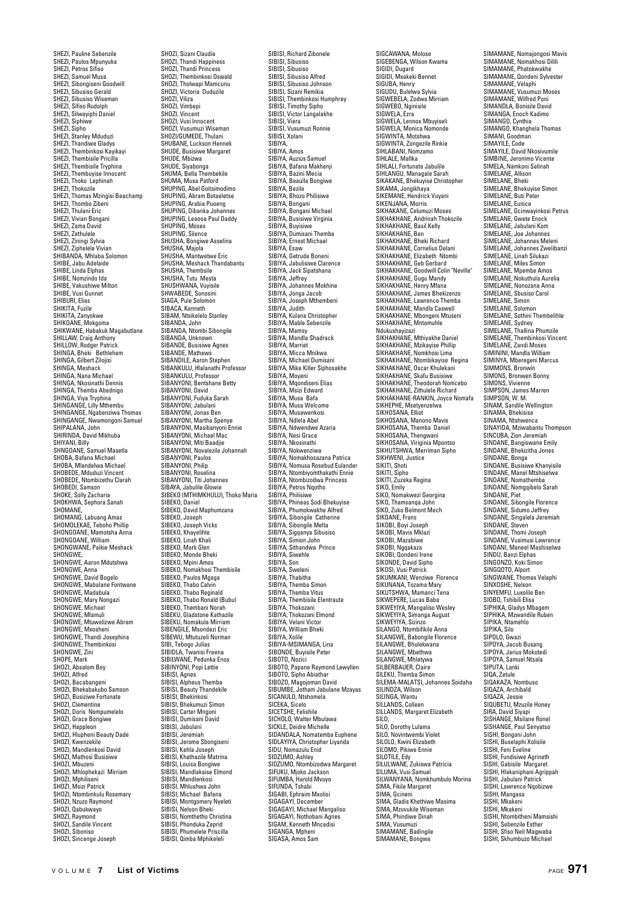SHEZI, Pauline Sebenzile SHEZI, Paulos Mpunyuka SHEZI, Petros Sifiso SHEZI, Samuel Musa SHEZI, Sibongiseni Goodwill SHEZI, Sibusiso Gerald SHEZI, Sibusiso Wiseman SHEZI, Sifiso Rudolph SHEZI, Silwayiphi Daniel SHEZI, Siphiwe SHEZI, Sipho SHEZI, Stanley Mduduzi SHEZI, Thandiwe Gladys SHEZI, Thembinkosi Kayikayi SHEZI, Thembisile Pricilla SHEZI, Thembisile Tryphina SHEZI, Thembuyise Innocent SHEZI, Thoko Lephinah SHEZI, Thokozile SHEZI, Thomas Mzingisi Beachamp SHEZI, Thombo Zibeni SHEZI, Thulani Eric SHEZI, Vivian Bongani SHEZI, Zama David SHEZI, Zethulele SHEZI, Ziningi Sylvia SHEZI, Ziphelele Vivian SHIBANDA, Mhlaba Solomon SHIBE, Jabu Adelaide SHIBE, Linda Elphas SHIBE, Nomzindo Ida SHIBE, Vakushiwe Milton SHIBE, Vusi Gunnet SHIBURI, Elias SHIKITA, Fuzile SHIKITA, Zanyokwe SHIKOANE, Mokgoma SHIKWANE, Habakuk Magabutlane SHILLAW, Craig Anthony SHILLOW, Rodger Patrick SHINGA, Bheki Bethlehem SHINGA, Gilbert Zilojisi SHINGA, Gilbert Zil SHINGA, Nana Michael SHINGA, Nkosinathi Dennis SHINGA, Themba Abednigo SHINGA, Viya Tryphina SHINGANGE, Lilly Mthembu SHINGANGE, Ngabenziwa Thomas SHINGANGE, Nwamongoni Samuel SHINGANGE, INWA<br>SHIPALANA, John SHIRINDA, David Mikhuba SHIYANI, Billy SHNGOANE, Samuel Masetla SHOBA, Bafana Michael SHOBA, Mlandelwa Michael SHOBEDE, Mduduzi Vincent SHOBEDE, Ntombizethu Clarah SHOBEDI, Samson SHOKE, Solly Zacharia SHOKHWA, Sephora Sanah SHOMANE, SHOMANG, Labuang Amas SHOMOLEKAE, Teboho Phillip SHONGOANE, Mamotsha Anna SHONGOANE, William SHONGWANE, Paikie Meshack SHONGWE. SHONGWE, Aaron Mdutshwa SHONGWE, Anna SHONGWE, David Bogelo SHONGWE, Mabalane Fontwane SHONGWE, Madabula SHONGWE, Mary Nongazi SHONGWE, Michael SHONGWE, Mlamuli SHONGWE, Mtuwelizwe Abram SHONGWE, Mxosheni SHONGWE, Thandi Josephina SHONGWE, Thembinkosi SHONGWE, Zini SHOPE, Mark SHOZI, Absalom Boy SHOZI, Alfred SHOZI, Bacabangeni SHOZI, Bhekabakubo Samson SHOZI, Busiziwe Fortunate SHOZI, Dusiziwe i t SHOZI, Doris Nompumelelo SHOZI, Grace Bongiwe SHOZI, Happleon SHOZI, Hlupheni Beauty Dade SHOZI, Kwenzekile SHOZI, Mandlenkosi David SHOZI, Mathosi Busisiwe SHOZI, Mbuzeni SHOZI, Mhlophekazi Mirriam SHOZI, Mphiliseni SHOZI, Msizi Patrick SHOZI, Ntombinkulu Rosemary SHOZI, Nzuzo Raymond SHOZI, LESSER III, SHOZI, Raymond SHOZI, Sandile Vincent SHOZI, Siboniso SHOZI, Sincenge Joseph

SHOZI, Sizani Claudia SHOZI, Thandi Happiness SHOZI, Thandi Princess SHOZI, Thembinkosi Oswald SHOZI, Tholwapi Mamcunu SHOZI, Victoria Duduzile SHOZI, Viliza SHOZI, Vimbepi SHOZI, Vincent SHOZI, Vusi Innocent SHOZI, Vusumuzi Wiseman SHOZI/GUMEDE, Thulani SHUBANE, Luckson Hennek SHUDE, Busisiwe Margaret SHUDE, Mbizwa SHUDE, Siyabonga SHUMA, Bella Thembekile SHUMA, Musa Patford SHUPING, Abel Goitsimodimo SHUPING, Aber Gonsmounn SHUPING, Arabia Puoeng SHUPING, Dibanka Johan SHUPING, Leaooa Paul Daddy SHUPING, Moses SHUPING, Silence SHUSHA, Bongiwe Asselina SHUSHA, Majola SHUSHA, Mantwetwe Eric SHUSHA, Meshack Thandabantu SHUSHA, Thembsile SHUSHA, Tutu Mesta SHUSHWANA, Vuvisile SHWABEDE, Sonosini SIAGA, Pule Solomon SIBACA, Kenneth SIBAGA, Kemietii<br>SIRAM, Ntsikalalo Stanley SIBANDA, John SIBANDA, Ntombi Sibongile SIBANDA, Unknown SIBANDE, Busisiwe Agnes SIBANDE, Mathews SIBANDILE, Aaron Stephen SIBANKULU, Halanathi Professor SIBANKULU, Professor SIBANYONI, Bentshane Betty SIBANYONI, David SIBANYONI, Fuduka Sarah SIBANYONI, Jabulani SIBANYONI, Jonas Ben SIBANYONI, Martha Spenye SIBANYONI, Masibanyoni Ennie SIBANYONI, Michael Mac SIBANYONI, Miti Baadjie SIBANYONI, Novalezile Johannah SIBANYONI, Paulos SIBANYONI, Philip SIBANYONI, Roselina SIBANYONI, Titi Johannes SIBAYA, Jabulile Glowie SIBEKO (MTHIMKHULU), Thoko Maria SIBEKO, Daniel SIBEKO, David Maphumzana SIBEKO, Joseph SIBEKO, Joseph Vicks SIBEKO, Khayelihle SIBEKO, Linah Khali SIBEKO, Mark Glen SIBEKO, Monde Bheki SIBEKO, Mpini Amos SIBEKO, Nomakhosi Thembisile SIBEKO, Paulos Mgaga SIBEKO, Thabo Calvin SIBEKO, Thabo Reginald SIBEKO, Thabo Ronald (Bubu) SIBEKO, Thembani Norah SIBEKU, Gladstone Kathazile SIBEKU, Nomakula Mirriam SIBENGILE, Msondezi Eric SIBEWU, Mtutuzeli Norman SIBI, Tebogo Julias SIBIDLA, Twanisi Freena SIBILWANE, Pedunka Enos SIBINYONI, Popi Lettie SIBISI, Agnes SIBISI, Alpheus Themba SIBISI, Beauty Thandekile SIBISI, Bhekinkosi SIBISI, Bhekumuzi Simon SIBISI, Carter Mngoni SIBISI, Dumisani David SIBISI, Jabulani SIBISI, Jeremiah SIBISI, Jerome Shongisen SIBISI, Kehla Joseph SIBISI, Khathazile Matrina SIBISI, Louisa Bongiwe SIBISI, Mandlakaise Elmond SIBISI, Mandlenkosi SIBISI, Mhlushwa John SIBISI, Michael Bafana SIBISI, Montgomery Nyeleti SIBISI, Nelson Bheki SIBISI, Nomthetho Christina SIBISI, Phonduka Zeprid SIBISI, Phumelele Priscilla SIBISI, Qimba Mphikeleli

SIBISI, Richard Zibonele SIBISI, Sibusiso SIBISI, Sibusiso SIBISI, Sibusiso Alfred SIBISI, Sibusiso Johnson SIBISI, Sizani Remikia SIBISI, Thembinkosi Humphrey SIBISI, Timothy Sipho SIBISI, Victor Langalakhe SIBISI, Viera SIBISI, Vusumuzi Ronnie SIBISI, Xolani SIBIYA, SIBIYA, Amos SIBIYA, Auzius Samuel SIBIYA, Bafana Makhenji SIBIYA, Bazini Mecia SIBIYA, Beaulla Bongir<br>SIBIYA, Beaulla Bongir SIBIYA, Bezile SIBIYA, Bhozo Philisiwe SIBIYA, Bongani SIBIYA, Bongani Michael SIBIYA, Busisiwe Virginia SIBIYA, Buyisiwe SIBIYA, Dumisani Themba SIBIYA, Ernest Michael SIBIYA, Esaw SIBIYA, Getrude Boneni SIBIYA, Jabulisiwe Clarence SIBIYA, Jack Sipatshana SIBIYA, Jeffrey SIBIYA, Johannes Mokhine SIBIYA, Jonga Jacob SIBIYA, Joseph Mthembeni SIBIYA, Judith SIBIYA, Kulana Christopher SIBIYA, Nularia Crinstoph SIBIYA, Mamsy SIBIYA, Mandla Shadrack SIBIYA, Marriet SIBIYA, Micca Mnikwa SIBIYA, Michael Dumisani SIBIYA, Mike Killer Siphosakhe SIBIYA, Moyeni SIBIYA, Mqondiseni Elias SIBIYA, Msizi Edward SIBIYA, Musa Bafa SIBIYA, Musa Welcome SIBIYA, Musa welcom SIBIYA, Ndlela Abel SIBIYA, Ndiela Abel<br>SIBIYA, Ndwendwe Azaria SIBIYA, Nesi Grace SIBIYA, Nesi diace SIBIYA, Nokwenziwa SIBIYA, Nomakhosazana Patrica SIBIYA, Nomusa Rosebud Eulander SIBIYA, Ntombiyomthakathi Ennie SIBIYA, Ntombizodwa Princess SIBIYA, Petros Ngoth SIBIYA, Philisiwe SIBIYA, Phineas Sodi Bhekuyise SIBIYA, Phumokwakhe Alfred SIBIYA, Sibongile Catherine SIBIYA, Sibongile Melta SIBIYA, Sigqanya Sibusiso SIBIYA, Simion John SIBIYA, Sithandwa Prince SIBIYA, Siwehle SIBIYA, Son SIBIYA, Sweleni SIBIYA, Thabitha SIBIYA, Themba Simon SIBIYA, Themba Vitus SIBIYA, Thembisile Elentraute SIBIYA, Thokozani SIBIYA, Thokozani Elmond SIBIYA, Velani Victor SIBIYA, William Bheki SIBIYA, Xolile SIBIYA-MSIMANGA, Lina SIBONDE, Buyisile Peter SIBOTO, Nozici SIBOTO, Papane Raymond Lewyllen SIBOTO, Sipho Abiathar SIBOZO, Magojoman David SIBUMBE, Jotham Jabulane Mzayas SICANULO, Ntshomela SICEKA, Sicelo SICETSHE, Felishile SICHOLO, Walter Mbulawa SICKLE, Deidre Michelle SIDANDALA, Nomatemba Euphene SIDLAYIYA, Christopher Liyanda SIDU, Nomazulu Enid SIDZUMO, Ashley SIDZUMO, Ntombizodwa Margaret SIFUKU, Mjoko Jackson SIFUMBA, Harold Mvuyo SIFUNDA, Tshabi SIGABI, Ephraim Mxolisi SIGAGAYI, December SIGAGAYI, Michael Mangaliso SIGAGAYI, Nothobani Agnes SIGAM, Kenneth Mncedisi SIGANGA, Mpheni SIGASA, Amos Sam

SIGCAWANA, Molose SIGEBENGA, Wilson Kwama SIGIDI, Dugard SIGIDI, Mxakeki Bennet SIGUBA, Henry SIGUDU, Bulelwa Sylvia SIGWEBELA, Zodwa Mirriam SIGWEBO, Nginisile SIGWELA, Ezra SIGWELA, Lennox Mbuyiseli SIGWELA, Monica Nomonde SIGWINTA, Motshwa SIGWINTA, Zongezile Rinkie SIHLABANI, Nomzamo SIHLALE, Mafika SIHLALI, Fortunate Jabulile SIHLANGU, Managale Sarah SIKAKANE, Bhekuyise Christopher SIKAMA, Jongikhaya SIKEMANE, Hendrick Vuyani SIKENJANA, Morris SIKHAKANE, Celumuzi Moses SIKHAKHANE, Andrinah Thokozile<br>SIKHAKHANE, Basil Kelly SIKHAKHANE, Basil Kelly<br>SIKHAKHANE, Benki<br>SIKHAKHANE, Bheki Richard<br>SIKHAKHANE, Gornelius Delani<br>SIKHAKHANE, Gizabeth Ntombi<br>SIKHAKHANE, Geo derbid Colin "Neville"<br>SIKHAKHANE, Gogu Mandy<br>SIKHAKHANE, Jennes Bhekizenzo<br>SIKHA SIKHAKHANE, Lawrence Themba SIKHAKHANE, Mandla Caswell SIKHAKHANE, Mbongeni Mtuseni SIKHAKHANE, Mnonigerin Ndukushayizazi SIKHAKHANE, Mthiyakhe Daniel SIKHAKHANE, Mzikayise Phillip SIKHAKHANE, Nomkhosi Lima SIKHAKHANE, Ntombikayise Regina SIKHAKHANE, Numbikayise SIKHAKHANE, Skafu Busisiwe SIKHAKHANE, Theodorah Nomcebo SIKHAKHANE, Zithulele Richard SIKHAKHANE-RANKIN, Joyce Nomafa SIKHEPHE, Msetyenzelwa SIKHOSANA, Elliot SIKHOSANA, Manono Mavis SIKHOSANA, Themba Daniel SIKHOSANA, Thengwani SIKHOSANA, Viriginia Mpontso SIKHUTSHWA, Merriman Sipho SIKHWENI, Justice SIKITI, Shoti SIKITI, Sipho SIKITI, Zuzeka Begina SIKO, Emily SIKO, Nomakwezi Georgina SIKO, Thamsanqa John SIKO, Zuko Belmont Mech SIKOANE, Frans SIKOBI, Boyi Joseph SIKOBI, Mavis Mklazi SIKOBI, Mazabiwe SIKOBI, Ngqakaza SIKOBI, Qondeni Irene SIKONDE, David Sipho SIKOSI, Vusi Patrick SIKUMKANI, Wenziwe Florence SIKUNANA, Tozama Mary SIKUTSHWA, Mamanci Tena SIKWEPERE, Lucas Baba SIKWEYIYA, Mangaliso Wesley SIKWEYIYA, Simanga August SIKWEYIYA, Sizinzo SILANGO, Ntombifikile Anna SILANGWE, Babongile Florence SILANGWE, Bhulekwana SILANGWE, Mbethwa SILANGWE, Mhletywa SILBERBAUER, Claire SILEKU, Themba Simon SILEMA-MALATSI, Johannes Soidaha SILINDZA, Wilson SILINGA, Wantu SILLANDS, Colleen SILLANDS, Margaret Elizabeth SILO, SILO, Dorothy Lulama SILO, Novintwembi Violet SILOLO, Kwini Elizabeth SILOMO, Pikiwe Ennie SILOTILE, Edy SILULWANE, Zukiswa Patricia SILUMA, Vusi Samuel SILWANYANA, Nomkhumbulo Morina SIMA, Fikile Margaret SIMA, Gcineni SIMA, Gladis Khethiwe Masima SIMA, Mzuvukile Wiseman SIMA, Phindiwe Dinah SIMA, Vusumuzi SIMAMANE, Badingile SIMAMANE, Bongwa

SIMAMANE, Nomajongosi Mavis SIMAMANE, Nomakhosi Dilili SIMAMANE, Phatokwakhe SIMAMANE, Qondeni Sylvester SIMAMANE, Velaphi SIMAMANE, Vusumuzi Moses SIMAMANE, Wilfred Poni SIMANDLA, Bonisile David SIMANGA, Enoch Kadimo SIMANGO, Cynthia SIMANGO, Khanghela Thomas SIMANI, Goodman SIMAYILE, Code SIMAYILE, David Nkosivumile SIMBINE, Jeronimo Vicente SIMELA, Namkoni Selinah SIMELANE, Allison SIMELANE, Allison SIMELANE, Bhekuyise Simon SIMELANE, Briekuyisi<br>SIMELANE, Buti Peter SIMELANE, Eunice SIMELANE, Gcinwayinkosi Petrus SIMELANE, Gwete Enock SIMELANE, Jabulani Kon SIMELANE, Joe Johannes SIMELANE, Johannes Meleni SIMELANE, Johannes Zwelibanzi SIMELANE, Linah Silukazi SIMELANE, Miles Simon SIMELANE, Mpembe Amos SIMELANE, Nokuthula Aurelia SIMELANE, Nonozana Anna SIMELANE, Sbusiso Carol SIMELANE, Space SIMELANE, Sulidin<br>SIMELANE, Solomon<br>SIMELANE, Sothini Themhelihle SIMELANE, Sothini Thembelihle SIMELANE, Sydney SIMELANE, Thallina Phumzile SIMELANE, Thembinkosi Vincent SIMELANE, Zandi Moses SIMININI, Mandla William SIMINYA, Mberegeni Marcus SIMMONS, Bronwin SIMONS, Bronwen Bonny SIMONS, Vivienne SIMPSON, James Marren SIMPSON, W. M. SINAM, Sandile Wellington SINAMA, Bhekisisa SINAMA, Ntshwenca SINAYIDA, Mziwabantu Thompson SINCUBA, Zion Jeremiah SINDANE, Bangiswane Emily SINDANE, Bhekizitha Jones SINDANE, Bonga SINDANE, Busisiwe Khanyisile SINDANE, Manel Mtshiselwa SINDANE, Nomathemba SINDANE, Nomgqibelo Sarah SINDANE, Piet SINDANE, Sibongile Florence SINDANE, Sidumo Jeffrey SINDANE, Singalela Jeremiah SINDANE, Steven SINDANE, Thomi Joseph SINDANE, Vusimusi Lawrence SINDANI, Maneel Mashiselwa SINDU, Banzi Elphas SINGONZO, Koki Simon SINGQOTO, Alport SINGWANE, Thomas Velaphi SINXOSHE, Nelson SINYEMFU, Luxolile Ben SIOBO, Tshibili Elisa SIPHIKA, Gladys Mbagem SIPHIKA, Mzwandile Ruben SIPIKA, Ntamehlo SIPIKA, Silo SIPOLO, Gwazi SIPOYA, Jacob Busang SIPOYA, Jarius Mokotedi SIPOYA, Samuel Ntsala SIPUTA, Lanki SIQA, Zetule SIQAKAZA, Nombuso SIQAZA, Archibald SIQAZA, Jessie SIQUBETU, Mzuzile Honey SIRA, David Siyapi SISHANGE, Msilane Ronel SISHANGE, Paul Senyatso SISHI, Bongani John SISHI, Buselaphi Xolisile SISHI, Feni Eveline SISHI, Fundisiwe Agrineth SISHI, Gabisile Margaret SISHI, Hlakaniphani Agrippah SISHI, Jabulani Patrick SISHI, Lawrence Nqobizwe SISHI, Mangasa SISHI, Mkakeni SISHI, Mkakeni SISHI, Ntombitheni Mamsishi SISHI, Sebenzile Esther SISHI, Sfiso Neil Magwaba SISHI, Skhumbuzo Michael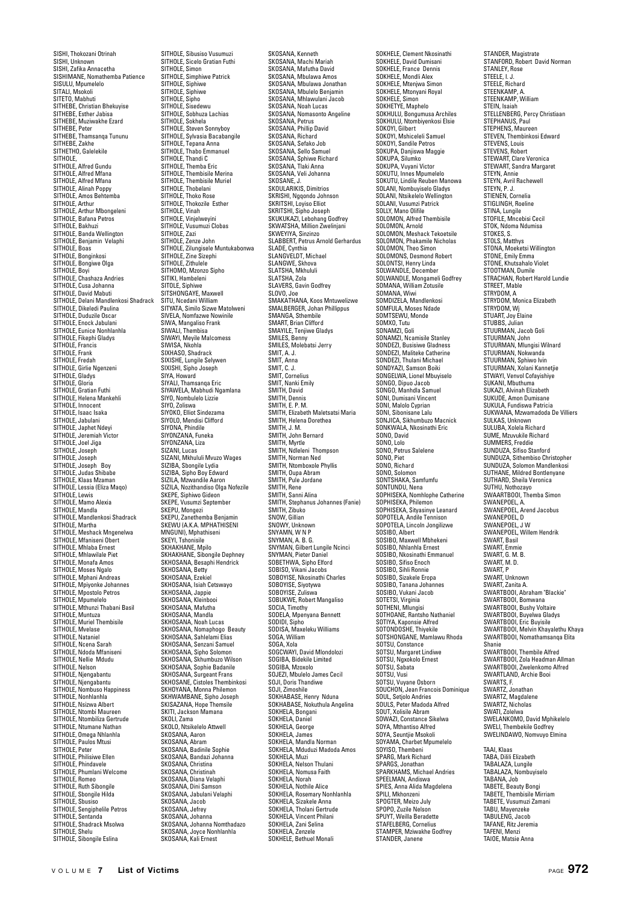SISHI, Thokozani Otrinah SISHI, Unknown SISHI, Zafika Annacetha SISHIMANE, Nomathemba Patience SISULU, Mpumelelo SITALI, Msokoli SITETO, Mabhuti SITHEBE, Christian Bhekuyise SITHEBE, Esther Jabisa SITHEBE, Muziwakhe Ezard SITHEBE, Peter SITHEBE, Thamsanqa Tununu SITHEBE, Zakhe SITHETHO, Galelekile SITHOLE, SITHOLE, Alfred Gundu SITHOLE, Alfred Mfana SITHOLE, Alfred Mfana SITHOLE, Alinah Poppy SITHOLE, Allitatt Fuppy<br>SITHOLE, Amos Behtemba SITHOLE, Arthur SITHOLE, Arthur Mbongeleni SITHOLE, Bafana Petros SITHOLE, Bakhuzi SITHOLE, Banda Wellington SITHOLE, Benjamin Velaphi SITHOLE, Boas SITHOLE, Bonginkosi SITHOLE, Bongiwe Olga SITHOLE, Boyi SITHOLE, Chashaza Andries SITHOLE, Cusa Johanna SITHOLE, David Mabuti SITHOLE, Delani Mandlenkosi Shadrack SITHOLE, Dikeledi Paulina SITHOLE, Duduzile Oscar SITHOLE, Enock Jabulani SITHOLE, Eunice Nonhlanhla SITHOLE, Fikephi Gladys SITHOLE, Francis SITHOLE, Frank SITHOLE, Fredah SITHOLE, Girlie Ngenzeni SITHOLE, Gladys SITHOLE, Glauy.<br>SITHOLE, Gloria SITHOLE, Gratian Futhi SITHOLE, Helena Mankehli SITHOLE, Innocent SITHOLE, Isaac Isaka SITHOLE, Jabulani SITHOLE, Japhet Ndeyi SITHOLE, Jeremiah Victor SITHOLE, Joel Jiga SITHOLE, Joseph SITHOLE, Joseph SITHOLE, Joseph Boy SITHOLE, Judas Shibabe SITHOLE, Klaas Mzaman SITHOLE, Lessia (Eliza Maqo) SITHOLE, Lewis SITHOLE, Mamo Alexia SITHOLE, Mandla<br>SITHOLE, Mandlenkosi Shadrack<br>SITHOLE, Martha<br>SITHOLE, Meshack Mngenelwa<br>SITHOLE, Mfaniseni Obert SITHOLE, Mhlaba Ernest SITHOLE, Millaud Liflest<br>SITHOLE, Mhlawilale Piet SITHOLE, Monafa Amos SITHOLE, Moses Ngalo SITHOLE, Mphani Andreas SITHOLE, Mpiyonke Johannes SITHOLE, Mpostolo Petros SITHOLE, Mpumelelo SITHOLE, Mthunzi Thabani Basil SITHOLE, Muntuza SITHOLE, Muriel Thembisile SITHOLE, Mvelase SITHOLE, Nataniel SITHOLE, Ncena Sarah SITHOLE, Ndoda Mfaniseni SITHOLE, Nellie Mdudu SITHOLE, Nelson SITHOLE, Njengabantu SITHOLE, Njengabantu SITHOLE, Nombuso Happiness SITHOLE, Nonhlanhla SITHOLE, Nsizwa Albert SITHOLE, Ntombi Maureen SITHOLE, Ntombiliza Gertrude SITHOLE, Ntumane Nathan SITHOLE, Omega Nhlanhla SITHOLE, Paulos Mtusi SITHOLE, Peter SITHOLE, Philisiwe Ellen SITHOLE, Phindavele SITHOLE, Phumlani Welcome SITHOLE, Romeo SITHOLE, Ruth Sibongile SITHOLE, Sbongile Hilda SITHOLE, Sbusiso SITHOLE, Sengiphelile Petros SITHOLE, Sentanda SITHOLE, Shadrack Msolwa SITHOLE, Shelu SITHOLE, Sibongile Eslina

SITHOLE, Sibusiso Vusumuzi SITHOLE, Sicelo Gratian Futhi SITHOLE, Simon SITHOLE, Simphiwe Patrick SITHOLE, Siphiwe SITHOLE, Siphiwe SITHOLE, Sipho SITHOLE, Sisedewu SITHOLE, Sobhuza Lachias SITHOLE, Sokhela SITHOLE, Steven Sonnyboy SITHOLE, Sylvasia Bacabangile SITHOLE, Tepana Anna SITHOLE, Thabo Emmanuel SITHOLE, Thandi C SITHOLE, Themba Eric SITHOLE, Thembisile Merina SITHOLE, Thembisile Muriel SITHOLE, Thobelani SITHOLE, Thoko Rose SITHOLE Thokozile Esther SITHOLE, Vinah SITHOLE, Vinjelweyini SITHOLE, Vusumuzi Clobas SITHOLE, Zazi SITHOLE, Zenze John SITHOLE, Zilungisele Muntukabonwa SITHOLE, Zine Sizephi SITHOLE, Zille Size SITHOMO, Mzonzo Sipho SITIKI, Hambeleni SITOLE, Siphiwe SITSHONGAYE, Maxwell SITU, Ncedani William SITYATA, Similo Sizwe Matolweni SIVELA, Nomfazwe Nowinile SIWA, Mangaliso Frank<br>SIWA, Mangaliso Frank<br>SIWALL Thembise SIWALI, Thembisa SIWAYI, Meyile Malcomess SIWISA, Nkohla SIXHASO, Shadrack SIXISHE, Lungile Selywen SIXISHI, Sipho Joseph SIYA, Howard SIYALI, Thamsanqa Eric SIYAWELA, Mabhudi Ngamlana SIYO, Nombulelo Lizzie SIYO, Zoliswa SIYOKO, Elliot Sindezama SIYOLO, Mendisi Clifford SIYONA, Phindile SIYONZANA, Funeka SIYONZANA, Lum SIZANI, Lucas SIZANI, Mkhululi Mvuzo Wages SIZIBA, Sbongile Lydia SIZIBA, Sipho Boy Edward SIZILA, Mzwandile Aaron SIZILA, Nozithandiso Olga Nofezile SKEPE, Siphiwo Gideon<br>SKEPE, Vusumzi September<br>SKEPU, Mongezi<br>SKEPU, Zanethemba Benjamin<br>SKEWU (A.K.A. MPHATHISENI<br>MNGUNI), Mphathiseni SKEYL Tshonisile SKHAKHANE, Mpilo SKHAKHANE, Sibongile Dephney SKHOSANA, Besaphi Hendrick SKHOSANA, Betty SKHOSANA, Ezekiel SKHOSANA, Isiah Cetswayo SKHOSANA, Jappie SKHOSANA, Kleinbooi SKHOSANA, Mafutha SKHOSANA, Mandla SKHOSANA, Noah Lucas SKHOSANA, Nomaphogo Beauty SKHOSANA, Sahlelami Elias SKHOSANA, Senzani Samuel SKHOSANA, Sipho Solomon SKHOSANA, Skhumbuzo Wilson SKHOSANA, Sophie Badanile SKHOSANA, Surgeant Frans SKHOSANE, Cistoles Thembinkosi SKHOYANA, Monna Philemon SKHWAMBANE, Sipho Joseph SKISAZANA, Hope Themsile SKITI, Jackson Mamana SKOLI, Zama SKOLO, Ntsikelelo Attwell SKOSANA, Aaron SKOSANA, Abram SKOSANA, Badinile Sophie SKOSANA, Bandazi Johanna SKOSANA, Christina SKOSANA, Christinah SKOSANA, Diana Velaphi SKOSANA, Dini Samson SKOSANA, Jabulani Velaphi SKOSANA, Jacob SKOSANA, Jefrey SKOSANA, Johanna SKOSANA, Johanna Nomthadazo SKOSANA, Joyce Nonhlanhla SKOSANA, Kali Ernest

SKOSANA, Kenneth SKOSANA, Machi Mariah SKOSANA, Mafutha David SKOSANA, Mbulawa Amos SKOSANA, Mbulawa Jonathan SKOSANA, Mbulelo Benjamin SKOSANA, Mhlawulani Jacob SKOSANA, Noah Lucas SKOSANA, Nomasonto Angeline SKOSANA, Petrus SKOSANA, Phillip David SKOSANA, Richard SKOSANA, Sefako Job SKOSANA, Sello Samuel SKOSANA, Sphiwe Richard SKOSANA, Tlaki Anna SKOSANA, Veli Johanna SKOSANE, J. SKOULARIKIS, Dimitrios SKRISHI, Ngqondo Johnson SKRITSHI, Loyiso Elliot SKRITSHI, Sipho Joseph SKUKUKAZI, Lebohang Godfrey SKWATSHA, Million Zwelinjani SKWEYIYA, Sinzinzo SLABBERT, Petrus Arnold Gerhardus SLADE, Cynthia SLANGVELDT, Michael SLANGWE, Skhova SLATSHA, Mkhululi SLATSHA, Zola SLAVERS, Gavin Godfrey SLOVO, Joe SMAKATHANA, Koos Mntuwelizwe SMARATHAIVA, ROOS MINUWERZ<br>SMALBERGER, Johan Phillippus<br>SMANGA Sthambila SMANGA, Sthembile SMART, Brian Clifford SMAYILE, Tenjiwe Gladys SMILES, Benny SMILES, Molebatsi Jerry SMIT, A. J. CMIT, Anna SMIT, C. J. SMIT, Cornelius SMIT, Nanki Emily SMITH, David SMITH, Dennis SMITH, E. P. M. SMITH, Elizabeth Maletsatsi Maria SMITH, Helena Dorethea SMITH, J. M. SMITH, John Bernard SMITH, Myrtle SMITH, Ndleleni Thompson SMITH, Norman Ned SMITH, Ntomboxole Phyllis SMITH, Oupa Abram SMITH, Pule Jordane SMITH, Rene SMITH, Sanni Alina SMITH, Stephanus Johannes (Fanie) SMITH, Zibuko SNOW, Gillian SNOWY, Unknown SNYAMN, W N P SNYMAN, A. B. G. SNYMAN, Gilbert Lungile Ncinci SNYMAN, Pieter Daniel SOBETHWA, Sipho Elford SOBISO, Vikani Jacobs SOBOYISE, Nkosinathi Charles SOBOYISE, Siyotywa SOBOYISE, Zuliswa SOBUKWE, Robert Mangaliso SOCIA, Timothy SODELA, Mpenyana Bennett SODIDI, Sipho SODISA, Maxeleku Williams SOGA, William SOGA, Xola SOGCWAYI, David Mlondolozi SOGIBA, Bidekile Limited SOGIBA, Mzoxolo SOJEZI, Mbulelo James Cecil SOJI, Doris Thandiwe SOJI, Zimoshile SOKHABASE, Henry Nduna SOKHABASE, Nokuthula Angelina SOKHELA, Bongani SOKHELA, Daniel SOKHELA, George SOKHELA, James SOKHELA, Mandla Norman SOKHELA, Mduduzi Madoda Amos SOKHELA, Muzi SOKHELA, Nelson Thulani SOKHELA, Nomusa Faith SOKHELA, Norah SOKHELA, Nothile Alice SOKHELA, Rosemary Nonhlanhla SOKHELA, Sizakele Anna SOKHELA, Tholani Gertrude SOKHELA, Vincent Philani SOKHELA, Zani Selina SOKHELA, Zenzele SOKHELE, Bethuel Monali

SOKHELE, Clement Nkosinathi SOKHELE, David Dumisani SOKHELE, France Dennis SOKHELE, Mondli Alex SOKHELE, Mtenjwa Simon SOKHELE, Mtonyani Royal SOKHELE, Simon SOKHETYE, Maphelo SOKHULU, Bongumusa Archiles SOKHULU, Ntombiyenkosi Elsie SOKOYI, Gilbert SOKOYI, Mshiceleli Samuel SOKOYI, Sandile Petros SOKUPA, Danjiswa Maggie SOKUPA, Silumko SOKUPA, Vuyani Victor SOKUTU, Innes Mpumelelo SOKUTU, Lindile Reuben Manowa SOLANI, Nombuyiselo Gladys SOLANI, Ntsikelelo Wellington SOLANI, Vusumzi Patrick SOLLY, Mano Olifile SOLOMON, Alfred Thembisile SOLOMON, Arnold SOLOMON, Meshack Tekoetsile SOLOMON, Phakamile Nicholas SOLOMON, Theo Simon SOLOMONS, Desmond Robert SOLONTSI, Henry Linda SOLWANDLE, December SOLWANDLE, Mongameli Godfrey SOMANA, William Zotusile SOMANA, Wiwi SOMDIZELA, Mandlenkosi SOMFULA, Moses Ndade SOMTSEWU, Monde SOMXO, Tutu SONMO, Late SONAME, Con SONDEZI, Busisiwe Gladness SONDEZI, Maliteke Catherine SONDEZI, Thulani Michael SONDYAZI, Samson Boiki SONGELWA, Lionel Mbuyiselo SONGO, Dipuo Jacob SONGO, Manhdla Samuel SONI, Dumisani Vincent SONI, Malolo Cyprian SONI, Sibonisane Lalu SONJICA, Sikhumbuzo Macnick SONKWALA, Nkosinathi Eric SONO, David SONO, Lolo SONO, Petrus Salelene SONO, Piet SONO, Richard SONO, Solomon<br>SONO, Solomon<br>SONTSHAKA Samfumfu SONTSHAKA, Samfumfu SONTUNDU, Nena SOPHISEKA, Nomhlophe Catherine SOPHISEKA, Philemon SOPHISEKA, Sityasinye Leanard SOPOTELA, Andile Tennison SOPOTELA, Lincoln Jongilizwe SOSIBO, Albert SOSIBO, Maxwell Mbhekeni SOSIBO, Nhlanhla Ernest SOSIBO, Nkosinathi Emmanuel SOSIBO, Sifiso Enoch SOSIBO, Sihli Ronnie SOSIBO, Sizakele Eropa SOSIBO, Tanana Johannes SOSIBO, Vukani Jacob SOTETSI, Virginia SOTHENI, Mlungisi SOTHOANE, Rantsho Nathaniel SOTIYA, Kaponsie Alfred SOTONDOSHE, Thiyekile SOTSHONGANE, Mamlawu Rhoda SOTSU, Constance SOTSU, Margaret Lindiwe SOTSU, Ngxokolo Ernest SOTSU, Sabata SOTSU, Vusi SOTSU, Vuyane Osborn SOUCHON, Jean Francois Dominique SOUL, Setjolo Andries SOULS, Peter Madoda Alfred SOUT, Xolisile Abram SOWAZI, Constance Sikelwa SOYA, Mthantiso Alfred SOYA, Seuntjie Msokoli SOYAMA, Charbet Mpumelelo SOYISO, Thembeni SPARG, Mark Richard SPARGS, Jonathan SPARKHAMS, Michael Andries SPEELMAN, Andiswa SPIES, Anna Alida Magdelena SPILI, Mkhonzeni SPOGTER, Meizo July SPOPO, Zuzile Nelson SPUYT, Weilla Beradette STAFFLRERG, Cornelius STAMPER, Mziwakhe Godfrey STANDER, Janene

STANDER, Magistrate STANFORD, Robert David Norman STANLEY, Rose STEELE, I. J. STEELE, Richard STEENKAMP, A. STEENKAMP, William STEIN, Isaiah STELLENBERG, Percy Christiaan STEPHANUS, Paul STEPHENS, Maureen STEVEN, Thembinkosi Edward STEVENS, Louis STEVENS, Robert STEWART, Clare Veronica STEWART, Sandra Margaret STEYN, Annie STEYN, Avril Rachewell STEYN, P. J. STIENEN, Cornelia STIGLINGH, Roeline STINA, Lungile STOFILE, Mncebisi Cecil STOK, Ndoma Ndumisa<br>STOK, Ndoma Ndumisa STOKES, S. STOLS, Matthys STONA, Moeketsi Willington STONE, Emily Emma STONE, Khutsahalo Violet STOOTMAN, Dumile STRACHAN, Robert Harold Lundie STREET, Mable STRYDOM, A STRYDOM, Monica Elizabeth STRYDOM, Wj STUART, Joy Elaine STUBBS, Julian STUURMAN, Jacob Goli STUURMAN, John STUURMAN, Mlungisi Wilnard STUURMAN, Nokwanda STUURMAN, Sphiwo Ivin STUURMAN, Xolani Kannetjie STWAYI, Venvol Cofayishiye SUKANI, Mbuthuma SUKAZI, Alvinah Elizabeth SUKUDE, Amon Dumisane SUKULA, Fundiswa Patricia SUKWANA, Mzwamadoda De Villiers SULKAS, Unknown SULUBA, Xolela Richard SUME, Mzuvukile Richard SUMMERS, Freddie SUNDUZA, Sifiso Stanford SUNDUZA, Sithembiso Christopher SUNDUZA, Solomon Mandlenkosi SUTHANE, Mildred Bontlenyane SUTHARD, Sheila Veronica SUTHU, Nothozayo SWAARTBOOI, Themba Simon SWANEPOEL, A SWANEPOEL, Arend Jacobus SWANEPOEL, D SWANEPOEL, J W SWANEPOEL, Willem Hendrik SWART, Basil SWART Fmmie SWART, G. M. B. SWART, M. D. SWART, P SWART, Unknown SWART, Zanita A. SWARTBOOI, Abraham "Blackie" SWARTBOOI, Bomwana SWARTBOOI, Bushy Voltaire SWARTBOOI, Buyelwa Gladys SWARTBOOI, Eric Buyisile SWARTBOOI, Melvin Khayalethu Khaya SWARTBOOI, Nomathamsanqa Elita Shanie SWARTBOOI, Thembile Alfred SWARTBOOI, Themane Allica SWARTBOOI, Zwelenkomo Alfred SWARTLAND, Archie Booi SWARTS, F. SWARTZ, Jonathan SWARTZ, Magdalene SWARTZ, Nicholas SWATI, Zolelwa SWELANKOMO, David Mphikelelo SWELI, Thembekile Godfrey SWELINDAWO, Nomvuyo Elmina TAAI, Klaas TABA, Dilili Elizabeth TABALAZA, Lungile TABALAZA, Nombuyiselo TABANA, Job TABETE, Beauty Bongi TABETE, Thembisile Mirriam TABETE, Vusumuzi Zamani

TABU, Mayenzeke TABULENG, Jacob TAFANE, Ritz Jeremia TAFENI, Menzi TAIOE, Matsie Anna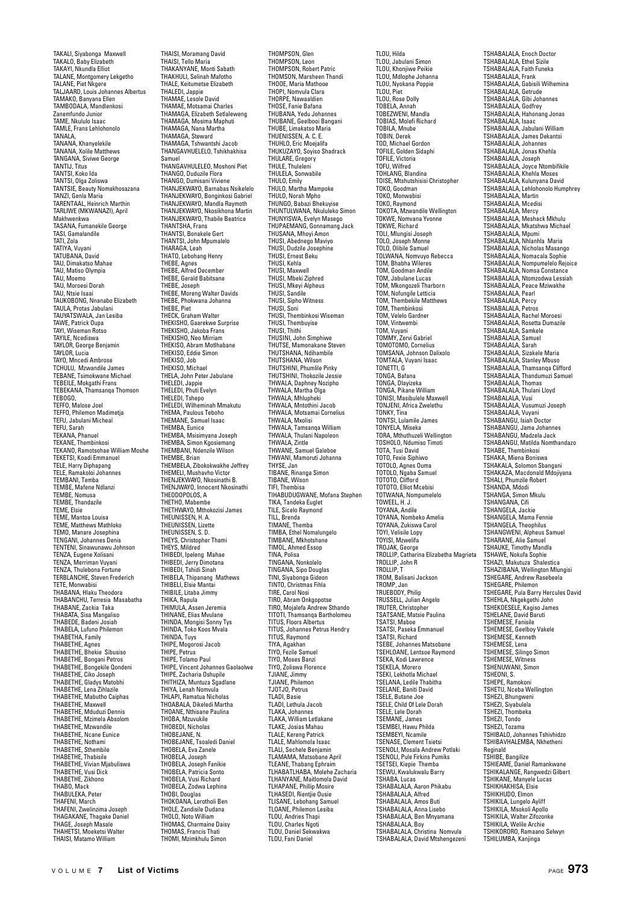TAKALI, Siyabonga Maxwell TAKALO, Baby Elizabeth TAKAYI, Nkundla Elliot TALANE, Montgomery Lekgetho TALANE, Piet Nkgere TALJAARD, Louis Johannes Albertus TAMAKO, Banyana Ellen TAMBODALA, Mandlenkosi Zanemfundo Junior TAME, Nkululo Isaac TAMLE, Frans Lehlohonolo TANALA, TANANA, Khanyelekile TANANA, Xolile Matthews TANGANA, Siviwe George TANTIJ, Titus TANTSI, Koko Ida TANTSI, Olga Zoliswa TANTSIE, Beauty Nomakhosazana TANZI, Genla Maria TARENTAAL, Heinrich Marthin TARLIWE (MKWANAZI), April Makhwenkwa TASANA, Fumanekile George TASI, Gamalandile TATI, Zola TATIYA, Vuyani TATUBANA, David TAU, Dimakatso Mahae TAU, Matiso Olympia TAU, Moemo TAU, Moroesi Dorah TAU, Ntsie Isaai TAUKOBONG, Nnanabo Elizabeth TAULA, Protas Jabulani TAUYATSWALA, Jan Lesiba TAWE, Patrick Oupa<br>TAWE, Patrick Oupa TAYI, Wiseman Rotso TAYILE, Ncediswa TAYLOR, George Benjamin TAYLOR, Lucia TAYO, Mncedi Ambrose TCHULU, Mzwandile James TEBANE, Tsimokwane Michael TEBEILE, Mokgathi Frans TEBEKANA, Thamsanqa Thomson TEBOGO, TEFFO, Malose Joel TEFFO, Philemon Madimetja TEFU, Jabulani Micheal TEFU, Jauula<br>TEFU, Sarah TEKANA, Phanuel TEKANE, Thembinkosi TEKANO, Ramotsohae William Moshe TEKETSI, Koadi Emmanuel TELE, Harry Diphapang<br>TELE, Ramakoloi Johannes<br>TEMBANI, Temba<br>TEMBE, Mafene Ndlanzi<br>TEMBE, Thandazile<br>TEMBE, Thandazile TEME, Elsie TEME, Mantoa Louisa TEME, Matthews Mathloko TEMO, Manare Josephina TENGANI, Johannes Denis TENTENI, Sinawunawu Johnson TENZA, Eugene Xolisani TENZA, Merriman Vuyani TENZA, Thulebona Fortune TERBLANCHE, Steven Frederich TETE, Monwabisi THABANA, Hlaku Theodora THABANCHU, Terresia Masabatha THABANE, Zackia Taka THABATA, Sisa Mangaliso THABEDE, Badeni Josiah THABELA, Lufuno Philemon THABETHA, Family THABETHE, Agnes THABETHE, Bhekie Sibusiso THABETHE, Bongani Petros THABETHE, Bongekile Qondeni THABETHE, Ciko Joseph THABETHE, Gladys Matobhi THABETHE, Lena Zihlazile THABETHE, Mabutho Caiphas THABETHE, Maxwell THABETHE, Mduduzi Dennis THABETHE, Mzimela Absolom THABETHE, Mzwandile THABETHE, Ncane Eunice THABETHE, Nothami THABETHE, Sthembile THABETHE, Thabisile THABETHE, Vivian Mjabuliswa THABETHE, Vusi Dick THABETHE, Zikhono THABO, Mack THABULEKA, Peter THAFENI, March THAFENI, Zwelinzima Joseph THAGAKANE, Thagake Daniel THAGE, Joseph Masale THAHETSI, Moeketsi Walter THAISI, Matamo William

THAISI, Moramang David THAISI, Tello Maria THAKANYANE, Monti Sabath THAKHULI, Selinah Mafotho THALE, Keitumetse Elizabeth THALEDI, Jappie THAMAE, Lesole David THAMAE, Motsamai Charles THAMAGA, Elizabeth Setlaleweng THAMAGA, Mosima Maphuti THAMAGA, Nana Martha THAMAGA, Steward THAMAGA, Tshwantshi Jacob THANGAVHUELELO, Tshikhakhisa Samuel THANGAVHULELEO, Moshoni Piet THANGO, Duduzile Flora THANGO, Dumisani Viviene THANJEKWAYO, Barnabas Nsikelelo THANJEKWAYO, Bonginkosi Gabriel THANJEKWAYO, Mandla Raymoth THANJEKWAYO, Nkosikhona Martin THANJEKWAYO, Thabile Beatrice THANTSHA, Frans THANTSI, Bonakele Gert THANTSI, John Mpumalelo THARAGA Leah THATO, Lebohang Henry THEBE, Agnes THEBE, Alfred December THEBE, Gerald Babitsane THEBE, Joseph THEBE, Moreng Walter Davids THEBE, Phokwana Johanna THEBE, Piet<br>THEBE, Piet<br>THECK Graham Walter THECK, Graham Walter THEKISHO, Gaarekwe Surprise THEKISHO, Jakoba Frans THEKISHO, Neo Mirriam THEKISO, Abram Motlhabane THEKISO, Eddie Simon THEKISO, Job THEKISO, Michael THELA, John Peter Jabulane THELEDI, Jappie THELEDI, Phuti Evelyn THELEDI, Tshepo THELEDI, Wilheminah Mmakutu THEMA, Paulous Teboho THEMANE, Samuel Isaac THEMBA, Eunice THEMBA, Msisimyana Joseph THEMBA, Simon Kgosiemang THEMBANI, Ndenzile Wilson THEMBE, Brian THEMBELA, Zibokokwakhe Jeffrey THEMELI, Mushavho Victor THENJEKWAYO, Nkosinathi B. THENJWAYO, Innocent Nkosinathi THEODOPOLOS, A THETHO, Mabembe THETHWAYO, Mthokozisi James THEUNISSEN, H. A. THEUNISSEN, Lizette THEUNISSEN, S.D. THEYS, Christopher Thami THEYS, Mildred THIBEDI, Ipeleng Mahae THIBEDI, Jerry Dimotana THIBEDI, Tshidi Sinah THIBELA, Thipanang Mathews THIBELI, Elsie Mantai THIBILE, Litaba Jimmy THIKA, Rapula THIMULA, Assen Jeremia THINANE, Elias Mvulane THINDA, Mongisi Sonny Tys THINDA, Toko Koos Mvala THINDA, Tuys THIPE, Mogorosi Jacob THIPE, Petrus THIPE, Tolamo Paul THIPE, Vincent Johannes Gaolaolwe THIPE, Zacharia Oshupile THITHIZA, Muntuza Sgadlane THIYA, Lenah Nomvula THLAPI, Ramatua Nicholas THOABALA, Dikeledi Martha THOANE, Nthisane Paulina THOBA, Mzuvukile THOBEDI, Nicholas THOBEJANE, N. THOBEJANE, Tsoaledi Daniel THOBELA, Eva Zanele THOBELA, Joseph THOBELA, Joseph Fanikie THOBELA, Patricia Sonto THOBELA, Vusi Richard THOBELA, Zodwa Lephina THOBI, Douglas THOKOANA, Lerotholi Ben THOLE, Zandisile Dudana THOLO, Noto William THOMAS, Charmaine Daisy THOMAS, Francis Thati

THOMPSON, Glen THOMPSON, Leon THOMPSON, Robert Patric THOMSON, Marsheen Thandi THOOE, Maria Mathooe THOPI, Nomvula Clara THORPE, Nawaaldien THOSE, Fanie Bafana THUBANA, Yedu Johannes THUBANE, Geelbooi Bangani THUBE, Limakatso Maria THUENISSEN, A. C. E. THUHLO, Eric Moejalifa THUKUZAYO, Soyiso Shadrack THULARE, Gregory THULE, Thuleleni THULELA, Sonwabile THULO, Emily THULO, Martha Mampoke **THULO, Martila Mallipoke<br>THULO, Norah Mpho<br>THUNGO, Bahazi Bhekuvise** THUNGO, Babazi Bhekuyise THUNTULWANA, Nkululeko Simon THUNYISWA, Evelyn Masego THUPAEMANG, Gonnamang Jack THUSANA, Mhoyi Amon THUSI, Abednego Maviyo THUSI, Dudzile Josephine THUSI, Ernest Beku THUSI, Kehla THUSI, Maxwell THUSI, Mbeki Ziphred THUSI, Mkeyi Alpheus THUSI, Sandile THUSI, Sipho Witness THUSI, Soni THUSI, Thembinkosi Wiseman THUSI, Thembuyise THUSI, Thithi THUSINI, John Simphiwe THUTSE, Mamonakane Steven THUTSHANA, Ndihambile THUTCHANA, Wilson THUTSHINI, Phumlile Pinky THUTSHINI, Thokozile Jessie THWALA, Daphney Nozipho THWALA, Martha Olga THWALA, Mhlupheki THWALA, Mntothini Jacob THWALA, Motsamai Cornelius THWALA, Mxolisi THWALA, Tamsanqa William THWALA, Thulani Napoleon THWALA, Zintle THWANE, Samuel Galeboe THWANI, Mamoruti Johanna THYSE, Jan TIBANE, Rinanga Simon TIBANE, Wilson TIFI, Thembisa TIHABUDUGWANE, Mofana Stephen TIKA, Tandeka Euglet TILE, Sicelo Raymond TILL, Brenda TIMANE, Themba TIMBA, Ethel Nomalungelo TIMBANE, Mkhotshane TIMOL, Ahmed Essop TINA, Polisa TINGANA, Nonkolelo TINGANA, Sipo Douglas TINI, Siyabonga Gideon TINTO, Christmas Fihla TIRE, Carol Nosi TIRO, Abram Onkgopotse TIRO, Mojalefa Andrew Sthando TITOTI, Thamsanqa Bartholomeu TITUS, Floors Albertus TITUS, Johannes Petrus Hendry TITUS, Raymond TIYA, Agakhan TIYO, Fezile Samuel TIYO, Moses Banzi TIYO, Zoliswa Florence TJIANE, Jimmy TJIANE, Philemon TJOTJO, Petrus TLADI, Basie TLADI, Lethula Jacob TLAKA, Johannes TLAKA, William Letlakane TLAKE, Josias Mahau TLALE, Kereng Patrick TLALE, Mahlomola Isaac TLALI, Sechele Benjamin TLAMAMA, Matsobane April TLEANE, Thabang Ephraim TLHABATLHABA, Molehe Zacharia TLHANYANE, Maitlomola David TLHAPANE, Phillip Mosire TLHASEDI, Rientjie Ousie TLISANE, Lebohang Samuel TLOANE, Philemon Lesiba TLOU, Andries Thapi TLOU, Charles Ngoti TLOU, Daniel Sekwakwa TLOU, Fani Daniel

TLOU, Hilda TLOU, Jabulani Simon TLOU, Khonjiwe Peikie TLOU, Mdlophe Johanna TLOU, Nyokana Poppie TLOU, Piet TLOU, Rose Dolly TOBELA, Annah TOBEZWENI, Mandla TOBIAS, Molefi Richard TOBILA, Mnube TOBIN, Derek TOD, Michael Gordon TOFILE, Golden Sidaphi TOFILE, Victoria TOFU, Wilfred TOHLANG, Blandina TOISE, Mtshutshisisi Christopher TOKO, Goodman TOKO, Monwabisi TOKO, Raymond TOKOTA, Mzwandile Wellington TOKWE, Nomvana Yvonne TOKWE, Richard TOLI, Mlungisi Joseph TOLO, Joseph Monne TOLO, Olibile Samuel TOLWANA, Nomvuyo Rebecca TOM, Bhabha Wileres TOM, Goodman Andile TOM, Jabulane Lucas TOM, Mkongozeli Tharborn TOM, Nofungile Letticia TOM, Thembekile Matthews TOM, Thembinkosi TOM, Velelo Gardner TOM, Vintwembi TOM, Vuyani TOMMY, Zervi Gabriel TOMOTOMO, Cornelius TOMSANA, Johnson Dalixolo TOMTALA, Vuyani Isaac TONETTI, G TONGA, Bafana TONGA, Dlayizeka TONGA, Pikane William TONISI, Masibulele Maxwell TONJENI, Africa Zwelethu TONKY, Tina TONTSI, Lulamile James TONYELA, Miseka TORA, Mthuthuzeli Wellington TOSHOLO, Ndumiso Timoti TOTA, Tusi David TOTO, Fexie Siphi TOTOLO, Agnes Ouma TOTOLO, Ngaba Samuel TOTOTO, Clifford TOTOTO, Elliot Mcebisi TOTWANA, Nompumelelo TOWEEL, H. J. TOYANA, Andile TOYANA, Nombeko Amelia TOYANA, Zukiswa Carol TOYI, Velisile Lopy TOYISI, Mzwelifa TROJAK, George TROLLIP, Catharina Elizabetha Magrieta TROLLIP, John R TROLLIP, T TROM, Balisani Jackson TROMP, Jan TRUEBODY, Philip TRUSSELL, Julian Angelo TRUTER, Christopher TSATSANE, Matsie Paulina TSATSI, Maboe TSATSI, Paseka Emmanuel TSATSI, Richard TSEBE, Johannes Matsobane TSEHLOANE, Lentsoe Raymond TSEKA, Kodi Lawrence TSEKELA, Morero TSEKI, Lekhotla Michael TSELANA, Ledile Thabitha TSELANE, Baniti David TSELE, Butane Joe TSELE, Child Of Lele Dorah TSELE, Lele Dorah TSEMANE, James TSEMBEI, Hawu Philda TSEMBEYI, Ncamile TSENASE, Clement Tsietsi TSENOLI, Mosala Andrew Potlaki TSENOLI, Pule Firkins Pumiks TSETSEI, Kiepie Themba TSEWU, Kwalukwalu Barry TSHABA, Lucas TSHABALALA, Aaron Phikabu TSHABALALA, Alfred TSHABALALA, Amos Buti TSHABALALA, Anna Lisebo TSHABALALA, Anna Liseuu<br>TSHABALALA, Ben Mnyamana TSHABALALA, Boy TSHABALALA, Christina Nomvula TSHABALALA, David Mtshengezeni

TSHABALALA, Enoch Doctor TSHABALALA, Ethel Sizile TSHABALALA, Faith Funeka TSHABALALA, Frank TSHABALALA, Gabisili Wilhemina TSHABALALA, Getrude TSHABALALA, Gibi Johannes TSHABALALA, Godfrey TSHABALALA, Hahonang Jonas TSHABALALA, Isaac TSHABALALA, Jabulani William TSHABALALA, James Dekantsi TSHABALALA, Johannes TSHABALALA, Jonas Khehla TSHABALALA, Joseph TSHABALALA, Joyce Ntombifikile TSHABALALA, Khehla Moses TSHABALALA, Kulunyana David TSHABALALA, Lehlohonolo Humphrey TSHABALALA, Martin TSHABALALA, Mcedisi TSHABALALA, Mercy TSHABALALA, Meshack Mkhulu TSHABALALA, Mkatshwa Michael TSHABALALA, Mpumi TSHABALALA, Nhlanhla Maria TSHABALALA, Nicholas Masango TSHABALALA, Nomacala Sophie TSHABALALA, Nompumelelo Rejoice TSHABALALA, Nomsa Constance TSHABALALA, Ntomzodwa Lessiah TSHABALALA, Peace Mziwakhe TSHABALALA, Pearl TSHABALALA, Percy TSHABALALA, Petros TSHABALALA, Rachel Moroesi TSHABALALA, Rosetta Dumazile TSHABALALA, Samkele TSHABALALA, Samuel TSHABALALA, Sarah TSHABALALA, Sizakele Maria TSHABALALA, Stanley Mbuso TSHABALALA, Thamsanqa Clifford TSHABALALA, Thandumuzi Samuel TSHABALALA, Thomas TSHABALALA, Thulani Lloyd TSHABALALA, Vusi TSHABALALA, Vusumuzi Joseph TSHABALALA, Vuyani TSHABANGU, Isiah Doctor TSHABANGU, Jama Johannes TSHABANGU, Madzela Jack TSHABANGU, Matilda Nomthandazo TSHARF Thembinkosi TSHAKA, Miena Boniswa TSHAKALA, Solomon Sbangani TSHAKAZA, Macdonald Mdojiyana TSHALI, Phumzile Robert TSHANDA, Mdodi TSHANGA, Simon Mkulu TSHANGANA, Cifi TSHANGELA, Jackie TSHANGELA, Mama Fennie TSHANGELA, Theophilus TSHANGWENI, Alpheus Samuel TSHARANE, Alie Samuel TSHAUKE, Timothy Mandla TSHAWE, Nokufa Sophie TSHAZI, Makutuza Shalestica TSHAZIBANA, Wellington Mlungisi TSHEGARE, Andrew Rasebeela TSHEGARE, Philemon TSHEGARE, Pula Barry Hercules David TSHEHLA, Nkgekgethi John TSHEKOESELE, Kagiso James TSHELANE, David Baruti TSHEMESE, Fanisile TSHEMESE, Geelboy Vakele TSHEMESE, Kenneth TSHEMESE, Lena TSHEMESE, Silingo Simon TSHEMESE, Witness TSHENUWANI, Simon TSHEONI, S. TSHEPE, Ramokoni TSHETU, Nceba Wellington TSHEZI, Bhungweni TSHEZI, Siyabulela TSHEZI, Thombeka TSHEZI, Tondo TSHEZI, Tozama TSHIBALO, Johannes Tshivhidzo TSHIBAVHALEMBA, Nkhetheni Reginald TSHIBE, Bangilize TSHIEAME, Daniel Ramankwane TSHIKALANGE, Rangwedzi Gilbert TSHIKANE, Manyele Lucas TSHIKHAKHISA, Elsie TSHIKHUDO, Elmon TSHIKILA, Lungelo Ayliff TSHIKILA, Msokoli Apollo TSHIKILA, Walter Zifozonke TSHIKILA, Welile Archie TSHIKORORO, Ramaano Selwyn TSHILUMBA, Kanjinga

THOMI, Mzimkhulu Simon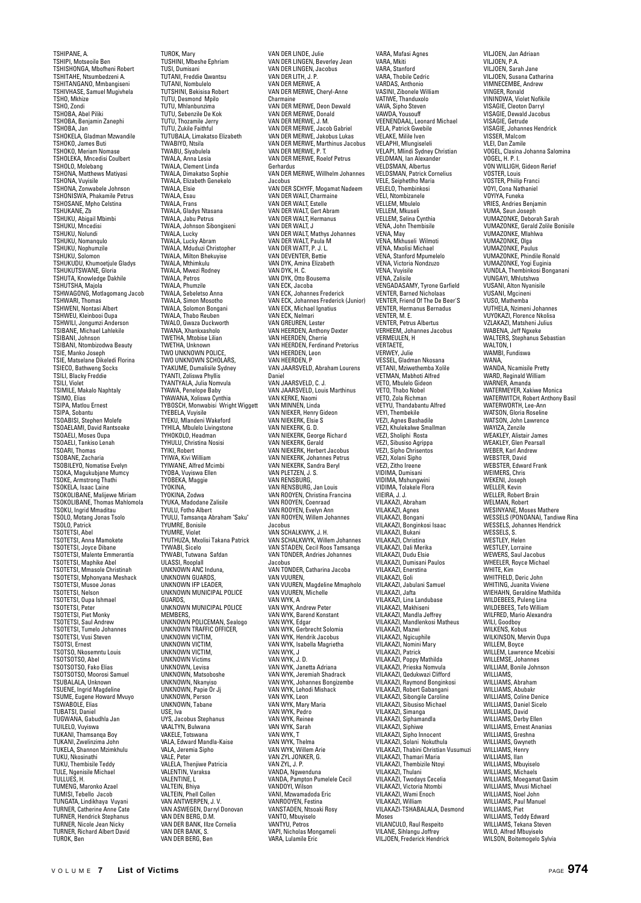TSHIPANE, A. TSHIPI, Motseoile Ben TSHISHONGA, Mbofheni Robert TSHITAHE, Ntsumbedzeni A. TSHITANGANO, Mmbangiseni TSHIVHASE, Samuel Mugivhela TSHO, Mkhize TSHO, Zondi TSHOBA, Abel Piliki TSHOBA, Benjamin Zanephi TSHOBA, Jan TSHOKELA, Gladman Mzwandile TSHOKO, James Buti TSHOKO, Meriam Nomase TSHOLEKA, Mncedisi Coulbert TSHOLO, Molebang TSHONA, Matthews Matiyasi TSHONA, Vuyisile TSHONA, Zonwabele Johnson TSHONISWA, Phakamile Petrus TSHOSANE, Mpho Celstina TSHUKANE, Zb TSHUKU, Abigail Mbimbi TSHUKU, Mncedisi TSHUKU, Nolundi TSHUKU, Nomanqulo TSHUKU, Nophumzile TSHUKU, Solomon<br>TSHUKU, Solomon<br>TSHUKUDU, Khumoetiule Gladvs TSHUKUDU, Khumoetjule Gladys TSHUKUTSWANE, Gloria TSHUTA, Knowledge Dakhile TSHUTSHA, Majola TSHWAGONG, Motlagomang Jacob TSHWARI, Thomas TSHWENI, Nontasi Albert TSHWEU, Kleinbooi Oupa TSHWILI, Jongumzi Anderson TSIBANE, Michael Lahlekile TSIBANI, Johnson TSIBANI, Ntombizodwa Beauty TSIE, Manko Joseph TSIE, Matselane Dikeledi Florina TSIECO, Bathweng Socks TSILI, Blacky Freddie TSILI, Violet TSIMILE, Makalo Naphtaly TSIMO, Elias TSIPA, Matlou Ernest TSIPA, Sobantu TSOABISI, Stephen Molefe TSOAELAMI, David Rantsoake TSOAELI, Moses Oupa TSOAELI, Tankiso Lenah TSOARI, Thomas TSOBANE, Zacharia TSOBILEYO, Nomatise Evelyn TSOKA, Magukubjane Mumcy TSOKE, Armstrong Thathi TSOKELA, Isaac Laine TSOKOLIBANE, Malijewe Miriam TSOKOLIBANE, Thomas Mahlomola TSOKU, Ingrid Mmaditau TSOLO, Motang Jonas Tsolo TSOLO, Patrick TSOTETSI, Abel TSOTETSI, Anna Mamokete TSOTETSI, Joyce Dibane TSOTETSI, Malente Emmerantia TSOTETSI, Maphike Abel TSOTETSI, Mmasole Christinah TSOTETSI, Mphonyana Meshack TSOTETSI, Musoe Jonas TSOTETSI, Nelson TSOTETSI, Oupa Ishmael TSOTETSI, Peter TSOTETSI, Piet Monky TSOTETSI, Saul Andrew TSOTETSI, Tumelo Johannes TSOTETSI, Vusi Steven TSOTSI, Ernest TSOTSO, Nkosemntu Louis TSOTSOTSO, Abel TSOTSOTSO, Fako Elias TSOTSOTSO, Moorosi Samuel TSUBALALA, Unknown TSUENE, Ingrid Magdeline TSUME, Eugene Howard Mvuyo TSWABOLE, Elias TUBATSI, Daniel TUGWANA, Gabudhla Jan TUILELO, Vuyiswa TUKANI, Thamsanqa Boy TUKANI, Zwelinzima John TUKELA, Shannon Mzimkhulu TUKU, Nkosinathi TUKU, Thembisile Teddy TULE, Ngenisile Michael TULLUES, H. TUMENG, Maronko Azael TUMISI, Tebello Jacob TUNGATA, Lindikhaya Vuyani TURNER, Catherine Anne Cate TURNER, Hendrick Stephanus TURNER, Nicole Jean Nicky TURNER, Richard Albert David TUROK, Ben

TUROK, Mary TUSHINI, Mbeshe Ephriam TUSI, Dumisani TUTANI, Freddie Qwantsu TUTANI, Nombulelo TUTSHINI, Bekisisa Robert TUTU, Desmond Mpilo TUTU, Mhlanbunzima TUTU, Sebenzile De Kok TUTU, Thozamile Jerry TUTU, Zukile Faithful TUTUBALA, Limakatso Elizabeth TWABIYO, Ntsila TWABU, Siyabulela TWALA, Anna Lesia TWALA, Clement Linda TWALA, Dimakatso Sophie TWALA, Elizabeth Genekelo TWALA, Flsie TWALA, Esau TWALA, Frans TWALA, Gladys Ntasana TWALA, Jabu Petrus TWALA, Johnson Sibongiseni TWALA, Lucky TWALA, Lucky Abram TWALA, Mduduzi Christopher TWALA, Milton Bhekuyise TWALA, Mthimkulu TWALA, Mwezi Rodney TWALA, Petros TWALA, Phumzile TWALA, Sebeletso Anna TWALA, Simon Mosotho TWALA, Solomon Bongani TWALA, Thabo Reuben TWALO, Gwaza Duckworth TWANA, Xhankxasholo TWETHA, Mtobise Lilian TWETHA, Unknown TWO UNKNOWN POLICE, TWO UNKNOWN SCHOLARS, TYAKUME, Dumalisile Sydney TYANTI, Zoliswa Phyllis TYANTYALA, Julia Nomvula TYAWA, Penelope Baby TYAWANA, Xoliswa Cynthia TYBOSCH, Monwabisi Wright Wiggett TYEBELA, Vuyisile TYEKU, Mlandeni Wakeford TYHILA, Mbulelo Livingstone TYHOKOLO, Headman TYHULU, Christina Nosisi TYIKI, Robert TYIWA, Kivi William TYIWANE, Alfred Mcimbi TYOBA, Vuyiswa Ellen TYOBEKA, Maggie TYOKINA, TYOKINA, Zodwa TYUKA, Madodane Zalisile TYULU, Fotho Albert TYULU, Tamsanqa Abraham "Saku" TYUMRE, Bonisile TYUMRE, Violet TYUTHUZA, Mxolisi Takana Patrick TYWABI, Sicelo TYWABI, Tutwana Safdan ULASSI, Rooplall UNKNOWN ANC Induna, UNKNOWN GUARDS,<br>UNKNOWN IFP LEADER, UNKNOWN MUNICIPAL POLICE GUARDS, UNKNOWN MUNICIPAL POLICE MEMBERS, UNKNOWN POLICEMAN, Sealogo UNKNOWN TRAFFIC OFFICER, UNKNOWN VICTIM, UNKNOWN VICTIM, UNKNOWN VICTIM, UNKNOWN Victims UNKNOWN, Levisa UNKNOWN, Matsoboshe UNKNOWN, Nkanyiso UNKNOWN, Papie Or Jj UNKNOWN, Person UNKNOWN, Tabane USE, Iva UYS, Jacobus Stephanus VAALTYN, Bulwana VAKELE, Totswana VALA, Edward Mandla-Kaise VALA, Jeremia Sipho VALE, Peter VALELA, Thenjiwe Patricia VALENTIN, Varaksa VALENTINE, L VALTEIN, Bhiya VALTEIN, Phell Collen VAN ANTWERPEN, J. V. VAN ASWEGEN, Darryl Donovan VAN DEN BERG, D.M. VAN DER BANK, Illze Cornelia VAN DER BANK, S. VAN DER BERG, Ben

VAN DER LINDE, Julie VAN DER LINGEN, Beverley Jean VAN DER LINGEN, Jacobus VAN DER LITH, J. P. VAN DER MERWE, A VAN DER MERWE, Cheryl-Anne Charmaine VAN DER MERWE, Deon Dewald VAN DER MERWE, Donald VAN DER MERWE, J. M. VAN DER MERWE, Jacob Gabriel VAN DER MERWE, Jakobus Lukas VAN DER MERWE, Marthinus Jacobus VAN DER MERWE, P. T. VAN DER MERWE, Roelof Petrus Gerhardus VAN DER MERWE, Willhelm Johannes Jacobus VAN DER SCHYFF, Mogamat Nadeem VAN DER WALT, Charmaine VAN DER WALT, Estelle VAN DER WALT, Gert Abram VAN DER WALT, Hermanus VAN DER WALT, J VAN DER WALT, Mathys Johannes VAN DER WALT, Paula M VAN DER WATT, P. J. L. VAN DEVENTER, Bettie VAN DYK, Amina Elizabeth VAN DYK, H. C. VAN DYK, Otto Bousema VAN ECK, Jacoba VAN ECK, Johannes Frederick VAN ECK, Johannes Frederick (Junior) VAN ECK, Jonannes (1990)<br>VAN ECK, Michael Ignatius<br>VAN ECK, Nalmari VAN ECK, Nelmari VAN GREUREN, Lester VAN HEERDEN, Anthony Dexter VAN HEERDEN, Cherrie VAN HEERDEN, Cherrie<br>VAN HEERDEN, Ferdinand Pretorius VAN HEERDEN, Leon VAN HEERDEN, P VAN JAARSVELD, Abraham Lourens Daniel VAN JAARSVELD, C. J. VAN JAARSVELD, Louis Marthinus VAN KERKE, Naomi VAN MINNEN, Linda vAN WINNEN, Einda<br>VAN NIEKER, Henry Gideon VAN NIEKERK, Elsie S VAN NIEKERK, G. D. VAN NIEKERK, George Richard VAN NIEKERK, Gerald VAN NIEKERK, Herbert Jacobus VAN NIEKERK, Johannes Petrus VAN NIEKERK, Sandra Beryl VAN PLETZEN, J. S. VAN RENSBURG, VAN RENSBURG, Jan Louis VAN ROOYEN, Christina Francina VAN ROOYEN, Coenraad VAN ROOYEN, Evelyn Ann VAN ROOYEN, Will Jacobus VAN SCHALKWYK, J. H. VAN SCHALKWYK, Willem Johannes VAN STADEN, Cecil Roos Tamsanqa VAN TONDER, Andries Johannes Jacobus VAN TONDER, Catharina Jacoba VAN VUUREN, VAN VUUREN, Magdeline Mmapholo VAN VUUREN, Michelle VAN WYK, A VAN WYK, Andrew Peter VAN WYK, Barend Konstant VAN WYK, Edgar VAN WYK, Gerbrecht Solomia VAN WYK, Hendrik Jacobus VAN WYK, Isabella Magrietha VAN WYK, J VAN WYK, J. D. VAN WYK, Janetta Adriana VAN WYK, Jeremiah Shadrack VAN WYK, Johannes Bongizembe VAN WYK, Lehodi Mishack VAN WYK, Leon VAN WYK, Mary Maria VAN WYK, Pedro VAN WYK, Reiner VAN WYK, Sarah VAN WYK, T VAN WYK, Thelma VAN WYK, Willem Arie VAN ZYL JONKER, G. VAN ZYL, J. P. VANDA, Ngwenduna VANDA, Pampton Pumelele Cecil VANDOYI, Wilson VANI, Mzwamadoda Eric VANROOYEN, Festina VANSTADEN, Ntsoaki Rosy VANTO, Mbuyiselo VANTYU, Petros VAPI, Nicholas Mongameli VARA, Lulamile Eric

VARA, Mafasi Agnes VARA, Mkiti VARA, Stanford VARA, Thobile Cedric VARDAS, Anthonio VASINI, Zibonele William VATIWE, Thanduxolo VAVA, Sipho Steven VAWDA, Yousouff VEENENDAAL, Leonard Michael VELA, Patrick Gwebile VELAKE, Milile Iven VELAPHI, Mlungiseleli VELAPI, Mlindi Sydney Christian VELDMAN, Ian Alexander VELDSMAN, Albertus VELDSMAN, Patrick Cornelius VELE, Seiphetlho Maria VELELO, Thembinkosi VELI, Ntombizanele VELLEM, Mbulelo VELLEM, Mkuseli VELLEM, Selina Cynthia VENA, John Thembisile VENA, May VENA, Mkhuseli Wilmoti VENA, Mxolisi Michael VENA, Stanford Mpumelelo VENA, Victoria Nondzuzo VENA, Vuyisile VENA, Zalisile VENGADASAMY, Tyrone Garfield VENTER, Barned Nicholaas VENTER, Friend Of The De Beer'S VENTER, Hermanus Bernadus<br>VENTER, Hermanus Bernadus VENTER, M. E. VENTER, Petrus Albertus VERHEEM, Johannes Jacobus VERMEULEN, H **VERTAETE** VERWEY, Julie VESSEL, Gladman Nkosana VETANI, Mziwethemba Xolile VETMAN, Mabhoti Alfred VETO, Mbulelo Gideon VETO, Thabo Nobel VETO, Zola Richman VETYU, Thandabantu Alfred VEYI, Thembekile VEZI, Agnes Bashadile VEZI, Khulekalwe Smallman VEZI, Sholiphi Rosta VEZI, Sibusiso Agrippa VEZI, Sipho Chrisentos VEZI, Xolani Sipho VEZI, Zitho Ireene VIDIMA, Dumisani VIDIMA, Mshungwini VIDIMA, Tolakele Flora VIEIRA, J. J. VILAKAZI, Abraham VILAKAZI, Agnes VILAKAZI, Bongani VILAKAZI, Bonginkosi Isaac VILAKAZI, Bukani VII AKAZI, Christina VILAKAZI, Dali Merika VILAKAZI, Dudu Elsie VILAKAZI, Dumisani Paulos VILAKAZI, Enerstina VILAKAZI, Goli VILAKAZI, Jabulani Samuel VILAKAZI, Jafta VILAKAZI, Lina Landubase VILAKAZI, Makhiseni VILAKAZI, Mandla Jeffrey VILAKAZI, Mandlenkosi Matheus VILAKAZI, Mazwi VILAKAZI, Ngicuphile VILAKAZI, Nomini Mary VILAKAZI, Patrick VILAKAZI, Poppy Mathilda VILAKAZI, Prieska Nomvula VILAKAZI, Qedukwazi Clifford VILAKAZI, Raymond Bonginkosi VILAKAZI, Robert Gabangani VILAKAZI, Sibongile Caroline VILAKAZI, Sibusiso Michael VILAKAZI, Simanga VILAKAZI, Siphamandla VILAKAZI, Siphiwe VILAKAZI, Sipho Innocent VILAKAZI, Solani Nokuthula VILAKAZI, Thabini Christian Vusumuzi VILAKAZI, Thamari Maria VILAKAZI, Thembizile Ntoyi VILAKAZI, Thulani VILAKAZI, Twodays Cecelia VILAKAZI, Victoria Ntombi VILAKAZI, Wami Enoch VILAKAZI, William VILAKAZI-TSHABALALA, Desmond Moses VILANCULO, Raul Respeito VILANE, Sihlangu Joffrey VILJOEN, Frederick Hendrick

VILJOEN, Jan Adriaan VILJOEN, P.A. VILJOEN, Sarah Jane VILJOEN, Susana Catharina VIMNECEMBE, Andrew VINGER, Ronald VININDWA, Violet Nofikile VISAGIE, Cleoton Darryl VISAGIE, Dewald Jacobus VISAGIE, Getrude VISAGIE, Johannes Hendrick VISSER, Malcom VLEI, Dan Zamile VOGEL, Clasina Johanna Salomina VOGEL, H. P. I. VON WILLIGH, Gideon Rerief VOSTER, Louis VOSTER, Phiilip Franci VOYI, Cona Nathaniel VOYIYA, Funeka VRIES, Andries Benjamin VUMA, Seun Joseph VUMAZONKE, Deborah Sarah VUMAZONKE, Gerald Zolile Bonisile VUMAZONKE, Mlahlwa VUMAZONKE, Olga VUMAZONKE, Paulus VUMAZONKE, Phindile Ronald VUMAZONKE, Yogi Euginia VUNDLA, Thembinkosi Bonganani VUNGAYI, Mhlutshwa VUSANI, Alton Nyanisile VUSANI, Mgcineni VUSO, Mathemba VUTHELA, Nzimeni Johannes VUYOKAZI, Florence Nkolisa VZLAKAZI, Matsheni Julius WABENA, Jeff Naxeke WALTERS, Stephanus Sebastian WALTON<sub>1</sub> WAMBI, Fundiswa WANA, WANDA, Ncamisile Pretty WARD, Reginald William WARNER, Amanda WATERMEYER, Xakiwe Monica WATERWITCH, Robert Anthony Basil WATERWORTH, Lee-Ann WATSON, Gloria Roseline WATSON, John Lawrence WAYIZA, Zenzile WEAKLEY, Alistair James WEAKLEY, Glen Pearsall WEBER, Karl Andrew WEBSTER, David WEBSTER, Edward Frank WEIMERS, Chris WEKENI, Joseph WELLER, Kevin WELLER, Robert Brain WELMAN, Robert WESINYANE, Moses Mathere WESSELS (PONOANA), Tandiwe Rina WESSELS, Johannes Hendrick WESSELS, S. WESTLEY, Helen WESTLEY, Lorraine WEWERS, Saul Jacobus WHEELER, Royce Michael WHITE, Kim WHITFIELD, Deric John WHITING, Juanita Viviene WIEHAHN, Geraldine Mathilda WILDEBEES, Puleng Lina WILDEBEES, Tefo William WILFRED, Mario Alexandra WILI, Goodboy WILKENS, Kobus WILKINSON, Mervin Oupa WILLEM, Boyce WILLEM, Lawrence Mcebisi WILLEMSE, Johannes WILLIAM, Bonile Johnson WILLIAMS, WILLIAMS, Abraham WILLIAMS, Abubak WILLIAMS, Coline Denice witchwis, comie beind<br>WILLIAMS, Daniel Sicel WILLIAMS, David WILLIAMS, Derby Ellen WILLIAMS, Ernest Ananias WILLIAMS, Greshna WILLIAMS, Gwyneth WILLIAMS, Henry WILLIAMS, Ilan WILLIAMS, Mbuyiselo WILLIAMS, Michaels WILLIAMS, Moegamat Qasim WILLIAMS, Mvusi Michael WILLIAMS, Noel John WILLIAMS, Paul Manuel WILLIAMS, Piet WILLIAMS, Teddy Edward WILLIAMS, Tekana Steven WILO, Alfred Mbuyiselo

WILSON, Boitemogelo Sylvia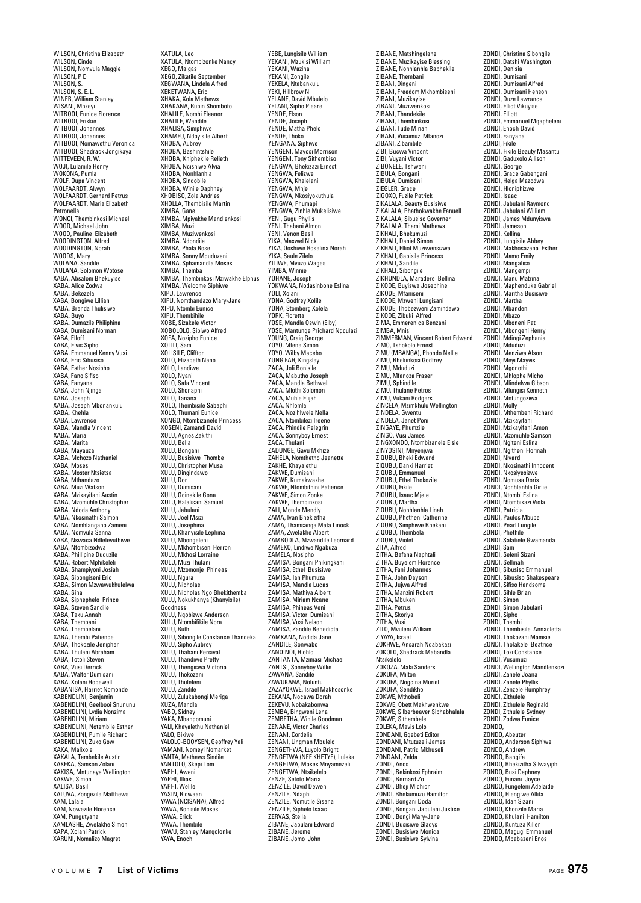WILSON, Christina Elizabeth WILSON, Cinde WILSON, Nomvula Maggie WILSON, P D WILSON, S. WILSON, S. E. L. WINER, William Stanley WISANI, Mnzeyi WITBOOI, Eunice Florence WITBOOI, Frikkie WITBOOI, Johannes WITBOOI, Johannes WITBOOI, Nomawethu Veronica WITBOOI, Shadrack Jongikaya WITTEVEEN, R. W. WOJI, Lulamile Henry WOKONA, Pumla WOLF, Oupa Vincent WOLFAARDT, Alwyn WOLFAARDT, Gerhard Petrus WOLFAARDT, Maria Elizabeth Petronella WONCI, Thembinkosi Michael WOOD, Michael John WOOD, Pauline Elizabeth WOODINGTON, Alfred WOODINGTON, Norah WOODS, Mary WULANA, Sandile WULANA, Solomon Wotose XABA, Absalom Bhekuyise XABA, Alice Zodwa XABA, Bekezela XABA, Bongiwe Lillian XABA, Brenda Thulisiwe XABA, Buyo лнон, виуи<br>XABA, Dumazile Philiphina XABA, Dumisani Norman XABA, Elloff XABA, Elvis Sipho XABA, Emmanuel Kenny Vusi XABA, Eric Sibusiso XABA, Esther Nosipho XABA, Fano Sifiso XABA, Fanyana XABA, John Njinga XABA, Joseph XABA, Joseph Mbonankulu XABA, Khehla XABA, Lawrence XABA, Mandla Vincent XABA, Maria XABA, Marita XABA, Mayauza XABA, Mchozo Nathaniel XABA, Moses XABA, Moster Ntsietsa XABA, Mthandazo XABA, Muzi Watson XABA, Mzikayifani Austin XABA, Mzomuhle Christopher XABA, Ndoda Anthony XABA, Nkosinathi Salmon XABA, Nomhlangano Zameni XABA, Nomvula Sanna XABA, Nswaca Ndlelevuthiwe XABA, Ntombizodwa XABA, Phillipine Duduzile XABA, Robert Mphikeleli XABA, Shampiyoni Josiah XABA, Sibongiseni Eric XABA, Simon Mzwawukhulelwa XABA, Sina XABA, Siphephelo Prince XABA, Steven Sandile XABA, Taku Annah XABA, Thembani XABA, Thembelani XABA, Thembi Patience XABA, Thokozile Jenipher XABA, Thulani Abraham XABA, Totoli Steven XABA, Vusi Derrick XABA, Walter Dumisani XABA, Xolani Hopewell XABANISA, Harriet Nomonde XABENDLINI, Benjamin XABENDLINI, Geelbooi Snununu XABENDLINI, Lydia Nonzima XABENDLINI, Miriam XABENDLINI, Notembile Esther XABENDLINI, Pumile Richard XABENDLINI, Zuko Gow XAKA, Malixole XAKALA, Tembekile Austin XAKEKA, Samson Zolani XAKISA, Mntunaye Wellington XAKWE, Simon XALISA, Basil XALUVA, Zongezile Matthews XAM, Lalala XAM, Nowezile Florence XAM, Pungutyana XAMLASHE, Zwelakhe Simon XAPA, Xolani Patrick XARUNI, Nomalizo Magret

XATULA, Leo XATULA, Ntombizonke Nancy XEGO, Malgas XEGO, Zikatile September XEGWANA, Lindela Alfred XEKETWANA, Eric XHAKA, Xola Methews XHAKANA, Rubin Shomboto XHALILE, Nomhi Eleanor XHALILE, Wandile XHALISA, Simphiwe XHAMFU, Ndoyisile Albert XHOBA, Aubrey XHOBA, Bashintshile XHOBA, Khiphekile Relieth XHOBA, Ncishiwe Alvia XHOBA, Nonhlanhla XHOBA, Sinqobile XHOBA, Winile Daphney XHOBISO, Zola Andries XHOLLA, Thembisile Martin XIMBA, Gane XIMBA, Mpiyakhe Mandlenkosi XIMBA, Muzi XIMBA, Muziwenkosi XIMBA, Ndondile XIMBA, Phala Rose XIMBA, Sonny Mduduzeni XIMBA, Sphamandla Moses XIMBA, Themba XIMBA, Thembinkosi Mziwakhe Elphus XIMBA, Welcome Siphiwe XIPU, Lawrence XIPU, Nomthandazo Mary-Jane XIPU, Ntombi Eunice XIPU, Thembihile XOBE, Sizakele Victor XOBOLOLO, Sipiwo Alfred XOFA, Nozipho Eunice XOLILI, Sam XOLISILE, Cliffton XOLO, Elizabeth Nano XOLO, Landiwe XOLO, Nyani XOLO, Safa Vincent XOLO, Shonaphi XOLO, Tanana XOLO, Thembisile Sabaphi XOLO, Thumani Eunice XONGO, Ntombizanele Princess XOSENI, Zamandi David XULU, Agnes Zakithi XULU, Bella XULU, Bongani XULU, Busisiwe Thombe XULU, Christopher Musa XULU, Dingindawo XULU, Dor XULU, Dumisani XULU, Gcinekile Gona XULU, Halalisani Samuel XULU, Jabulani XULU, Joel Msizi XULU, Josephina XULU, Khanyisile Lephina XULU, Mbongeleni XULU, Mkhombiseni Herron XULU, Mkhosi Lorraine XULU, Muzi Thulani XULU, Mzomonje Phineas XULU, Ngura XULU, Nicholas XULU, Nicholas Ngo Bhekithemba XULU, Nokukhanya (Khanyisile) Goodness XULU, Nqobizwe Anderson XULU, Ntombifikile Nora XULU, Ruth XULU, Sibongile Constance Thandeka XULU, Sipho Aubrey XULU, Thabani Percival XULU, Thandiwe Pretty XULU, Thengiswa Victoria XULU, Thokozani XULU, Thuleleni XULU, Zandile XULU, Zulukabongi Meriga XUZA, Mandla YABO, Sidney YAKA, Mbangomuni YALI, Khayalethu Nathaniel YALO, Bikiwe YALOLO-BOOYSEN, Geoffrey Yali YAMANI, Nomeyi Nomarket YANTA, Mathews Sindile YANTOLO, Skepi Tom YAPHI, Aweni YAPHI, Illias YAPHI, Welile YASIN, Ridwaan YAWA (NCISANA), Alfred YAWA, Bonisile Moses YAWA, Erick YAWA, Thembile YAWU, Stanley Mangolonke YAYA, Enoch

YEBE, Lungisile William YEKANI, Mzukisi William YEKANI, Wazina YEKANI, Zongile YEKELA, Ntabankulu YEKI, Hillbrow N YELANE, David Mbulelo YELANI, Sipho Pleare YENDE, Elson YENDE, Joseph YENDE, Matha Phelo YENDE, Thoko YENGANA, Siphiwe YENGENI, Mayosi Morrison YENGENI, Tony Sithembiso YENGWA, Bhekizazi Ernest YENGWA, Felizwe YENGWA, Khalelani YENGWA, Mnje YENGWA, Nkosiyokuthula YENGWA, Phumapi YENGWA, Zinhle Mukelisiwe YENI, Gugu Phyllis YENI, Thabani Almon YENI, Venon Basil YIKA, Maxwel Nick YIKA, Qoshiwe Roselina Norah YIKA, Saule Zilelo YILIWE, Mvuzo Wages YIMBA, Winnie YOHANE, Joseph YOKWANA, Nodasinbone Eslina YOLI, Xolani YONA, Godfrey Xolile YONA, Stomberg Xolela<br>YONA, Stomberg Xolela YORK, Floretta YOSE, Mandla Oswin (Elby) YOSE, Mantunge Prichard Ngculazi YOUNG, Craig George YOYO, Mfene Simon YOYO, Wilby Macebo YUNG FAH, Kingsley ZACA, Joli Bonisile ZACA, Mabutho Joseph ZACA, Mandla Bethwell ZACA, Mlothi Solomon ZACA, Muhle Elijah ZACA, Nhlomla ZACA, Nozihlwele Nella ZACA, Ntombilezi Ireene ZACA, Phindile Pelegrin ZACA, Sonnyboy Ernest ZACA, Thulani ZADUNGE, Gavu Mkhize ZAHELA, Nomthetho Jeanette ZAKHE, Khayalethu ZAKWE, Dumisani ZAKWE, Kumakwakhe ZAKWE, Ntombithini Patience ZAKWE, Simon Zonke ZAKWE, Thembinkosi ZALI, Monde Mendly ZAMA, Ivan Bhekizitha ZAMA, Thamsanqa Mata Linock ZAMA, Zwelakhe Albert ZAMBODLA, Mzwandile Leornard ZAMEKO, Lindiwe Ngabuza ZAMELA, Nosipho ZAMISA, Bongani Phikingkani ZAMISA, Ethel Busisiwe ZAMISA, Ian Phumuza ZAMISA, Mandla Lucas ZAMISA, Mathiya Albert ZAMISA, Miriam Ncane ZAMISA, Phineas Veni ZAMISA, Victor Dumisani ZAMISA, Vusi Nelson ZAMISA, Zandile Benedicta ZAMKANA, Nodida Jane ZANDILE, Sonwabo ZANQINQI, Hlohlo ZANTANTA, Mzimasi Michael ZANTSI, Sonnyboy Willie ZAWANA, Sandile ZAWUKANA, Noluntu ZAZAYOKWE, Israel Makhosonke ZEKANA, Nocawa Dorah ZEKEVU, Nobakabonwa ZEMBA, Bingweni Lena ZEMBETHA, Winile Goodman ZENANE, Victor Charles ZENANI, Cordelia ZENANI, Lingman Mbulelo ZENGETHWA, Luyolo Bright ZENGETWA (NEE KHETYE), Luleka ZENGETWA, Moses Mnyamezeli ZENGETWA, Ntsikelelo ZENZE, Setoto Maria ZENZILE, David Deweh ZENZILE, Ndaphi ZENZILE, Nomutile Sisana ZENZILE, Siphelo Isaac ZERVAS, Stella ZIBANE, Jabulani Edward ZIBANE, Jerome ZIBANE, Jomo John

ZIBANE, Matshingelane ZIBANE, Muzikayise Blessing ZIBANE, Nonhlanhla Babhekile ZIBANE, Thembani ZIBANI, Dingeni ZIBANI, Freedom Mkhombiseni ZIBANI, Muzikayise ZIBANI, Muziwenkosi ZIBANI, Thandekile ZIBANI, Thembinkosi ZIBANI, Tude Minah ZIBANI, Vusumuzi Mfanozi ZIBANI, Zibambile ZIBI, Bucwa Vincent ZIBI, Vuyani Victor ZIBONELE, Tshweni ZIBULA, Bongani ZIBULA, Dumisani ZIEGLER, Grace ZIGOXO, Fuzile Patrick ZIKALALA, Beauty Busisiwe ZIKALALA, Phathokwakhe Fanuell ZIKALALA, Sibusiso Governer ZIKALALA, Thami Mathews ZIKHALI, Bhekumuzi ZIKHALI, Daniel Simon ZIKHALI, Elliot Muziwensizwa ZIKHALI, Gabisile Princess ZIKHALI, Sandile ZIKHALI, Sibongile ZIKHUNDLA, Maradere Bellina ZIKODE, Buyiswa Josephine ZIKODE, Mfaniseni ZIKODE, Mzweni Lungisani ZIKODE, Thobezweni Zamindawo ZIKODE, Zibuki Alfred ZIMA, Emmerenica Benzani ZIMBA, Mnisi ZIMMERMAN, Vincent Robert Edward ZIMO, Tshokolo Ernest ZIMU (MBANGA), Phondo Nellie ZIMU, Bhekinkosi Godfrey ZIMU, Mduduzi ZIMU, Mfanoza Fraser ZIMU, Sphindile ZIMU, Thulane Petros ZIMU, Vukani Rodgers ZINCELA, Mzimkhulu Wellington ZINDELA, Gwentu ZINDELA, Janet Poni ZINGAYE, Phumzile ZINGO, Vusi James ZINGXONDO, Ntombizanele Elsie ZINYOSINI, Mnyenjwa ZIQUBU, Bheki Edward ZIQUBU, Danki Harriet ZIQUBU, Emmanuel ZIQUBU, Ethel Thokozile ZIQUBU, Fikile ZIQUBU, Isaac Mjele ZIQUBU, Martha ZIQUBU, Nonhlanhla Linah ZIQUBU, Phetheni Catherine ZIQUBU, Simphiwe Bhekani ZIQUBU, Thembela ZIQUBU, Violet ZITA, Alfred ZITHA, Bafana Naphtali ZITHA, Buyelem Florence ZITHA, Fani Johannes ZITHA, John Dayson ZITHA, Jujwa Alfred ZITHA, Manzini Robert ZITHA, Mbukeni ZITHA, Petrus ZITHA, Skoriya ZITHA, Vusi ZITO, Mvuleni William ZIYAYA, Israel ZOKHWE, Ansarah Ndabakazi ZOKOLO, Shadrack Mabandla Ntsikelelo ZOKOZA, Maki Sanders ZOKUFA, Milton ZOKUFA, Nogcina Muriel ZOKUFA, Sendikho ZOKWE, Mthobeli ZOKWE, Obett Makhwenkwe ZOKWE, Silberbeaver Sibhabhalala ZOKWE, Sithembele ZOLEKA, Mavis Lolo ZONDANI, Gqebeti Editor ZONDANI, Mtutuzeli James ZONDANI, Patric Mkhuseli ZONDANI, Zelda ZONDI, Anos ZONDI, Bekinkosi Ephraim ZONDI, Bernard Zo ZONDI, Bheji Michion ZONDI, Bhekumuzu Hamilton ZONDI, Bongani Doda ZONDI, Bongani Jabulani Justice ZONDI, Bongi Mary-Jane ZONDI, Busisiwe Gladys ZONDI, Busisiwe Monica ZONDI, Busisiwe Sylvina

ZONDI, Christina Sibongile ZONDI, Datshi Washington ZONDI, Denisia ZONDI, Dumisani ZONDI, Dumisani Alfred ZONDI, Dumisani Henson ZONDI, Duze Lawrance ZONDI, Elliot Vikuyise ZONDI, Elliott ZONDI, Emmanuel Mqapheleni ZONDI, Enoch David ZONDI, Fanyana ZONDI, Fikile ZONDI, Fikile Beauty Masantu ZONDI, Gaduxolo Allison ZONDI, George ZONDI, Grace Gabengani ZONDI, Helga Mazodwa ZONDI, Hloniphizwe ZONDI, Isaac ZONDI, Jabulani Raymond ZONDI, Jabulani William ZONDI, James Mdunyiswa ZONDI, Jameson<br>ZONDI, Jameson<br>ZONDI, Kellina ZONDI, Kellina ZONDI, Lungisile Abbey ZONDI, Makhosazana Esther ZONDI, Mamo Emily ZONDI, Mangaliso ZONDI, Mangempi ZONDI, Manu Matrina ZONDI, Maphenduka Gabriel ZONDI, Maritha Busisiwe ZONDI, Martha ZONDI, Mbandeni ZONDI, Mbazo ZONDI, Mboneni Pat ZONDI, Mbongeni Henry ZONDI, Mdingi Zephania ZONDI, Mduduzi ZONDI, Menziwa Alson ZONDI, Meyi Mayvis ZONDI, Mgonothi ZONDI, Mhlophe Micho ZONDI, Mlindelwa Gibson ZONDI, Mlungisi Kenneth ZONDI, Mntungoziwa ZONDI, Molly ZONDI, Mthembeni Richard ZONDI, Mzikayifani ZONDI, Mzikayifani Amon ZONDI, Mzomuhle Samson ZONDI, Ngiteni Eslina ZONDI, Ngitheni Florinah ZONDI, Nivard ZONDI, Nkosinathi Innocent ZONDI, Nkosiyesizwe ZONDI, Nomusa Doris ZONDI, Nonhlanhla Girlie ZONDI, Ntombi Eslina ZONDI, Ntombikazi Viola ZONDI, Patricia ZONDI, Paulos Mbube ZONDI, Pearl Lungile ZONDI, Phethile ZONDI, Salatiele Gwamanda ZONDI, Sam ZONDI, Seleni Sizani ZONDI, Sellinah ZONDI, Sibusiso Emmanuel ZONDI, Sibusiso Shakespeare ZONDI, Sifiso Handsome ZONDI, Sihle Brian ZONDI, Simon ZONDI, Simon Jabulani ZONDI, Sipho ZONDI, Thembi ZONDI, Thembisile Annacletta ZONDI, Thokozani Mamsie ZONDI, Tholakele Beatrice ZONDI, Tozi Constance ZONDI, Vusumuzi ZONDI, Wellington Mandlenkozi ZONDI, Zanele Joana ZONDI, Zanele Phyllis ZONDI, Zenzele Humphrey ZONDI, Zithulele ZONDI, Zithulele Reginald ZONDI, Zithulele Sydney ZONDI, Zodwa Eunice ZONDO, ZONDO, Abeuter ZONDO, Anderson Siphiwe ZONDO, Andrew ZONDO, Bangifa ZONDO, Bhekizitha Silwayiphi ZONDO, Busi Dephney ZONDO, Funani Joyce ZONDO, Fungeleni Adelaide ZONDO, Hlengiwe Allita ZONDO, Idah Sizani ZONDO, Khonzile Maria ZONDO, Khulani Hamilton ZONDO, Kuntuza Killer

ZONDO, Magugi Emmanuel ZONDO, Mbabazeni Enos